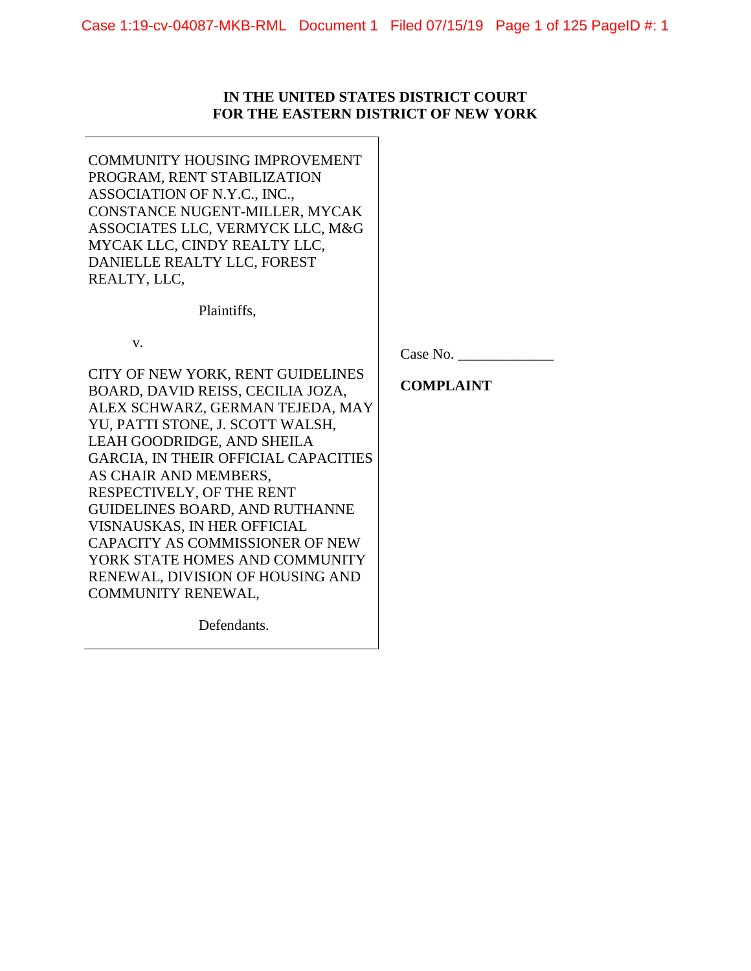## **IN THE UNITED STATES DISTRICT COURT FOR THE EASTERN DISTRICT OF NEW YORK**

COMMUNITY HOUSING IMPROVEMENT PROGRAM, RENT STABILIZATION ASSOCIATION OF N.Y.C., INC., CONSTANCE NUGENT-MILLER, MYCAK ASSOCIATES LLC, VERMYCK LLC, M&G MYCAK LLC, CINDY REALTY LLC, DANIELLE REALTY LLC, FOREST REALTY, LLC,

Plaintiffs,

v.

CITY OF NEW YORK, RENT GUIDELINES BOARD, DAVID REISS, CECILIA JOZA, ALEX SCHWARZ, GERMAN TEJEDA, MAY YU, PATTI STONE, J. SCOTT WALSH, LEAH GOODRIDGE, AND SHEILA GARCIA, IN THEIR OFFICIAL CAPACITIES AS CHAIR AND MEMBERS, RESPECTIVELY, OF THE RENT GUIDELINES BOARD, AND RUTHANNE VISNAUSKAS, IN HER OFFICIAL CAPACITY AS COMMISSIONER OF NEW YORK STATE HOMES AND COMMUNITY RENEWAL, DIVISION OF HOUSING AND COMMUNITY RENEWAL,

Defendants.

Case No.

**COMPLAINT**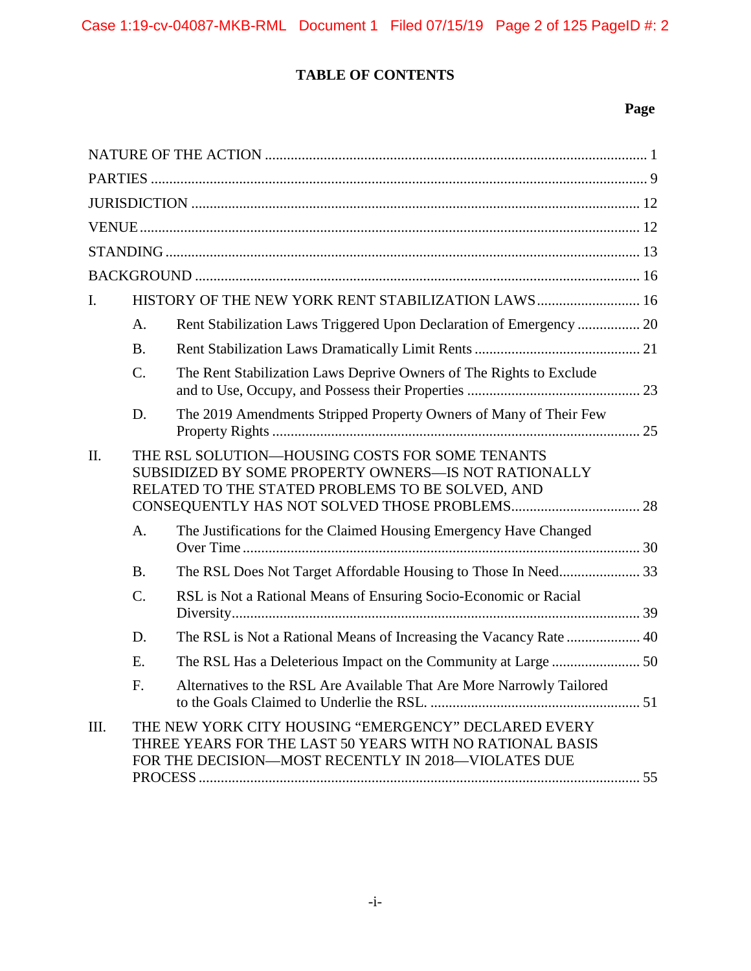# **TABLE OF CONTENTS**

# **Page**

| I.   |                                                                                                                                                             | HISTORY OF THE NEW YORK RENT STABILIZATION LAWS 16                                                                                                                      |  |  |  |
|------|-------------------------------------------------------------------------------------------------------------------------------------------------------------|-------------------------------------------------------------------------------------------------------------------------------------------------------------------------|--|--|--|
|      | A.                                                                                                                                                          | Rent Stabilization Laws Triggered Upon Declaration of Emergency  20                                                                                                     |  |  |  |
|      | <b>B.</b>                                                                                                                                                   |                                                                                                                                                                         |  |  |  |
|      | C.                                                                                                                                                          | The Rent Stabilization Laws Deprive Owners of The Rights to Exclude                                                                                                     |  |  |  |
|      | D.                                                                                                                                                          | The 2019 Amendments Stripped Property Owners of Many of Their Few                                                                                                       |  |  |  |
| Π.   | THE RSL SOLUTION-HOUSING COSTS FOR SOME TENANTS<br>SUBSIDIZED BY SOME PROPERTY OWNERS-IS NOT RATIONALLY<br>RELATED TO THE STATED PROBLEMS TO BE SOLVED, AND |                                                                                                                                                                         |  |  |  |
|      | A.                                                                                                                                                          | The Justifications for the Claimed Housing Emergency Have Changed                                                                                                       |  |  |  |
|      | <b>B.</b>                                                                                                                                                   | The RSL Does Not Target Affordable Housing to Those In Need 33                                                                                                          |  |  |  |
|      | C.                                                                                                                                                          | RSL is Not a Rational Means of Ensuring Socio-Economic or Racial                                                                                                        |  |  |  |
|      | D.                                                                                                                                                          |                                                                                                                                                                         |  |  |  |
|      | E.                                                                                                                                                          |                                                                                                                                                                         |  |  |  |
|      | F.                                                                                                                                                          | Alternatives to the RSL Are Available That Are More Narrowly Tailored                                                                                                   |  |  |  |
| III. |                                                                                                                                                             | THE NEW YORK CITY HOUSING "EMERGENCY" DECLARED EVERY<br>THREE YEARS FOR THE LAST 50 YEARS WITH NO RATIONAL BASIS<br>FOR THE DECISION-MOST RECENTLY IN 2018-VIOLATES DUE |  |  |  |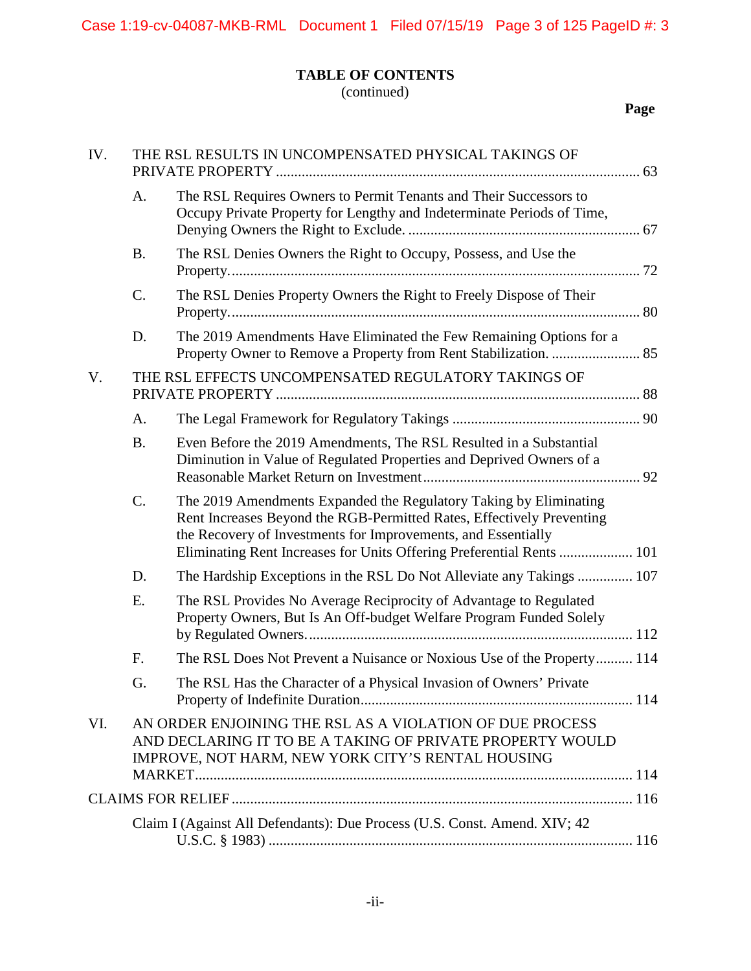# **TABLE OF CONTENTS**

(continued)

**Page**

| IV. | THE RSL RESULTS IN UNCOMPENSATED PHYSICAL TAKINGS OF |                                                                                                                                                                                                                                                                                      |  |
|-----|------------------------------------------------------|--------------------------------------------------------------------------------------------------------------------------------------------------------------------------------------------------------------------------------------------------------------------------------------|--|
|     | A.                                                   | The RSL Requires Owners to Permit Tenants and Their Successors to<br>Occupy Private Property for Lengthy and Indeterminate Periods of Time,                                                                                                                                          |  |
|     | <b>B.</b>                                            | The RSL Denies Owners the Right to Occupy, Possess, and Use the                                                                                                                                                                                                                      |  |
|     | C.                                                   | The RSL Denies Property Owners the Right to Freely Dispose of Their                                                                                                                                                                                                                  |  |
|     | D.                                                   | The 2019 Amendments Have Eliminated the Few Remaining Options for a                                                                                                                                                                                                                  |  |
| V.  |                                                      | THE RSL EFFECTS UNCOMPENSATED REGULATORY TAKINGS OF                                                                                                                                                                                                                                  |  |
|     | A.                                                   |                                                                                                                                                                                                                                                                                      |  |
|     | <b>B.</b>                                            | Even Before the 2019 Amendments, The RSL Resulted in a Substantial<br>Diminution in Value of Regulated Properties and Deprived Owners of a                                                                                                                                           |  |
|     | C.                                                   | The 2019 Amendments Expanded the Regulatory Taking by Eliminating<br>Rent Increases Beyond the RGB-Permitted Rates, Effectively Preventing<br>the Recovery of Investments for Improvements, and Essentially<br>Eliminating Rent Increases for Units Offering Preferential Rents  101 |  |
|     | D.                                                   | The Hardship Exceptions in the RSL Do Not Alleviate any Takings  107                                                                                                                                                                                                                 |  |
|     | E.                                                   | The RSL Provides No Average Reciprocity of Advantage to Regulated<br>Property Owners, But Is An Off-budget Welfare Program Funded Solely                                                                                                                                             |  |
|     | F.                                                   | The RSL Does Not Prevent a Nuisance or Noxious Use of the Property 114                                                                                                                                                                                                               |  |
|     | G.                                                   | The RSL Has the Character of a Physical Invasion of Owners' Private                                                                                                                                                                                                                  |  |
| VI. |                                                      | AN ORDER ENJOINING THE RSL AS A VIOLATION OF DUE PROCESS<br>AND DECLARING IT TO BE A TAKING OF PRIVATE PROPERTY WOULD<br>IMPROVE, NOT HARM, NEW YORK CITY'S RENTAL HOUSING                                                                                                           |  |
|     |                                                      |                                                                                                                                                                                                                                                                                      |  |
|     |                                                      | Claim I (Against All Defendants): Due Process (U.S. Const. Amend. XIV; 42                                                                                                                                                                                                            |  |
|     |                                                      |                                                                                                                                                                                                                                                                                      |  |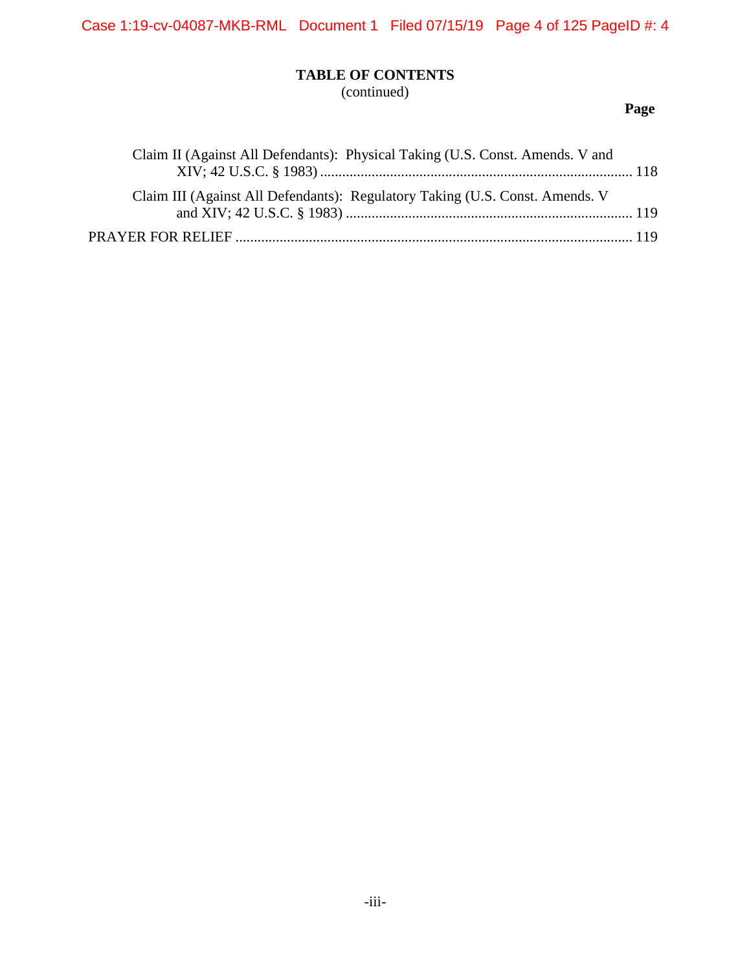Case 1:19-cv-04087-MKB-RML Document 1 Filed 07/15/19 Page 4 of 125 PageID #: 4

# **TABLE OF CONTENTS**

(continued)

# **Page**

| Claim II (Against All Defendants): Physical Taking (U.S. Const. Amends. V and |
|-------------------------------------------------------------------------------|
|                                                                               |
| Claim III (Against All Defendants): Regulatory Taking (U.S. Const. Amends. V  |
|                                                                               |
|                                                                               |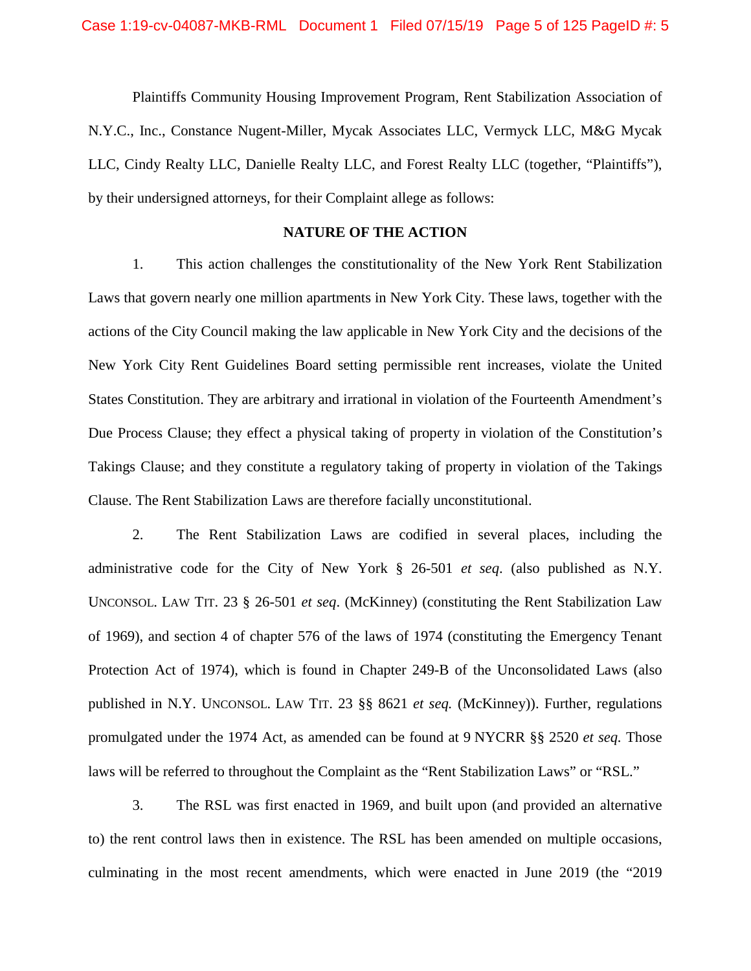Plaintiffs Community Housing Improvement Program, Rent Stabilization Association of N.Y.C., Inc., Constance Nugent-Miller, Mycak Associates LLC, Vermyck LLC, M&G Mycak LLC, Cindy Realty LLC, Danielle Realty LLC, and Forest Realty LLC (together, "Plaintiffs"), by their undersigned attorneys, for their Complaint allege as follows:

## **NATURE OF THE ACTION**

1. This action challenges the constitutionality of the New York Rent Stabilization Laws that govern nearly one million apartments in New York City. These laws, together with the actions of the City Council making the law applicable in New York City and the decisions of the New York City Rent Guidelines Board setting permissible rent increases, violate the United States Constitution. They are arbitrary and irrational in violation of the Fourteenth Amendment's Due Process Clause; they effect a physical taking of property in violation of the Constitution's Takings Clause; and they constitute a regulatory taking of property in violation of the Takings Clause. The Rent Stabilization Laws are therefore facially unconstitutional.

2. The Rent Stabilization Laws are codified in several places, including the administrative code for the City of New York § 26-501 *et seq*. (also published as N.Y. UNCONSOL. LAW TIT. 23 § 26-501 *et seq*. (McKinney) (constituting the Rent Stabilization Law of 1969), and section 4 of chapter 576 of the laws of 1974 (constituting the Emergency Tenant Protection Act of 1974), which is found in Chapter 249-B of the Unconsolidated Laws (also published in N.Y. UNCONSOL. LAW TIT. 23 §§ 8621 *et seq.* (McKinney)). Further, regulations promulgated under the 1974 Act, as amended can be found at 9 NYCRR §§ 2520 *et seq.* Those laws will be referred to throughout the Complaint as the "Rent Stabilization Laws" or "RSL."

3. The RSL was first enacted in 1969, and built upon (and provided an alternative to) the rent control laws then in existence. The RSL has been amended on multiple occasions, culminating in the most recent amendments, which were enacted in June 2019 (the "2019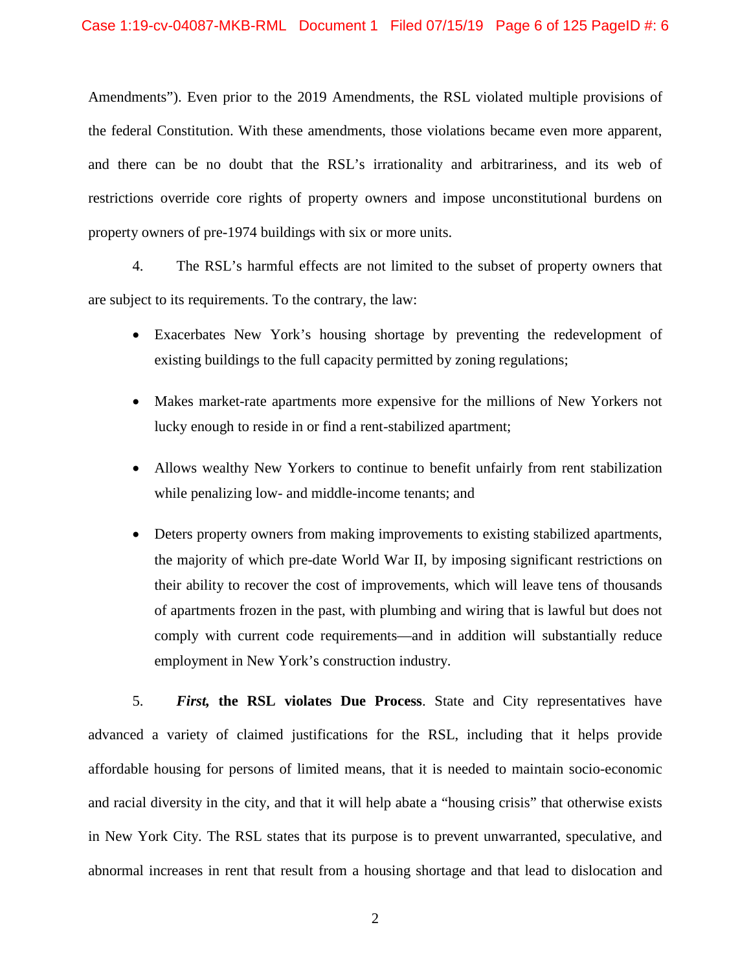Amendments"). Even prior to the 2019 Amendments, the RSL violated multiple provisions of the federal Constitution. With these amendments, those violations became even more apparent, and there can be no doubt that the RSL's irrationality and arbitrariness, and its web of restrictions override core rights of property owners and impose unconstitutional burdens on property owners of pre-1974 buildings with six or more units.

4. The RSL's harmful effects are not limited to the subset of property owners that are subject to its requirements. To the contrary, the law:

- Exacerbates New York's housing shortage by preventing the redevelopment of existing buildings to the full capacity permitted by zoning regulations;
- Makes market-rate apartments more expensive for the millions of New Yorkers not lucky enough to reside in or find a rent-stabilized apartment;
- Allows wealthy New Yorkers to continue to benefit unfairly from rent stabilization while penalizing low- and middle-income tenants; and
- Deters property owners from making improvements to existing stabilized apartments, the majority of which pre-date World War II, by imposing significant restrictions on their ability to recover the cost of improvements, which will leave tens of thousands of apartments frozen in the past, with plumbing and wiring that is lawful but does not comply with current code requirements—and in addition will substantially reduce employment in New York's construction industry.

5. *First,* **the RSL violates Due Process**. State and City representatives have advanced a variety of claimed justifications for the RSL, including that it helps provide affordable housing for persons of limited means, that it is needed to maintain socio-economic and racial diversity in the city, and that it will help abate a "housing crisis" that otherwise exists in New York City. The RSL states that its purpose is to prevent unwarranted, speculative, and abnormal increases in rent that result from a housing shortage and that lead to dislocation and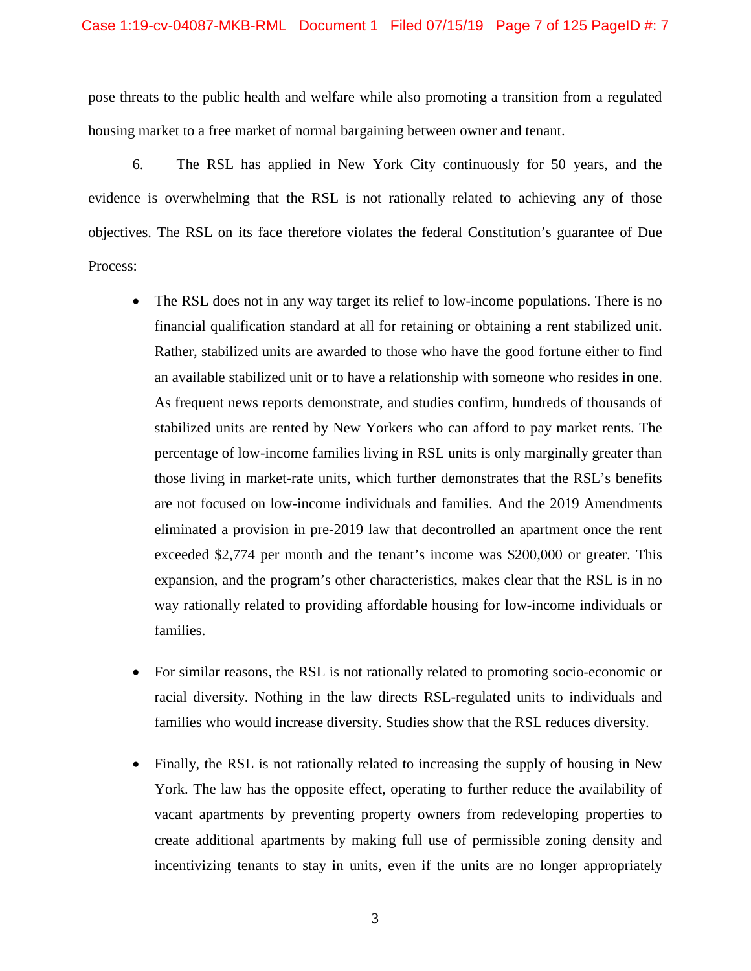#### Case 1:19-cv-04087-MKB-RML Document 1 Filed 07/15/19 Page 7 of 125 PageID #: 7

pose threats to the public health and welfare while also promoting a transition from a regulated housing market to a free market of normal bargaining between owner and tenant.

6. The RSL has applied in New York City continuously for 50 years, and the evidence is overwhelming that the RSL is not rationally related to achieving any of those objectives. The RSL on its face therefore violates the federal Constitution's guarantee of Due Process:

- The RSL does not in any way target its relief to low-income populations. There is no financial qualification standard at all for retaining or obtaining a rent stabilized unit. Rather, stabilized units are awarded to those who have the good fortune either to find an available stabilized unit or to have a relationship with someone who resides in one. As frequent news reports demonstrate, and studies confirm, hundreds of thousands of stabilized units are rented by New Yorkers who can afford to pay market rents. The percentage of low-income families living in RSL units is only marginally greater than those living in market-rate units, which further demonstrates that the RSL's benefits are not focused on low-income individuals and families. And the 2019 Amendments eliminated a provision in pre-2019 law that decontrolled an apartment once the rent exceeded \$2,774 per month and the tenant's income was \$200,000 or greater. This expansion, and the program's other characteristics, makes clear that the RSL is in no way rationally related to providing affordable housing for low-income individuals or families.
- For similar reasons, the RSL is not rationally related to promoting socio-economic or racial diversity. Nothing in the law directs RSL-regulated units to individuals and families who would increase diversity. Studies show that the RSL reduces diversity.
- Finally, the RSL is not rationally related to increasing the supply of housing in New York. The law has the opposite effect, operating to further reduce the availability of vacant apartments by preventing property owners from redeveloping properties to create additional apartments by making full use of permissible zoning density and incentivizing tenants to stay in units, even if the units are no longer appropriately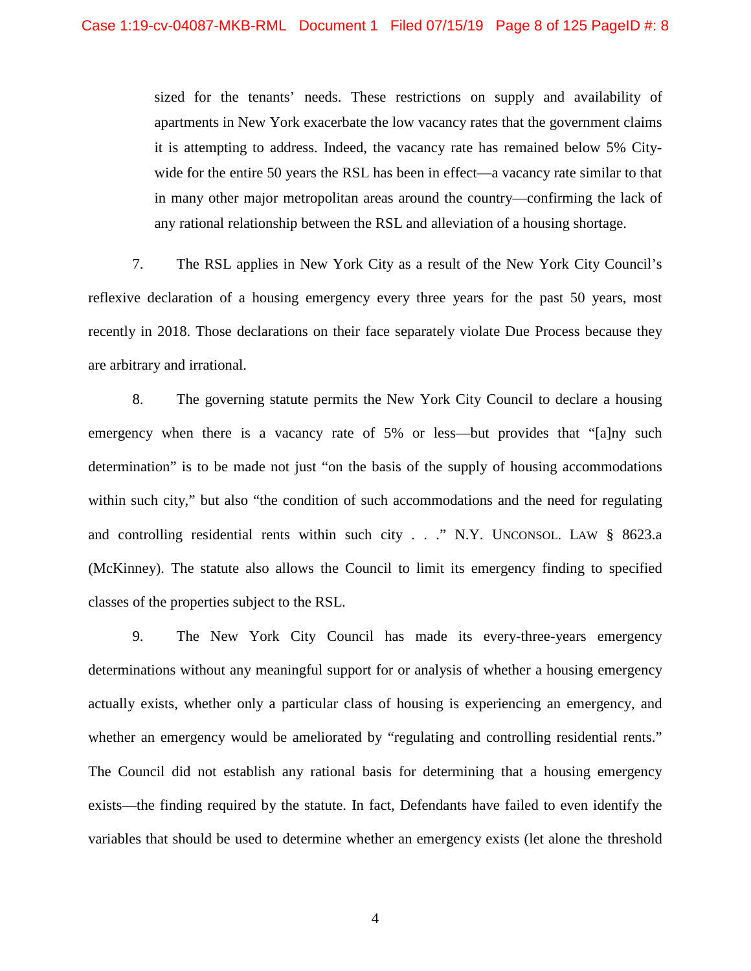sized for the tenants' needs. These restrictions on supply and availability of apartments in New York exacerbate the low vacancy rates that the government claims it is attempting to address. Indeed, the vacancy rate has remained below 5% Citywide for the entire 50 years the RSL has been in effect—a vacancy rate similar to that in many other major metropolitan areas around the country—confirming the lack of any rational relationship between the RSL and alleviation of a housing shortage.

7. The RSL applies in New York City as a result of the New York City Council's reflexive declaration of a housing emergency every three years for the past 50 years, most recently in 2018. Those declarations on their face separately violate Due Process because they are arbitrary and irrational.

8. The governing statute permits the New York City Council to declare a housing emergency when there is a vacancy rate of 5% or less—but provides that "[a]ny such determination" is to be made not just "on the basis of the supply of housing accommodations within such city," but also "the condition of such accommodations and the need for regulating and controlling residential rents within such city . . ." N.Y. UNCONSOL. LAW § 8623.a (McKinney). The statute also allows the Council to limit its emergency finding to specified classes of the properties subject to the RSL.

9. The New York City Council has made its every-three-years emergency determinations without any meaningful support for or analysis of whether a housing emergency actually exists, whether only a particular class of housing is experiencing an emergency, and whether an emergency would be ameliorated by "regulating and controlling residential rents." The Council did not establish any rational basis for determining that a housing emergency exists—the finding required by the statute. In fact, Defendants have failed to even identify the variables that should be used to determine whether an emergency exists (let alone the threshold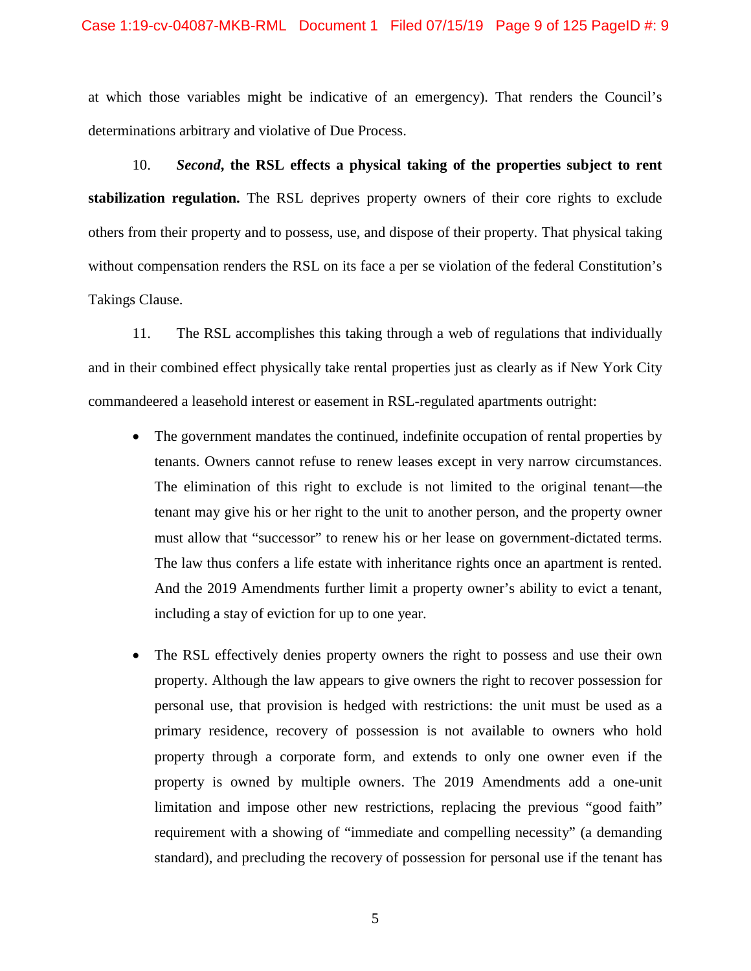at which those variables might be indicative of an emergency). That renders the Council's determinations arbitrary and violative of Due Process.

10. *Second***, the RSL effects a physical taking of the properties subject to rent stabilization regulation.** The RSL deprives property owners of their core rights to exclude others from their property and to possess, use, and dispose of their property. That physical taking without compensation renders the RSL on its face a per se violation of the federal Constitution's Takings Clause.

11. The RSL accomplishes this taking through a web of regulations that individually and in their combined effect physically take rental properties just as clearly as if New York City commandeered a leasehold interest or easement in RSL-regulated apartments outright:

- The government mandates the continued, indefinite occupation of rental properties by tenants. Owners cannot refuse to renew leases except in very narrow circumstances. The elimination of this right to exclude is not limited to the original tenant—the tenant may give his or her right to the unit to another person, and the property owner must allow that "successor" to renew his or her lease on government-dictated terms. The law thus confers a life estate with inheritance rights once an apartment is rented. And the 2019 Amendments further limit a property owner's ability to evict a tenant, including a stay of eviction for up to one year.
- The RSL effectively denies property owners the right to possess and use their own property. Although the law appears to give owners the right to recover possession for personal use, that provision is hedged with restrictions: the unit must be used as a primary residence, recovery of possession is not available to owners who hold property through a corporate form, and extends to only one owner even if the property is owned by multiple owners. The 2019 Amendments add a one-unit limitation and impose other new restrictions, replacing the previous "good faith" requirement with a showing of "immediate and compelling necessity" (a demanding standard), and precluding the recovery of possession for personal use if the tenant has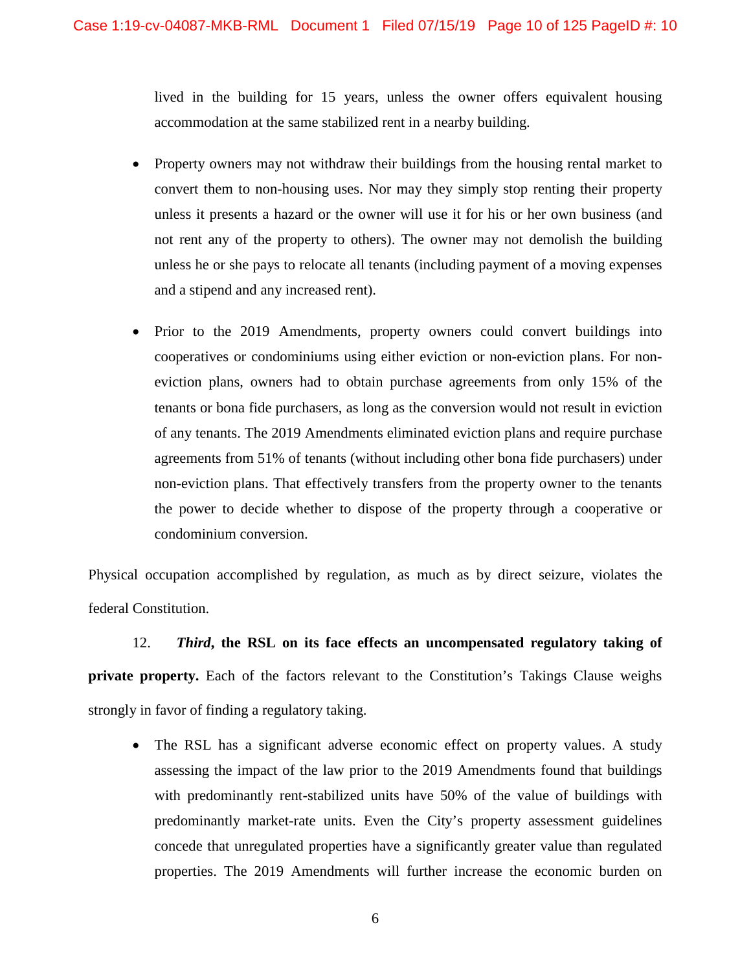lived in the building for 15 years, unless the owner offers equivalent housing accommodation at the same stabilized rent in a nearby building.

- Property owners may not withdraw their buildings from the housing rental market to convert them to non-housing uses. Nor may they simply stop renting their property unless it presents a hazard or the owner will use it for his or her own business (and not rent any of the property to others). The owner may not demolish the building unless he or she pays to relocate all tenants (including payment of a moving expenses and a stipend and any increased rent).
- Prior to the 2019 Amendments, property owners could convert buildings into cooperatives or condominiums using either eviction or non-eviction plans. For noneviction plans, owners had to obtain purchase agreements from only 15% of the tenants or bona fide purchasers, as long as the conversion would not result in eviction of any tenants. The 2019 Amendments eliminated eviction plans and require purchase agreements from 51% of tenants (without including other bona fide purchasers) under non-eviction plans. That effectively transfers from the property owner to the tenants the power to decide whether to dispose of the property through a cooperative or condominium conversion.

Physical occupation accomplished by regulation, as much as by direct seizure, violates the federal Constitution.

12. *Third***, the RSL on its face effects an uncompensated regulatory taking of private property.** Each of the factors relevant to the Constitution's Takings Clause weighs strongly in favor of finding a regulatory taking.

 The RSL has a significant adverse economic effect on property values. A study assessing the impact of the law prior to the 2019 Amendments found that buildings with predominantly rent-stabilized units have 50% of the value of buildings with predominantly market-rate units. Even the City's property assessment guidelines concede that unregulated properties have a significantly greater value than regulated properties. The 2019 Amendments will further increase the economic burden on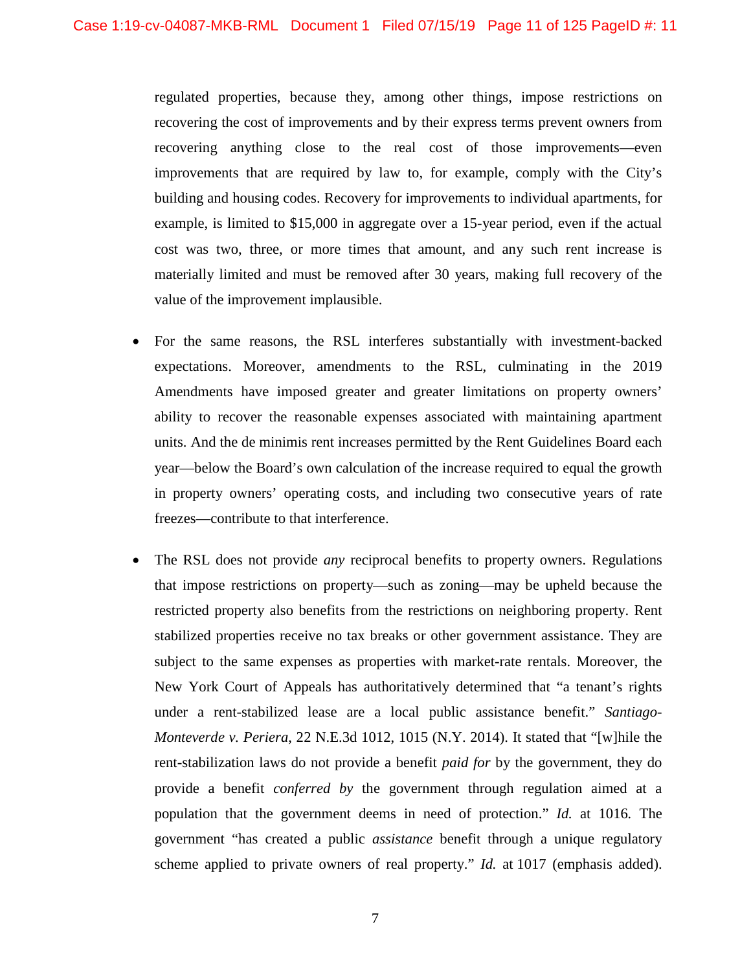regulated properties, because they, among other things, impose restrictions on recovering the cost of improvements and by their express terms prevent owners from recovering anything close to the real cost of those improvements—even improvements that are required by law to, for example, comply with the City's building and housing codes. Recovery for improvements to individual apartments, for example, is limited to \$15,000 in aggregate over a 15-year period, even if the actual cost was two, three, or more times that amount, and any such rent increase is materially limited and must be removed after 30 years, making full recovery of the value of the improvement implausible.

- For the same reasons, the RSL interferes substantially with investment-backed expectations. Moreover, amendments to the RSL, culminating in the 2019 Amendments have imposed greater and greater limitations on property owners' ability to recover the reasonable expenses associated with maintaining apartment units. And the de minimis rent increases permitted by the Rent Guidelines Board each year—below the Board's own calculation of the increase required to equal the growth in property owners' operating costs, and including two consecutive years of rate freezes—contribute to that interference.
- The RSL does not provide *any* reciprocal benefits to property owners. Regulations that impose restrictions on property—such as zoning—may be upheld because the restricted property also benefits from the restrictions on neighboring property. Rent stabilized properties receive no tax breaks or other government assistance. They are subject to the same expenses as properties with market-rate rentals. Moreover, the New York Court of Appeals has authoritatively determined that "a tenant's rights under a rent-stabilized lease are a local public assistance benefit." *Santiago-Monteverde v. Periera*, 22 N.E.3d 1012, 1015 (N.Y. 2014). It stated that "[w]hile the rent-stabilization laws do not provide a benefit *paid for* by the government, they do provide a benefit *conferred by* the government through regulation aimed at a population that the government deems in need of protection." *Id.* at 1016*.* The government "has created a public *assistance* benefit through a unique regulatory scheme applied to private owners of real property." *Id.* at 1017 (emphasis added).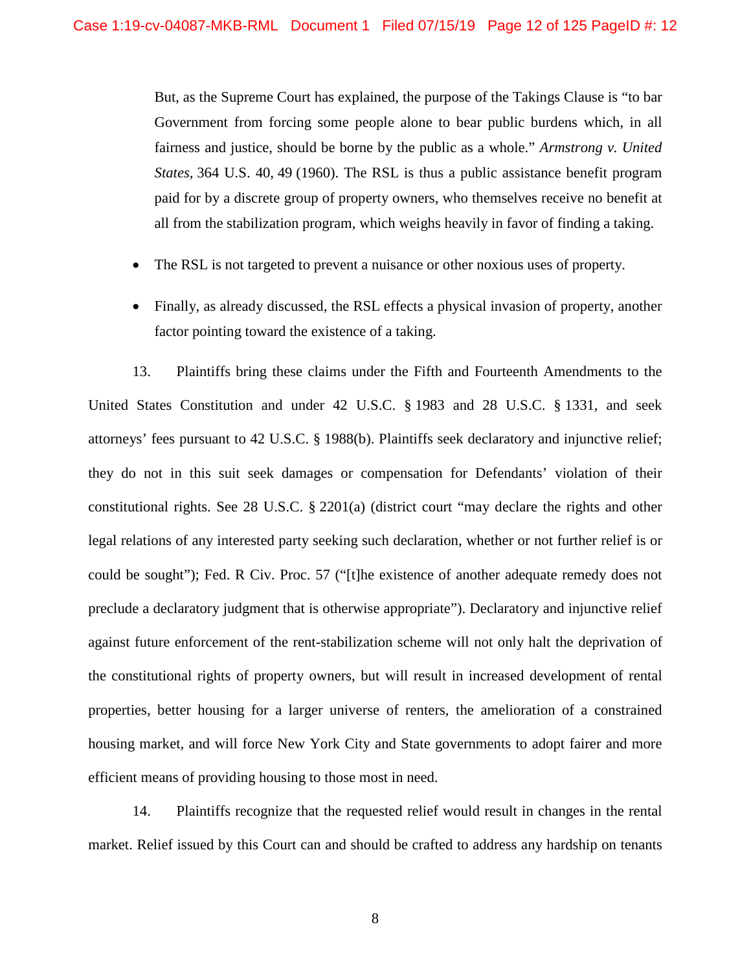But, as the Supreme Court has explained, the purpose of the Takings Clause is "to bar Government from forcing some people alone to bear public burdens which, in all fairness and justice, should be borne by the public as a whole." *Armstrong v. United States,* 364 U.S. 40, 49 (1960). The RSL is thus a public assistance benefit program paid for by a discrete group of property owners, who themselves receive no benefit at all from the stabilization program, which weighs heavily in favor of finding a taking.

- The RSL is not targeted to prevent a nuisance or other noxious uses of property.
- Finally, as already discussed, the RSL effects a physical invasion of property, another factor pointing toward the existence of a taking.

13. Plaintiffs bring these claims under the Fifth and Fourteenth Amendments to the United States Constitution and under 42 U.S.C. § 1983 and 28 U.S.C. § 1331, and seek attorneys' fees pursuant to 42 U.S.C. § 1988(b). Plaintiffs seek declaratory and injunctive relief; they do not in this suit seek damages or compensation for Defendants' violation of their constitutional rights. See 28 U.S.C. § 2201(a) (district court "may declare the rights and other legal relations of any interested party seeking such declaration, whether or not further relief is or could be sought"); Fed. R Civ. Proc. 57 ("[t]he existence of another adequate remedy does not preclude a declaratory judgment that is otherwise appropriate"). Declaratory and injunctive relief against future enforcement of the rent-stabilization scheme will not only halt the deprivation of the constitutional rights of property owners, but will result in increased development of rental properties, better housing for a larger universe of renters, the amelioration of a constrained housing market, and will force New York City and State governments to adopt fairer and more efficient means of providing housing to those most in need.

14. Plaintiffs recognize that the requested relief would result in changes in the rental market. Relief issued by this Court can and should be crafted to address any hardship on tenants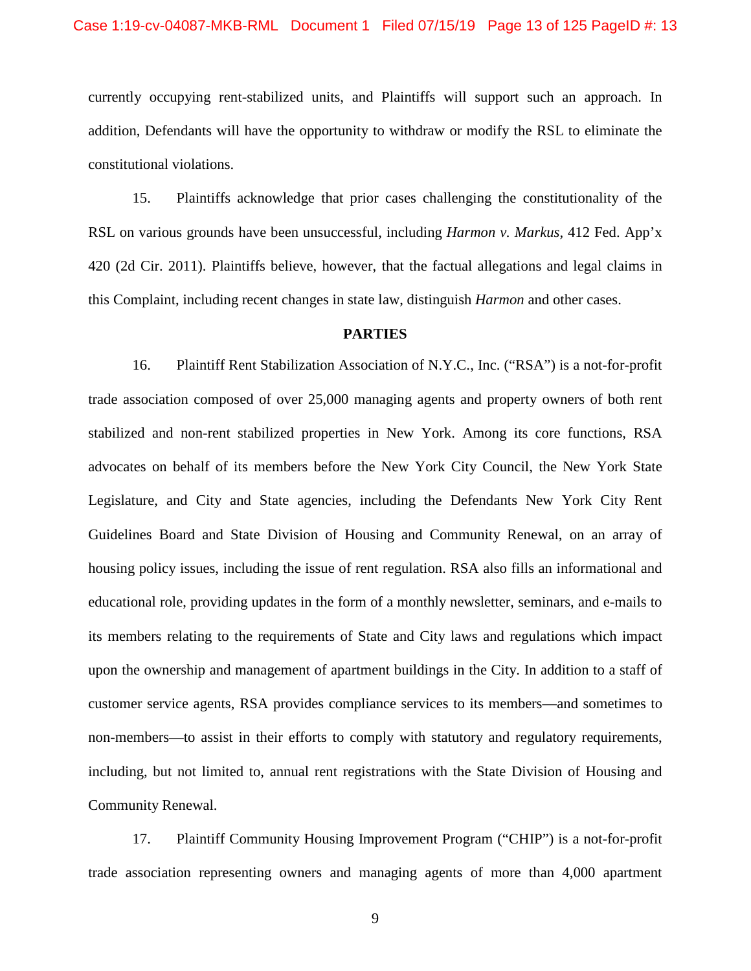currently occupying rent-stabilized units, and Plaintiffs will support such an approach. In addition, Defendants will have the opportunity to withdraw or modify the RSL to eliminate the constitutional violations.

15. Plaintiffs acknowledge that prior cases challenging the constitutionality of the RSL on various grounds have been unsuccessful, including *Harmon v. Markus*, 412 Fed. App'x 420 (2d Cir. 2011). Plaintiffs believe, however, that the factual allegations and legal claims in this Complaint, including recent changes in state law, distinguish *Harmon* and other cases.

#### **PARTIES**

16. Plaintiff Rent Stabilization Association of N.Y.C., Inc. ("RSA") is a not-for-profit trade association composed of over 25,000 managing agents and property owners of both rent stabilized and non-rent stabilized properties in New York. Among its core functions, RSA advocates on behalf of its members before the New York City Council, the New York State Legislature, and City and State agencies, including the Defendants New York City Rent Guidelines Board and State Division of Housing and Community Renewal, on an array of housing policy issues, including the issue of rent regulation. RSA also fills an informational and educational role, providing updates in the form of a monthly newsletter, seminars, and e-mails to its members relating to the requirements of State and City laws and regulations which impact upon the ownership and management of apartment buildings in the City. In addition to a staff of customer service agents, RSA provides compliance services to its members—and sometimes to non-members—to assist in their efforts to comply with statutory and regulatory requirements, including, but not limited to, annual rent registrations with the State Division of Housing and Community Renewal.

17. Plaintiff Community Housing Improvement Program ("CHIP") is a not-for-profit trade association representing owners and managing agents of more than 4,000 apartment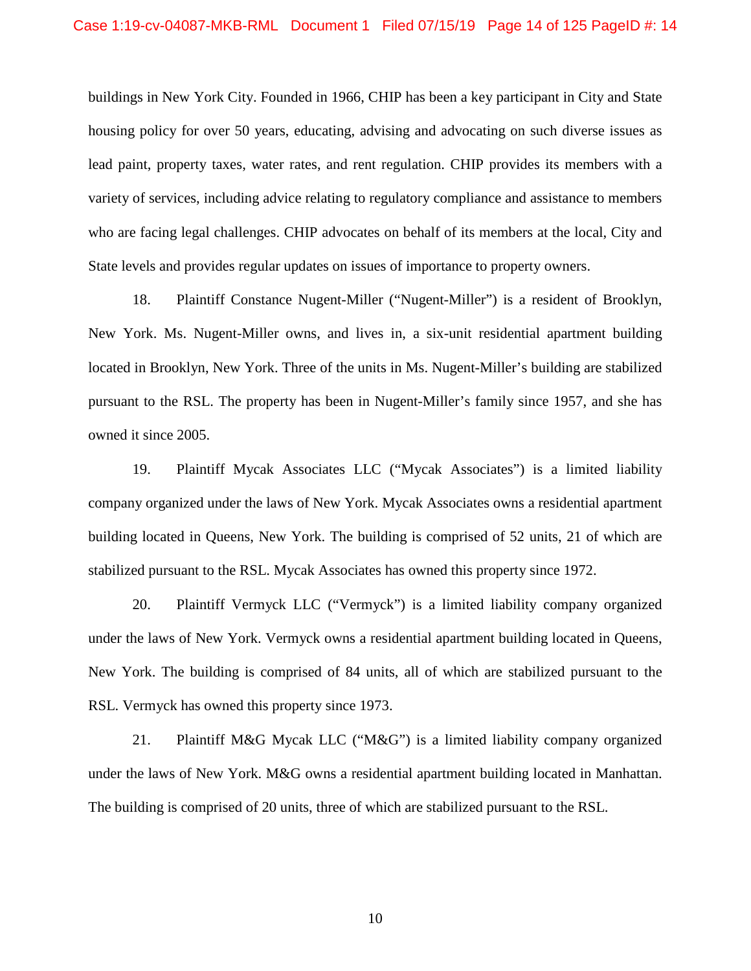buildings in New York City. Founded in 1966, CHIP has been a key participant in City and State housing policy for over 50 years, educating, advising and advocating on such diverse issues as lead paint, property taxes, water rates, and rent regulation. CHIP provides its members with a variety of services, including advice relating to regulatory compliance and assistance to members who are facing legal challenges. CHIP advocates on behalf of its members at the local, City and State levels and provides regular updates on issues of importance to property owners.

18. Plaintiff Constance Nugent-Miller ("Nugent-Miller") is a resident of Brooklyn, New York. Ms. Nugent-Miller owns, and lives in, a six-unit residential apartment building located in Brooklyn, New York. Three of the units in Ms. Nugent-Miller's building are stabilized pursuant to the RSL. The property has been in Nugent-Miller's family since 1957, and she has owned it since 2005.

19. Plaintiff Mycak Associates LLC ("Mycak Associates") is a limited liability company organized under the laws of New York. Mycak Associates owns a residential apartment building located in Queens, New York. The building is comprised of 52 units, 21 of which are stabilized pursuant to the RSL. Mycak Associates has owned this property since 1972.

20. Plaintiff Vermyck LLC ("Vermyck") is a limited liability company organized under the laws of New York. Vermyck owns a residential apartment building located in Queens, New York. The building is comprised of 84 units, all of which are stabilized pursuant to the RSL. Vermyck has owned this property since 1973.

21. Plaintiff M&G Mycak LLC ("M&G") is a limited liability company organized under the laws of New York. M&G owns a residential apartment building located in Manhattan. The building is comprised of 20 units, three of which are stabilized pursuant to the RSL.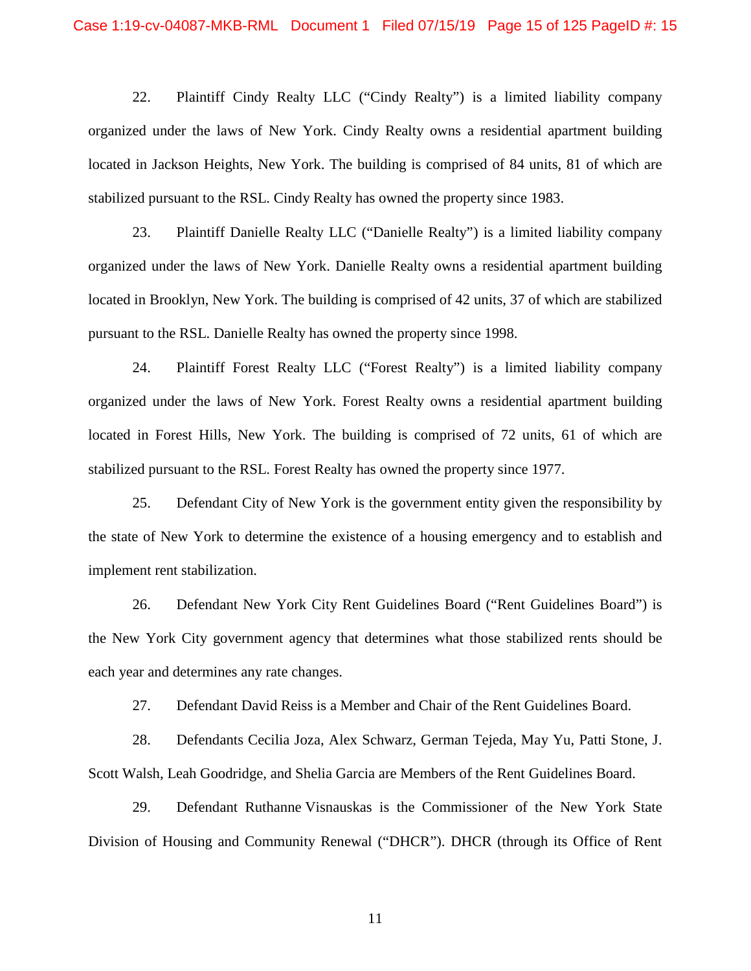22. Plaintiff Cindy Realty LLC ("Cindy Realty") is a limited liability company organized under the laws of New York. Cindy Realty owns a residential apartment building located in Jackson Heights, New York. The building is comprised of 84 units, 81 of which are stabilized pursuant to the RSL. Cindy Realty has owned the property since 1983.

23. Plaintiff Danielle Realty LLC ("Danielle Realty") is a limited liability company organized under the laws of New York. Danielle Realty owns a residential apartment building located in Brooklyn, New York. The building is comprised of 42 units, 37 of which are stabilized pursuant to the RSL. Danielle Realty has owned the property since 1998.

24. Plaintiff Forest Realty LLC ("Forest Realty") is a limited liability company organized under the laws of New York. Forest Realty owns a residential apartment building located in Forest Hills, New York. The building is comprised of 72 units, 61 of which are stabilized pursuant to the RSL. Forest Realty has owned the property since 1977.

25. Defendant City of New York is the government entity given the responsibility by the state of New York to determine the existence of a housing emergency and to establish and implement rent stabilization.

26. Defendant New York City Rent Guidelines Board ("Rent Guidelines Board") is the New York City government agency that determines what those stabilized rents should be each year and determines any rate changes.

27. Defendant David Reiss is a Member and Chair of the Rent Guidelines Board.

28. Defendants Cecilia Joza, Alex Schwarz, German Tejeda, May Yu, Patti Stone, J. Scott Walsh, Leah Goodridge, and Shelia Garcia are Members of the Rent Guidelines Board.

29. Defendant Ruthanne Visnauskas is the Commissioner of the New York State Division of Housing and Community Renewal ("DHCR"). DHCR (through its Office of Rent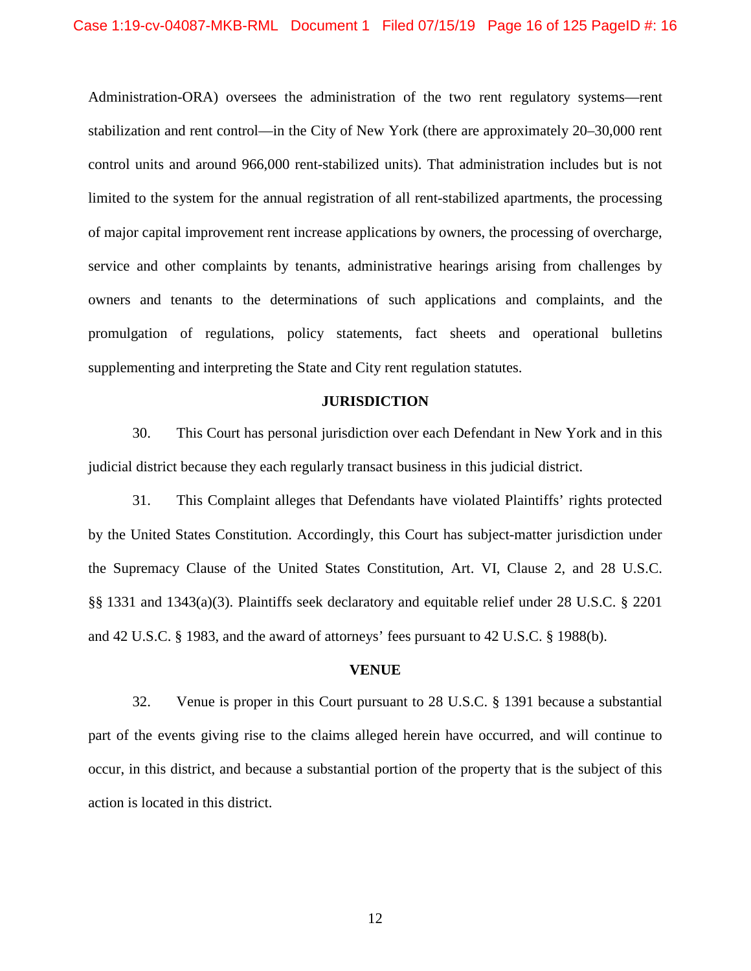Administration-ORA) oversees the administration of the two rent regulatory systems—rent stabilization and rent control—in the City of New York (there are approximately 20–30,000 rent control units and around 966,000 rent-stabilized units). That administration includes but is not limited to the system for the annual registration of all rent-stabilized apartments, the processing of major capital improvement rent increase applications by owners, the processing of overcharge, service and other complaints by tenants, administrative hearings arising from challenges by owners and tenants to the determinations of such applications and complaints, and the promulgation of regulations, policy statements, fact sheets and operational bulletins supplementing and interpreting the State and City rent regulation statutes.

### **JURISDICTION**

30. This Court has personal jurisdiction over each Defendant in New York and in this judicial district because they each regularly transact business in this judicial district.

31. This Complaint alleges that Defendants have violated Plaintiffs' rights protected by the United States Constitution. Accordingly, this Court has subject-matter jurisdiction under the Supremacy Clause of the United States Constitution, Art. VI, Clause 2, and 28 U.S.C. §§ 1331 and 1343(a)(3). Plaintiffs seek declaratory and equitable relief under 28 U.S.C. § 2201 and 42 U.S.C. § 1983, and the award of attorneys' fees pursuant to 42 U.S.C. § 1988(b).

#### **VENUE**

32. Venue is proper in this Court pursuant to 28 U.S.C. § 1391 because a substantial part of the events giving rise to the claims alleged herein have occurred, and will continue to occur, in this district, and because a substantial portion of the property that is the subject of this action is located in this district.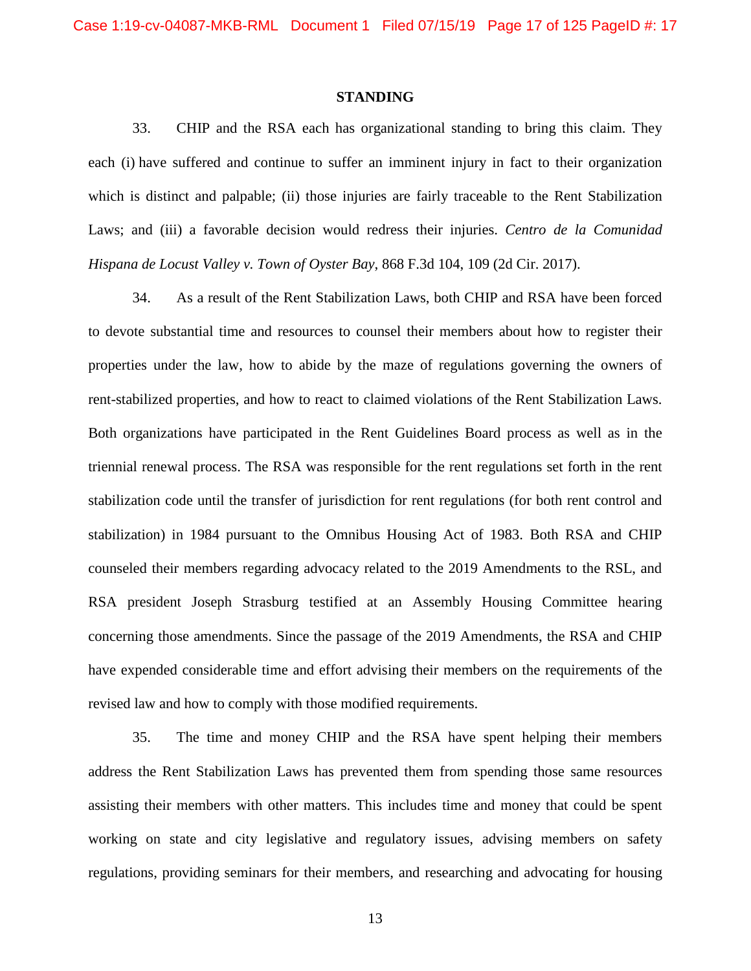### **STANDING**

33. CHIP and the RSA each has organizational standing to bring this claim. They each (i) have suffered and continue to suffer an imminent injury in fact to their organization which is distinct and palpable; (ii) those injuries are fairly traceable to the Rent Stabilization Laws; and (iii) a favorable decision would redress their injuries. *Centro de la Comunidad Hispana de Locust Valley v. Town of Oyster Bay*, 868 F.3d 104, 109 (2d Cir. 2017).

34. As a result of the Rent Stabilization Laws, both CHIP and RSA have been forced to devote substantial time and resources to counsel their members about how to register their properties under the law, how to abide by the maze of regulations governing the owners of rent-stabilized properties, and how to react to claimed violations of the Rent Stabilization Laws. Both organizations have participated in the Rent Guidelines Board process as well as in the triennial renewal process. The RSA was responsible for the rent regulations set forth in the rent stabilization code until the transfer of jurisdiction for rent regulations (for both rent control and stabilization) in 1984 pursuant to the Omnibus Housing Act of 1983. Both RSA and CHIP counseled their members regarding advocacy related to the 2019 Amendments to the RSL, and RSA president Joseph Strasburg testified at an Assembly Housing Committee hearing concerning those amendments. Since the passage of the 2019 Amendments, the RSA and CHIP have expended considerable time and effort advising their members on the requirements of the revised law and how to comply with those modified requirements.

35. The time and money CHIP and the RSA have spent helping their members address the Rent Stabilization Laws has prevented them from spending those same resources assisting their members with other matters. This includes time and money that could be spent working on state and city legislative and regulatory issues, advising members on safety regulations, providing seminars for their members, and researching and advocating for housing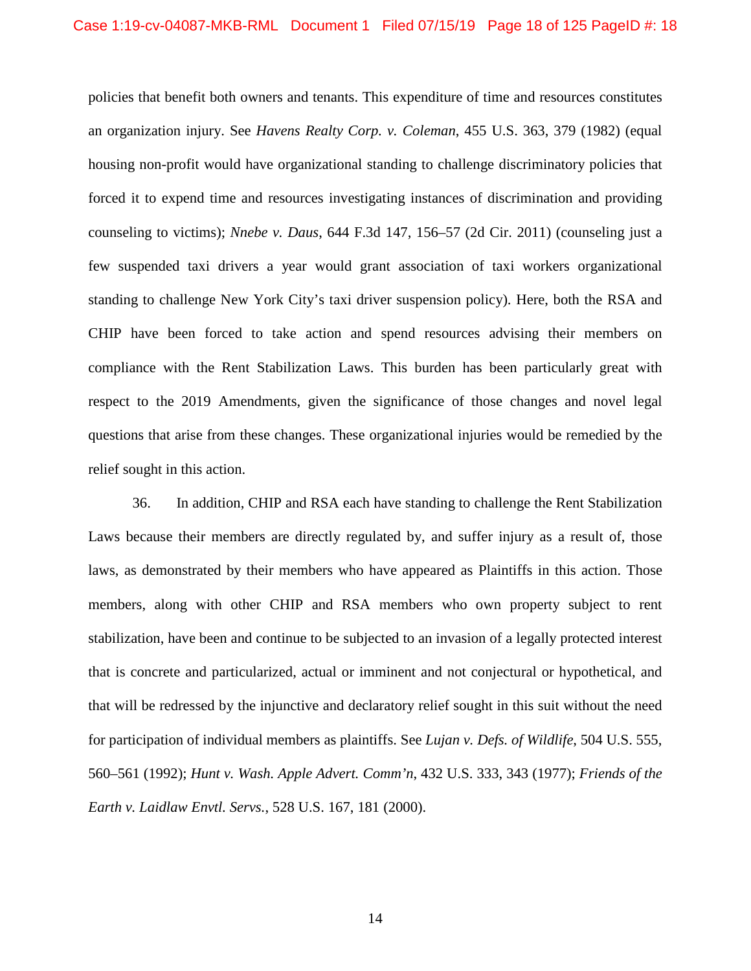policies that benefit both owners and tenants. This expenditure of time and resources constitutes an organization injury. See *Havens Realty Corp. v. Coleman*, 455 U.S. 363, 379 (1982) (equal housing non-profit would have organizational standing to challenge discriminatory policies that forced it to expend time and resources investigating instances of discrimination and providing counseling to victims); *Nnebe v. Daus*, 644 F.3d 147, 156–57 (2d Cir. 2011) (counseling just a few suspended taxi drivers a year would grant association of taxi workers organizational standing to challenge New York City's taxi driver suspension policy). Here, both the RSA and CHIP have been forced to take action and spend resources advising their members on compliance with the Rent Stabilization Laws. This burden has been particularly great with respect to the 2019 Amendments, given the significance of those changes and novel legal questions that arise from these changes. These organizational injuries would be remedied by the relief sought in this action.

36. In addition, CHIP and RSA each have standing to challenge the Rent Stabilization Laws because their members are directly regulated by, and suffer injury as a result of, those laws, as demonstrated by their members who have appeared as Plaintiffs in this action. Those members, along with other CHIP and RSA members who own property subject to rent stabilization, have been and continue to be subjected to an invasion of a legally protected interest that is concrete and particularized, actual or imminent and not conjectural or hypothetical, and that will be redressed by the injunctive and declaratory relief sought in this suit without the need for participation of individual members as plaintiffs. See *Lujan v. Defs. of Wildlife*, 504 U.S. 555, 560–561 (1992); *Hunt v. Wash. Apple Advert. Comm'n*, 432 U.S. 333, 343 (1977); *Friends of the Earth v. Laidlaw Envtl. Servs.*, 528 U.S. 167, 181 (2000).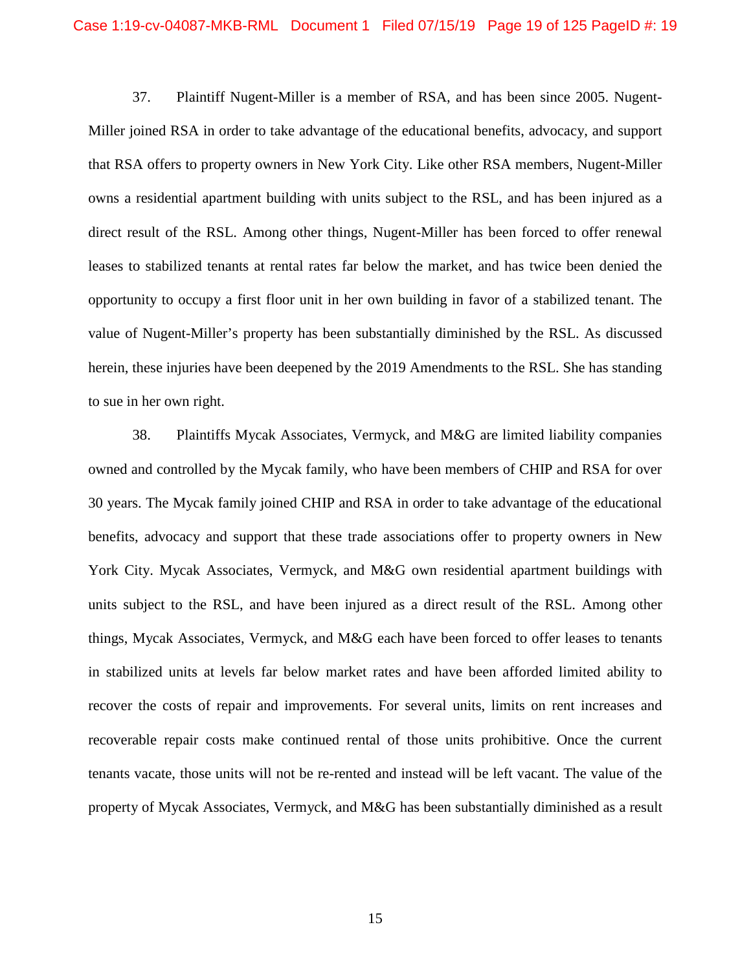37. Plaintiff Nugent-Miller is a member of RSA, and has been since 2005. Nugent-Miller joined RSA in order to take advantage of the educational benefits, advocacy, and support that RSA offers to property owners in New York City. Like other RSA members, Nugent-Miller owns a residential apartment building with units subject to the RSL, and has been injured as a direct result of the RSL. Among other things, Nugent-Miller has been forced to offer renewal leases to stabilized tenants at rental rates far below the market, and has twice been denied the opportunity to occupy a first floor unit in her own building in favor of a stabilized tenant. The value of Nugent-Miller's property has been substantially diminished by the RSL. As discussed herein, these injuries have been deepened by the 2019 Amendments to the RSL. She has standing to sue in her own right.

38. Plaintiffs Mycak Associates, Vermyck, and M&G are limited liability companies owned and controlled by the Mycak family, who have been members of CHIP and RSA for over 30 years. The Mycak family joined CHIP and RSA in order to take advantage of the educational benefits, advocacy and support that these trade associations offer to property owners in New York City. Mycak Associates, Vermyck, and M&G own residential apartment buildings with units subject to the RSL, and have been injured as a direct result of the RSL. Among other things, Mycak Associates, Vermyck, and M&G each have been forced to offer leases to tenants in stabilized units at levels far below market rates and have been afforded limited ability to recover the costs of repair and improvements. For several units, limits on rent increases and recoverable repair costs make continued rental of those units prohibitive. Once the current tenants vacate, those units will not be re-rented and instead will be left vacant. The value of the property of Mycak Associates, Vermyck, and M&G has been substantially diminished as a result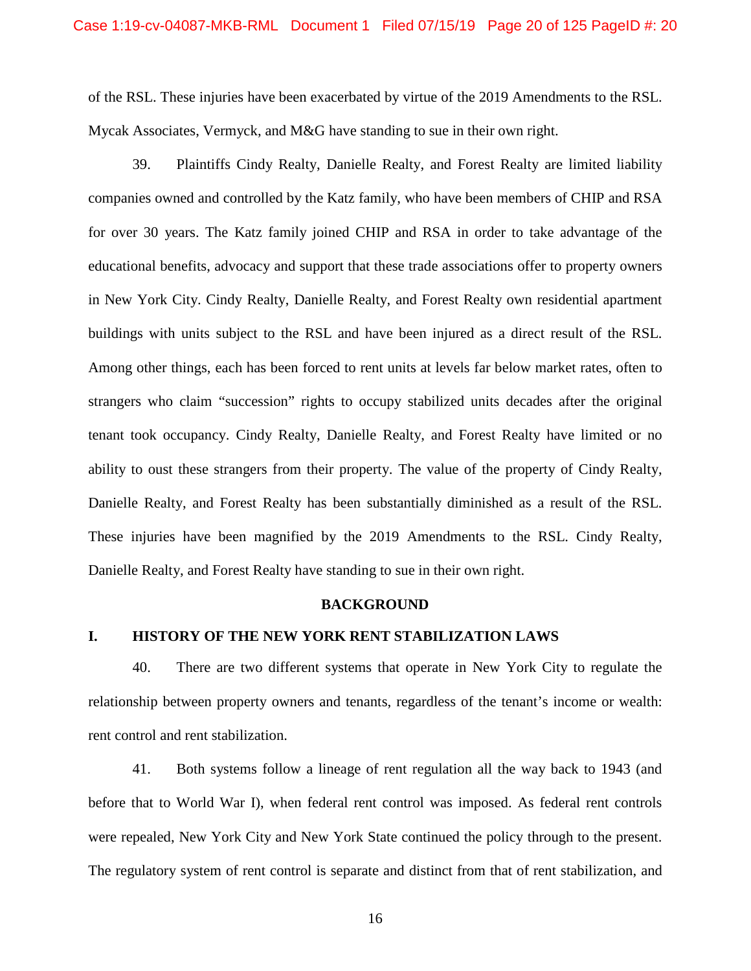of the RSL. These injuries have been exacerbated by virtue of the 2019 Amendments to the RSL. Mycak Associates, Vermyck, and M&G have standing to sue in their own right.

39. Plaintiffs Cindy Realty, Danielle Realty, and Forest Realty are limited liability companies owned and controlled by the Katz family, who have been members of CHIP and RSA for over 30 years. The Katz family joined CHIP and RSA in order to take advantage of the educational benefits, advocacy and support that these trade associations offer to property owners in New York City. Cindy Realty, Danielle Realty, and Forest Realty own residential apartment buildings with units subject to the RSL and have been injured as a direct result of the RSL. Among other things, each has been forced to rent units at levels far below market rates, often to strangers who claim "succession" rights to occupy stabilized units decades after the original tenant took occupancy. Cindy Realty, Danielle Realty, and Forest Realty have limited or no ability to oust these strangers from their property. The value of the property of Cindy Realty, Danielle Realty, and Forest Realty has been substantially diminished as a result of the RSL. These injuries have been magnified by the 2019 Amendments to the RSL. Cindy Realty, Danielle Realty, and Forest Realty have standing to sue in their own right.

#### **BACKGROUND**

### **I. HISTORY OF THE NEW YORK RENT STABILIZATION LAWS**

40. There are two different systems that operate in New York City to regulate the relationship between property owners and tenants, regardless of the tenant's income or wealth: rent control and rent stabilization.

41. Both systems follow a lineage of rent regulation all the way back to 1943 (and before that to World War I), when federal rent control was imposed. As federal rent controls were repealed, New York City and New York State continued the policy through to the present. The regulatory system of rent control is separate and distinct from that of rent stabilization, and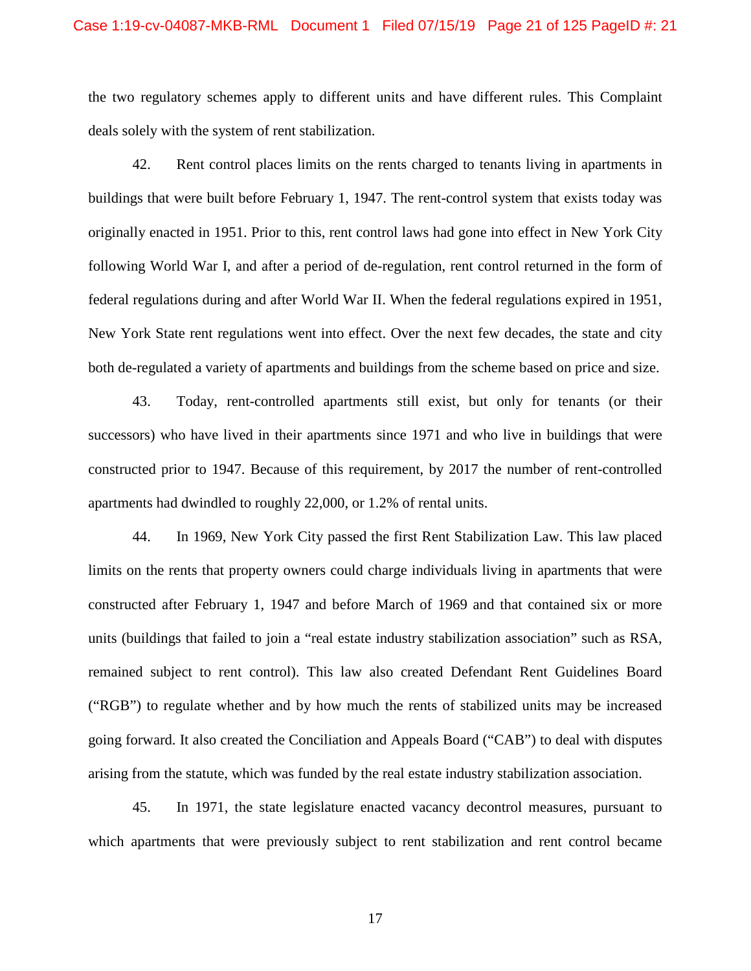the two regulatory schemes apply to different units and have different rules. This Complaint deals solely with the system of rent stabilization.

42. Rent control places limits on the rents charged to tenants living in apartments in buildings that were built before February 1, 1947. The rent-control system that exists today was originally enacted in 1951. Prior to this, rent control laws had gone into effect in New York City following World War I, and after a period of de-regulation, rent control returned in the form of federal regulations during and after World War II. When the federal regulations expired in 1951, New York State rent regulations went into effect. Over the next few decades, the state and city both de-regulated a variety of apartments and buildings from the scheme based on price and size.

43. Today, rent-controlled apartments still exist, but only for tenants (or their successors) who have lived in their apartments since 1971 and who live in buildings that were constructed prior to 1947. Because of this requirement, by 2017 the number of rent-controlled apartments had dwindled to roughly 22,000, or 1.2% of rental units.

44. In 1969, New York City passed the first Rent Stabilization Law. This law placed limits on the rents that property owners could charge individuals living in apartments that were constructed after February 1, 1947 and before March of 1969 and that contained six or more units (buildings that failed to join a "real estate industry stabilization association" such as RSA, remained subject to rent control). This law also created Defendant Rent Guidelines Board ("RGB") to regulate whether and by how much the rents of stabilized units may be increased going forward. It also created the Conciliation and Appeals Board ("CAB") to deal with disputes arising from the statute, which was funded by the real estate industry stabilization association.

45. In 1971, the state legislature enacted vacancy decontrol measures, pursuant to which apartments that were previously subject to rent stabilization and rent control became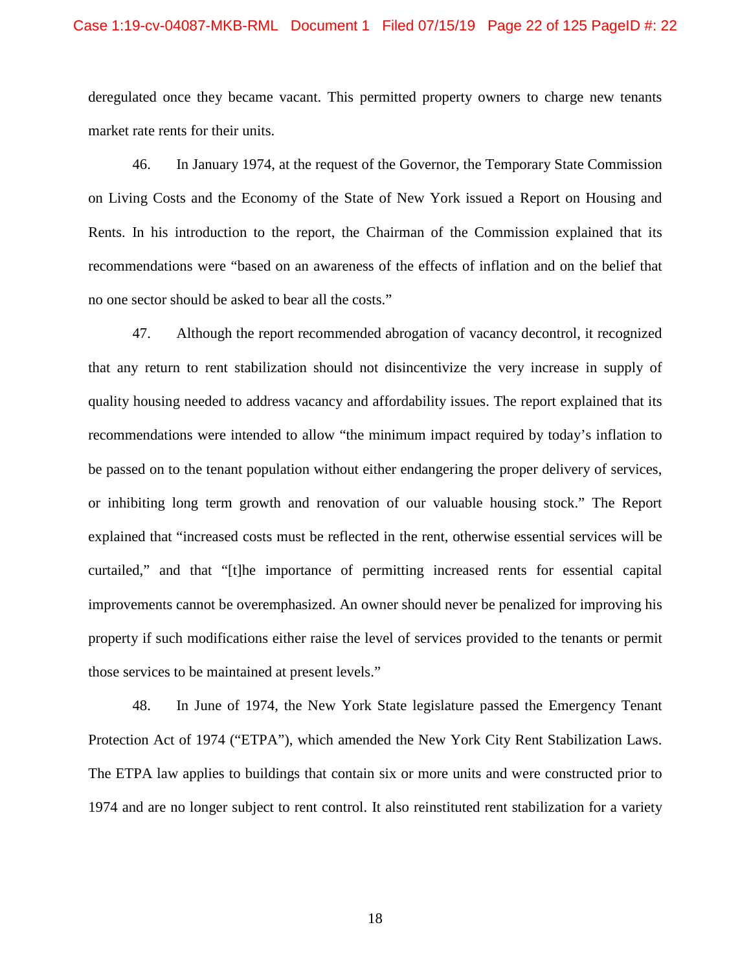#### Case 1:19-cv-04087-MKB-RML Document 1 Filed 07/15/19 Page 22 of 125 PageID #: 22

deregulated once they became vacant. This permitted property owners to charge new tenants market rate rents for their units.

46. In January 1974, at the request of the Governor, the Temporary State Commission on Living Costs and the Economy of the State of New York issued a Report on Housing and Rents. In his introduction to the report, the Chairman of the Commission explained that its recommendations were "based on an awareness of the effects of inflation and on the belief that no one sector should be asked to bear all the costs."

47. Although the report recommended abrogation of vacancy decontrol, it recognized that any return to rent stabilization should not disincentivize the very increase in supply of quality housing needed to address vacancy and affordability issues. The report explained that its recommendations were intended to allow "the minimum impact required by today's inflation to be passed on to the tenant population without either endangering the proper delivery of services, or inhibiting long term growth and renovation of our valuable housing stock." The Report explained that "increased costs must be reflected in the rent, otherwise essential services will be curtailed," and that "[t]he importance of permitting increased rents for essential capital improvements cannot be overemphasized. An owner should never be penalized for improving his property if such modifications either raise the level of services provided to the tenants or permit those services to be maintained at present levels."

48. In June of 1974, the New York State legislature passed the Emergency Tenant Protection Act of 1974 ("ETPA"), which amended the New York City Rent Stabilization Laws. The ETPA law applies to buildings that contain six or more units and were constructed prior to 1974 and are no longer subject to rent control. It also reinstituted rent stabilization for a variety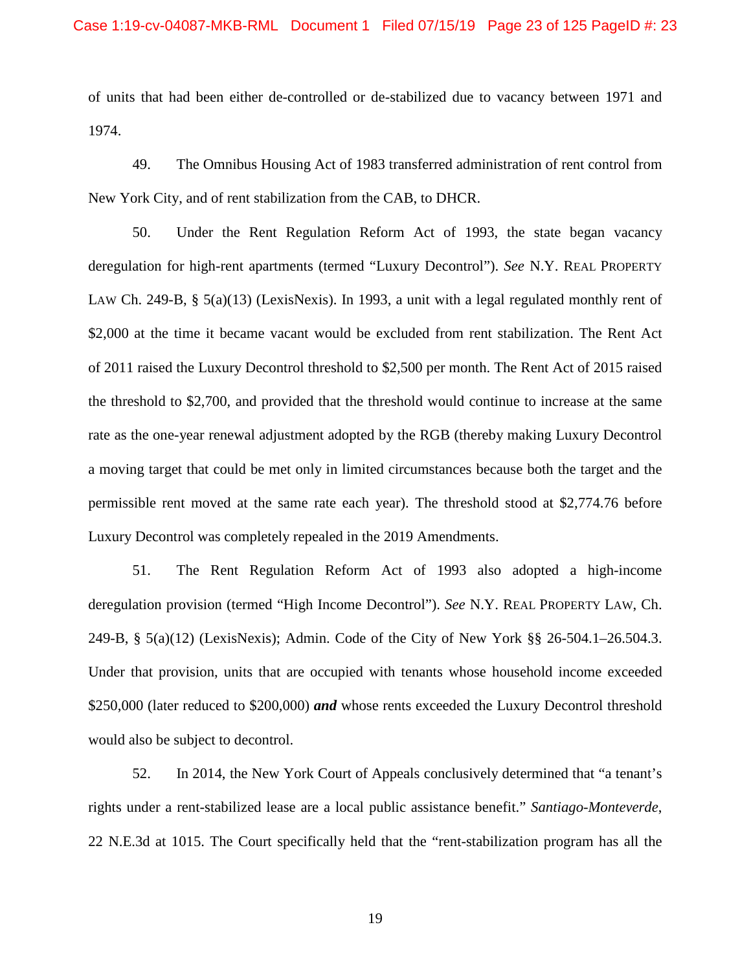of units that had been either de-controlled or de-stabilized due to vacancy between 1971 and 1974.

49. The Omnibus Housing Act of 1983 transferred administration of rent control from New York City, and of rent stabilization from the CAB, to DHCR.

50. Under the Rent Regulation Reform Act of 1993, the state began vacancy deregulation for high-rent apartments (termed "Luxury Decontrol"). *See* N.Y. REAL PROPERTY LAW Ch. 249-B, § 5(a)(13) (LexisNexis). In 1993, a unit with a legal regulated monthly rent of \$2,000 at the time it became vacant would be excluded from rent stabilization. The Rent Act of 2011 raised the Luxury Decontrol threshold to \$2,500 per month. The Rent Act of 2015 raised the threshold to \$2,700, and provided that the threshold would continue to increase at the same rate as the one-year renewal adjustment adopted by the RGB (thereby making Luxury Decontrol a moving target that could be met only in limited circumstances because both the target and the permissible rent moved at the same rate each year). The threshold stood at \$2,774.76 before Luxury Decontrol was completely repealed in the 2019 Amendments.

51. The Rent Regulation Reform Act of 1993 also adopted a high-income deregulation provision (termed "High Income Decontrol"). *See* N.Y. REAL PROPERTY LAW, Ch. 249-B, § 5(a)(12) (LexisNexis); Admin. Code of the City of New York §§ 26-504.1–26.504.3. Under that provision, units that are occupied with tenants whose household income exceeded \$250,000 (later reduced to \$200,000) *and* whose rents exceeded the Luxury Decontrol threshold would also be subject to decontrol.

52. In 2014, the New York Court of Appeals conclusively determined that "a tenant's rights under a rent-stabilized lease are a local public assistance benefit." *Santiago-Monteverde*, 22 N.E.3d at 1015. The Court specifically held that the "rent-stabilization program has all the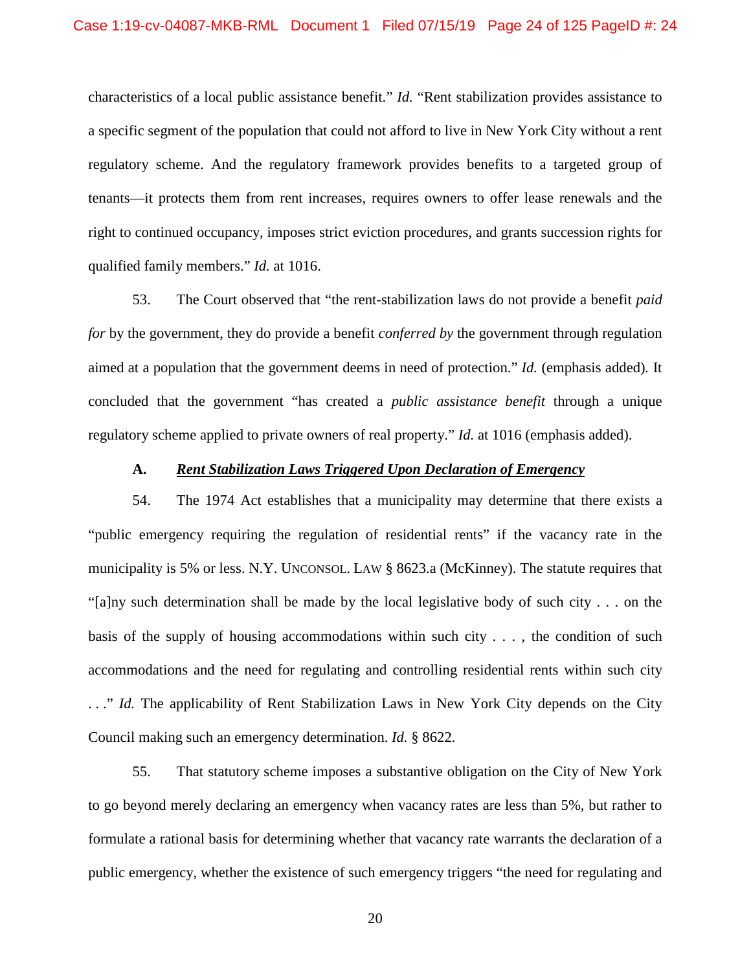characteristics of a local public assistance benefit." *Id.* "Rent stabilization provides assistance to a specific segment of the population that could not afford to live in New York City without a rent regulatory scheme. And the regulatory framework provides benefits to a targeted group of tenants—it protects them from rent increases, requires owners to offer lease renewals and the right to continued occupancy, imposes strict eviction procedures, and grants succession rights for qualified family members." *Id.* at 1016.

53. The Court observed that "the rent-stabilization laws do not provide a benefit *paid for* by the government, they do provide a benefit *conferred by* the government through regulation aimed at a population that the government deems in need of protection." *Id.* (emphasis added)*.* It concluded that the government "has created a *public assistance benefit* through a unique regulatory scheme applied to private owners of real property." *Id.* at 1016 (emphasis added).

### **A.** *Rent Stabilization Laws Triggered Upon Declaration of Emergency*

54. The 1974 Act establishes that a municipality may determine that there exists a "public emergency requiring the regulation of residential rents" if the vacancy rate in the municipality is 5% or less. N.Y. UNCONSOL. LAW § 8623.a (McKinney). The statute requires that "[a]ny such determination shall be made by the local legislative body of such city . . . on the basis of the supply of housing accommodations within such city  $\dots$ , the condition of such accommodations and the need for regulating and controlling residential rents within such city ..." *Id.* The applicability of Rent Stabilization Laws in New York City depends on the City Council making such an emergency determination. *Id.* § 8622.

55. That statutory scheme imposes a substantive obligation on the City of New York to go beyond merely declaring an emergency when vacancy rates are less than 5%, but rather to formulate a rational basis for determining whether that vacancy rate warrants the declaration of a public emergency, whether the existence of such emergency triggers "the need for regulating and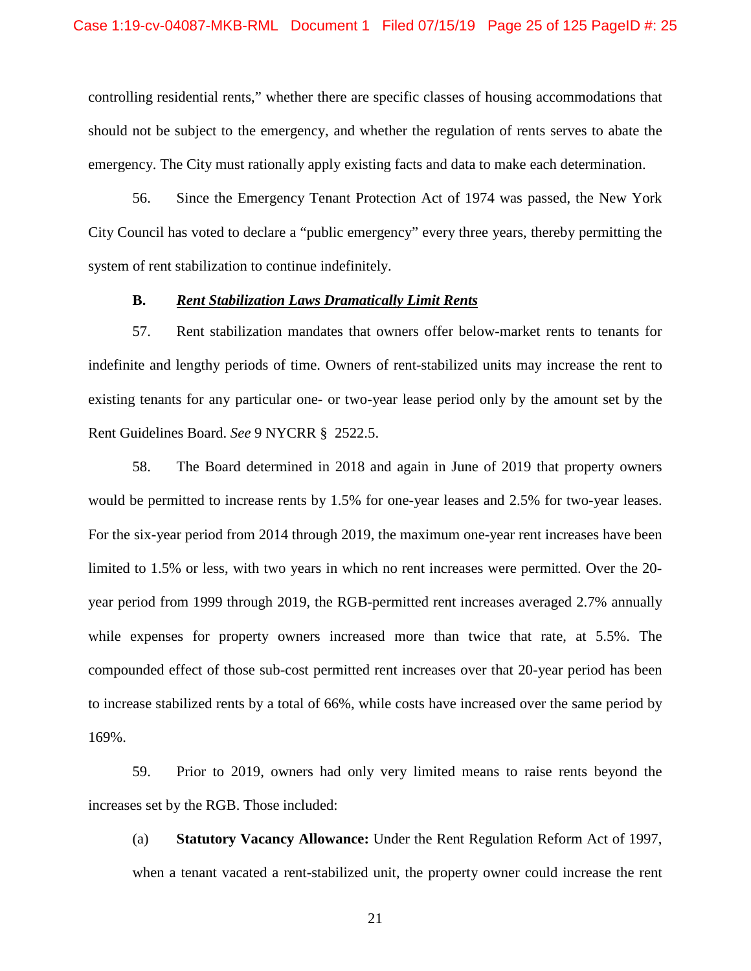controlling residential rents," whether there are specific classes of housing accommodations that should not be subject to the emergency, and whether the regulation of rents serves to abate the emergency. The City must rationally apply existing facts and data to make each determination.

56. Since the Emergency Tenant Protection Act of 1974 was passed, the New York City Council has voted to declare a "public emergency" every three years, thereby permitting the system of rent stabilization to continue indefinitely.

### **B.** *Rent Stabilization Laws Dramatically Limit Rents*

57. Rent stabilization mandates that owners offer below-market rents to tenants for indefinite and lengthy periods of time. Owners of rent-stabilized units may increase the rent to existing tenants for any particular one- or two-year lease period only by the amount set by the Rent Guidelines Board. *See* 9 NYCRR § 2522.5.

58. The Board determined in 2018 and again in June of 2019 that property owners would be permitted to increase rents by 1.5% for one-year leases and 2.5% for two-year leases. For the six-year period from 2014 through 2019, the maximum one-year rent increases have been limited to 1.5% or less, with two years in which no rent increases were permitted. Over the 20 year period from 1999 through 2019, the RGB-permitted rent increases averaged 2.7% annually while expenses for property owners increased more than twice that rate, at 5.5%. The compounded effect of those sub-cost permitted rent increases over that 20-year period has been to increase stabilized rents by a total of 66%, while costs have increased over the same period by 169%.

59. Prior to 2019, owners had only very limited means to raise rents beyond the increases set by the RGB. Those included:

(a) **Statutory Vacancy Allowance:** Under the Rent Regulation Reform Act of 1997, when a tenant vacated a rent-stabilized unit, the property owner could increase the rent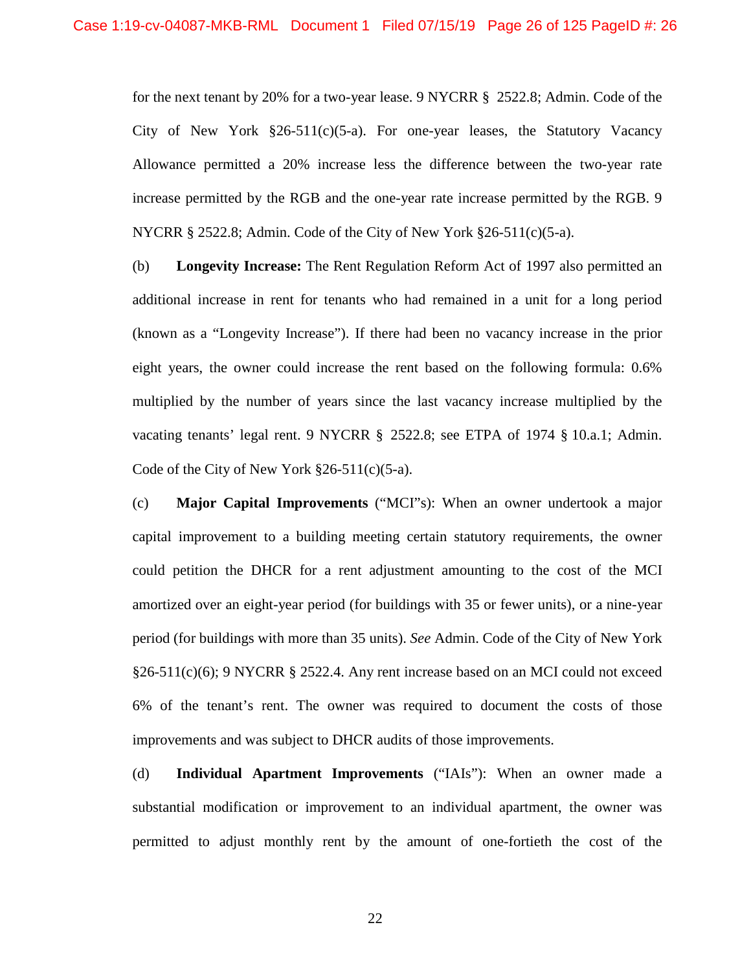for the next tenant by 20% for a two-year lease. 9 NYCRR § 2522.8; Admin. Code of the City of New York  $\S 26-511(c)(5-a)$ . For one-year leases, the Statutory Vacancy Allowance permitted a 20% increase less the difference between the two-year rate increase permitted by the RGB and the one-year rate increase permitted by the RGB. 9 NYCRR § 2522.8; Admin. Code of the City of New York §26-511(c)(5-a).

(b) **Longevity Increase:** The Rent Regulation Reform Act of 1997 also permitted an additional increase in rent for tenants who had remained in a unit for a long period (known as a "Longevity Increase"). If there had been no vacancy increase in the prior eight years, the owner could increase the rent based on the following formula: 0.6% multiplied by the number of years since the last vacancy increase multiplied by the vacating tenants' legal rent. 9 NYCRR § 2522.8; see ETPA of 1974 § 10.a.1; Admin. Code of the City of New York  $\S 26-511(c)(5-a)$ .

(c) **Major Capital Improvements** ("MCI"s): When an owner undertook a major capital improvement to a building meeting certain statutory requirements, the owner could petition the DHCR for a rent adjustment amounting to the cost of the MCI amortized over an eight-year period (for buildings with 35 or fewer units), or a nine-year period (for buildings with more than 35 units). *See* Admin. Code of the City of New York  $§26-511(c)(6);$  9 NYCRR § 2522.4. Any rent increase based on an MCI could not exceed 6% of the tenant's rent. The owner was required to document the costs of those improvements and was subject to DHCR audits of those improvements.

(d) **Individual Apartment Improvements** ("IAIs"): When an owner made a substantial modification or improvement to an individual apartment, the owner was permitted to adjust monthly rent by the amount of one-fortieth the cost of the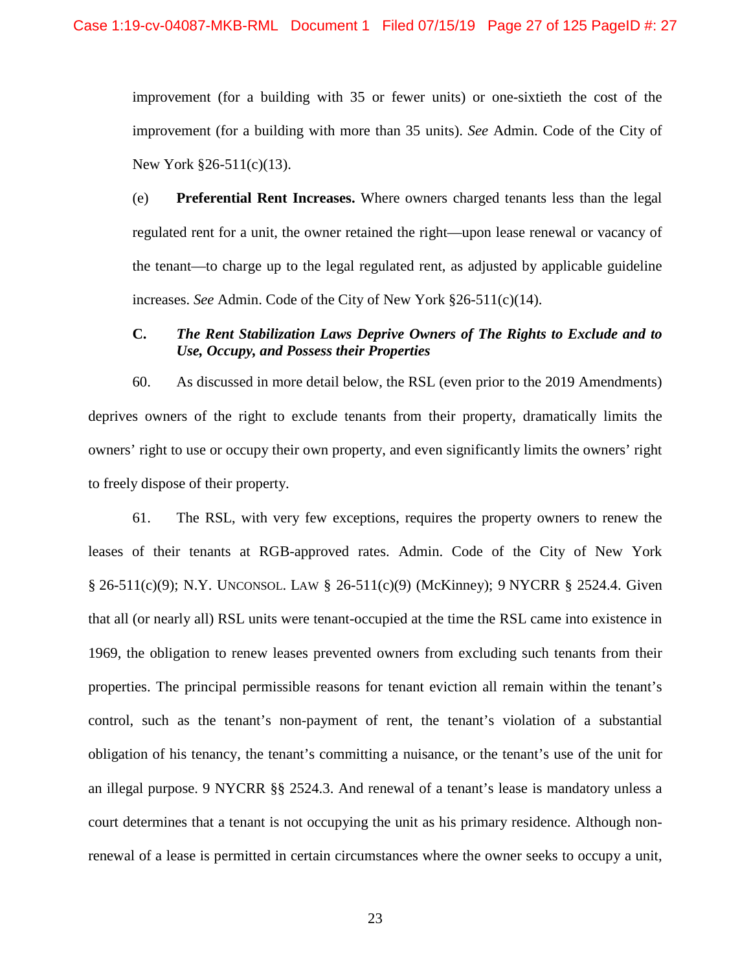improvement (for a building with 35 or fewer units) or one-sixtieth the cost of the improvement (for a building with more than 35 units). *See* Admin. Code of the City of New York §26-511(c)(13).

(e) **Preferential Rent Increases.** Where owners charged tenants less than the legal regulated rent for a unit, the owner retained the right—upon lease renewal or vacancy of the tenant—to charge up to the legal regulated rent, as adjusted by applicable guideline increases. *See* Admin. Code of the City of New York §26-511(c)(14).

## **C.** *The Rent Stabilization Laws Deprive Owners of The Rights to Exclude and to Use, Occupy, and Possess their Properties*

60. As discussed in more detail below, the RSL (even prior to the 2019 Amendments) deprives owners of the right to exclude tenants from their property, dramatically limits the owners' right to use or occupy their own property, and even significantly limits the owners' right to freely dispose of their property.

61. The RSL, with very few exceptions, requires the property owners to renew the leases of their tenants at RGB-approved rates. Admin. Code of the City of New York § 26-511(c)(9); N.Y. UNCONSOL. LAW § 26-511(c)(9) (McKinney); 9 NYCRR § 2524.4. Given that all (or nearly all) RSL units were tenant-occupied at the time the RSL came into existence in 1969, the obligation to renew leases prevented owners from excluding such tenants from their properties. The principal permissible reasons for tenant eviction all remain within the tenant's control, such as the tenant's non-payment of rent, the tenant's violation of a substantial obligation of his tenancy, the tenant's committing a nuisance, or the tenant's use of the unit for an illegal purpose. 9 NYCRR §§ 2524.3. And renewal of a tenant's lease is mandatory unless a court determines that a tenant is not occupying the unit as his primary residence. Although nonrenewal of a lease is permitted in certain circumstances where the owner seeks to occupy a unit,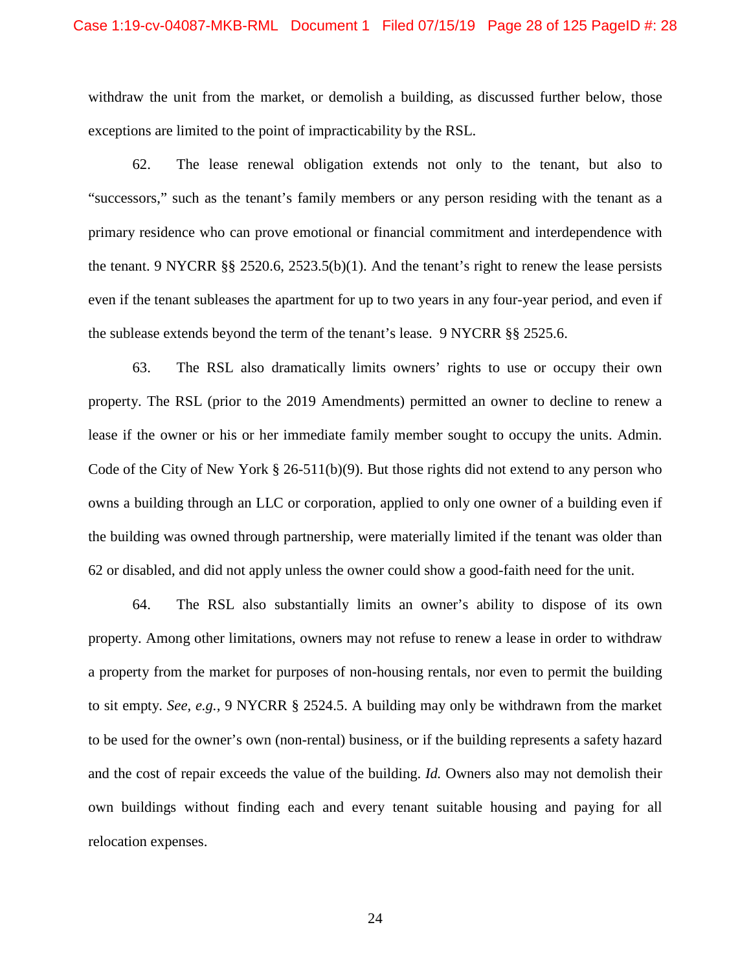withdraw the unit from the market, or demolish a building, as discussed further below, those exceptions are limited to the point of impracticability by the RSL.

62. The lease renewal obligation extends not only to the tenant, but also to "successors," such as the tenant's family members or any person residing with the tenant as a primary residence who can prove emotional or financial commitment and interdependence with the tenant. 9 NYCRR §§ 2520.6, 2523.5(b)(1). And the tenant's right to renew the lease persists even if the tenant subleases the apartment for up to two years in any four-year period, and even if the sublease extends beyond the term of the tenant's lease. 9 NYCRR §§ 2525.6.

63. The RSL also dramatically limits owners' rights to use or occupy their own property. The RSL (prior to the 2019 Amendments) permitted an owner to decline to renew a lease if the owner or his or her immediate family member sought to occupy the units. Admin. Code of the City of New York  $\S 26-511(b)(9)$ . But those rights did not extend to any person who owns a building through an LLC or corporation, applied to only one owner of a building even if the building was owned through partnership, were materially limited if the tenant was older than 62 or disabled, and did not apply unless the owner could show a good-faith need for the unit.

64. The RSL also substantially limits an owner's ability to dispose of its own property. Among other limitations, owners may not refuse to renew a lease in order to withdraw a property from the market for purposes of non-housing rentals, nor even to permit the building to sit empty. *See, e.g.,* 9 NYCRR § 2524.5. A building may only be withdrawn from the market to be used for the owner's own (non-rental) business, or if the building represents a safety hazard and the cost of repair exceeds the value of the building. *Id.* Owners also may not demolish their own buildings without finding each and every tenant suitable housing and paying for all relocation expenses.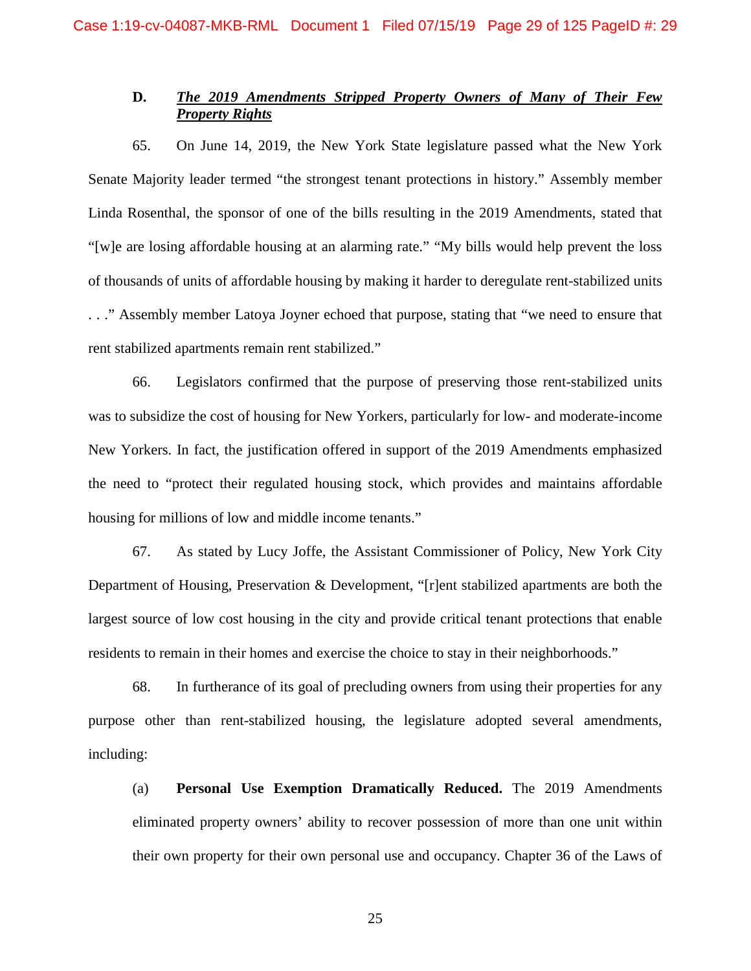## **D.** *The 2019 Amendments Stripped Property Owners of Many of Their Few Property Rights*

65. On June 14, 2019, the New York State legislature passed what the New York Senate Majority leader termed "the strongest tenant protections in history." Assembly member Linda Rosenthal, the sponsor of one of the bills resulting in the 2019 Amendments, stated that "[w]e are losing affordable housing at an alarming rate." "My bills would help prevent the loss of thousands of units of affordable housing by making it harder to deregulate rent-stabilized units . . ." Assembly member Latoya Joyner echoed that purpose, stating that "we need to ensure that rent stabilized apartments remain rent stabilized."

66. Legislators confirmed that the purpose of preserving those rent-stabilized units was to subsidize the cost of housing for New Yorkers, particularly for low- and moderate-income New Yorkers. In fact, the justification offered in support of the 2019 Amendments emphasized the need to "protect their regulated housing stock, which provides and maintains affordable housing for millions of low and middle income tenants."

67. As stated by Lucy Joffe, the Assistant Commissioner of Policy, New York City Department of Housing, Preservation & Development, "[r]ent stabilized apartments are both the largest source of low cost housing in the city and provide critical tenant protections that enable residents to remain in their homes and exercise the choice to stay in their neighborhoods."

68. In furtherance of its goal of precluding owners from using their properties for any purpose other than rent-stabilized housing, the legislature adopted several amendments, including:

(a) **Personal Use Exemption Dramatically Reduced.** The 2019 Amendments eliminated property owners' ability to recover possession of more than one unit within their own property for their own personal use and occupancy. Chapter 36 of the Laws of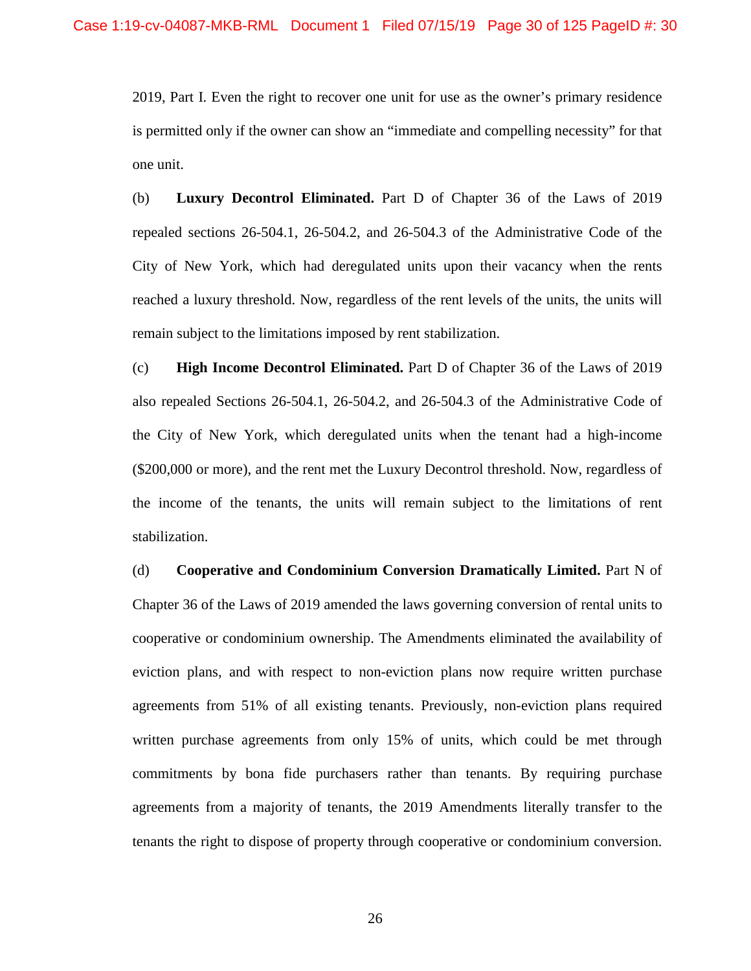2019, Part I. Even the right to recover one unit for use as the owner's primary residence is permitted only if the owner can show an "immediate and compelling necessity" for that one unit.

(b) **Luxury Decontrol Eliminated.** Part D of Chapter 36 of the Laws of 2019 repealed sections 26-504.1, 26-504.2, and 26-504.3 of the Administrative Code of the City of New York, which had deregulated units upon their vacancy when the rents reached a luxury threshold. Now, regardless of the rent levels of the units, the units will remain subject to the limitations imposed by rent stabilization.

(c) **High Income Decontrol Eliminated.** Part D of Chapter 36 of the Laws of 2019 also repealed Sections 26-504.1, 26-504.2, and 26-504.3 of the Administrative Code of the City of New York, which deregulated units when the tenant had a high-income (\$200,000 or more), and the rent met the Luxury Decontrol threshold. Now, regardless of the income of the tenants, the units will remain subject to the limitations of rent stabilization.

(d) **Cooperative and Condominium Conversion Dramatically Limited.** Part N of Chapter 36 of the Laws of 2019 amended the laws governing conversion of rental units to cooperative or condominium ownership. The Amendments eliminated the availability of eviction plans, and with respect to non-eviction plans now require written purchase agreements from 51% of all existing tenants. Previously, non-eviction plans required written purchase agreements from only 15% of units, which could be met through commitments by bona fide purchasers rather than tenants. By requiring purchase agreements from a majority of tenants, the 2019 Amendments literally transfer to the tenants the right to dispose of property through cooperative or condominium conversion.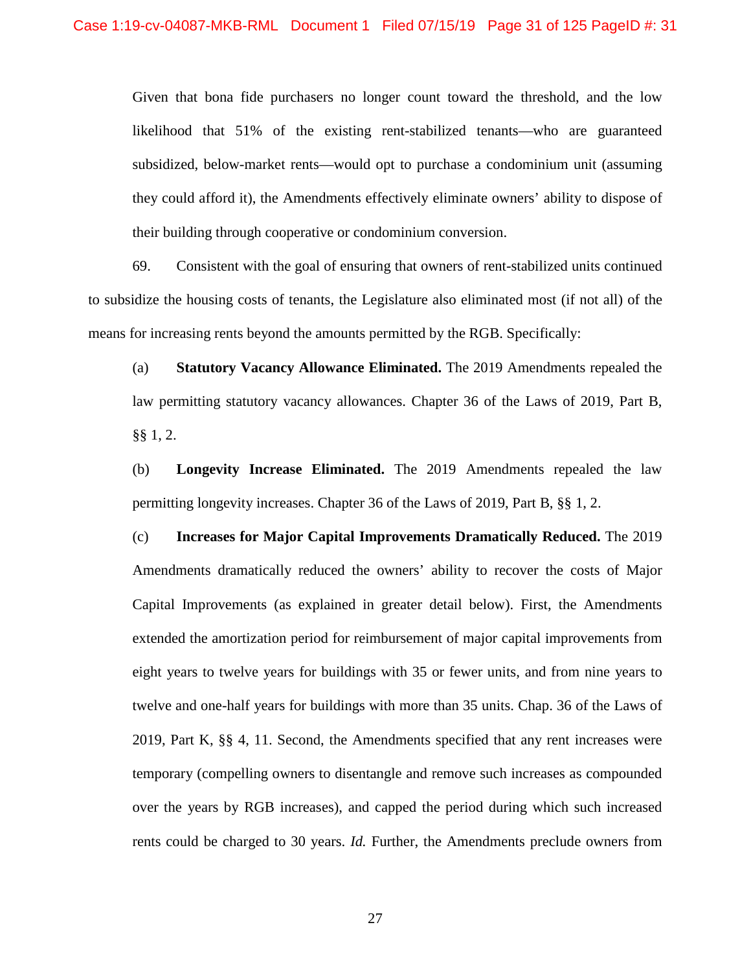Given that bona fide purchasers no longer count toward the threshold, and the low likelihood that 51% of the existing rent-stabilized tenants—who are guaranteed subsidized, below-market rents—would opt to purchase a condominium unit (assuming they could afford it), the Amendments effectively eliminate owners' ability to dispose of their building through cooperative or condominium conversion.

69. Consistent with the goal of ensuring that owners of rent-stabilized units continued to subsidize the housing costs of tenants, the Legislature also eliminated most (if not all) of the means for increasing rents beyond the amounts permitted by the RGB. Specifically:

(a) **Statutory Vacancy Allowance Eliminated.** The 2019 Amendments repealed the law permitting statutory vacancy allowances. Chapter 36 of the Laws of 2019, Part B, §§ 1, 2.

(b) **Longevity Increase Eliminated.** The 2019 Amendments repealed the law permitting longevity increases. Chapter 36 of the Laws of 2019, Part B, §§ 1, 2.

(c) **Increases for Major Capital Improvements Dramatically Reduced.** The 2019 Amendments dramatically reduced the owners' ability to recover the costs of Major Capital Improvements (as explained in greater detail below). First, the Amendments extended the amortization period for reimbursement of major capital improvements from eight years to twelve years for buildings with 35 or fewer units, and from nine years to twelve and one-half years for buildings with more than 35 units. Chap. 36 of the Laws of 2019, Part K, §§ 4, 11. Second, the Amendments specified that any rent increases were temporary (compelling owners to disentangle and remove such increases as compounded over the years by RGB increases), and capped the period during which such increased rents could be charged to 30 years. *Id.* Further, the Amendments preclude owners from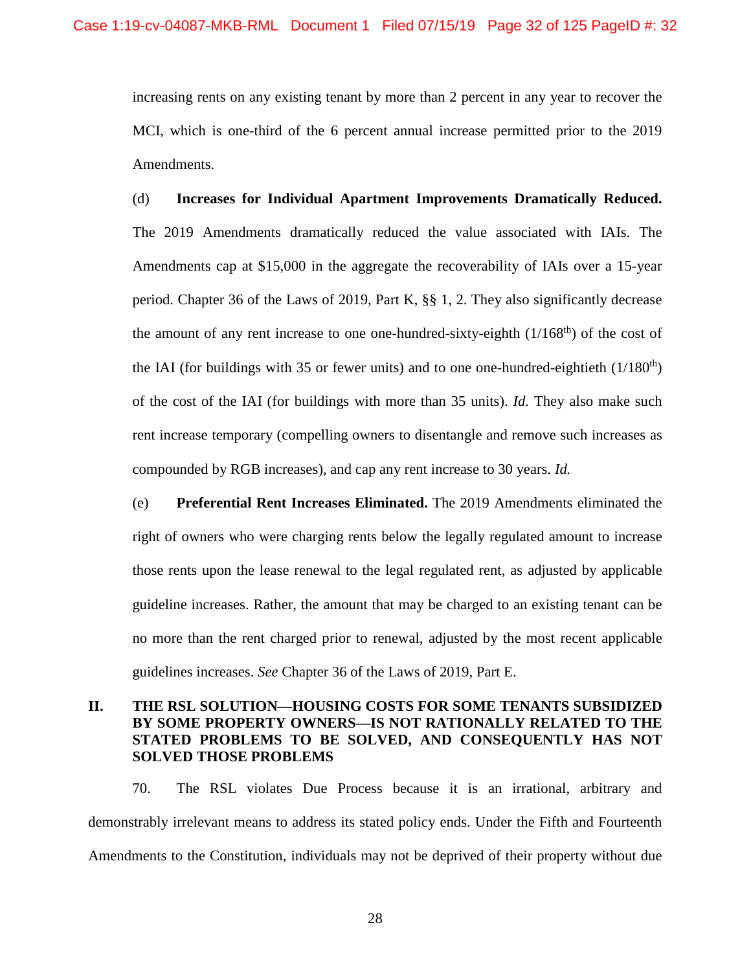increasing rents on any existing tenant by more than 2 percent in any year to recover the MCI, which is one-third of the 6 percent annual increase permitted prior to the 2019 Amendments.

(d) **Increases for Individual Apartment Improvements Dramatically Reduced.**  The 2019 Amendments dramatically reduced the value associated with IAIs. The Amendments cap at \$15,000 in the aggregate the recoverability of IAIs over a 15-year period. Chapter 36 of the Laws of 2019, Part K, §§ 1, 2. They also significantly decrease the amount of any rent increase to one one-hundred-sixty-eighth  $(1/168<sup>th</sup>)$  of the cost of the IAI (for buildings with 35 or fewer units) and to one one-hundred-eightieth  $(1/180<sup>th</sup>)$ of the cost of the IAI (for buildings with more than 35 units). *Id.* They also make such rent increase temporary (compelling owners to disentangle and remove such increases as compounded by RGB increases), and cap any rent increase to 30 years. *Id.* 

(e) **Preferential Rent Increases Eliminated.** The 2019 Amendments eliminated the right of owners who were charging rents below the legally regulated amount to increase those rents upon the lease renewal to the legal regulated rent, as adjusted by applicable guideline increases. Rather, the amount that may be charged to an existing tenant can be no more than the rent charged prior to renewal, adjusted by the most recent applicable guidelines increases. *See* Chapter 36 of the Laws of 2019, Part E.

## **II. THE RSL SOLUTION—HOUSING COSTS FOR SOME TENANTS SUBSIDIZED BY SOME PROPERTY OWNERS—IS NOT RATIONALLY RELATED TO THE STATED PROBLEMS TO BE SOLVED, AND CONSEQUENTLY HAS NOT SOLVED THOSE PROBLEMS**

70. The RSL violates Due Process because it is an irrational, arbitrary and demonstrably irrelevant means to address its stated policy ends. Under the Fifth and Fourteenth Amendments to the Constitution, individuals may not be deprived of their property without due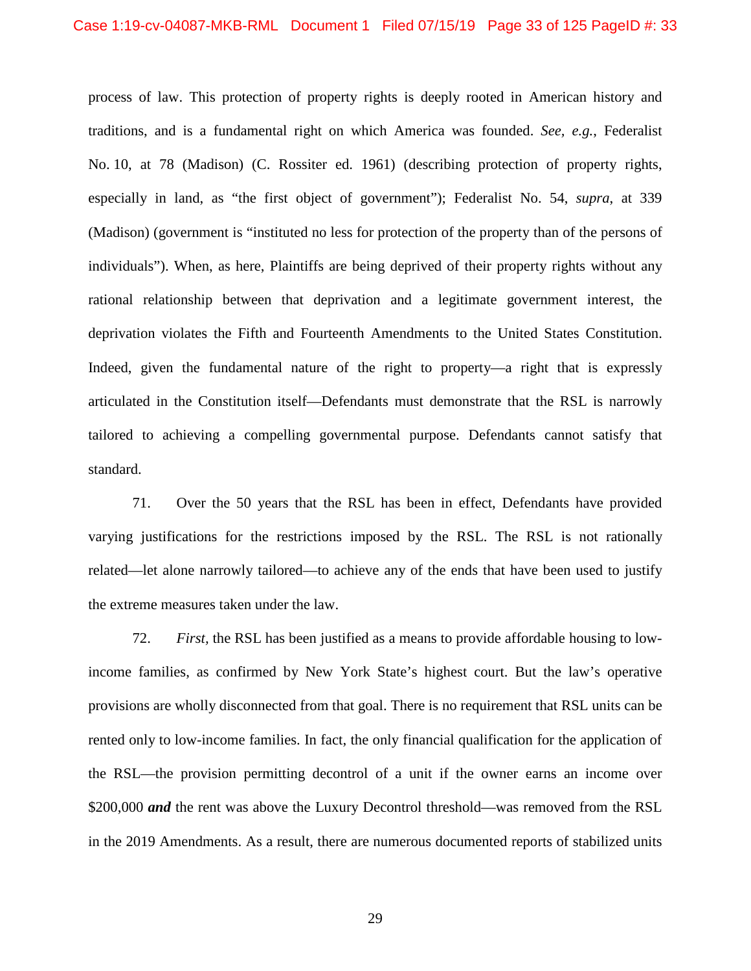process of law. This protection of property rights is deeply rooted in American history and traditions, and is a fundamental right on which America was founded. *See, e.g.*, Federalist No. 10, at 78 (Madison) (C. Rossiter ed. 1961) (describing protection of property rights, especially in land, as "the first object of government"); Federalist No. 54, *supra*, at 339 (Madison) (government is "instituted no less for protection of the property than of the persons of individuals"). When, as here, Plaintiffs are being deprived of their property rights without any rational relationship between that deprivation and a legitimate government interest, the deprivation violates the Fifth and Fourteenth Amendments to the United States Constitution. Indeed, given the fundamental nature of the right to property—a right that is expressly articulated in the Constitution itself—Defendants must demonstrate that the RSL is narrowly tailored to achieving a compelling governmental purpose. Defendants cannot satisfy that standard.

71. Over the 50 years that the RSL has been in effect, Defendants have provided varying justifications for the restrictions imposed by the RSL. The RSL is not rationally related—let alone narrowly tailored—to achieve any of the ends that have been used to justify the extreme measures taken under the law.

72. *First,* the RSL has been justified as a means to provide affordable housing to lowincome families, as confirmed by New York State's highest court. But the law's operative provisions are wholly disconnected from that goal. There is no requirement that RSL units can be rented only to low-income families. In fact, the only financial qualification for the application of the RSL—the provision permitting decontrol of a unit if the owner earns an income over \$200,000 *and* the rent was above the Luxury Decontrol threshold—was removed from the RSL in the 2019 Amendments. As a result, there are numerous documented reports of stabilized units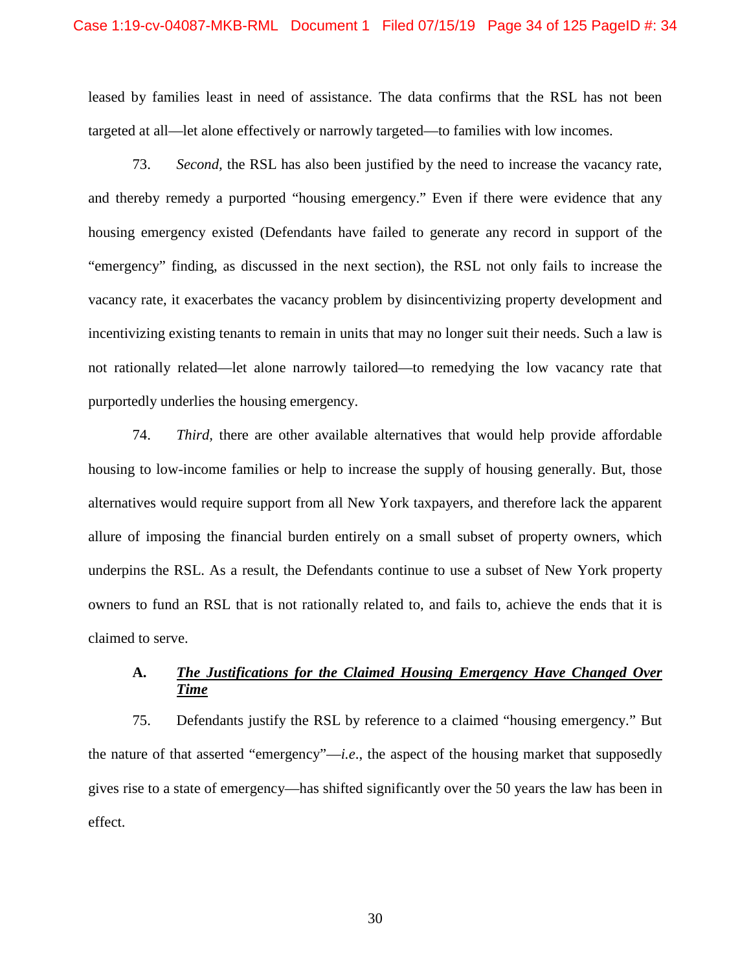#### Case 1:19-cv-04087-MKB-RML Document 1 Filed 07/15/19 Page 34 of 125 PageID #: 34

leased by families least in need of assistance. The data confirms that the RSL has not been targeted at all—let alone effectively or narrowly targeted—to families with low incomes.

73. *Second,* the RSL has also been justified by the need to increase the vacancy rate, and thereby remedy a purported "housing emergency." Even if there were evidence that any housing emergency existed (Defendants have failed to generate any record in support of the "emergency" finding, as discussed in the next section), the RSL not only fails to increase the vacancy rate, it exacerbates the vacancy problem by disincentivizing property development and incentivizing existing tenants to remain in units that may no longer suit their needs. Such a law is not rationally related—let alone narrowly tailored—to remedying the low vacancy rate that purportedly underlies the housing emergency.

74. *Third,* there are other available alternatives that would help provide affordable housing to low-income families or help to increase the supply of housing generally. But, those alternatives would require support from all New York taxpayers, and therefore lack the apparent allure of imposing the financial burden entirely on a small subset of property owners, which underpins the RSL. As a result, the Defendants continue to use a subset of New York property owners to fund an RSL that is not rationally related to, and fails to, achieve the ends that it is claimed to serve.

## **A.** *The Justifications for the Claimed Housing Emergency Have Changed Over Time*

75. Defendants justify the RSL by reference to a claimed "housing emergency." But the nature of that asserted "emergency"—*i.e*., the aspect of the housing market that supposedly gives rise to a state of emergency—has shifted significantly over the 50 years the law has been in effect.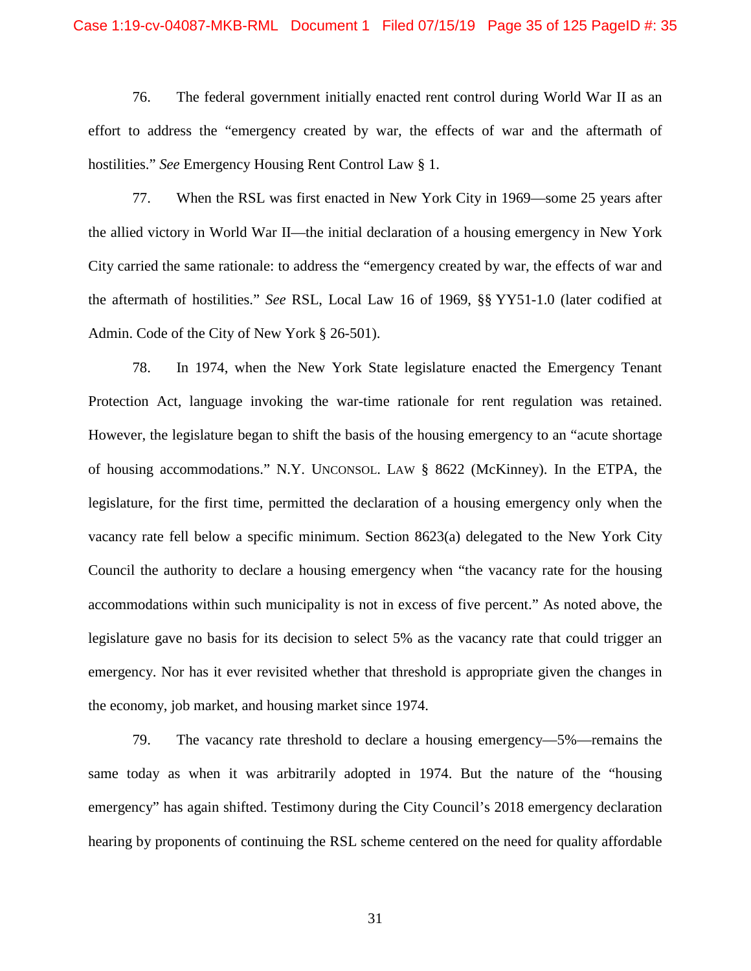#### Case 1:19-cv-04087-MKB-RML Document 1 Filed 07/15/19 Page 35 of 125 PageID #: 35

76. The federal government initially enacted rent control during World War II as an effort to address the "emergency created by war, the effects of war and the aftermath of hostilities." *See* Emergency Housing Rent Control Law § 1.

77. When the RSL was first enacted in New York City in 1969—some 25 years after the allied victory in World War II—the initial declaration of a housing emergency in New York City carried the same rationale: to address the "emergency created by war, the effects of war and the aftermath of hostilities." *See* RSL, Local Law 16 of 1969, §§ YY51-1.0 (later codified at Admin. Code of the City of New York § 26-501).

78. In 1974, when the New York State legislature enacted the Emergency Tenant Protection Act, language invoking the war-time rationale for rent regulation was retained. However, the legislature began to shift the basis of the housing emergency to an "acute shortage of housing accommodations." N.Y. UNCONSOL. LAW § 8622 (McKinney). In the ETPA, the legislature, for the first time, permitted the declaration of a housing emergency only when the vacancy rate fell below a specific minimum. Section 8623(a) delegated to the New York City Council the authority to declare a housing emergency when "the vacancy rate for the housing accommodations within such municipality is not in excess of five percent." As noted above, the legislature gave no basis for its decision to select 5% as the vacancy rate that could trigger an emergency. Nor has it ever revisited whether that threshold is appropriate given the changes in the economy, job market, and housing market since 1974.

79. The vacancy rate threshold to declare a housing emergency—5%—remains the same today as when it was arbitrarily adopted in 1974. But the nature of the "housing emergency" has again shifted. Testimony during the City Council's 2018 emergency declaration hearing by proponents of continuing the RSL scheme centered on the need for quality affordable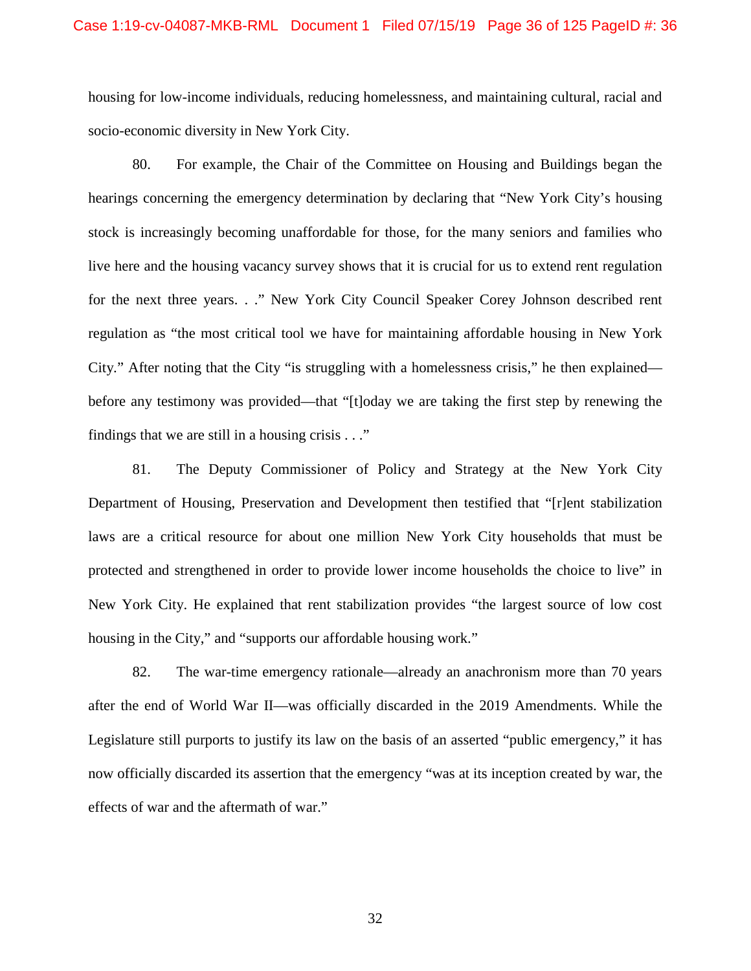housing for low-income individuals, reducing homelessness, and maintaining cultural, racial and socio-economic diversity in New York City.

80. For example, the Chair of the Committee on Housing and Buildings began the hearings concerning the emergency determination by declaring that "New York City's housing stock is increasingly becoming unaffordable for those, for the many seniors and families who live here and the housing vacancy survey shows that it is crucial for us to extend rent regulation for the next three years. . ." New York City Council Speaker Corey Johnson described rent regulation as "the most critical tool we have for maintaining affordable housing in New York City." After noting that the City "is struggling with a homelessness crisis," he then explained before any testimony was provided—that "[t]oday we are taking the first step by renewing the findings that we are still in a housing crisis  $\ldots$ "

81. The Deputy Commissioner of Policy and Strategy at the New York City Department of Housing, Preservation and Development then testified that "[r]ent stabilization laws are a critical resource for about one million New York City households that must be protected and strengthened in order to provide lower income households the choice to live" in New York City. He explained that rent stabilization provides "the largest source of low cost housing in the City," and "supports our affordable housing work."

82. The war-time emergency rationale—already an anachronism more than 70 years after the end of World War II—was officially discarded in the 2019 Amendments. While the Legislature still purports to justify its law on the basis of an asserted "public emergency," it has now officially discarded its assertion that the emergency "was at its inception created by war, the effects of war and the aftermath of war."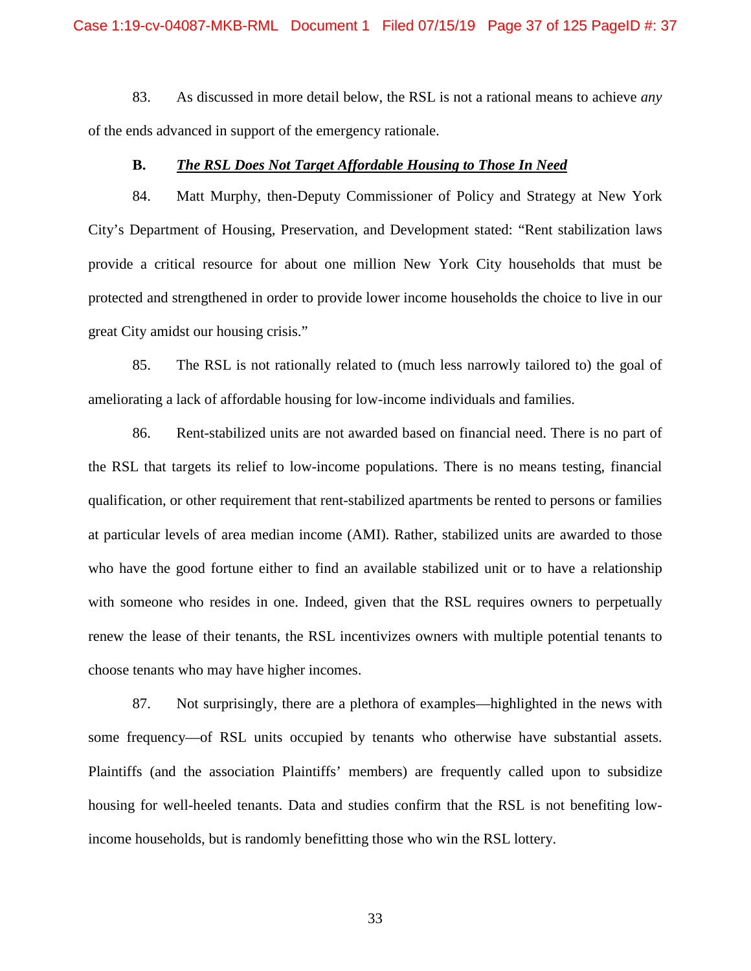83. As discussed in more detail below, the RSL is not a rational means to achieve *any* of the ends advanced in support of the emergency rationale.

### **B.** *The RSL Does Not Target Affordable Housing to Those In Need*

84. Matt Murphy, then-Deputy Commissioner of Policy and Strategy at New York City's Department of Housing, Preservation, and Development stated: "Rent stabilization laws provide a critical resource for about one million New York City households that must be protected and strengthened in order to provide lower income households the choice to live in our great City amidst our housing crisis."

85. The RSL is not rationally related to (much less narrowly tailored to) the goal of ameliorating a lack of affordable housing for low-income individuals and families.

86. Rent-stabilized units are not awarded based on financial need. There is no part of the RSL that targets its relief to low-income populations. There is no means testing, financial qualification, or other requirement that rent-stabilized apartments be rented to persons or families at particular levels of area median income (AMI). Rather, stabilized units are awarded to those who have the good fortune either to find an available stabilized unit or to have a relationship with someone who resides in one. Indeed, given that the RSL requires owners to perpetually renew the lease of their tenants, the RSL incentivizes owners with multiple potential tenants to choose tenants who may have higher incomes.

87. Not surprisingly, there are a plethora of examples—highlighted in the news with some frequency—of RSL units occupied by tenants who otherwise have substantial assets. Plaintiffs (and the association Plaintiffs' members) are frequently called upon to subsidize housing for well-heeled tenants. Data and studies confirm that the RSL is not benefiting lowincome households, but is randomly benefitting those who win the RSL lottery.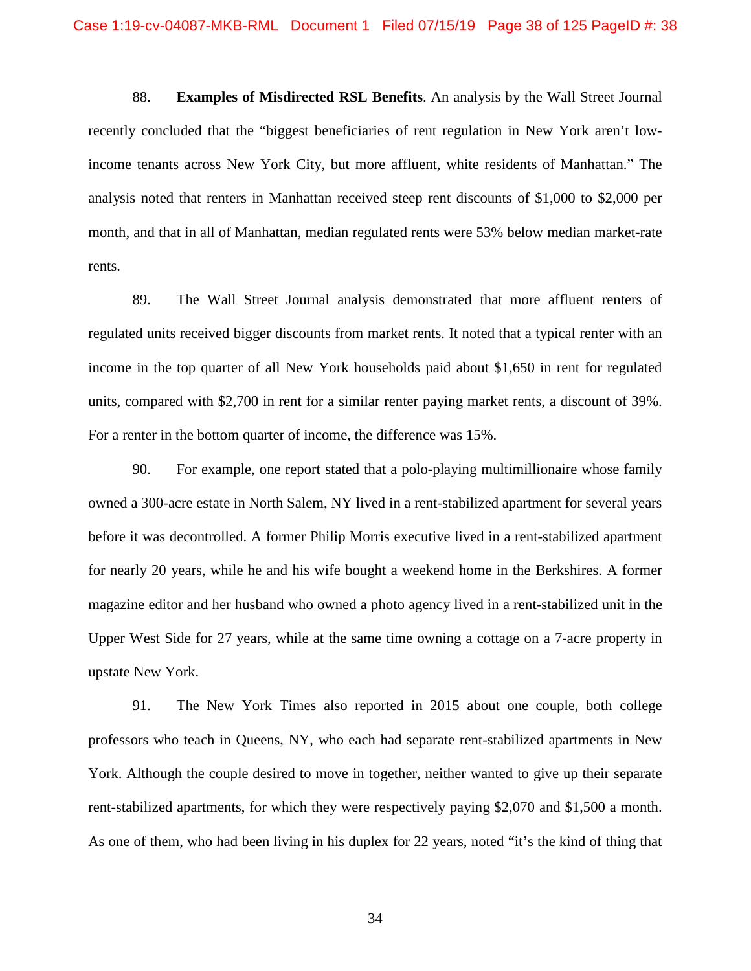88. **Examples of Misdirected RSL Benefits**. An analysis by the Wall Street Journal recently concluded that the "biggest beneficiaries of rent regulation in New York aren't lowincome tenants across New York City, but more affluent, white residents of Manhattan." The analysis noted that renters in Manhattan received steep rent discounts of \$1,000 to \$2,000 per month, and that in all of Manhattan, median regulated rents were 53% below median market-rate rents.

89. The Wall Street Journal analysis demonstrated that more affluent renters of regulated units received bigger discounts from market rents. It noted that a typical renter with an income in the top quarter of all New York households paid about \$1,650 in rent for regulated units, compared with \$2,700 in rent for a similar renter paying market rents, a discount of 39%. For a renter in the bottom quarter of income, the difference was 15%.

90. For example, one report stated that a polo-playing multimillionaire whose family owned a 300-acre estate in North Salem, NY lived in a rent-stabilized apartment for several years before it was decontrolled. A former Philip Morris executive lived in a rent-stabilized apartment for nearly 20 years, while he and his wife bought a weekend home in the Berkshires. A former magazine editor and her husband who owned a photo agency lived in a rent-stabilized unit in the Upper West Side for 27 years, while at the same time owning a cottage on a 7-acre property in upstate New York.

91. The New York Times also reported in 2015 about one couple, both college professors who teach in Queens, NY, who each had separate rent-stabilized apartments in New York. Although the couple desired to move in together, neither wanted to give up their separate rent-stabilized apartments, for which they were respectively paying \$2,070 and \$1,500 a month. As one of them, who had been living in his duplex for 22 years, noted "it's the kind of thing that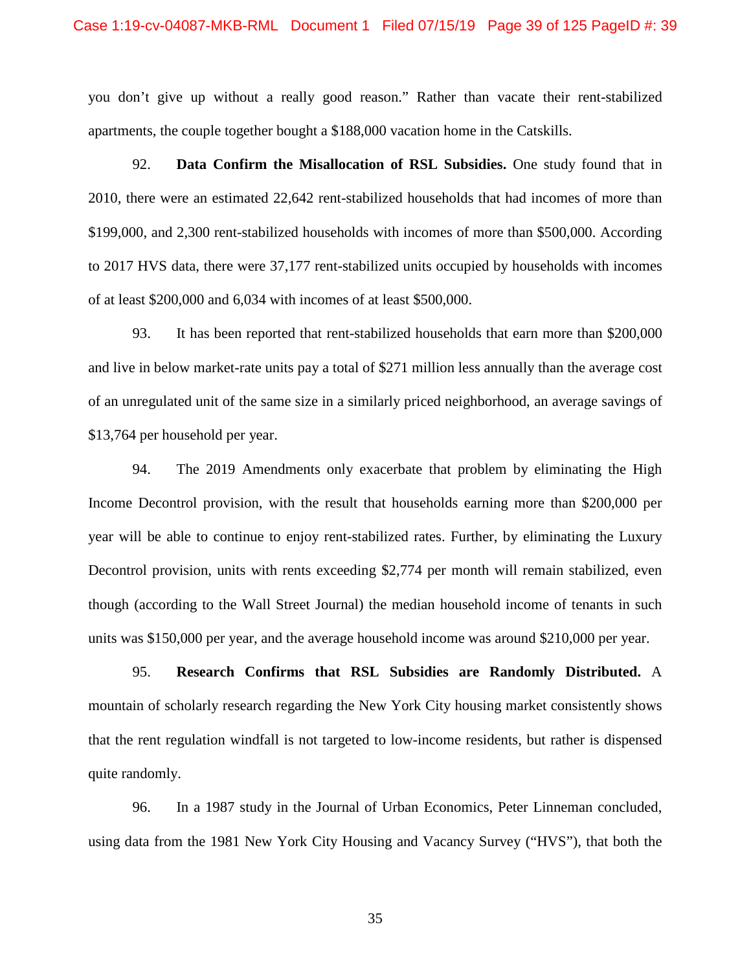you don't give up without a really good reason." Rather than vacate their rent-stabilized apartments, the couple together bought a \$188,000 vacation home in the Catskills.

92. **Data Confirm the Misallocation of RSL Subsidies.** One study found that in 2010, there were an estimated 22,642 rent-stabilized households that had incomes of more than \$199,000, and 2,300 rent-stabilized households with incomes of more than \$500,000. According to 2017 HVS data, there were 37,177 rent-stabilized units occupied by households with incomes of at least \$200,000 and 6,034 with incomes of at least \$500,000.

93. It has been reported that rent-stabilized households that earn more than \$200,000 and live in below market-rate units pay a total of \$271 million less annually than the average cost of an unregulated unit of the same size in a similarly priced neighborhood, an average savings of \$13,764 per household per year.

94. The 2019 Amendments only exacerbate that problem by eliminating the High Income Decontrol provision, with the result that households earning more than \$200,000 per year will be able to continue to enjoy rent-stabilized rates. Further, by eliminating the Luxury Decontrol provision, units with rents exceeding \$2,774 per month will remain stabilized, even though (according to the Wall Street Journal) the median household income of tenants in such units was \$150,000 per year, and the average household income was around \$210,000 per year.

95. **Research Confirms that RSL Subsidies are Randomly Distributed.** A mountain of scholarly research regarding the New York City housing market consistently shows that the rent regulation windfall is not targeted to low-income residents, but rather is dispensed quite randomly.

96. In a 1987 study in the Journal of Urban Economics, Peter Linneman concluded, using data from the 1981 New York City Housing and Vacancy Survey ("HVS"), that both the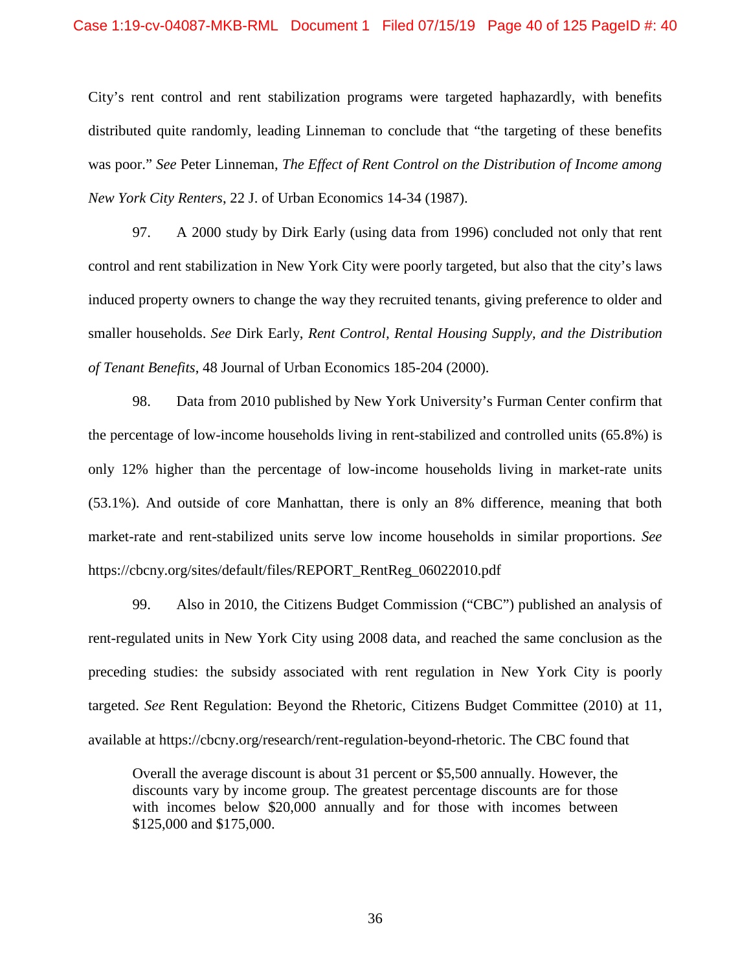City's rent control and rent stabilization programs were targeted haphazardly, with benefits distributed quite randomly, leading Linneman to conclude that "the targeting of these benefits was poor." *See* Peter Linneman, *The Effect of Rent Control on the Distribution of Income among New York City Renters*, 22 J. of Urban Economics 14-34 (1987).

97. A 2000 study by Dirk Early (using data from 1996) concluded not only that rent control and rent stabilization in New York City were poorly targeted, but also that the city's laws induced property owners to change the way they recruited tenants, giving preference to older and smaller households. *See* Dirk Early, *Rent Control, Rental Housing Supply, and the Distribution of Tenant Benefits*, 48 Journal of Urban Economics 185-204 (2000).

98. Data from 2010 published by New York University's Furman Center confirm that the percentage of low-income households living in rent-stabilized and controlled units (65.8%) is only 12% higher than the percentage of low-income households living in market-rate units (53.1%). And outside of core Manhattan, there is only an 8% difference, meaning that both market-rate and rent-stabilized units serve low income households in similar proportions. *See* https://cbcny.org/sites/default/files/REPORT\_RentReg\_06022010.pdf

99. Also in 2010, the Citizens Budget Commission ("CBC") published an analysis of rent-regulated units in New York City using 2008 data, and reached the same conclusion as the preceding studies: the subsidy associated with rent regulation in New York City is poorly targeted. *See* Rent Regulation: Beyond the Rhetoric, Citizens Budget Committee (2010) at 11, available at https://cbcny.org/research/rent-regulation-beyond-rhetoric. The CBC found that

Overall the average discount is about 31 percent or \$5,500 annually. However, the discounts vary by income group. The greatest percentage discounts are for those with incomes below \$20,000 annually and for those with incomes between \$125,000 and \$175,000.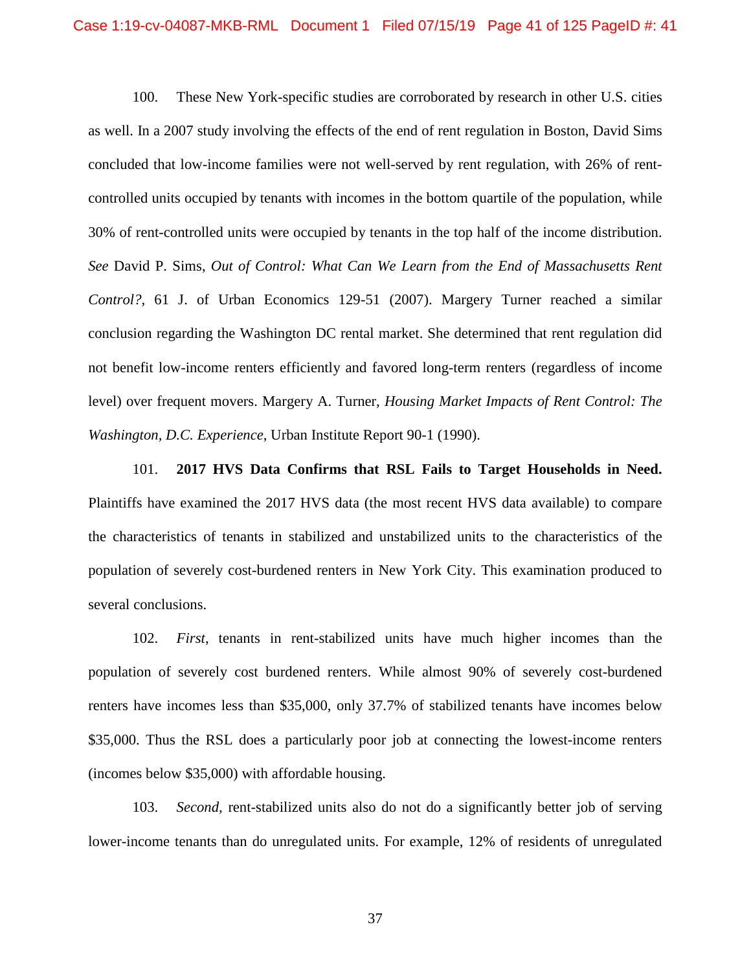100. These New York-specific studies are corroborated by research in other U.S. cities as well. In a 2007 study involving the effects of the end of rent regulation in Boston, David Sims concluded that low-income families were not well-served by rent regulation, with 26% of rentcontrolled units occupied by tenants with incomes in the bottom quartile of the population, while 30% of rent-controlled units were occupied by tenants in the top half of the income distribution. *See* David P. Sims, *Out of Control: What Can We Learn from the End of Massachusetts Rent Control?*, 61 J. of Urban Economics 129-51 (2007). Margery Turner reached a similar conclusion regarding the Washington DC rental market. She determined that rent regulation did not benefit low-income renters efficiently and favored long-term renters (regardless of income level) over frequent movers. Margery A. Turner, *Housing Market Impacts of Rent Control: The Washington, D.C. Experience*, Urban Institute Report 90-1 (1990).

101. **2017 HVS Data Confirms that RSL Fails to Target Households in Need.** Plaintiffs have examined the 2017 HVS data (the most recent HVS data available) to compare the characteristics of tenants in stabilized and unstabilized units to the characteristics of the population of severely cost-burdened renters in New York City. This examination produced to several conclusions.

102. *First*, tenants in rent-stabilized units have much higher incomes than the population of severely cost burdened renters. While almost 90% of severely cost-burdened renters have incomes less than \$35,000, only 37.7% of stabilized tenants have incomes below \$35,000. Thus the RSL does a particularly poor job at connecting the lowest-income renters (incomes below \$35,000) with affordable housing.

103. *Second,* rent-stabilized units also do not do a significantly better job of serving lower-income tenants than do unregulated units. For example, 12% of residents of unregulated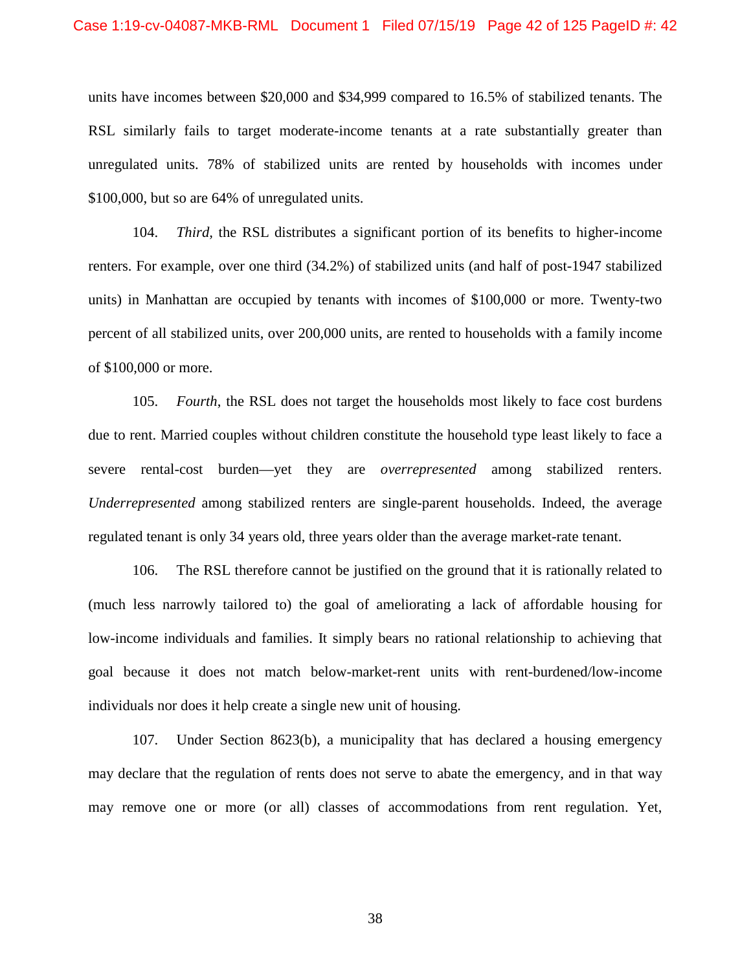units have incomes between \$20,000 and \$34,999 compared to 16.5% of stabilized tenants. The RSL similarly fails to target moderate-income tenants at a rate substantially greater than unregulated units. 78% of stabilized units are rented by households with incomes under \$100,000, but so are 64% of unregulated units.

104. *Third,* the RSL distributes a significant portion of its benefits to higher-income renters. For example, over one third (34.2%) of stabilized units (and half of post-1947 stabilized units) in Manhattan are occupied by tenants with incomes of \$100,000 or more. Twenty-two percent of all stabilized units, over 200,000 units, are rented to households with a family income of \$100,000 or more.

105. *Fourth*, the RSL does not target the households most likely to face cost burdens due to rent. Married couples without children constitute the household type least likely to face a severe rental-cost burden—yet they are *overrepresented* among stabilized renters. *Underrepresented* among stabilized renters are single-parent households. Indeed, the average regulated tenant is only 34 years old, three years older than the average market-rate tenant.

106. The RSL therefore cannot be justified on the ground that it is rationally related to (much less narrowly tailored to) the goal of ameliorating a lack of affordable housing for low-income individuals and families. It simply bears no rational relationship to achieving that goal because it does not match below-market-rent units with rent-burdened/low-income individuals nor does it help create a single new unit of housing.

107. Under Section 8623(b), a municipality that has declared a housing emergency may declare that the regulation of rents does not serve to abate the emergency, and in that way may remove one or more (or all) classes of accommodations from rent regulation. Yet,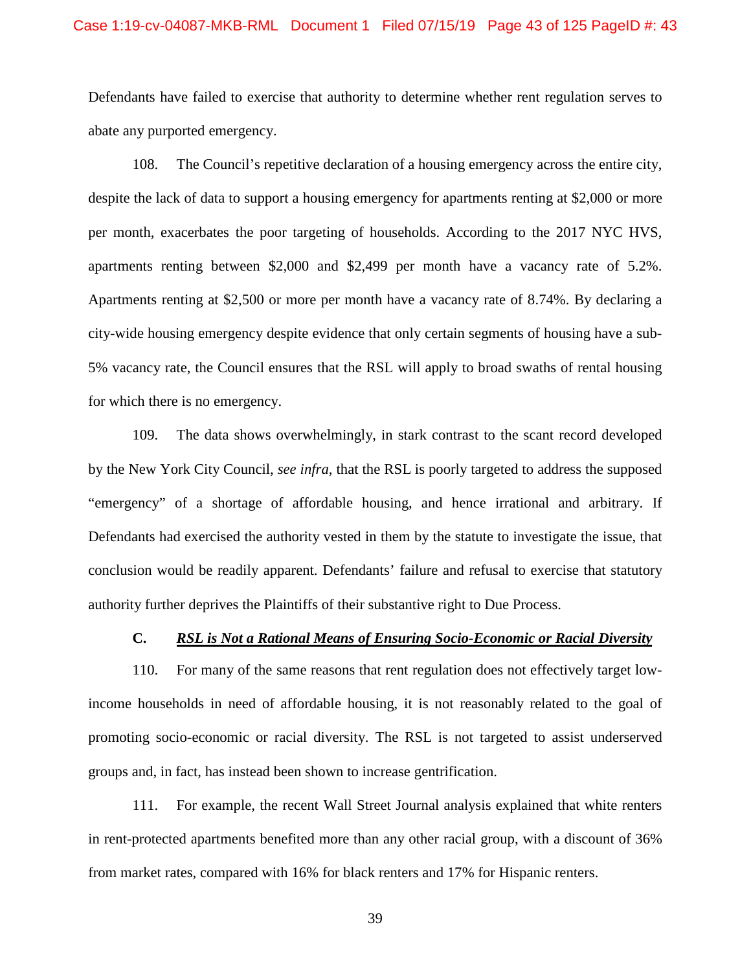### Case 1:19-cv-04087-MKB-RML Document 1 Filed 07/15/19 Page 43 of 125 PageID #: 43

Defendants have failed to exercise that authority to determine whether rent regulation serves to abate any purported emergency.

108. The Council's repetitive declaration of a housing emergency across the entire city, despite the lack of data to support a housing emergency for apartments renting at \$2,000 or more per month, exacerbates the poor targeting of households. According to the 2017 NYC HVS, apartments renting between \$2,000 and \$2,499 per month have a vacancy rate of 5.2%. Apartments renting at \$2,500 or more per month have a vacancy rate of 8.74%. By declaring a city-wide housing emergency despite evidence that only certain segments of housing have a sub-5% vacancy rate, the Council ensures that the RSL will apply to broad swaths of rental housing for which there is no emergency.

109. The data shows overwhelmingly, in stark contrast to the scant record developed by the New York City Council, *see infra*, that the RSL is poorly targeted to address the supposed "emergency" of a shortage of affordable housing, and hence irrational and arbitrary. If Defendants had exercised the authority vested in them by the statute to investigate the issue, that conclusion would be readily apparent. Defendants' failure and refusal to exercise that statutory authority further deprives the Plaintiffs of their substantive right to Due Process.

### **C.** *RSL is Not a Rational Means of Ensuring Socio-Economic or Racial Diversity*

110. For many of the same reasons that rent regulation does not effectively target lowincome households in need of affordable housing, it is not reasonably related to the goal of promoting socio-economic or racial diversity. The RSL is not targeted to assist underserved groups and, in fact, has instead been shown to increase gentrification.

111. For example, the recent Wall Street Journal analysis explained that white renters in rent-protected apartments benefited more than any other racial group, with a discount of 36% from market rates, compared with 16% for black renters and 17% for Hispanic renters.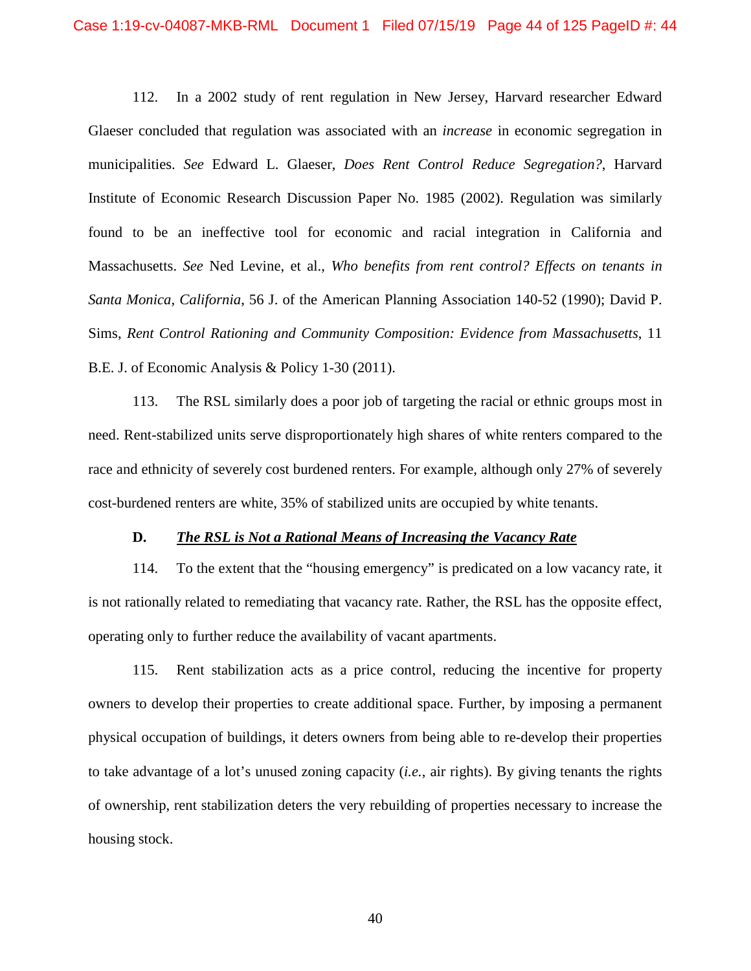112. In a 2002 study of rent regulation in New Jersey, Harvard researcher Edward Glaeser concluded that regulation was associated with an *increase* in economic segregation in municipalities. *See* Edward L. Glaeser, *Does Rent Control Reduce Segregation?*, Harvard Institute of Economic Research Discussion Paper No. 1985 (2002). Regulation was similarly found to be an ineffective tool for economic and racial integration in California and Massachusetts. *See* Ned Levine, et al., *Who benefits from rent control? Effects on tenants in Santa Monica, California*, 56 J. of the American Planning Association 140-52 (1990); David P. Sims, *Rent Control Rationing and Community Composition: Evidence from Massachusetts*, 11 B.E. J. of Economic Analysis & Policy 1-30 (2011).

113. The RSL similarly does a poor job of targeting the racial or ethnic groups most in need. Rent-stabilized units serve disproportionately high shares of white renters compared to the race and ethnicity of severely cost burdened renters. For example, although only 27% of severely cost-burdened renters are white, 35% of stabilized units are occupied by white tenants.

### **D.** *The RSL is Not a Rational Means of Increasing the Vacancy Rate*

114. To the extent that the "housing emergency" is predicated on a low vacancy rate, it is not rationally related to remediating that vacancy rate. Rather, the RSL has the opposite effect, operating only to further reduce the availability of vacant apartments.

115. Rent stabilization acts as a price control, reducing the incentive for property owners to develop their properties to create additional space. Further, by imposing a permanent physical occupation of buildings, it deters owners from being able to re-develop their properties to take advantage of a lot's unused zoning capacity (*i.e.*, air rights). By giving tenants the rights of ownership, rent stabilization deters the very rebuilding of properties necessary to increase the housing stock.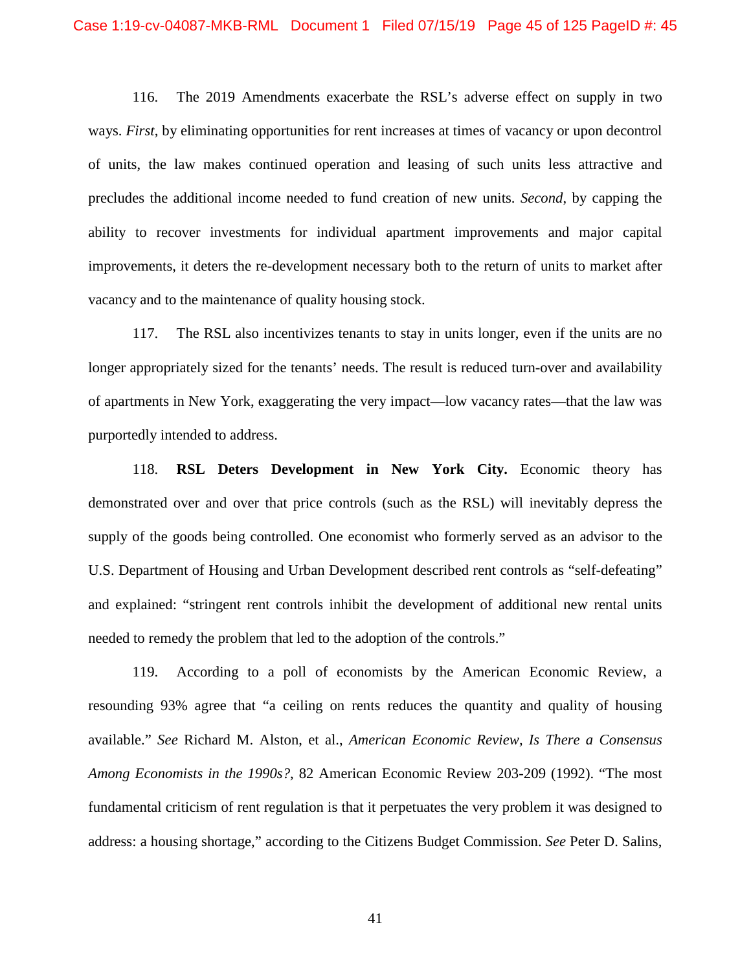116. The 2019 Amendments exacerbate the RSL's adverse effect on supply in two ways. *First*, by eliminating opportunities for rent increases at times of vacancy or upon decontrol of units, the law makes continued operation and leasing of such units less attractive and precludes the additional income needed to fund creation of new units. *Second*, by capping the ability to recover investments for individual apartment improvements and major capital improvements, it deters the re-development necessary both to the return of units to market after vacancy and to the maintenance of quality housing stock.

117. The RSL also incentivizes tenants to stay in units longer, even if the units are no longer appropriately sized for the tenants' needs. The result is reduced turn-over and availability of apartments in New York, exaggerating the very impact—low vacancy rates—that the law was purportedly intended to address.

118. **RSL Deters Development in New York City.** Economic theory has demonstrated over and over that price controls (such as the RSL) will inevitably depress the supply of the goods being controlled. One economist who formerly served as an advisor to the U.S. Department of Housing and Urban Development described rent controls as "self-defeating" and explained: "stringent rent controls inhibit the development of additional new rental units needed to remedy the problem that led to the adoption of the controls."

119. According to a poll of economists by the American Economic Review, a resounding 93% agree that "a ceiling on rents reduces the quantity and quality of housing available." *See* Richard M. Alston, et al., *American Economic Review, Is There a Consensus Among Economists in the 1990s?*, 82 American Economic Review 203-209 (1992). "The most fundamental criticism of rent regulation is that it perpetuates the very problem it was designed to address: a housing shortage," according to the Citizens Budget Commission. *See* Peter D. Salins,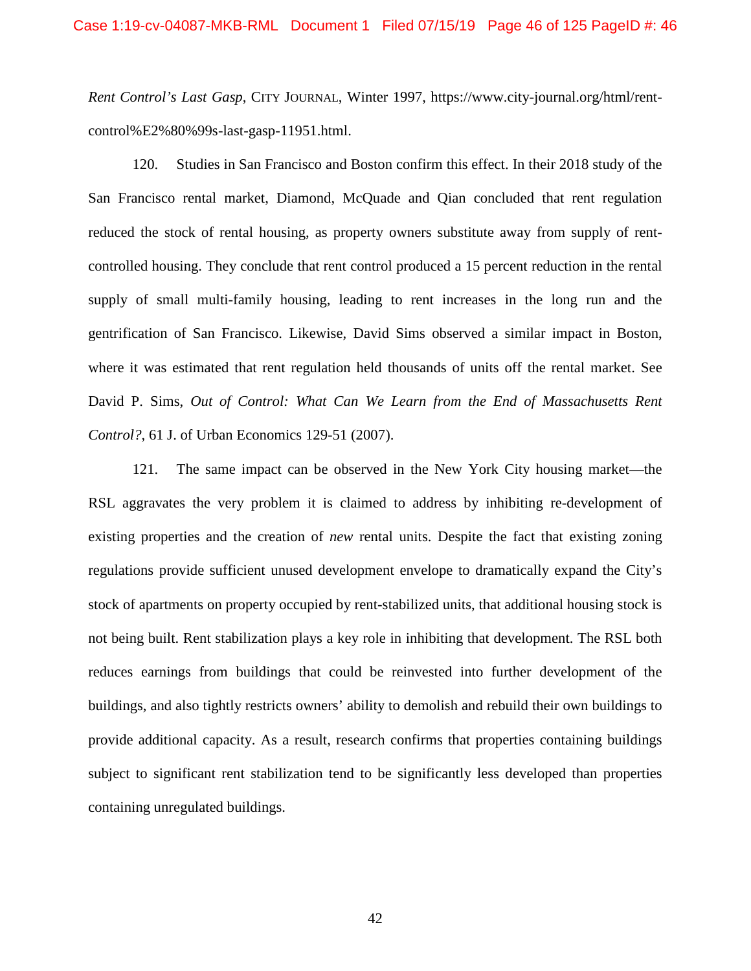*Rent Control's Last Gasp*, CITY JOURNAL, Winter 1997, https://www.city-journal.org/html/rentcontrol%E2%80%99s-last-gasp-11951.html.

120. Studies in San Francisco and Boston confirm this effect. In their 2018 study of the San Francisco rental market, Diamond, McQuade and Qian concluded that rent regulation reduced the stock of rental housing, as property owners substitute away from supply of rentcontrolled housing. They conclude that rent control produced a 15 percent reduction in the rental supply of small multi-family housing, leading to rent increases in the long run and the gentrification of San Francisco. Likewise, David Sims observed a similar impact in Boston, where it was estimated that rent regulation held thousands of units off the rental market. See David P. Sims, *Out of Control: What Can We Learn from the End of Massachusetts Rent Control?*, 61 J. of Urban Economics 129-51 (2007).

121. The same impact can be observed in the New York City housing market—the RSL aggravates the very problem it is claimed to address by inhibiting re-development of existing properties and the creation of *new* rental units. Despite the fact that existing zoning regulations provide sufficient unused development envelope to dramatically expand the City's stock of apartments on property occupied by rent-stabilized units, that additional housing stock is not being built. Rent stabilization plays a key role in inhibiting that development. The RSL both reduces earnings from buildings that could be reinvested into further development of the buildings, and also tightly restricts owners' ability to demolish and rebuild their own buildings to provide additional capacity. As a result, research confirms that properties containing buildings subject to significant rent stabilization tend to be significantly less developed than properties containing unregulated buildings.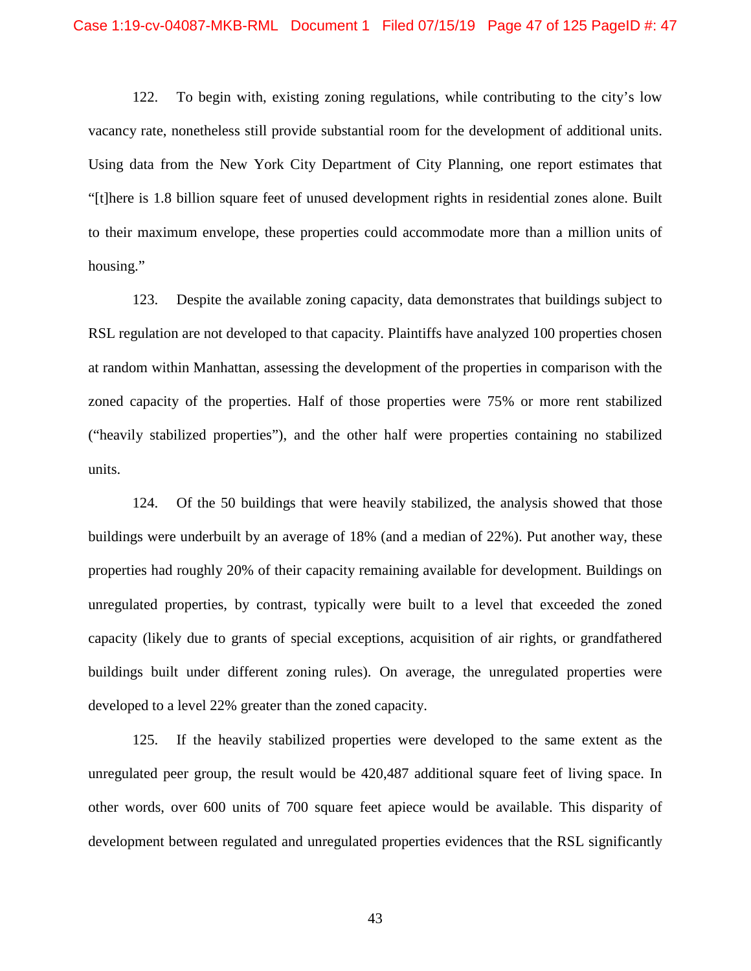122. To begin with, existing zoning regulations, while contributing to the city's low vacancy rate, nonetheless still provide substantial room for the development of additional units. Using data from the New York City Department of City Planning, one report estimates that "[t]here is 1.8 billion square feet of unused development rights in residential zones alone. Built to their maximum envelope, these properties could accommodate more than a million units of housing."

123. Despite the available zoning capacity, data demonstrates that buildings subject to RSL regulation are not developed to that capacity. Plaintiffs have analyzed 100 properties chosen at random within Manhattan, assessing the development of the properties in comparison with the zoned capacity of the properties. Half of those properties were 75% or more rent stabilized ("heavily stabilized properties"), and the other half were properties containing no stabilized units.

124. Of the 50 buildings that were heavily stabilized, the analysis showed that those buildings were underbuilt by an average of 18% (and a median of 22%). Put another way, these properties had roughly 20% of their capacity remaining available for development. Buildings on unregulated properties, by contrast, typically were built to a level that exceeded the zoned capacity (likely due to grants of special exceptions, acquisition of air rights, or grandfathered buildings built under different zoning rules). On average, the unregulated properties were developed to a level 22% greater than the zoned capacity.

125. If the heavily stabilized properties were developed to the same extent as the unregulated peer group, the result would be 420,487 additional square feet of living space. In other words, over 600 units of 700 square feet apiece would be available. This disparity of development between regulated and unregulated properties evidences that the RSL significantly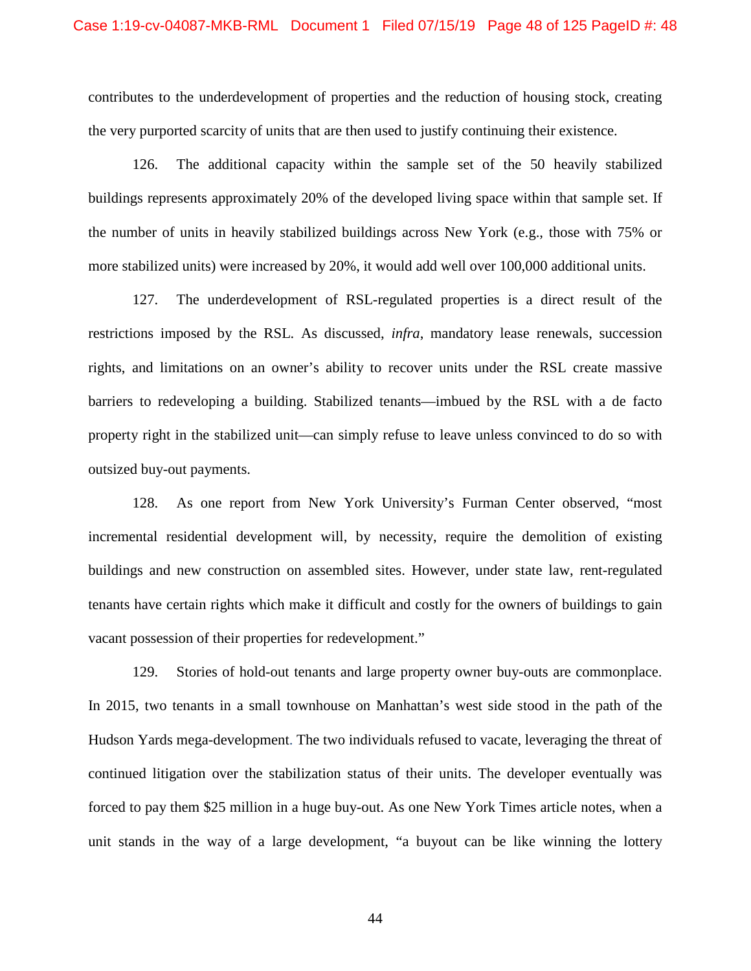contributes to the underdevelopment of properties and the reduction of housing stock, creating the very purported scarcity of units that are then used to justify continuing their existence.

126. The additional capacity within the sample set of the 50 heavily stabilized buildings represents approximately 20% of the developed living space within that sample set. If the number of units in heavily stabilized buildings across New York (e.g., those with 75% or more stabilized units) were increased by 20%, it would add well over 100,000 additional units.

127. The underdevelopment of RSL-regulated properties is a direct result of the restrictions imposed by the RSL. As discussed, *infra*, mandatory lease renewals, succession rights, and limitations on an owner's ability to recover units under the RSL create massive barriers to redeveloping a building. Stabilized tenants—imbued by the RSL with a de facto property right in the stabilized unit—can simply refuse to leave unless convinced to do so with outsized buy-out payments.

128. As one report from New York University's Furman Center observed, "most incremental residential development will, by necessity, require the demolition of existing buildings and new construction on assembled sites. However, under state law, rent-regulated tenants have certain rights which make it difficult and costly for the owners of buildings to gain vacant possession of their properties for redevelopment."

129. Stories of hold-out tenants and large property owner buy-outs are commonplace. In 2015, two tenants in a small townhouse on Manhattan's west side stood in the path of the Hudson Yards mega-development. The two individuals refused to vacate, leveraging the threat of continued litigation over the stabilization status of their units. The developer eventually was forced to pay them \$25 million in a huge buy-out. As one New York Times article notes, when a unit stands in the way of a large development, "a buyout can be like winning the lottery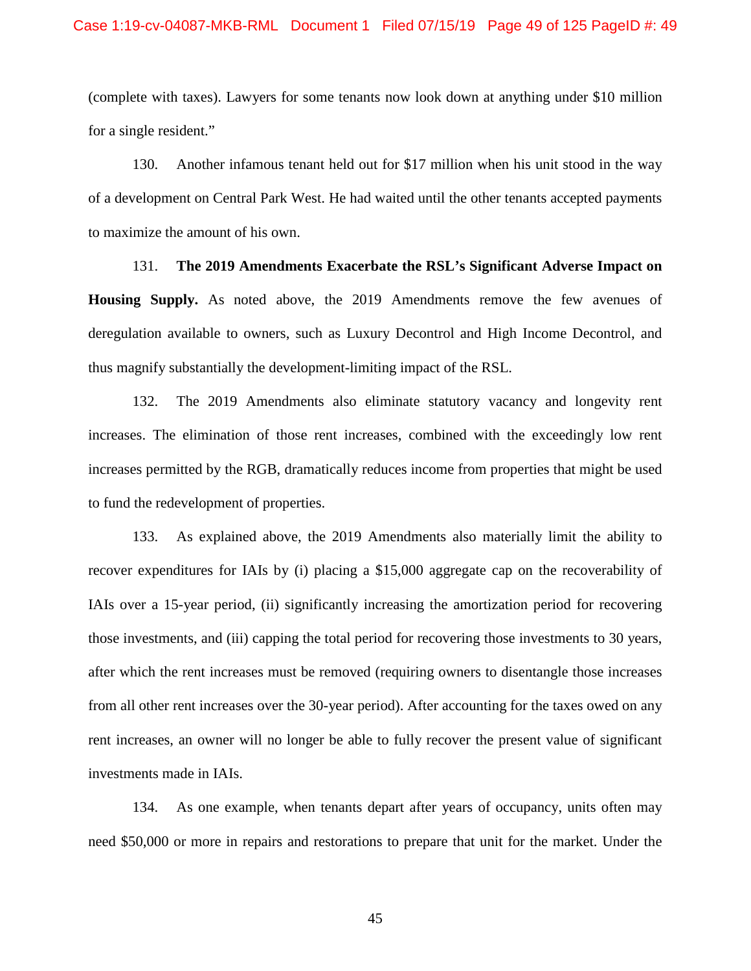(complete with taxes). Lawyers for some tenants now look down at anything under \$10 million for a single resident."

130. Another infamous tenant held out for \$17 million when his unit stood in the way of a development on Central Park West. He had waited until the other tenants accepted payments to maximize the amount of his own.

131. **The 2019 Amendments Exacerbate the RSL's Significant Adverse Impact on Housing Supply.** As noted above, the 2019 Amendments remove the few avenues of deregulation available to owners, such as Luxury Decontrol and High Income Decontrol, and thus magnify substantially the development-limiting impact of the RSL.

132. The 2019 Amendments also eliminate statutory vacancy and longevity rent increases. The elimination of those rent increases, combined with the exceedingly low rent increases permitted by the RGB, dramatically reduces income from properties that might be used to fund the redevelopment of properties.

133. As explained above, the 2019 Amendments also materially limit the ability to recover expenditures for IAIs by (i) placing a \$15,000 aggregate cap on the recoverability of IAIs over a 15-year period, (ii) significantly increasing the amortization period for recovering those investments, and (iii) capping the total period for recovering those investments to 30 years, after which the rent increases must be removed (requiring owners to disentangle those increases from all other rent increases over the 30-year period). After accounting for the taxes owed on any rent increases, an owner will no longer be able to fully recover the present value of significant investments made in IAIs.

134. As one example, when tenants depart after years of occupancy, units often may need \$50,000 or more in repairs and restorations to prepare that unit for the market. Under the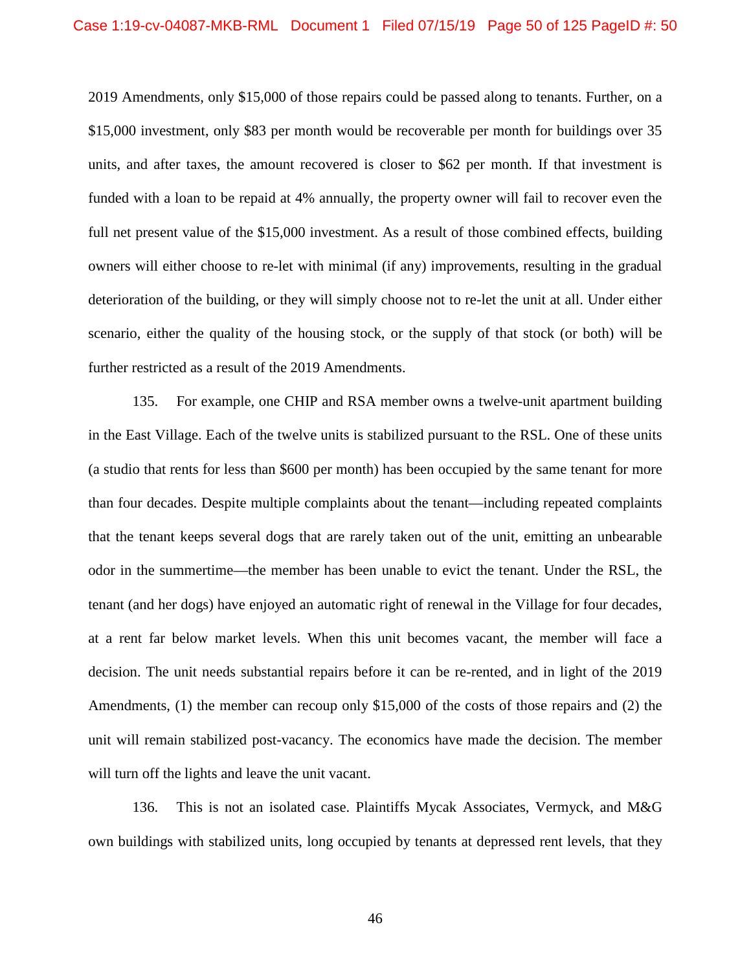2019 Amendments, only \$15,000 of those repairs could be passed along to tenants. Further, on a \$15,000 investment, only \$83 per month would be recoverable per month for buildings over 35 units, and after taxes, the amount recovered is closer to \$62 per month. If that investment is funded with a loan to be repaid at 4% annually, the property owner will fail to recover even the full net present value of the \$15,000 investment. As a result of those combined effects, building owners will either choose to re-let with minimal (if any) improvements, resulting in the gradual deterioration of the building, or they will simply choose not to re-let the unit at all. Under either scenario, either the quality of the housing stock, or the supply of that stock (or both) will be further restricted as a result of the 2019 Amendments.

135. For example, one CHIP and RSA member owns a twelve-unit apartment building in the East Village. Each of the twelve units is stabilized pursuant to the RSL. One of these units (a studio that rents for less than \$600 per month) has been occupied by the same tenant for more than four decades. Despite multiple complaints about the tenant—including repeated complaints that the tenant keeps several dogs that are rarely taken out of the unit, emitting an unbearable odor in the summertime—the member has been unable to evict the tenant. Under the RSL, the tenant (and her dogs) have enjoyed an automatic right of renewal in the Village for four decades, at a rent far below market levels. When this unit becomes vacant, the member will face a decision. The unit needs substantial repairs before it can be re-rented, and in light of the 2019 Amendments, (1) the member can recoup only \$15,000 of the costs of those repairs and (2) the unit will remain stabilized post-vacancy. The economics have made the decision. The member will turn off the lights and leave the unit vacant.

136. This is not an isolated case. Plaintiffs Mycak Associates, Vermyck, and M&G own buildings with stabilized units, long occupied by tenants at depressed rent levels, that they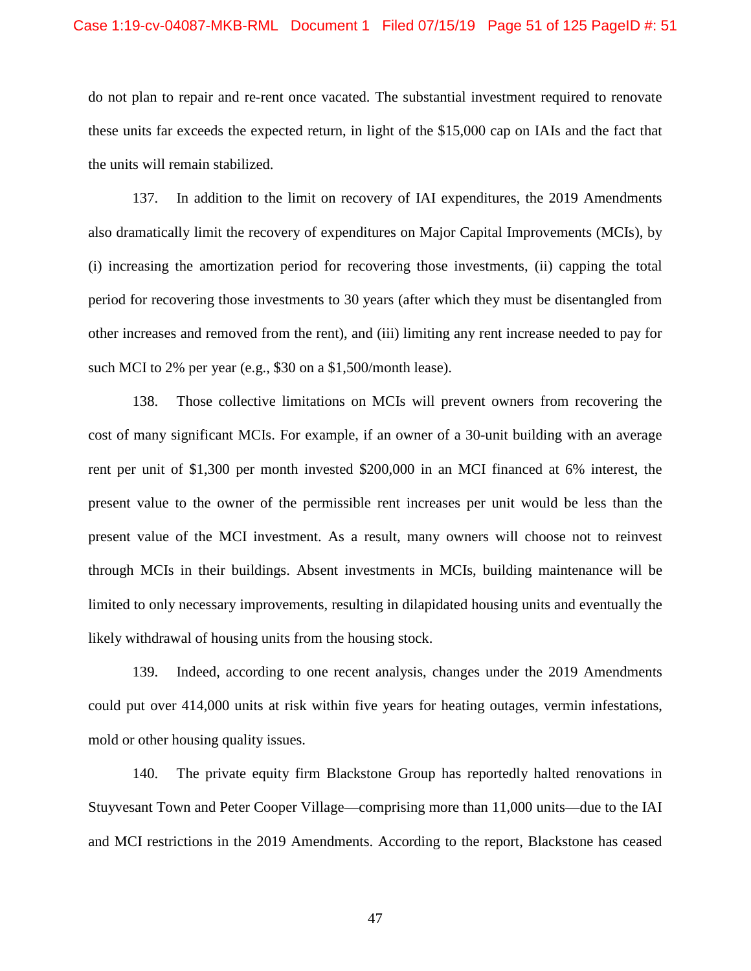do not plan to repair and re-rent once vacated. The substantial investment required to renovate these units far exceeds the expected return, in light of the \$15,000 cap on IAIs and the fact that the units will remain stabilized.

137. In addition to the limit on recovery of IAI expenditures, the 2019 Amendments also dramatically limit the recovery of expenditures on Major Capital Improvements (MCIs), by (i) increasing the amortization period for recovering those investments, (ii) capping the total period for recovering those investments to 30 years (after which they must be disentangled from other increases and removed from the rent), and (iii) limiting any rent increase needed to pay for such MCI to 2% per year (e.g., \$30 on a \$1,500/month lease).

138. Those collective limitations on MCIs will prevent owners from recovering the cost of many significant MCIs. For example, if an owner of a 30-unit building with an average rent per unit of \$1,300 per month invested \$200,000 in an MCI financed at 6% interest, the present value to the owner of the permissible rent increases per unit would be less than the present value of the MCI investment. As a result, many owners will choose not to reinvest through MCIs in their buildings. Absent investments in MCIs, building maintenance will be limited to only necessary improvements, resulting in dilapidated housing units and eventually the likely withdrawal of housing units from the housing stock.

139. Indeed, according to one recent analysis, changes under the 2019 Amendments could put over 414,000 units at risk within five years for heating outages, vermin infestations, mold or other housing quality issues.

140. The private equity firm Blackstone Group has reportedly halted renovations in Stuyvesant Town and Peter Cooper Village—comprising more than 11,000 units—due to the IAI and MCI restrictions in the 2019 Amendments. According to the report, Blackstone has ceased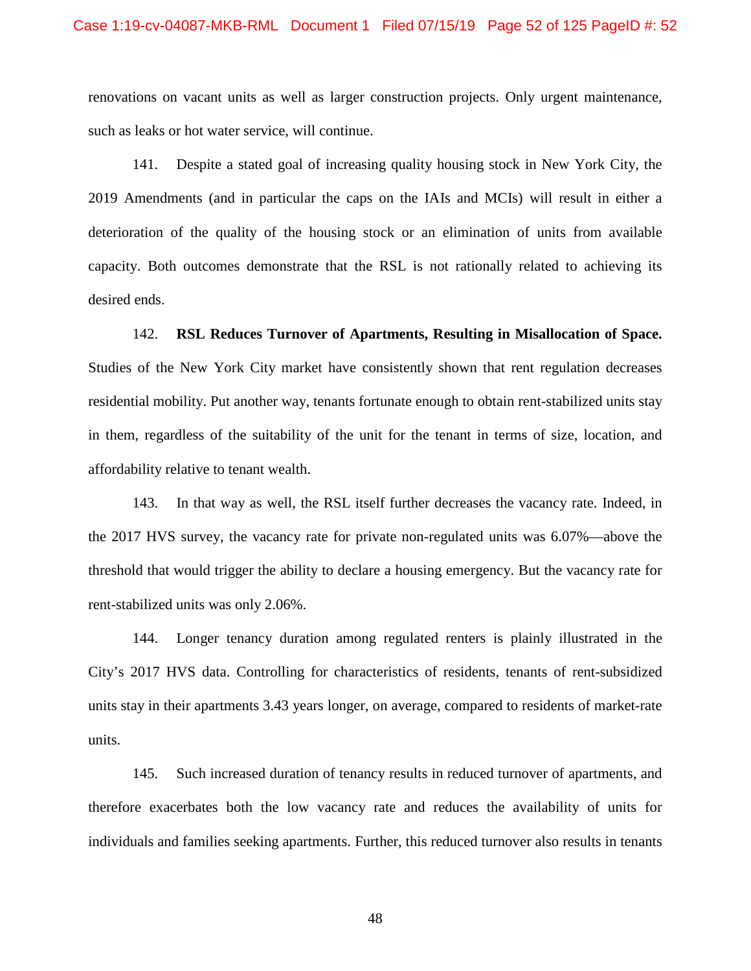renovations on vacant units as well as larger construction projects. Only urgent maintenance, such as leaks or hot water service, will continue.

141. Despite a stated goal of increasing quality housing stock in New York City, the 2019 Amendments (and in particular the caps on the IAIs and MCIs) will result in either a deterioration of the quality of the housing stock or an elimination of units from available capacity. Both outcomes demonstrate that the RSL is not rationally related to achieving its desired ends.

142. **RSL Reduces Turnover of Apartments, Resulting in Misallocation of Space.** Studies of the New York City market have consistently shown that rent regulation decreases residential mobility. Put another way, tenants fortunate enough to obtain rent-stabilized units stay in them, regardless of the suitability of the unit for the tenant in terms of size, location, and affordability relative to tenant wealth.

143. In that way as well, the RSL itself further decreases the vacancy rate. Indeed, in the 2017 HVS survey, the vacancy rate for private non-regulated units was 6.07%—above the threshold that would trigger the ability to declare a housing emergency. But the vacancy rate for rent-stabilized units was only 2.06%.

144. Longer tenancy duration among regulated renters is plainly illustrated in the City's 2017 HVS data. Controlling for characteristics of residents, tenants of rent-subsidized units stay in their apartments 3.43 years longer, on average, compared to residents of market-rate units.

145. Such increased duration of tenancy results in reduced turnover of apartments, and therefore exacerbates both the low vacancy rate and reduces the availability of units for individuals and families seeking apartments. Further, this reduced turnover also results in tenants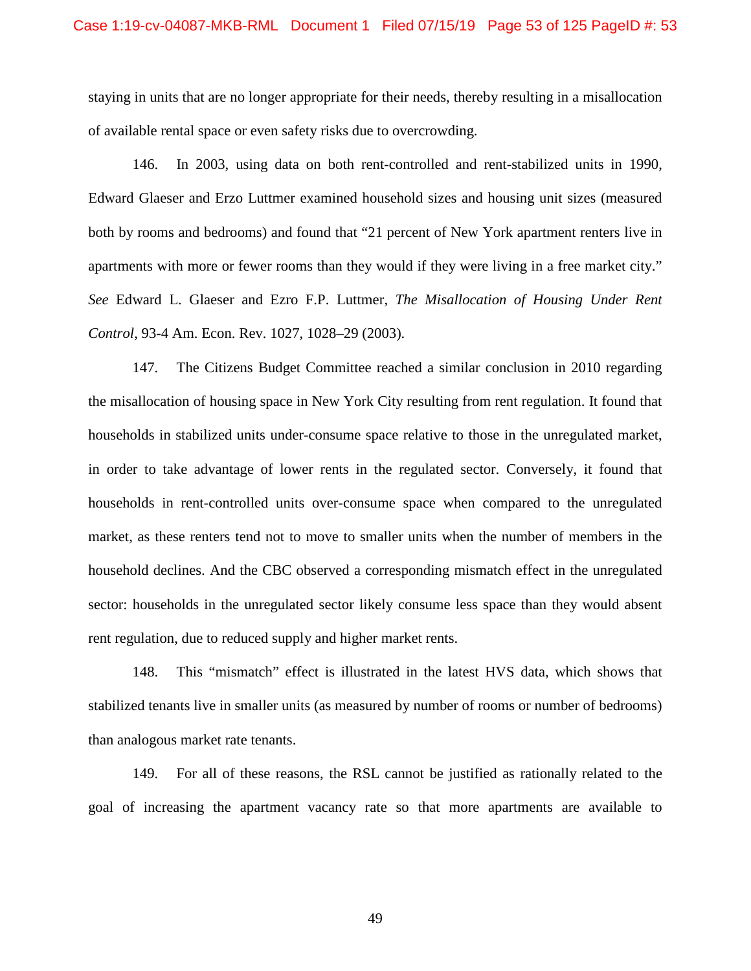staying in units that are no longer appropriate for their needs, thereby resulting in a misallocation of available rental space or even safety risks due to overcrowding.

146. In 2003, using data on both rent-controlled and rent-stabilized units in 1990, Edward Glaeser and Erzo Luttmer examined household sizes and housing unit sizes (measured both by rooms and bedrooms) and found that "21 percent of New York apartment renters live in apartments with more or fewer rooms than they would if they were living in a free market city." *See* Edward L. Glaeser and Ezro F.P. Luttmer, *The Misallocation of Housing Under Rent Control*, 93-4 Am. Econ. Rev. 1027, 1028–29 (2003).

147. The Citizens Budget Committee reached a similar conclusion in 2010 regarding the misallocation of housing space in New York City resulting from rent regulation. It found that households in stabilized units under-consume space relative to those in the unregulated market, in order to take advantage of lower rents in the regulated sector. Conversely, it found that households in rent-controlled units over-consume space when compared to the unregulated market, as these renters tend not to move to smaller units when the number of members in the household declines. And the CBC observed a corresponding mismatch effect in the unregulated sector: households in the unregulated sector likely consume less space than they would absent rent regulation, due to reduced supply and higher market rents.

148. This "mismatch" effect is illustrated in the latest HVS data, which shows that stabilized tenants live in smaller units (as measured by number of rooms or number of bedrooms) than analogous market rate tenants.

149. For all of these reasons, the RSL cannot be justified as rationally related to the goal of increasing the apartment vacancy rate so that more apartments are available to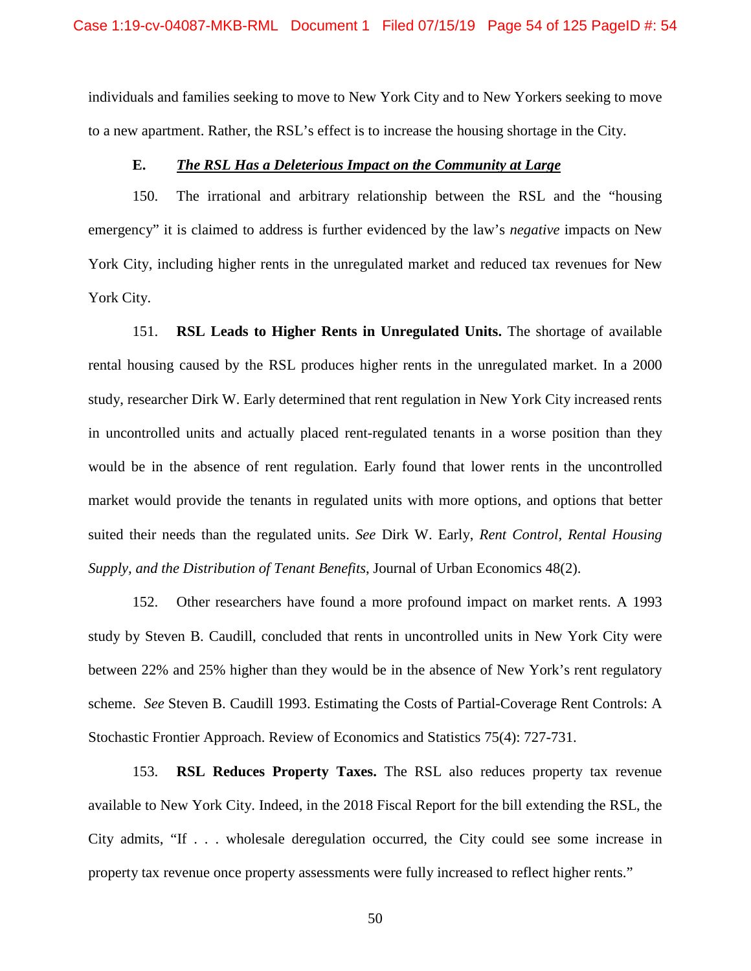individuals and families seeking to move to New York City and to New Yorkers seeking to move to a new apartment. Rather, the RSL's effect is to increase the housing shortage in the City.

## **E.** *The RSL Has a Deleterious Impact on the Community at Large*

150. The irrational and arbitrary relationship between the RSL and the "housing emergency" it is claimed to address is further evidenced by the law's *negative* impacts on New York City, including higher rents in the unregulated market and reduced tax revenues for New York City.

151. **RSL Leads to Higher Rents in Unregulated Units.** The shortage of available rental housing caused by the RSL produces higher rents in the unregulated market. In a 2000 study, researcher Dirk W. Early determined that rent regulation in New York City increased rents in uncontrolled units and actually placed rent-regulated tenants in a worse position than they would be in the absence of rent regulation. Early found that lower rents in the uncontrolled market would provide the tenants in regulated units with more options, and options that better suited their needs than the regulated units. *See* Dirk W. Early, *Rent Control, Rental Housing Supply, and the Distribution of Tenant Benefits*, Journal of Urban Economics 48(2).

152. Other researchers have found a more profound impact on market rents. A 1993 study by Steven B. Caudill, concluded that rents in uncontrolled units in New York City were between 22% and 25% higher than they would be in the absence of New York's rent regulatory scheme. *See* Steven B. Caudill 1993. Estimating the Costs of Partial-Coverage Rent Controls: A Stochastic Frontier Approach. Review of Economics and Statistics 75(4): 727-731.

153. **RSL Reduces Property Taxes.** The RSL also reduces property tax revenue available to New York City. Indeed, in the 2018 Fiscal Report for the bill extending the RSL, the City admits, "If . . . wholesale deregulation occurred, the City could see some increase in property tax revenue once property assessments were fully increased to reflect higher rents."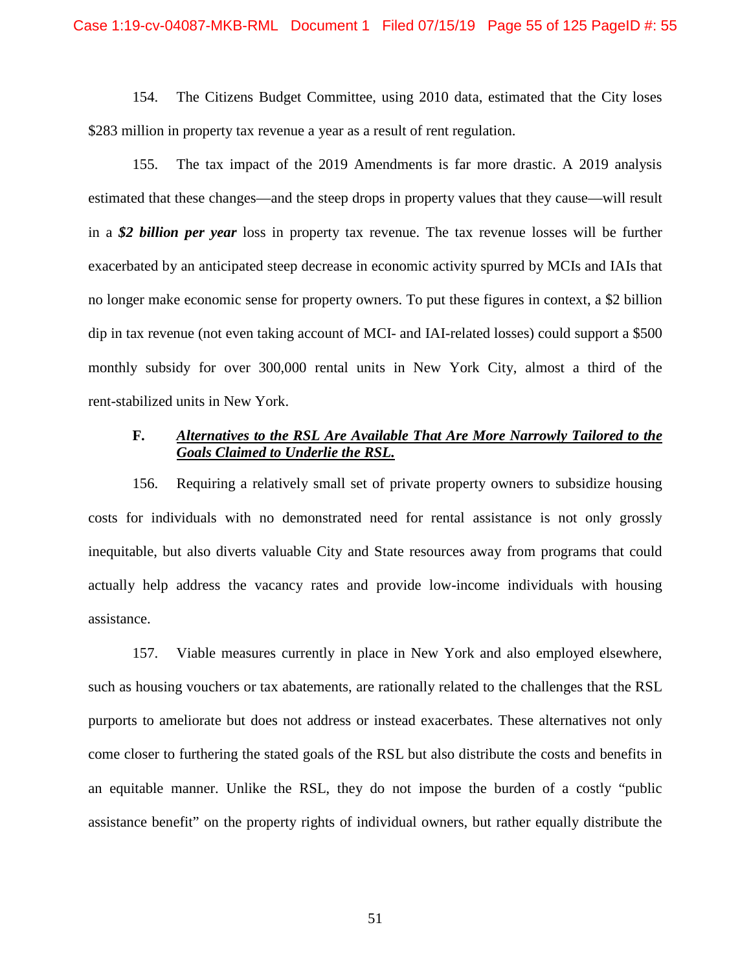154. The Citizens Budget Committee, using 2010 data, estimated that the City loses \$283 million in property tax revenue a year as a result of rent regulation.

155. The tax impact of the 2019 Amendments is far more drastic. A 2019 analysis estimated that these changes—and the steep drops in property values that they cause—will result in a *\$2 billion per year* loss in property tax revenue. The tax revenue losses will be further exacerbated by an anticipated steep decrease in economic activity spurred by MCIs and IAIs that no longer make economic sense for property owners. To put these figures in context, a \$2 billion dip in tax revenue (not even taking account of MCI- and IAI-related losses) could support a \$500 monthly subsidy for over 300,000 rental units in New York City, almost a third of the rent-stabilized units in New York.

# **F.** *Alternatives to the RSL Are Available That Are More Narrowly Tailored to the Goals Claimed to Underlie the RSL.*

156. Requiring a relatively small set of private property owners to subsidize housing costs for individuals with no demonstrated need for rental assistance is not only grossly inequitable, but also diverts valuable City and State resources away from programs that could actually help address the vacancy rates and provide low-income individuals with housing assistance.

157. Viable measures currently in place in New York and also employed elsewhere, such as housing vouchers or tax abatements, are rationally related to the challenges that the RSL purports to ameliorate but does not address or instead exacerbates. These alternatives not only come closer to furthering the stated goals of the RSL but also distribute the costs and benefits in an equitable manner. Unlike the RSL, they do not impose the burden of a costly "public assistance benefit" on the property rights of individual owners, but rather equally distribute the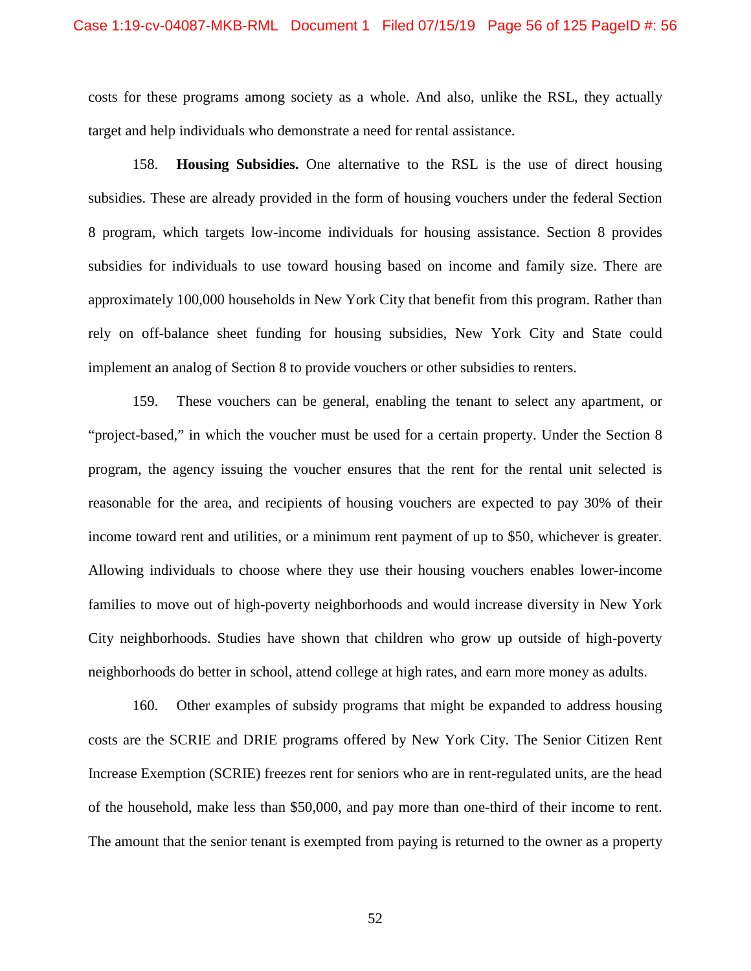costs for these programs among society as a whole. And also, unlike the RSL, they actually target and help individuals who demonstrate a need for rental assistance.

158. **Housing Subsidies.** One alternative to the RSL is the use of direct housing subsidies. These are already provided in the form of housing vouchers under the federal Section 8 program, which targets low-income individuals for housing assistance. Section 8 provides subsidies for individuals to use toward housing based on income and family size. There are approximately 100,000 households in New York City that benefit from this program. Rather than rely on off-balance sheet funding for housing subsidies, New York City and State could implement an analog of Section 8 to provide vouchers or other subsidies to renters.

159. These vouchers can be general, enabling the tenant to select any apartment, or "project-based," in which the voucher must be used for a certain property. Under the Section 8 program, the agency issuing the voucher ensures that the rent for the rental unit selected is reasonable for the area, and recipients of housing vouchers are expected to pay 30% of their income toward rent and utilities, or a minimum rent payment of up to \$50, whichever is greater. Allowing individuals to choose where they use their housing vouchers enables lower-income families to move out of high-poverty neighborhoods and would increase diversity in New York City neighborhoods. Studies have shown that children who grow up outside of high-poverty neighborhoods do better in school, attend college at high rates, and earn more money as adults.

160. Other examples of subsidy programs that might be expanded to address housing costs are the SCRIE and DRIE programs offered by New York City. The Senior Citizen Rent Increase Exemption (SCRIE) freezes rent for seniors who are in rent-regulated units, are the head of the household, make less than \$50,000, and pay more than one-third of their income to rent. The amount that the senior tenant is exempted from paying is returned to the owner as a property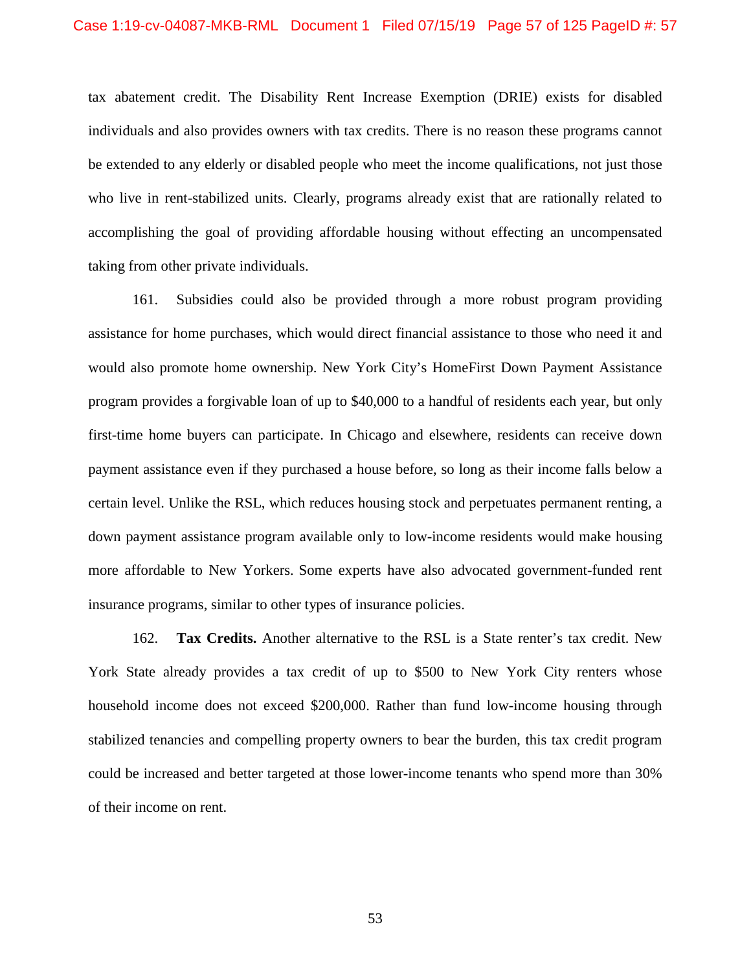tax abatement credit. The Disability Rent Increase Exemption (DRIE) exists for disabled individuals and also provides owners with tax credits. There is no reason these programs cannot be extended to any elderly or disabled people who meet the income qualifications, not just those who live in rent-stabilized units. Clearly, programs already exist that are rationally related to accomplishing the goal of providing affordable housing without effecting an uncompensated taking from other private individuals.

161. Subsidies could also be provided through a more robust program providing assistance for home purchases, which would direct financial assistance to those who need it and would also promote home ownership. New York City's HomeFirst Down Payment Assistance program provides a forgivable loan of up to \$40,000 to a handful of residents each year, but only first-time home buyers can participate. In Chicago and elsewhere, residents can receive down payment assistance even if they purchased a house before, so long as their income falls below a certain level. Unlike the RSL, which reduces housing stock and perpetuates permanent renting, a down payment assistance program available only to low-income residents would make housing more affordable to New Yorkers. Some experts have also advocated government-funded rent insurance programs, similar to other types of insurance policies.

162. **Tax Credits.** Another alternative to the RSL is a State renter's tax credit. New York State already provides a tax credit of up to \$500 to New York City renters whose household income does not exceed \$200,000. Rather than fund low-income housing through stabilized tenancies and compelling property owners to bear the burden, this tax credit program could be increased and better targeted at those lower-income tenants who spend more than 30% of their income on rent.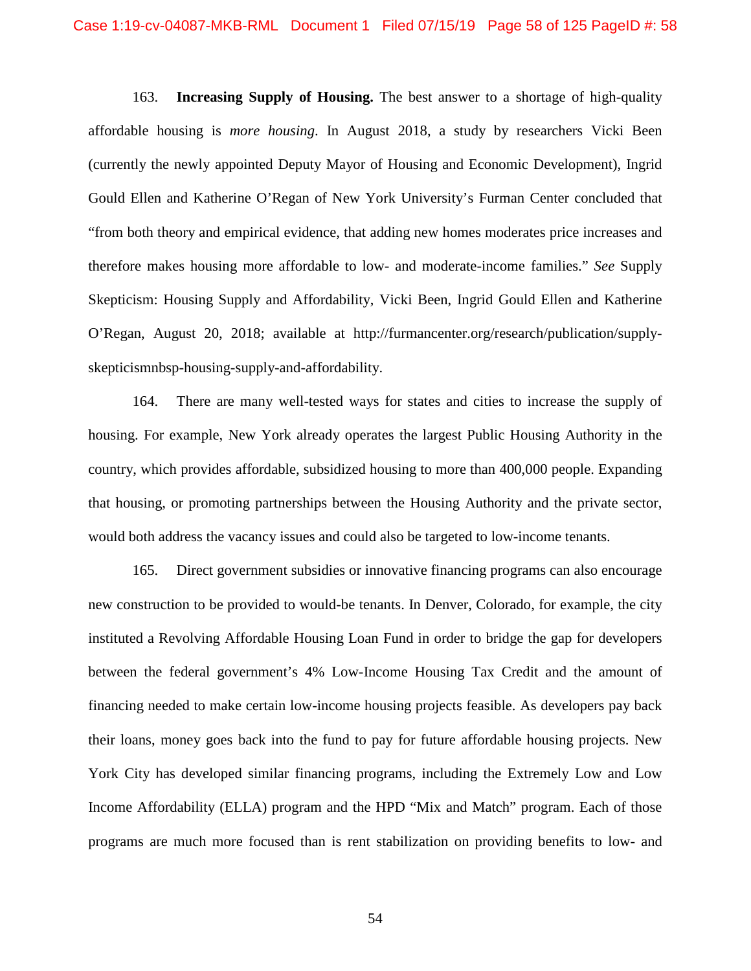163. **Increasing Supply of Housing.** The best answer to a shortage of high-quality affordable housing is *more housing*. In August 2018, a study by researchers Vicki Been (currently the newly appointed Deputy Mayor of Housing and Economic Development), Ingrid Gould Ellen and Katherine O'Regan of New York University's Furman Center concluded that "from both theory and empirical evidence, that adding new homes moderates price increases and therefore makes housing more affordable to low- and moderate-income families." *See* Supply Skepticism: Housing Supply and Affordability, Vicki Been, Ingrid Gould Ellen and Katherine O'Regan, August 20, 2018; available at http://furmancenter.org/research/publication/supplyskepticismnbsp-housing-supply-and-affordability.

164. There are many well-tested ways for states and cities to increase the supply of housing. For example, New York already operates the largest Public Housing Authority in the country, which provides affordable, subsidized housing to more than 400,000 people. Expanding that housing, or promoting partnerships between the Housing Authority and the private sector, would both address the vacancy issues and could also be targeted to low-income tenants.

165. Direct government subsidies or innovative financing programs can also encourage new construction to be provided to would-be tenants. In Denver, Colorado, for example, the city instituted a Revolving Affordable Housing Loan Fund in order to bridge the gap for developers between the federal government's 4% Low-Income Housing Tax Credit and the amount of financing needed to make certain low-income housing projects feasible. As developers pay back their loans, money goes back into the fund to pay for future affordable housing projects. New York City has developed similar financing programs, including the Extremely Low and Low Income Affordability (ELLA) program and the HPD "Mix and Match" program. Each of those programs are much more focused than is rent stabilization on providing benefits to low- and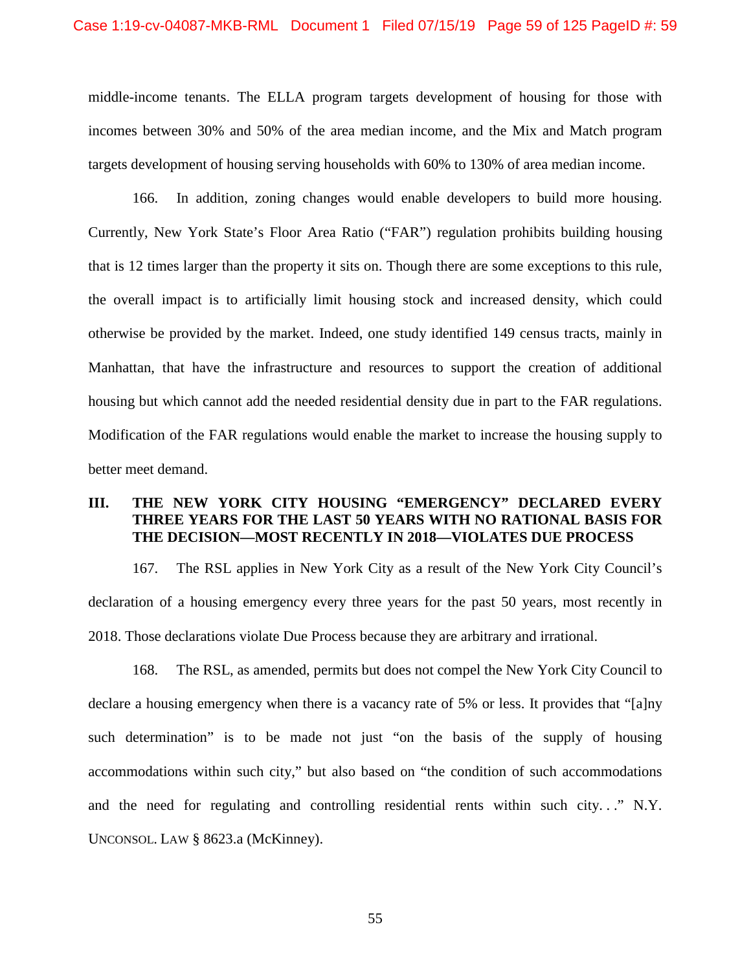middle-income tenants. The ELLA program targets development of housing for those with incomes between 30% and 50% of the area median income, and the Mix and Match program targets development of housing serving households with 60% to 130% of area median income.

166. In addition, zoning changes would enable developers to build more housing. Currently, New York State's Floor Area Ratio ("FAR") regulation prohibits building housing that is 12 times larger than the property it sits on. Though there are some exceptions to this rule, the overall impact is to artificially limit housing stock and increased density, which could otherwise be provided by the market. Indeed, one study identified 149 census tracts, mainly in Manhattan, that have the infrastructure and resources to support the creation of additional housing but which cannot add the needed residential density due in part to the FAR regulations. Modification of the FAR regulations would enable the market to increase the housing supply to better meet demand.

# **III. THE NEW YORK CITY HOUSING "EMERGENCY" DECLARED EVERY THREE YEARS FOR THE LAST 50 YEARS WITH NO RATIONAL BASIS FOR THE DECISION—MOST RECENTLY IN 2018—VIOLATES DUE PROCESS**

167. The RSL applies in New York City as a result of the New York City Council's declaration of a housing emergency every three years for the past 50 years, most recently in 2018. Those declarations violate Due Process because they are arbitrary and irrational.

168. The RSL, as amended, permits but does not compel the New York City Council to declare a housing emergency when there is a vacancy rate of 5% or less. It provides that "[a]ny such determination" is to be made not just "on the basis of the supply of housing accommodations within such city," but also based on "the condition of such accommodations and the need for regulating and controlling residential rents within such city. . ." N.Y. UNCONSOL. LAW § 8623.a (McKinney).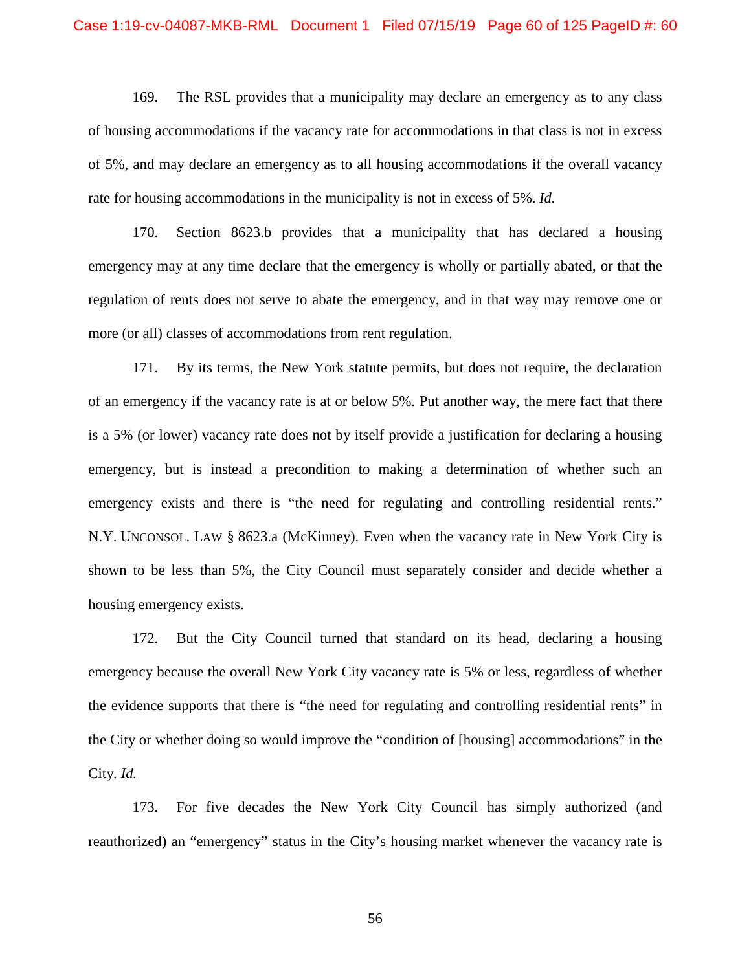169. The RSL provides that a municipality may declare an emergency as to any class of housing accommodations if the vacancy rate for accommodations in that class is not in excess of 5%, and may declare an emergency as to all housing accommodations if the overall vacancy rate for housing accommodations in the municipality is not in excess of 5%. *Id.*

170. Section 8623.b provides that a municipality that has declared a housing emergency may at any time declare that the emergency is wholly or partially abated, or that the regulation of rents does not serve to abate the emergency, and in that way may remove one or more (or all) classes of accommodations from rent regulation.

171. By its terms, the New York statute permits, but does not require, the declaration of an emergency if the vacancy rate is at or below 5%. Put another way, the mere fact that there is a 5% (or lower) vacancy rate does not by itself provide a justification for declaring a housing emergency, but is instead a precondition to making a determination of whether such an emergency exists and there is "the need for regulating and controlling residential rents." N.Y. UNCONSOL. LAW § 8623.a (McKinney). Even when the vacancy rate in New York City is shown to be less than 5%, the City Council must separately consider and decide whether a housing emergency exists.

172. But the City Council turned that standard on its head, declaring a housing emergency because the overall New York City vacancy rate is 5% or less, regardless of whether the evidence supports that there is "the need for regulating and controlling residential rents" in the City or whether doing so would improve the "condition of [housing] accommodations" in the City. *Id.*

173. For five decades the New York City Council has simply authorized (and reauthorized) an "emergency" status in the City's housing market whenever the vacancy rate is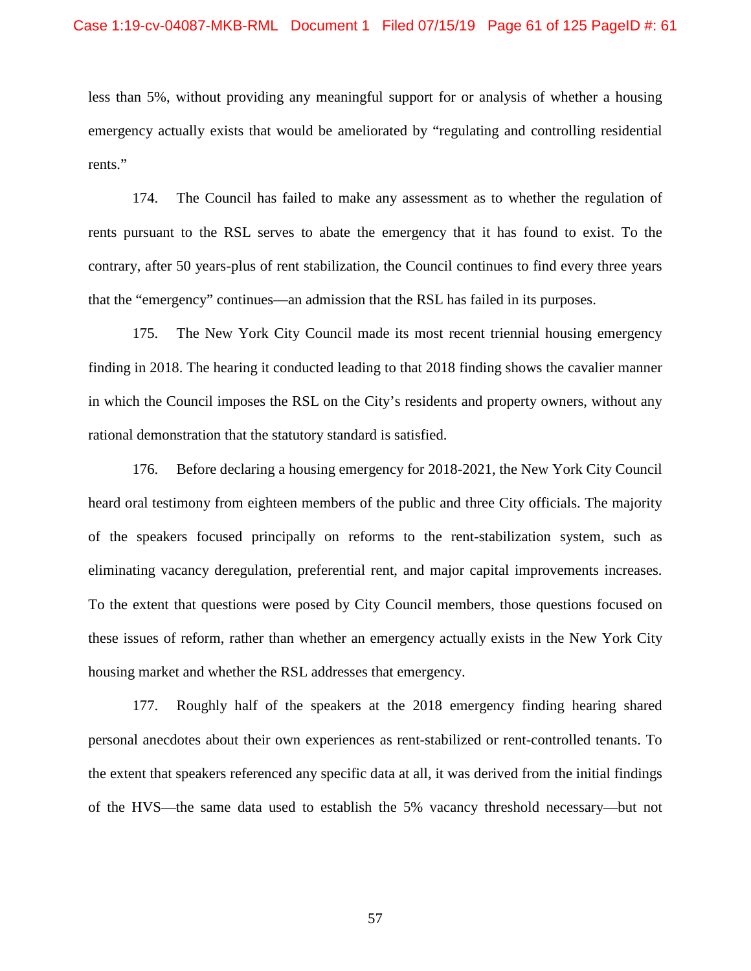less than 5%, without providing any meaningful support for or analysis of whether a housing emergency actually exists that would be ameliorated by "regulating and controlling residential rents."

174. The Council has failed to make any assessment as to whether the regulation of rents pursuant to the RSL serves to abate the emergency that it has found to exist. To the contrary, after 50 years-plus of rent stabilization, the Council continues to find every three years that the "emergency" continues—an admission that the RSL has failed in its purposes.

175. The New York City Council made its most recent triennial housing emergency finding in 2018. The hearing it conducted leading to that 2018 finding shows the cavalier manner in which the Council imposes the RSL on the City's residents and property owners, without any rational demonstration that the statutory standard is satisfied.

176. Before declaring a housing emergency for 2018-2021, the New York City Council heard oral testimony from eighteen members of the public and three City officials. The majority of the speakers focused principally on reforms to the rent-stabilization system, such as eliminating vacancy deregulation, preferential rent, and major capital improvements increases. To the extent that questions were posed by City Council members, those questions focused on these issues of reform, rather than whether an emergency actually exists in the New York City housing market and whether the RSL addresses that emergency.

177. Roughly half of the speakers at the 2018 emergency finding hearing shared personal anecdotes about their own experiences as rent-stabilized or rent-controlled tenants. To the extent that speakers referenced any specific data at all, it was derived from the initial findings of the HVS—the same data used to establish the 5% vacancy threshold necessary—but not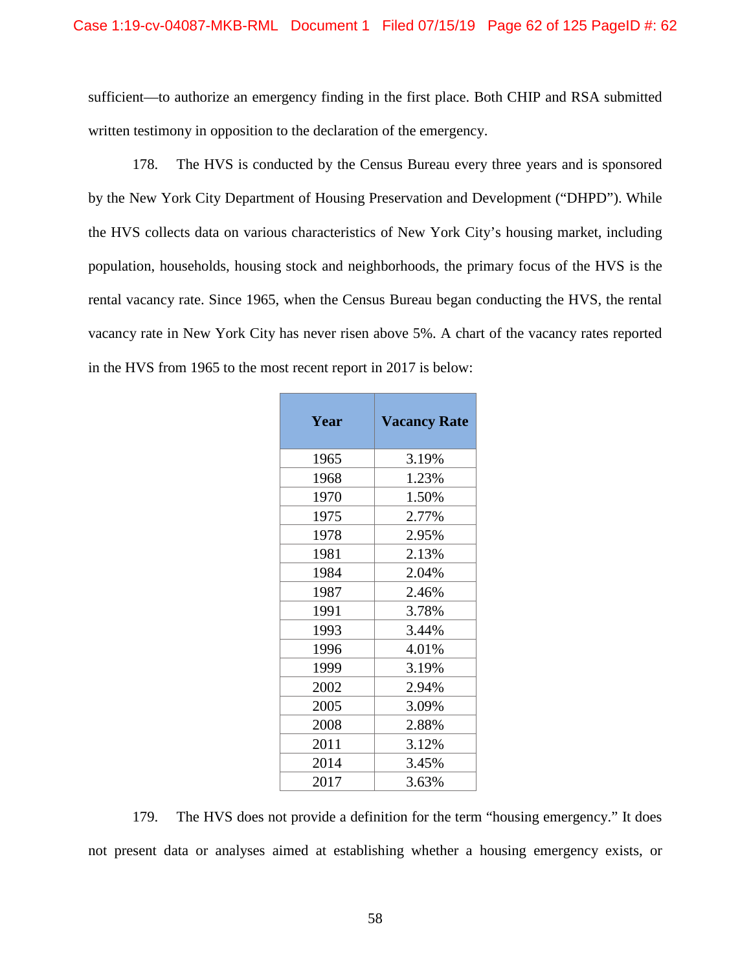sufficient—to authorize an emergency finding in the first place. Both CHIP and RSA submitted written testimony in opposition to the declaration of the emergency.

178. The HVS is conducted by the Census Bureau every three years and is sponsored by the New York City Department of Housing Preservation and Development ("DHPD"). While the HVS collects data on various characteristics of New York City's housing market, including population, households, housing stock and neighborhoods, the primary focus of the HVS is the rental vacancy rate. Since 1965, when the Census Bureau began conducting the HVS, the rental vacancy rate in New York City has never risen above 5%. A chart of the vacancy rates reported in the HVS from 1965 to the most recent report in 2017 is below:

| Year | <b>Vacancy Rate</b> |  |  |
|------|---------------------|--|--|
| 1965 | 3.19%               |  |  |
| 1968 | 1.23%               |  |  |
| 1970 | 1.50%               |  |  |
| 1975 | 2.77%               |  |  |
| 1978 | 2.95%               |  |  |
| 1981 | 2.13%               |  |  |
| 1984 | 2.04%               |  |  |
| 1987 | 2.46%               |  |  |
| 1991 | 3.78%               |  |  |
| 1993 | 3.44%               |  |  |
| 1996 | 4.01%               |  |  |
| 1999 | 3.19%               |  |  |
| 2002 | 2.94%               |  |  |
| 2005 | 3.09%               |  |  |
| 2008 | 2.88%               |  |  |
| 2011 | 3.12%               |  |  |
| 2014 | 3.45%               |  |  |
| 2017 | 3.63%               |  |  |

179. The HVS does not provide a definition for the term "housing emergency." It does not present data or analyses aimed at establishing whether a housing emergency exists, or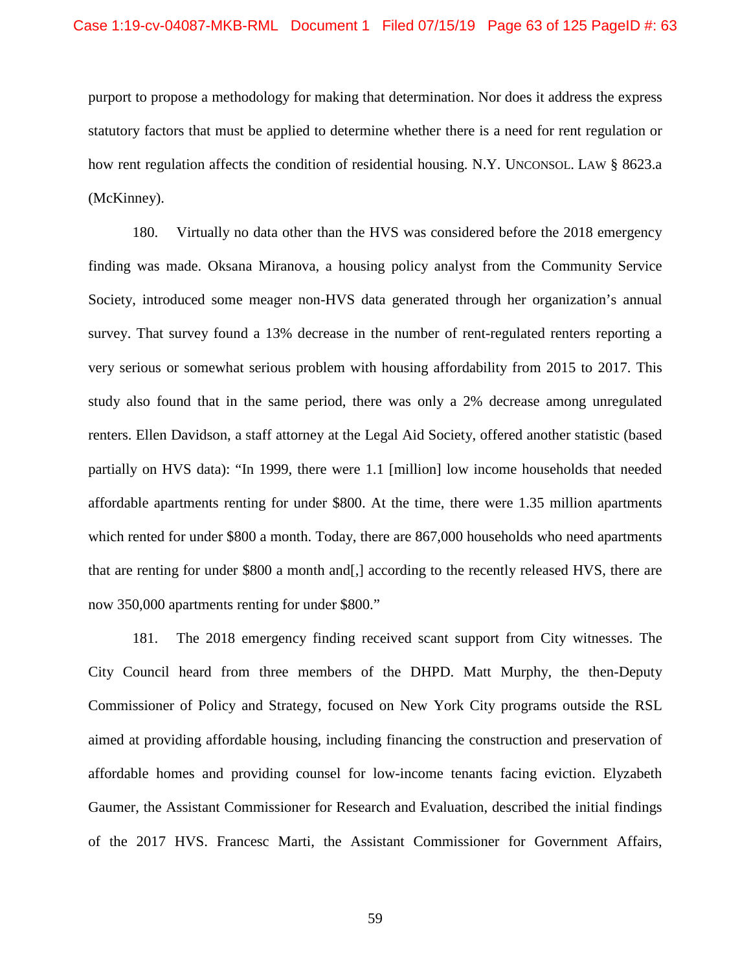purport to propose a methodology for making that determination. Nor does it address the express statutory factors that must be applied to determine whether there is a need for rent regulation or how rent regulation affects the condition of residential housing. N.Y. UNCONSOL. LAW § 8623.a (McKinney).

180. Virtually no data other than the HVS was considered before the 2018 emergency finding was made. Oksana Miranova, a housing policy analyst from the Community Service Society, introduced some meager non-HVS data generated through her organization's annual survey. That survey found a 13% decrease in the number of rent-regulated renters reporting a very serious or somewhat serious problem with housing affordability from 2015 to 2017. This study also found that in the same period, there was only a 2% decrease among unregulated renters. Ellen Davidson, a staff attorney at the Legal Aid Society, offered another statistic (based partially on HVS data): "In 1999, there were 1.1 [million] low income households that needed affordable apartments renting for under \$800. At the time, there were 1.35 million apartments which rented for under \$800 a month. Today, there are 867,000 households who need apartments that are renting for under \$800 a month and[,] according to the recently released HVS, there are now 350,000 apartments renting for under \$800."

181. The 2018 emergency finding received scant support from City witnesses. The City Council heard from three members of the DHPD. Matt Murphy, the then-Deputy Commissioner of Policy and Strategy, focused on New York City programs outside the RSL aimed at providing affordable housing, including financing the construction and preservation of affordable homes and providing counsel for low-income tenants facing eviction. Elyzabeth Gaumer, the Assistant Commissioner for Research and Evaluation, described the initial findings of the 2017 HVS. Francesc Marti, the Assistant Commissioner for Government Affairs,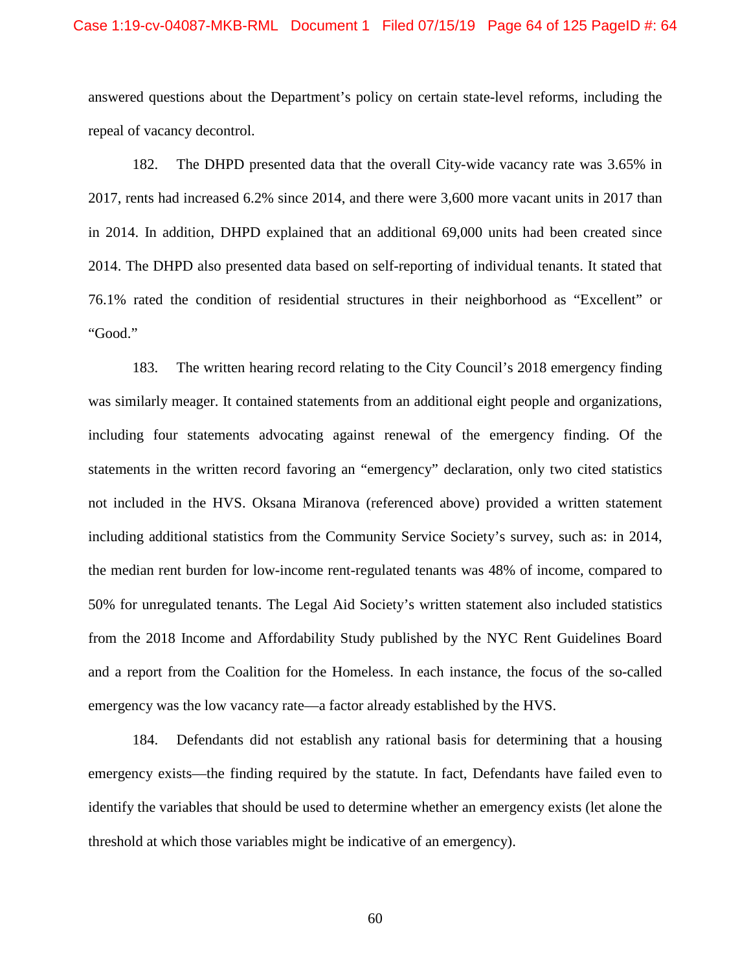### Case 1:19-cv-04087-MKB-RML Document 1 Filed 07/15/19 Page 64 of 125 PageID #: 64

answered questions about the Department's policy on certain state-level reforms, including the repeal of vacancy decontrol.

182. The DHPD presented data that the overall City-wide vacancy rate was 3.65% in 2017, rents had increased 6.2% since 2014, and there were 3,600 more vacant units in 2017 than in 2014. In addition, DHPD explained that an additional 69,000 units had been created since 2014. The DHPD also presented data based on self-reporting of individual tenants. It stated that 76.1% rated the condition of residential structures in their neighborhood as "Excellent" or "Good."

183. The written hearing record relating to the City Council's 2018 emergency finding was similarly meager. It contained statements from an additional eight people and organizations, including four statements advocating against renewal of the emergency finding. Of the statements in the written record favoring an "emergency" declaration, only two cited statistics not included in the HVS. Oksana Miranova (referenced above) provided a written statement including additional statistics from the Community Service Society's survey, such as: in 2014, the median rent burden for low-income rent-regulated tenants was 48% of income, compared to 50% for unregulated tenants. The Legal Aid Society's written statement also included statistics from the 2018 Income and Affordability Study published by the NYC Rent Guidelines Board and a report from the Coalition for the Homeless. In each instance, the focus of the so-called emergency was the low vacancy rate—a factor already established by the HVS.

184. Defendants did not establish any rational basis for determining that a housing emergency exists—the finding required by the statute. In fact, Defendants have failed even to identify the variables that should be used to determine whether an emergency exists (let alone the threshold at which those variables might be indicative of an emergency).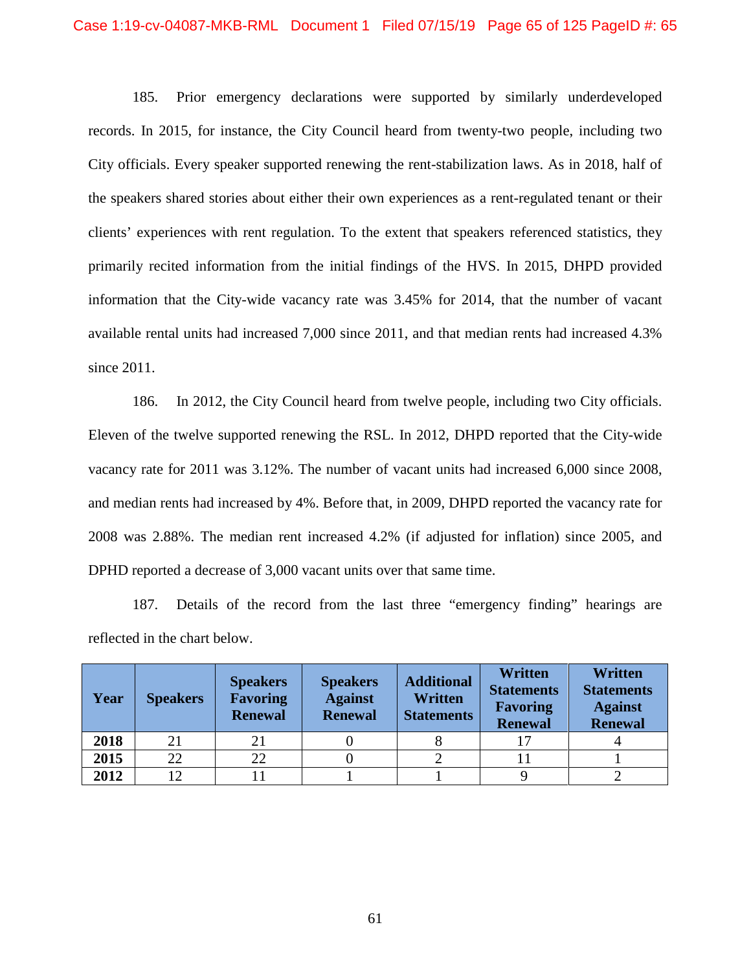185. Prior emergency declarations were supported by similarly underdeveloped records. In 2015, for instance, the City Council heard from twenty-two people, including two City officials. Every speaker supported renewing the rent-stabilization laws. As in 2018, half of the speakers shared stories about either their own experiences as a rent-regulated tenant or their clients' experiences with rent regulation. To the extent that speakers referenced statistics, they primarily recited information from the initial findings of the HVS. In 2015, DHPD provided information that the City-wide vacancy rate was 3.45% for 2014, that the number of vacant available rental units had increased 7,000 since 2011, and that median rents had increased 4.3% since 2011.

186. In 2012, the City Council heard from twelve people, including two City officials. Eleven of the twelve supported renewing the RSL. In 2012, DHPD reported that the City-wide vacancy rate for 2011 was 3.12%. The number of vacant units had increased 6,000 since 2008, and median rents had increased by 4%. Before that, in 2009, DHPD reported the vacancy rate for 2008 was 2.88%. The median rent increased 4.2% (if adjusted for inflation) since 2005, and DPHD reported a decrease of 3,000 vacant units over that same time.

187. Details of the record from the last three "emergency finding" hearings are reflected in the chart below.

| Year | <b>Speakers</b> | <b>Speakers</b><br><b>Favoring</b><br><b>Renewal</b> | <b>Speakers</b><br><b>Against</b><br><b>Renewal</b> | <b>Additional</b><br>Written<br><b>Statements</b> | Written<br><b>Statements</b><br><b>Favoring</b><br><b>Renewal</b> | <b>Written</b><br><b>Statements</b><br><b>Against</b><br><b>Renewal</b> |
|------|-----------------|------------------------------------------------------|-----------------------------------------------------|---------------------------------------------------|-------------------------------------------------------------------|-------------------------------------------------------------------------|
| 2018 |                 | 21                                                   |                                                     |                                                   |                                                                   |                                                                         |
| 2015 | 22              | 22                                                   |                                                     |                                                   |                                                                   |                                                                         |
| 2012 | 12              |                                                      |                                                     |                                                   |                                                                   |                                                                         |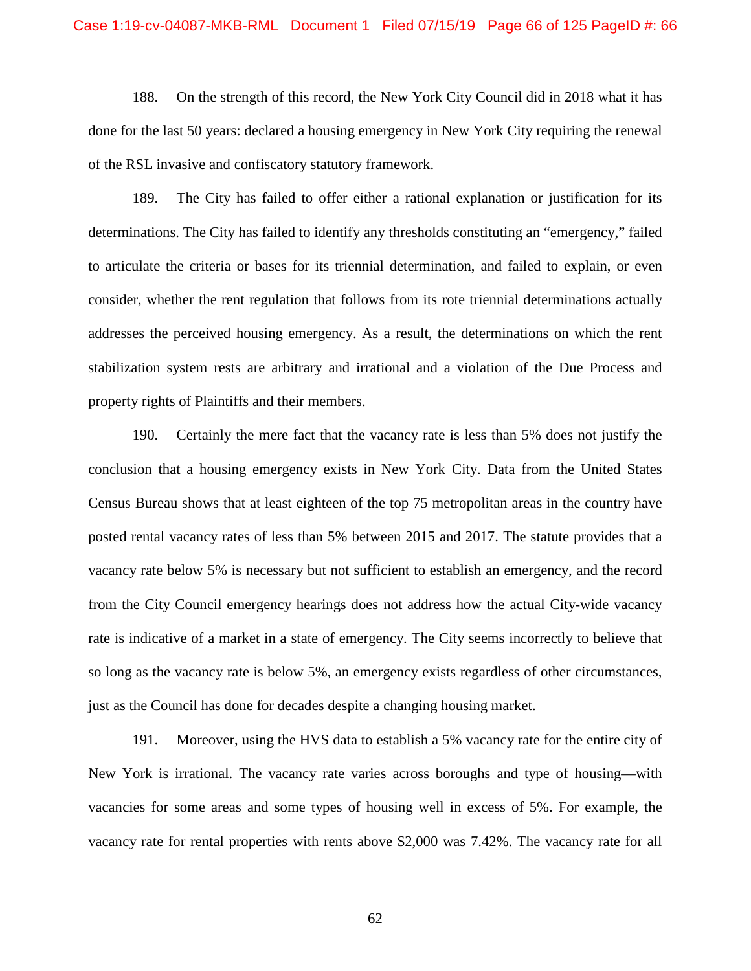188. On the strength of this record, the New York City Council did in 2018 what it has done for the last 50 years: declared a housing emergency in New York City requiring the renewal of the RSL invasive and confiscatory statutory framework.

189. The City has failed to offer either a rational explanation or justification for its determinations. The City has failed to identify any thresholds constituting an "emergency," failed to articulate the criteria or bases for its triennial determination, and failed to explain, or even consider, whether the rent regulation that follows from its rote triennial determinations actually addresses the perceived housing emergency. As a result, the determinations on which the rent stabilization system rests are arbitrary and irrational and a violation of the Due Process and property rights of Plaintiffs and their members.

190. Certainly the mere fact that the vacancy rate is less than 5% does not justify the conclusion that a housing emergency exists in New York City. Data from the United States Census Bureau shows that at least eighteen of the top 75 metropolitan areas in the country have posted rental vacancy rates of less than 5% between 2015 and 2017. The statute provides that a vacancy rate below 5% is necessary but not sufficient to establish an emergency, and the record from the City Council emergency hearings does not address how the actual City-wide vacancy rate is indicative of a market in a state of emergency. The City seems incorrectly to believe that so long as the vacancy rate is below 5%, an emergency exists regardless of other circumstances, just as the Council has done for decades despite a changing housing market.

191. Moreover, using the HVS data to establish a 5% vacancy rate for the entire city of New York is irrational. The vacancy rate varies across boroughs and type of housing—with vacancies for some areas and some types of housing well in excess of 5%. For example, the vacancy rate for rental properties with rents above \$2,000 was 7.42%. The vacancy rate for all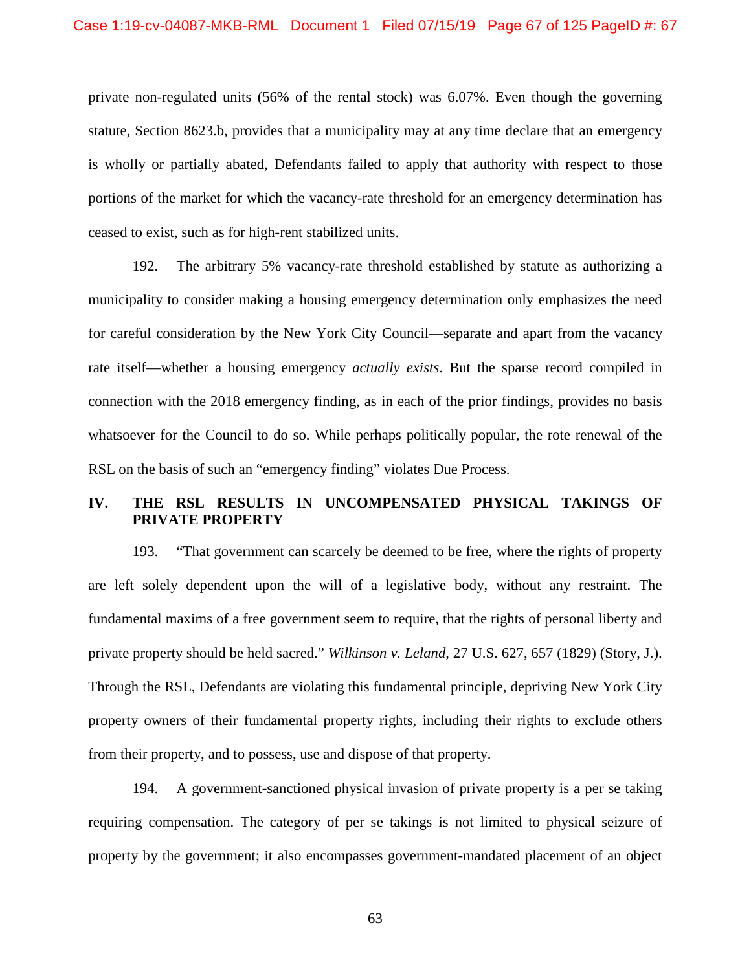private non-regulated units (56% of the rental stock) was 6.07%. Even though the governing statute, Section 8623.b, provides that a municipality may at any time declare that an emergency is wholly or partially abated, Defendants failed to apply that authority with respect to those portions of the market for which the vacancy-rate threshold for an emergency determination has ceased to exist, such as for high-rent stabilized units.

192. The arbitrary 5% vacancy-rate threshold established by statute as authorizing a municipality to consider making a housing emergency determination only emphasizes the need for careful consideration by the New York City Council—separate and apart from the vacancy rate itself—whether a housing emergency *actually exists*. But the sparse record compiled in connection with the 2018 emergency finding, as in each of the prior findings, provides no basis whatsoever for the Council to do so. While perhaps politically popular, the rote renewal of the RSL on the basis of such an "emergency finding" violates Due Process.

# **IV. THE RSL RESULTS IN UNCOMPENSATED PHYSICAL TAKINGS OF PRIVATE PROPERTY**

193. "That government can scarcely be deemed to be free, where the rights of property are left solely dependent upon the will of a legislative body, without any restraint. The fundamental maxims of a free government seem to require, that the rights of personal liberty and private property should be held sacred." *Wilkinson v. Leland*, 27 U.S. 627, 657 (1829) (Story, J.). Through the RSL, Defendants are violating this fundamental principle, depriving New York City property owners of their fundamental property rights, including their rights to exclude others from their property, and to possess, use and dispose of that property.

194. A government-sanctioned physical invasion of private property is a per se taking requiring compensation. The category of per se takings is not limited to physical seizure of property by the government; it also encompasses government-mandated placement of an object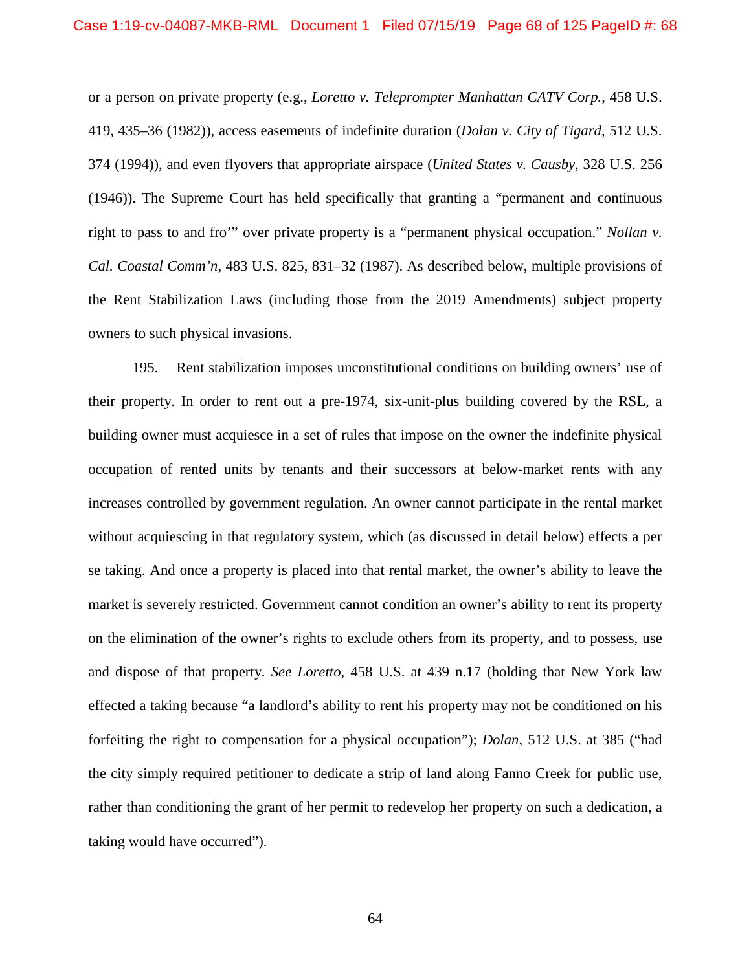or a person on private property (e.g., *Loretto v. Teleprompter Manhattan CATV Corp.*, 458 U.S. 419, 435–36 (1982)), access easements of indefinite duration (*Dolan v. City of Tigard*, 512 U.S. 374 (1994)), and even flyovers that appropriate airspace (*United States v. Causby*, 328 U.S. 256 (1946)). The Supreme Court has held specifically that granting a "permanent and continuous right to pass to and fro'" over private property is a "permanent physical occupation." *Nollan v. Cal. Coastal Comm'n*, 483 U.S. 825, 831–32 (1987). As described below, multiple provisions of the Rent Stabilization Laws (including those from the 2019 Amendments) subject property owners to such physical invasions.

195. Rent stabilization imposes unconstitutional conditions on building owners' use of their property. In order to rent out a pre-1974, six-unit-plus building covered by the RSL, a building owner must acquiesce in a set of rules that impose on the owner the indefinite physical occupation of rented units by tenants and their successors at below-market rents with any increases controlled by government regulation. An owner cannot participate in the rental market without acquiescing in that regulatory system, which (as discussed in detail below) effects a per se taking. And once a property is placed into that rental market, the owner's ability to leave the market is severely restricted. Government cannot condition an owner's ability to rent its property on the elimination of the owner's rights to exclude others from its property, and to possess, use and dispose of that property. *See Loretto*, 458 U.S. at 439 n.17 (holding that New York law effected a taking because "a landlord's ability to rent his property may not be conditioned on his forfeiting the right to compensation for a physical occupation"); *Dolan*, 512 U.S. at 385 ("had the city simply required petitioner to dedicate a strip of land along Fanno Creek for public use, rather than conditioning the grant of her permit to redevelop her property on such a dedication, a taking would have occurred").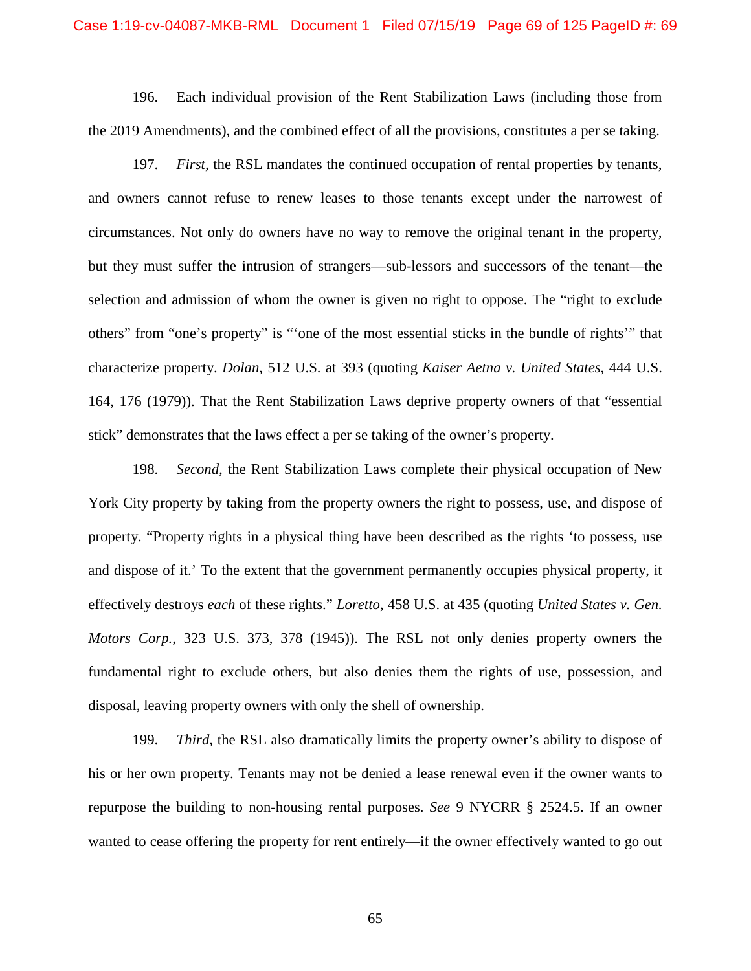### Case 1:19-cv-04087-MKB-RML Document 1 Filed 07/15/19 Page 69 of 125 PageID #: 69

196. Each individual provision of the Rent Stabilization Laws (including those from the 2019 Amendments), and the combined effect of all the provisions, constitutes a per se taking.

197. *First,* the RSL mandates the continued occupation of rental properties by tenants, and owners cannot refuse to renew leases to those tenants except under the narrowest of circumstances. Not only do owners have no way to remove the original tenant in the property, but they must suffer the intrusion of strangers—sub-lessors and successors of the tenant—the selection and admission of whom the owner is given no right to oppose. The "right to exclude others" from "one's property" is "'one of the most essential sticks in the bundle of rights'" that characterize property. *Dolan*, 512 U.S. at 393 (quoting *Kaiser Aetna v. United States*, 444 U.S. 164, 176 (1979)). That the Rent Stabilization Laws deprive property owners of that "essential stick" demonstrates that the laws effect a per se taking of the owner's property.

198. *Second,* the Rent Stabilization Laws complete their physical occupation of New York City property by taking from the property owners the right to possess, use, and dispose of property. "Property rights in a physical thing have been described as the rights 'to possess, use and dispose of it.' To the extent that the government permanently occupies physical property, it effectively destroys *each* of these rights." *Loretto*, 458 U.S. at 435 (quoting *United States v. Gen. Motors Corp.*, 323 U.S. 373, 378 (1945)). The RSL not only denies property owners the fundamental right to exclude others, but also denies them the rights of use, possession, and disposal, leaving property owners with only the shell of ownership.

199. *Third,* the RSL also dramatically limits the property owner's ability to dispose of his or her own property. Tenants may not be denied a lease renewal even if the owner wants to repurpose the building to non-housing rental purposes. *See* 9 NYCRR § 2524.5. If an owner wanted to cease offering the property for rent entirely—if the owner effectively wanted to go out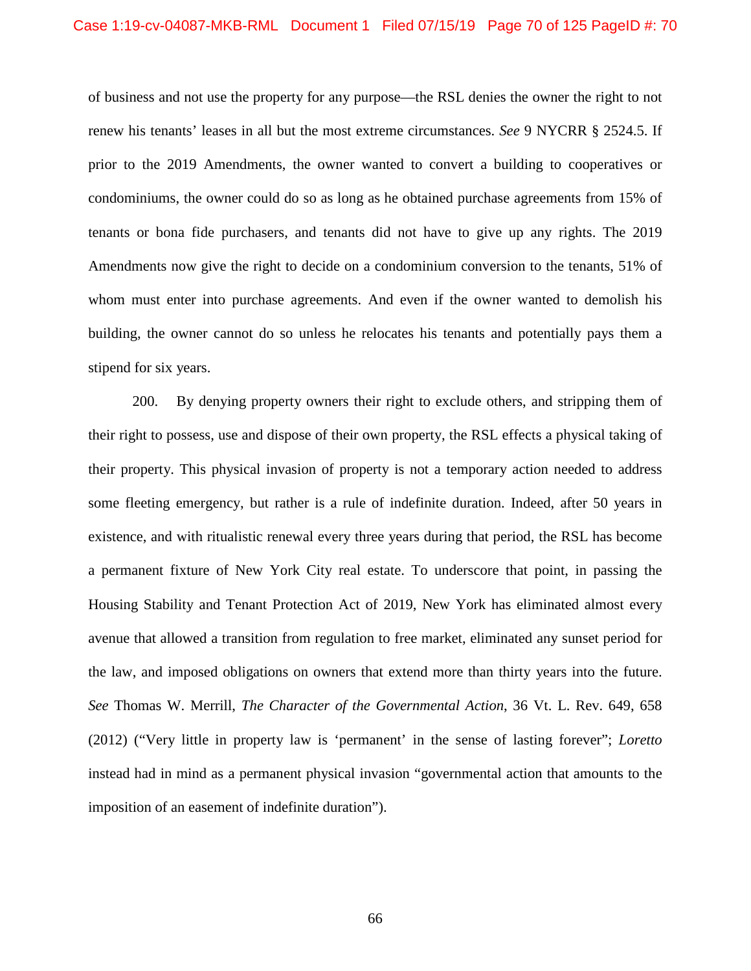of business and not use the property for any purpose—the RSL denies the owner the right to not renew his tenants' leases in all but the most extreme circumstances. *See* 9 NYCRR § 2524.5. If prior to the 2019 Amendments, the owner wanted to convert a building to cooperatives or condominiums, the owner could do so as long as he obtained purchase agreements from 15% of tenants or bona fide purchasers, and tenants did not have to give up any rights. The 2019 Amendments now give the right to decide on a condominium conversion to the tenants, 51% of whom must enter into purchase agreements. And even if the owner wanted to demolish his building, the owner cannot do so unless he relocates his tenants and potentially pays them a stipend for six years.

200. By denying property owners their right to exclude others, and stripping them of their right to possess, use and dispose of their own property, the RSL effects a physical taking of their property. This physical invasion of property is not a temporary action needed to address some fleeting emergency, but rather is a rule of indefinite duration. Indeed, after 50 years in existence, and with ritualistic renewal every three years during that period, the RSL has become a permanent fixture of New York City real estate. To underscore that point, in passing the Housing Stability and Tenant Protection Act of 2019, New York has eliminated almost every avenue that allowed a transition from regulation to free market, eliminated any sunset period for the law, and imposed obligations on owners that extend more than thirty years into the future. *See* Thomas W. Merrill, *The Character of the Governmental Action*, 36 Vt. L. Rev. 649, 658 (2012) ("Very little in property law is 'permanent' in the sense of lasting forever"; *Loretto* instead had in mind as a permanent physical invasion "governmental action that amounts to the imposition of an easement of indefinite duration").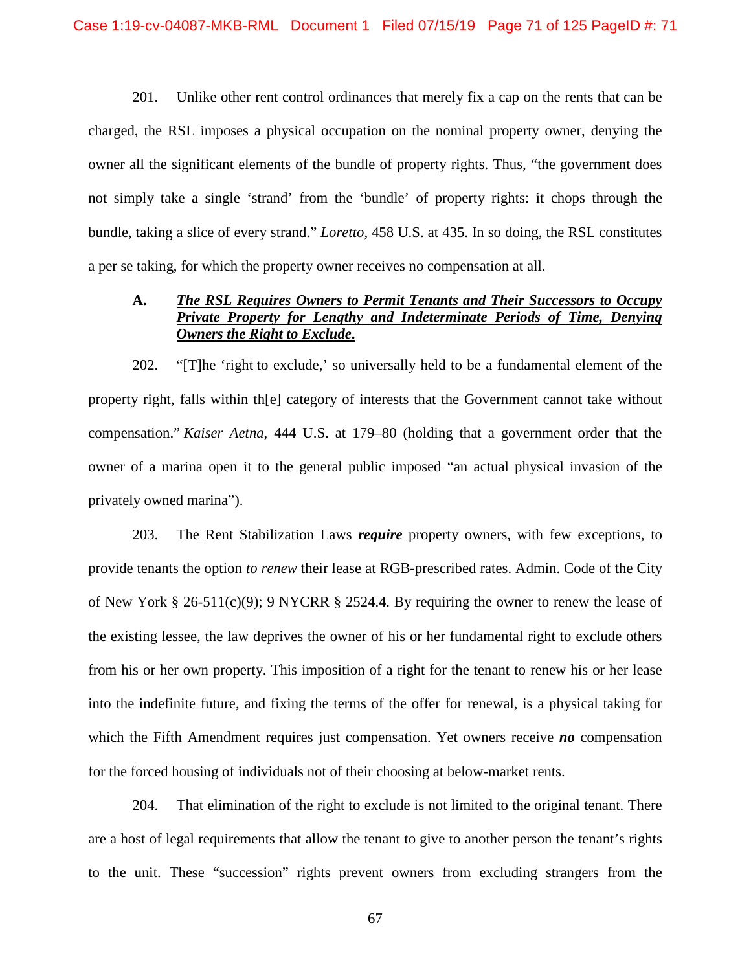201. Unlike other rent control ordinances that merely fix a cap on the rents that can be charged, the RSL imposes a physical occupation on the nominal property owner, denying the owner all the significant elements of the bundle of property rights. Thus, "the government does not simply take a single 'strand' from the 'bundle' of property rights: it chops through the bundle, taking a slice of every strand." *Loretto*, 458 U.S. at 435. In so doing, the RSL constitutes a per se taking, for which the property owner receives no compensation at all.

## **A.** *The RSL Requires Owners to Permit Tenants and Their Successors to Occupy Private Property for Lengthy and Indeterminate Periods of Time, Denying Owners the Right to Exclude***.**

202. "[T]he 'right to exclude,' so universally held to be a fundamental element of the property right, falls within th[e] category of interests that the Government cannot take without compensation." *Kaiser Aetna*, 444 U.S. at 179–80 (holding that a government order that the owner of a marina open it to the general public imposed "an actual physical invasion of the privately owned marina").

203. The Rent Stabilization Laws *require* property owners, with few exceptions, to provide tenants the option *to renew* their lease at RGB-prescribed rates. Admin. Code of the City of New York § 26-511(c)(9); 9 NYCRR § 2524.4. By requiring the owner to renew the lease of the existing lessee, the law deprives the owner of his or her fundamental right to exclude others from his or her own property. This imposition of a right for the tenant to renew his or her lease into the indefinite future, and fixing the terms of the offer for renewal, is a physical taking for which the Fifth Amendment requires just compensation. Yet owners receive *no* compensation for the forced housing of individuals not of their choosing at below-market rents.

204. That elimination of the right to exclude is not limited to the original tenant. There are a host of legal requirements that allow the tenant to give to another person the tenant's rights to the unit. These "succession" rights prevent owners from excluding strangers from the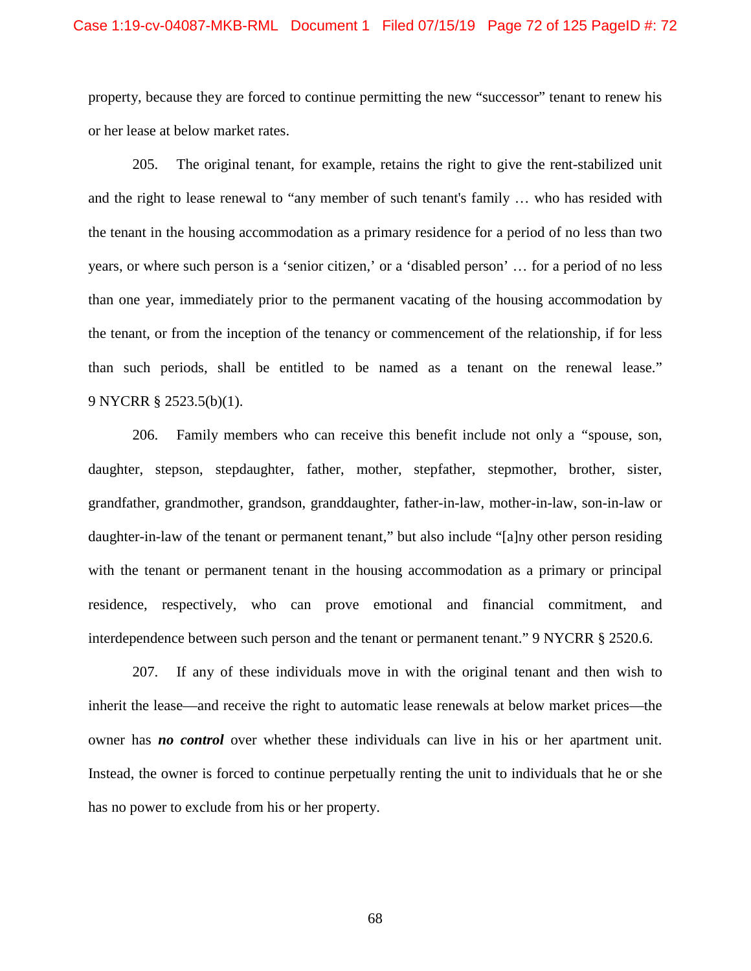### Case 1:19-cv-04087-MKB-RML Document 1 Filed 07/15/19 Page 72 of 125 PageID #: 72

property, because they are forced to continue permitting the new "successor" tenant to renew his or her lease at below market rates.

205. The original tenant, for example, retains the right to give the rent-stabilized unit and the right to lease renewal to "any member of such tenant's family … who has resided with the tenant in the housing accommodation as a primary residence for a period of no less than two years, or where such person is a 'senior citizen,' or a 'disabled person' … for a period of no less than one year, immediately prior to the permanent vacating of the housing accommodation by the tenant, or from the inception of the tenancy or commencement of the relationship, if for less than such periods, shall be entitled to be named as a tenant on the renewal lease." 9 NYCRR § 2523.5(b)(1).

206. Family members who can receive this benefit include not only a *"*spouse, son, daughter, stepson, stepdaughter, father, mother, stepfather, stepmother, brother, sister, grandfather, grandmother, grandson, granddaughter, father-in-law, mother-in-law, son-in-law or daughter-in-law of the tenant or permanent tenant," but also include "[a]ny other person residing with the tenant or permanent tenant in the housing accommodation as a primary or principal residence, respectively, who can prove emotional and financial commitment, and interdependence between such person and the tenant or permanent tenant." 9 NYCRR § 2520.6.

207. If any of these individuals move in with the original tenant and then wish to inherit the lease—and receive the right to automatic lease renewals at below market prices—the owner has *no control* over whether these individuals can live in his or her apartment unit. Instead, the owner is forced to continue perpetually renting the unit to individuals that he or she has no power to exclude from his or her property.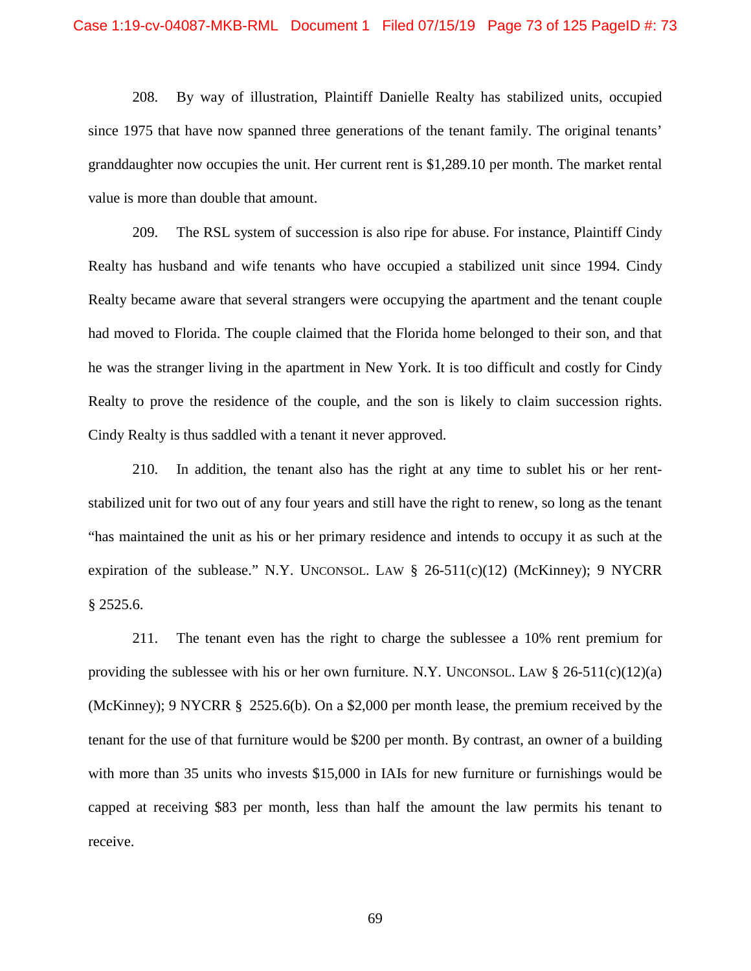208. By way of illustration, Plaintiff Danielle Realty has stabilized units, occupied since 1975 that have now spanned three generations of the tenant family. The original tenants' granddaughter now occupies the unit. Her current rent is \$1,289.10 per month. The market rental value is more than double that amount.

209. The RSL system of succession is also ripe for abuse. For instance, Plaintiff Cindy Realty has husband and wife tenants who have occupied a stabilized unit since 1994. Cindy Realty became aware that several strangers were occupying the apartment and the tenant couple had moved to Florida. The couple claimed that the Florida home belonged to their son, and that he was the stranger living in the apartment in New York. It is too difficult and costly for Cindy Realty to prove the residence of the couple, and the son is likely to claim succession rights. Cindy Realty is thus saddled with a tenant it never approved.

210. In addition, the tenant also has the right at any time to sublet his or her rentstabilized unit for two out of any four years and still have the right to renew, so long as the tenant "has maintained the unit as his or her primary residence and intends to occupy it as such at the expiration of the sublease." N.Y. UNCONSOL. LAW  $\S$  26-511(c)(12) (McKinney); 9 NYCRR § 2525.6.

211. The tenant even has the right to charge the sublessee a 10% rent premium for providing the sublessee with his or her own furniture. N.Y. UNCONSOL. LAW  $\S$  26-511(c)(12)(a) (McKinney); 9 NYCRR § 2525.6(b). On a \$2,000 per month lease, the premium received by the tenant for the use of that furniture would be \$200 per month. By contrast, an owner of a building with more than 35 units who invests \$15,000 in IAIs for new furniture or furnishings would be capped at receiving \$83 per month, less than half the amount the law permits his tenant to receive.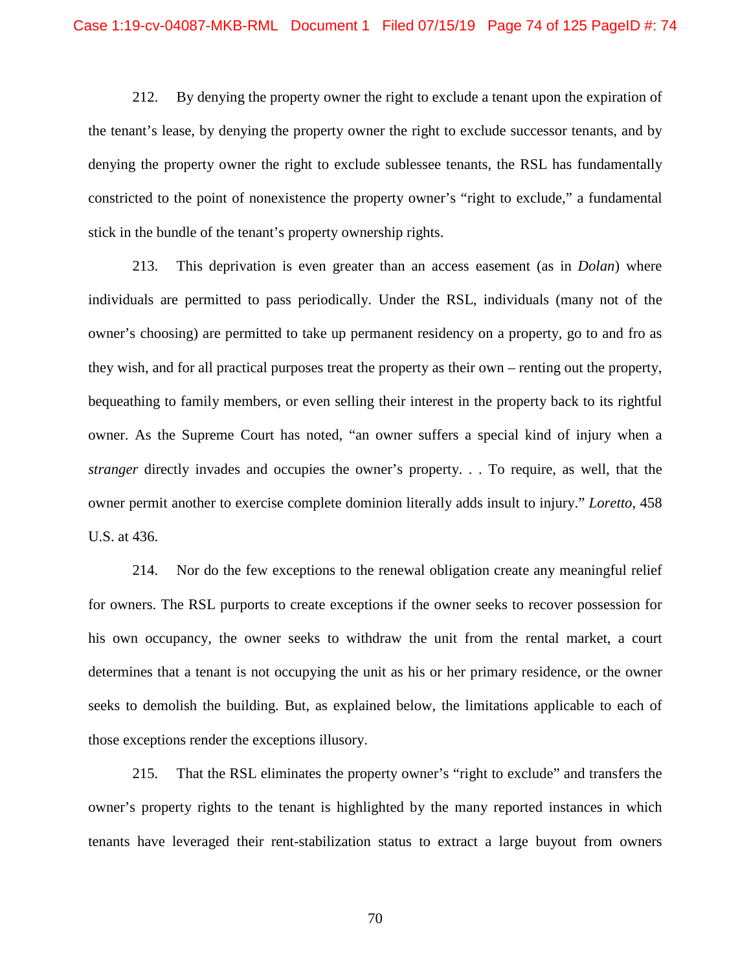212. By denying the property owner the right to exclude a tenant upon the expiration of the tenant's lease, by denying the property owner the right to exclude successor tenants, and by denying the property owner the right to exclude sublessee tenants, the RSL has fundamentally constricted to the point of nonexistence the property owner's "right to exclude," a fundamental stick in the bundle of the tenant's property ownership rights.

213. This deprivation is even greater than an access easement (as in *Dolan*) where individuals are permitted to pass periodically. Under the RSL, individuals (many not of the owner's choosing) are permitted to take up permanent residency on a property, go to and fro as they wish, and for all practical purposes treat the property as their own – renting out the property, bequeathing to family members, or even selling their interest in the property back to its rightful owner. As the Supreme Court has noted, "an owner suffers a special kind of injury when a *stranger* directly invades and occupies the owner's property. . . To require, as well, that the owner permit another to exercise complete dominion literally adds insult to injury." *Loretto*, 458 U.S. at 436.

214. Nor do the few exceptions to the renewal obligation create any meaningful relief for owners. The RSL purports to create exceptions if the owner seeks to recover possession for his own occupancy, the owner seeks to withdraw the unit from the rental market, a court determines that a tenant is not occupying the unit as his or her primary residence, or the owner seeks to demolish the building. But, as explained below, the limitations applicable to each of those exceptions render the exceptions illusory.

215. That the RSL eliminates the property owner's "right to exclude" and transfers the owner's property rights to the tenant is highlighted by the many reported instances in which tenants have leveraged their rent-stabilization status to extract a large buyout from owners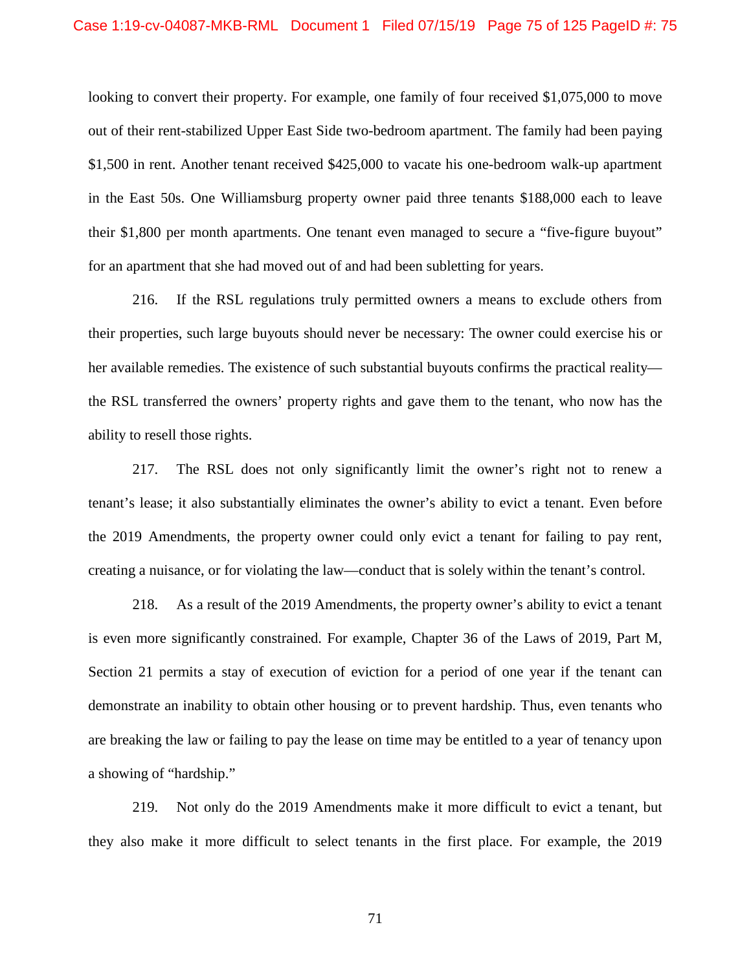looking to convert their property. For example, one family of four received \$1,075,000 to move out of their rent-stabilized Upper East Side two-bedroom apartment. The family had been paying \$1,500 in rent. Another tenant received \$425,000 to vacate his one-bedroom walk-up apartment in the East 50s. One Williamsburg property owner paid three tenants \$188,000 each to leave their \$1,800 per month apartments. One tenant even managed to secure a "five-figure buyout" for an apartment that she had moved out of and had been subletting for years.

216. If the RSL regulations truly permitted owners a means to exclude others from their properties, such large buyouts should never be necessary: The owner could exercise his or her available remedies. The existence of such substantial buyouts confirms the practical reality the RSL transferred the owners' property rights and gave them to the tenant, who now has the ability to resell those rights.

217. The RSL does not only significantly limit the owner's right not to renew a tenant's lease; it also substantially eliminates the owner's ability to evict a tenant. Even before the 2019 Amendments, the property owner could only evict a tenant for failing to pay rent, creating a nuisance, or for violating the law—conduct that is solely within the tenant's control.

218. As a result of the 2019 Amendments, the property owner's ability to evict a tenant is even more significantly constrained. For example, Chapter 36 of the Laws of 2019, Part M, Section 21 permits a stay of execution of eviction for a period of one year if the tenant can demonstrate an inability to obtain other housing or to prevent hardship. Thus, even tenants who are breaking the law or failing to pay the lease on time may be entitled to a year of tenancy upon a showing of "hardship."

219. Not only do the 2019 Amendments make it more difficult to evict a tenant, but they also make it more difficult to select tenants in the first place. For example, the 2019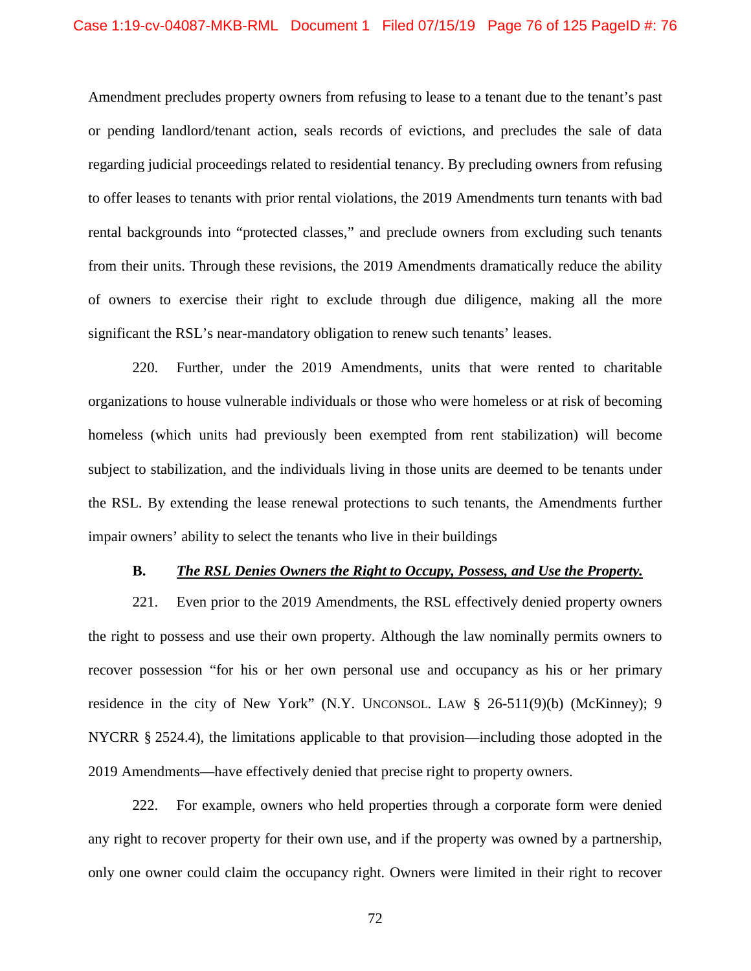Amendment precludes property owners from refusing to lease to a tenant due to the tenant's past or pending landlord/tenant action, seals records of evictions, and precludes the sale of data regarding judicial proceedings related to residential tenancy. By precluding owners from refusing to offer leases to tenants with prior rental violations, the 2019 Amendments turn tenants with bad rental backgrounds into "protected classes," and preclude owners from excluding such tenants from their units. Through these revisions, the 2019 Amendments dramatically reduce the ability of owners to exercise their right to exclude through due diligence, making all the more significant the RSL's near-mandatory obligation to renew such tenants' leases.

220. Further, under the 2019 Amendments, units that were rented to charitable organizations to house vulnerable individuals or those who were homeless or at risk of becoming homeless (which units had previously been exempted from rent stabilization) will become subject to stabilization, and the individuals living in those units are deemed to be tenants under the RSL. By extending the lease renewal protections to such tenants, the Amendments further impair owners' ability to select the tenants who live in their buildings

### **B.** *The RSL Denies Owners the Right to Occupy, Possess, and Use the Property.*

221. Even prior to the 2019 Amendments, the RSL effectively denied property owners the right to possess and use their own property. Although the law nominally permits owners to recover possession "for his or her own personal use and occupancy as his or her primary residence in the city of New York" (N.Y. UNCONSOL. LAW § 26-511(9)(b) (McKinney); 9 NYCRR § 2524.4), the limitations applicable to that provision—including those adopted in the 2019 Amendments—have effectively denied that precise right to property owners.

222. For example, owners who held properties through a corporate form were denied any right to recover property for their own use, and if the property was owned by a partnership, only one owner could claim the occupancy right. Owners were limited in their right to recover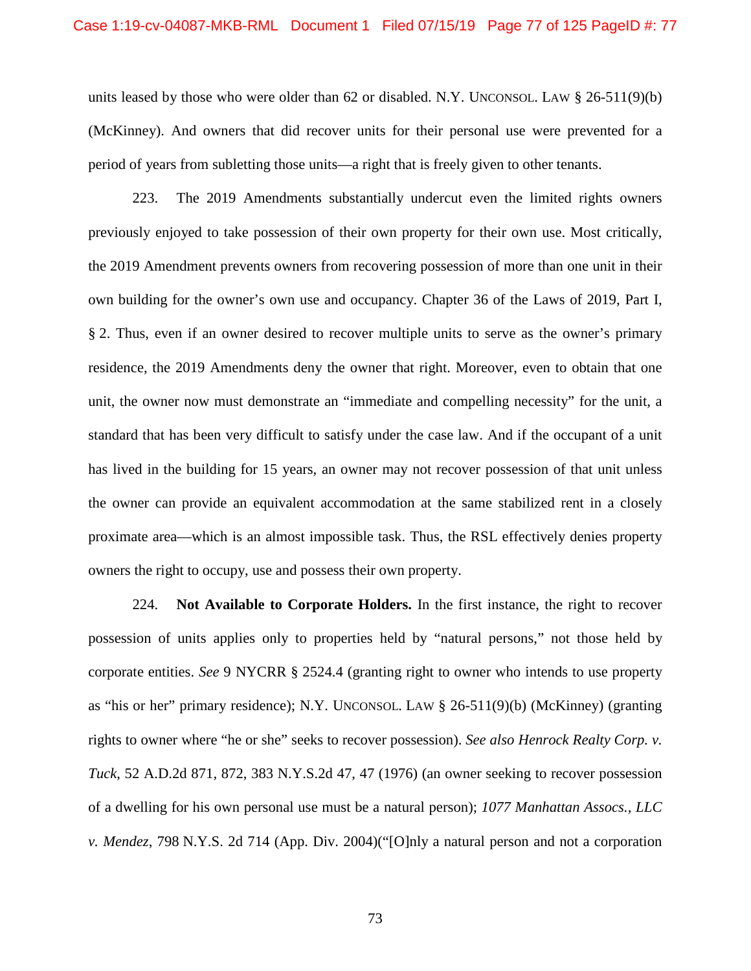units leased by those who were older than 62 or disabled. N.Y. UNCONSOL. LAW  $\S$  26-511(9)(b) (McKinney). And owners that did recover units for their personal use were prevented for a period of years from subletting those units—a right that is freely given to other tenants.

223. The 2019 Amendments substantially undercut even the limited rights owners previously enjoyed to take possession of their own property for their own use. Most critically, the 2019 Amendment prevents owners from recovering possession of more than one unit in their own building for the owner's own use and occupancy. Chapter 36 of the Laws of 2019, Part I, § 2. Thus, even if an owner desired to recover multiple units to serve as the owner's primary residence, the 2019 Amendments deny the owner that right. Moreover, even to obtain that one unit, the owner now must demonstrate an "immediate and compelling necessity" for the unit, a standard that has been very difficult to satisfy under the case law. And if the occupant of a unit has lived in the building for 15 years, an owner may not recover possession of that unit unless the owner can provide an equivalent accommodation at the same stabilized rent in a closely proximate area—which is an almost impossible task. Thus, the RSL effectively denies property owners the right to occupy, use and possess their own property.

224. **Not Available to Corporate Holders.** In the first instance, the right to recover possession of units applies only to properties held by "natural persons," not those held by corporate entities. *See* 9 NYCRR § 2524.4 (granting right to owner who intends to use property as "his or her" primary residence); N.Y. UNCONSOL. LAW § 26-511(9)(b) (McKinney) (granting rights to owner where "he or she" seeks to recover possession). *See also Henrock Realty Corp. v. Tuck*, 52 A.D.2d 871, 872, 383 N.Y.S.2d 47, 47 (1976) (an owner seeking to recover possession of a dwelling for his own personal use must be a natural person); *1077 Manhattan Assocs., LLC v. Mendez*, 798 N.Y.S. 2d 714 (App. Div. 2004)("[O]nly a natural person and not a corporation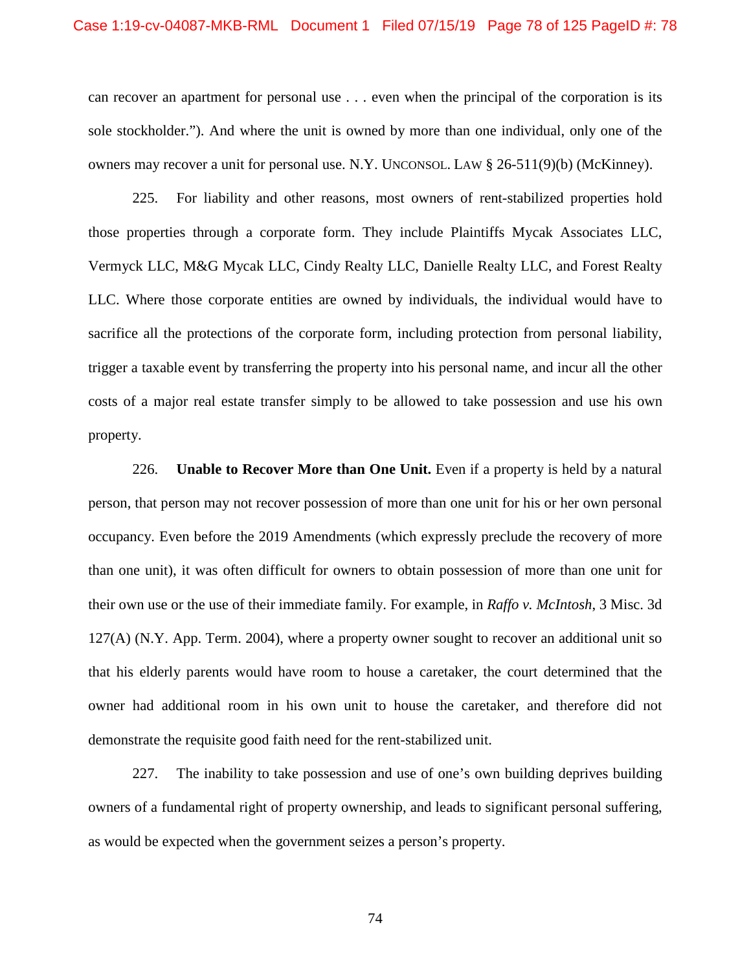can recover an apartment for personal use . . . even when the principal of the corporation is its sole stockholder."). And where the unit is owned by more than one individual, only one of the owners may recover a unit for personal use. N.Y. UNCONSOL. LAW § 26-511(9)(b) (McKinney).

225. For liability and other reasons, most owners of rent-stabilized properties hold those properties through a corporate form. They include Plaintiffs Mycak Associates LLC, Vermyck LLC, M&G Mycak LLC, Cindy Realty LLC, Danielle Realty LLC, and Forest Realty LLC. Where those corporate entities are owned by individuals, the individual would have to sacrifice all the protections of the corporate form, including protection from personal liability, trigger a taxable event by transferring the property into his personal name, and incur all the other costs of a major real estate transfer simply to be allowed to take possession and use his own property.

226. **Unable to Recover More than One Unit.** Even if a property is held by a natural person, that person may not recover possession of more than one unit for his or her own personal occupancy. Even before the 2019 Amendments (which expressly preclude the recovery of more than one unit), it was often difficult for owners to obtain possession of more than one unit for their own use or the use of their immediate family. For example, in *Raffo v. McIntosh*, 3 Misc. 3d  $127(A)$  (N.Y. App. Term. 2004), where a property owner sought to recover an additional unit so that his elderly parents would have room to house a caretaker, the court determined that the owner had additional room in his own unit to house the caretaker, and therefore did not demonstrate the requisite good faith need for the rent-stabilized unit.

227. The inability to take possession and use of one's own building deprives building owners of a fundamental right of property ownership, and leads to significant personal suffering, as would be expected when the government seizes a person's property.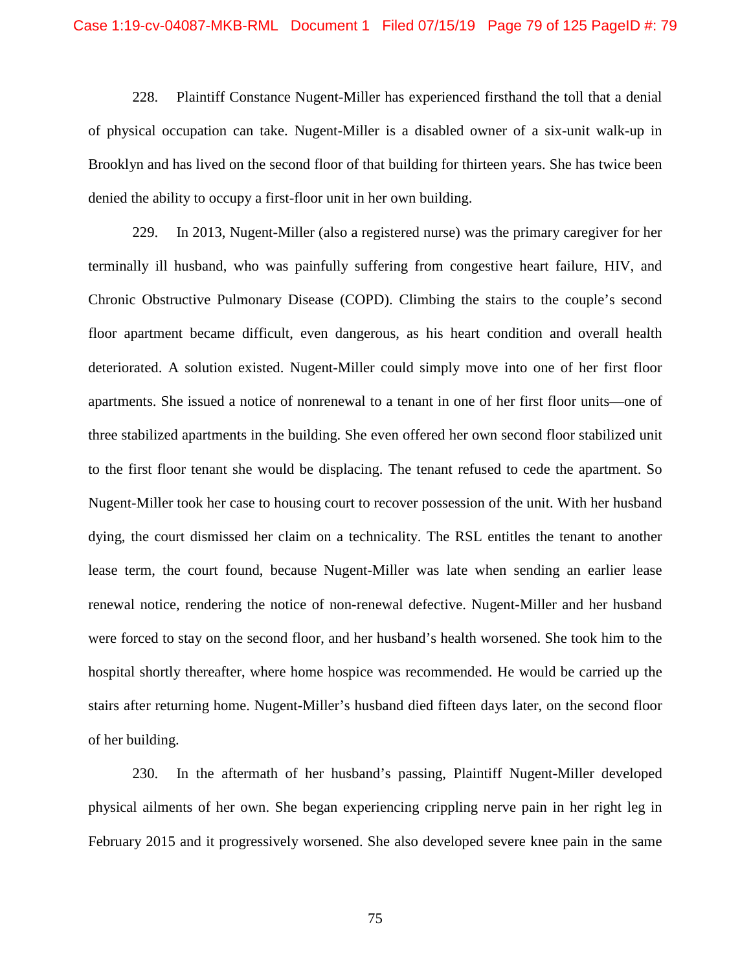228. Plaintiff Constance Nugent-Miller has experienced firsthand the toll that a denial of physical occupation can take. Nugent-Miller is a disabled owner of a six-unit walk-up in Brooklyn and has lived on the second floor of that building for thirteen years. She has twice been denied the ability to occupy a first-floor unit in her own building.

229. In 2013, Nugent-Miller (also a registered nurse) was the primary caregiver for her terminally ill husband, who was painfully suffering from congestive heart failure, HIV, and Chronic Obstructive Pulmonary Disease (COPD). Climbing the stairs to the couple's second floor apartment became difficult, even dangerous, as his heart condition and overall health deteriorated. A solution existed. Nugent-Miller could simply move into one of her first floor apartments. She issued a notice of nonrenewal to a tenant in one of her first floor units—one of three stabilized apartments in the building. She even offered her own second floor stabilized unit to the first floor tenant she would be displacing. The tenant refused to cede the apartment. So Nugent-Miller took her case to housing court to recover possession of the unit. With her husband dying, the court dismissed her claim on a technicality. The RSL entitles the tenant to another lease term, the court found, because Nugent-Miller was late when sending an earlier lease renewal notice, rendering the notice of non-renewal defective. Nugent-Miller and her husband were forced to stay on the second floor, and her husband's health worsened. She took him to the hospital shortly thereafter, where home hospice was recommended. He would be carried up the stairs after returning home. Nugent-Miller's husband died fifteen days later, on the second floor of her building.

230. In the aftermath of her husband's passing, Plaintiff Nugent-Miller developed physical ailments of her own. She began experiencing crippling nerve pain in her right leg in February 2015 and it progressively worsened. She also developed severe knee pain in the same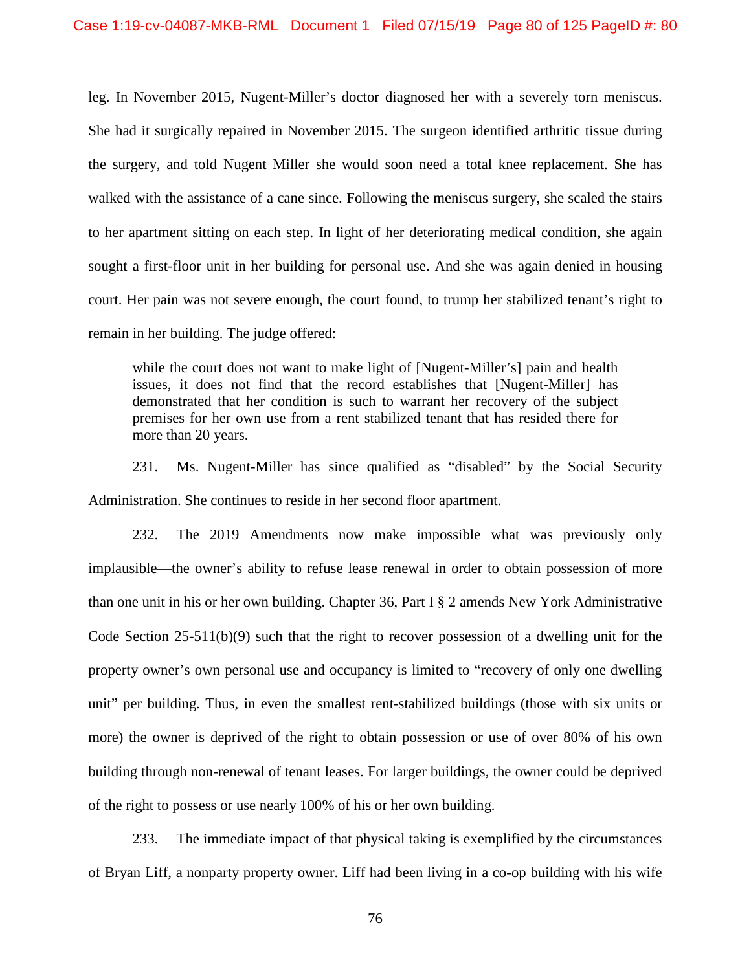leg. In November 2015, Nugent-Miller's doctor diagnosed her with a severely torn meniscus. She had it surgically repaired in November 2015. The surgeon identified arthritic tissue during the surgery, and told Nugent Miller she would soon need a total knee replacement. She has walked with the assistance of a cane since. Following the meniscus surgery, she scaled the stairs to her apartment sitting on each step. In light of her deteriorating medical condition, she again sought a first-floor unit in her building for personal use. And she was again denied in housing court. Her pain was not severe enough, the court found, to trump her stabilized tenant's right to remain in her building. The judge offered:

while the court does not want to make light of [Nugent-Miller's] pain and health issues, it does not find that the record establishes that [Nugent-Miller] has demonstrated that her condition is such to warrant her recovery of the subject premises for her own use from a rent stabilized tenant that has resided there for more than 20 years.

231. Ms. Nugent-Miller has since qualified as "disabled" by the Social Security Administration. She continues to reside in her second floor apartment.

232. The 2019 Amendments now make impossible what was previously only implausible—the owner's ability to refuse lease renewal in order to obtain possession of more than one unit in his or her own building. Chapter 36, Part I § 2 amends New York Administrative Code Section 25-511(b)(9) such that the right to recover possession of a dwelling unit for the property owner's own personal use and occupancy is limited to "recovery of only one dwelling unit" per building. Thus, in even the smallest rent-stabilized buildings (those with six units or more) the owner is deprived of the right to obtain possession or use of over 80% of his own building through non-renewal of tenant leases. For larger buildings, the owner could be deprived of the right to possess or use nearly 100% of his or her own building.

233. The immediate impact of that physical taking is exemplified by the circumstances of Bryan Liff, a nonparty property owner. Liff had been living in a co-op building with his wife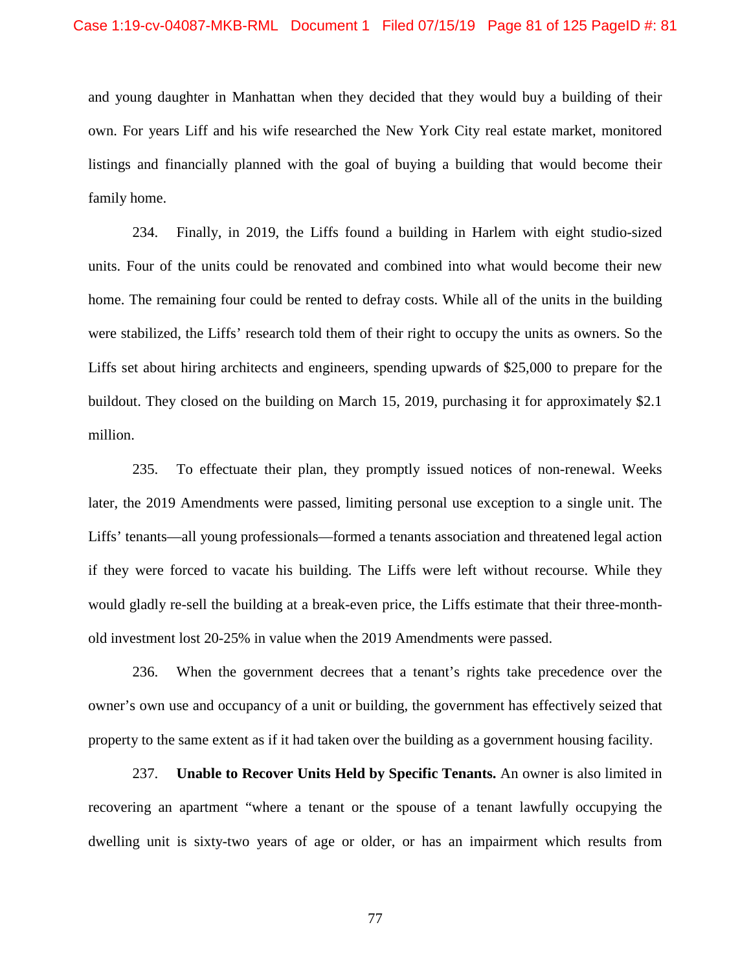and young daughter in Manhattan when they decided that they would buy a building of their own. For years Liff and his wife researched the New York City real estate market, monitored listings and financially planned with the goal of buying a building that would become their family home.

234. Finally, in 2019, the Liffs found a building in Harlem with eight studio-sized units. Four of the units could be renovated and combined into what would become their new home. The remaining four could be rented to defray costs. While all of the units in the building were stabilized, the Liffs' research told them of their right to occupy the units as owners. So the Liffs set about hiring architects and engineers, spending upwards of \$25,000 to prepare for the buildout. They closed on the building on March 15, 2019, purchasing it for approximately \$2.1 million.

235. To effectuate their plan, they promptly issued notices of non-renewal. Weeks later, the 2019 Amendments were passed, limiting personal use exception to a single unit. The Liffs' tenants—all young professionals—formed a tenants association and threatened legal action if they were forced to vacate his building. The Liffs were left without recourse. While they would gladly re-sell the building at a break-even price, the Liffs estimate that their three-monthold investment lost 20-25% in value when the 2019 Amendments were passed.

236. When the government decrees that a tenant's rights take precedence over the owner's own use and occupancy of a unit or building, the government has effectively seized that property to the same extent as if it had taken over the building as a government housing facility.

237. **Unable to Recover Units Held by Specific Tenants.** An owner is also limited in recovering an apartment "where a tenant or the spouse of a tenant lawfully occupying the dwelling unit is sixty-two years of age or older, or has an impairment which results from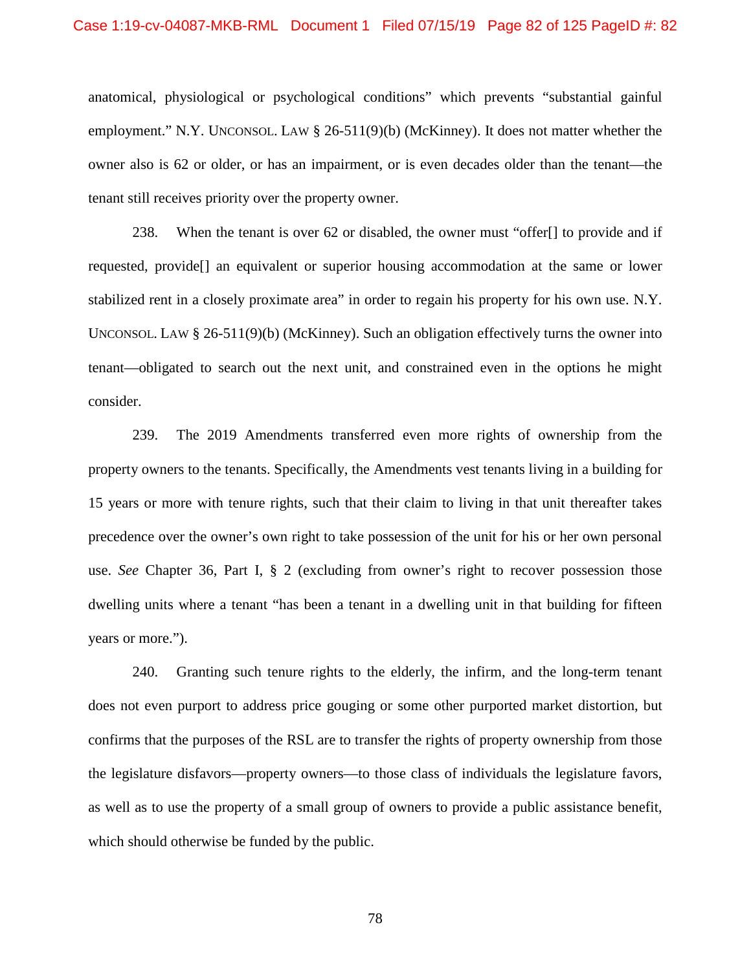#### Case 1:19-cv-04087-MKB-RML Document 1 Filed 07/15/19 Page 82 of 125 PageID #: 82

anatomical, physiological or psychological conditions" which prevents "substantial gainful employment." N.Y. UNCONSOL. LAW § 26-511(9)(b) (McKinney). It does not matter whether the owner also is 62 or older, or has an impairment, or is even decades older than the tenant—the tenant still receives priority over the property owner.

238. When the tenant is over 62 or disabled, the owner must "offer[] to provide and if requested, provide[] an equivalent or superior housing accommodation at the same or lower stabilized rent in a closely proximate area" in order to regain his property for his own use. N.Y. UNCONSOL. LAW  $\S 26-511(9)(b)$  (McKinney). Such an obligation effectively turns the owner into tenant—obligated to search out the next unit, and constrained even in the options he might consider.

239. The 2019 Amendments transferred even more rights of ownership from the property owners to the tenants. Specifically, the Amendments vest tenants living in a building for 15 years or more with tenure rights, such that their claim to living in that unit thereafter takes precedence over the owner's own right to take possession of the unit for his or her own personal use. *See* Chapter 36, Part I, § 2 (excluding from owner's right to recover possession those dwelling units where a tenant "has been a tenant in a dwelling unit in that building for fifteen years or more.").

240. Granting such tenure rights to the elderly, the infirm, and the long-term tenant does not even purport to address price gouging or some other purported market distortion, but confirms that the purposes of the RSL are to transfer the rights of property ownership from those the legislature disfavors—property owners—to those class of individuals the legislature favors, as well as to use the property of a small group of owners to provide a public assistance benefit, which should otherwise be funded by the public.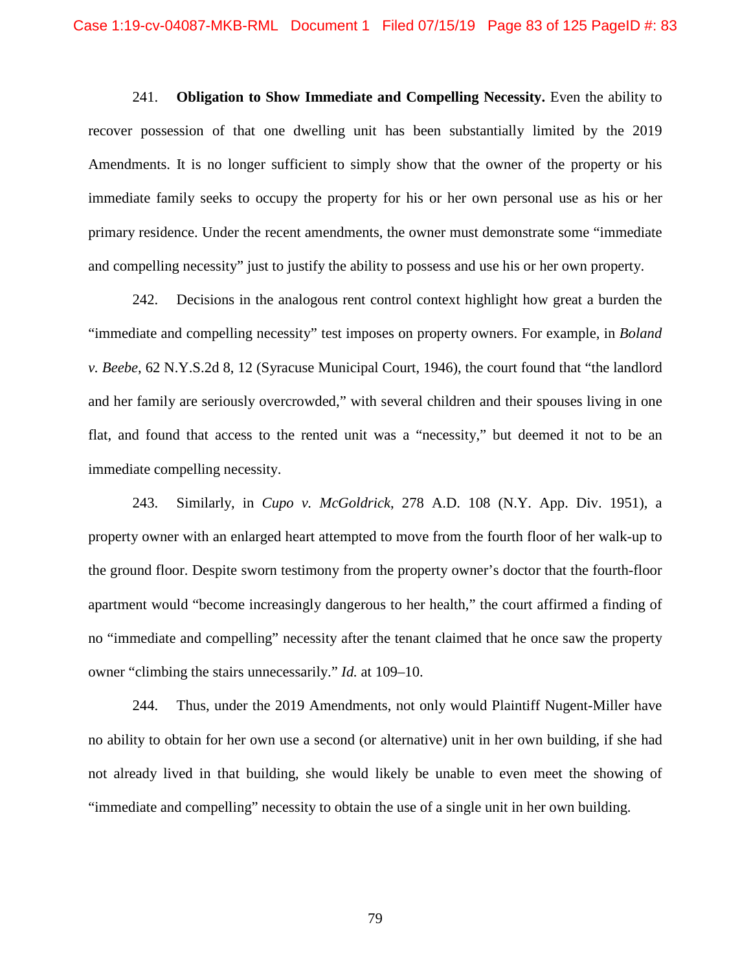241. **Obligation to Show Immediate and Compelling Necessity.** Even the ability to recover possession of that one dwelling unit has been substantially limited by the 2019 Amendments. It is no longer sufficient to simply show that the owner of the property or his immediate family seeks to occupy the property for his or her own personal use as his or her primary residence. Under the recent amendments, the owner must demonstrate some "immediate and compelling necessity" just to justify the ability to possess and use his or her own property.

242. Decisions in the analogous rent control context highlight how great a burden the "immediate and compelling necessity" test imposes on property owners. For example, in *Boland v. Beebe*, 62 N.Y.S.2d 8, 12 (Syracuse Municipal Court, 1946), the court found that "the landlord and her family are seriously overcrowded," with several children and their spouses living in one flat, and found that access to the rented unit was a "necessity," but deemed it not to be an immediate compelling necessity.

243. Similarly, in *Cupo v. McGoldrick*, 278 A.D. 108 (N.Y. App. Div. 1951), a property owner with an enlarged heart attempted to move from the fourth floor of her walk-up to the ground floor. Despite sworn testimony from the property owner's doctor that the fourth-floor apartment would "become increasingly dangerous to her health," the court affirmed a finding of no "immediate and compelling" necessity after the tenant claimed that he once saw the property owner "climbing the stairs unnecessarily." *Id.* at 109–10.

244. Thus, under the 2019 Amendments, not only would Plaintiff Nugent-Miller have no ability to obtain for her own use a second (or alternative) unit in her own building, if she had not already lived in that building, she would likely be unable to even meet the showing of "immediate and compelling" necessity to obtain the use of a single unit in her own building.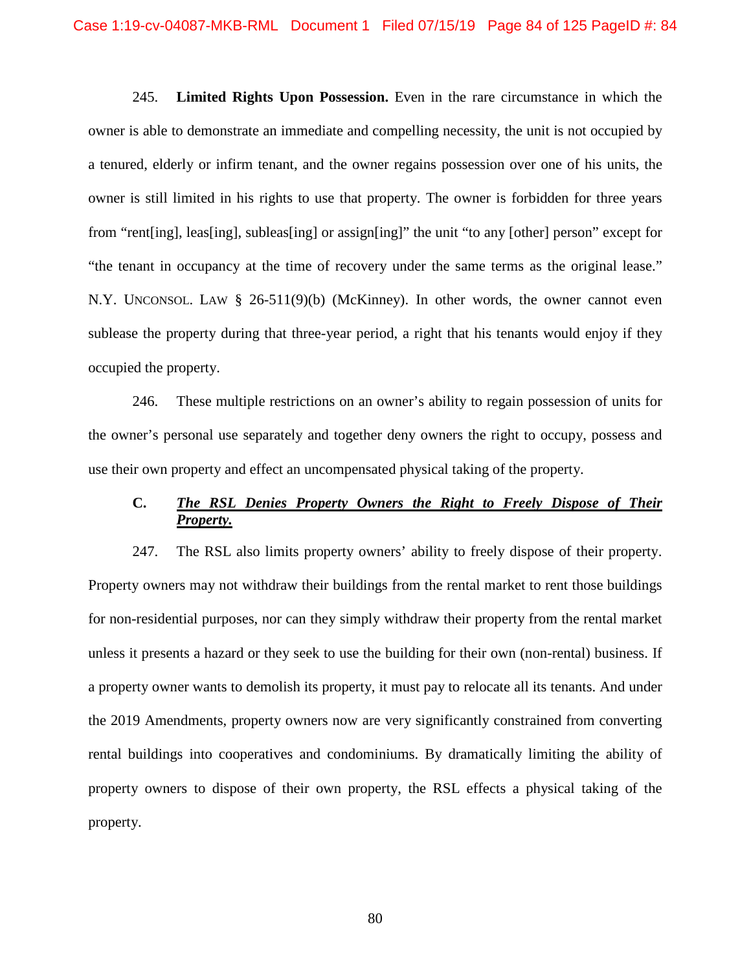245. **Limited Rights Upon Possession.** Even in the rare circumstance in which the owner is able to demonstrate an immediate and compelling necessity, the unit is not occupied by a tenured, elderly or infirm tenant, and the owner regains possession over one of his units, the owner is still limited in his rights to use that property. The owner is forbidden for three years from "rent[ing], leas[ing], subleas[ing] or assign[ing]" the unit "to any [other] person" except for "the tenant in occupancy at the time of recovery under the same terms as the original lease." N.Y. UNCONSOL. LAW § 26-511(9)(b) (McKinney). In other words, the owner cannot even sublease the property during that three-year period, a right that his tenants would enjoy if they occupied the property.

246. These multiple restrictions on an owner's ability to regain possession of units for the owner's personal use separately and together deny owners the right to occupy, possess and use their own property and effect an uncompensated physical taking of the property.

## **C.** *The RSL Denies Property Owners the Right to Freely Dispose of Their Property.*

247. The RSL also limits property owners' ability to freely dispose of their property. Property owners may not withdraw their buildings from the rental market to rent those buildings for non-residential purposes, nor can they simply withdraw their property from the rental market unless it presents a hazard or they seek to use the building for their own (non-rental) business. If a property owner wants to demolish its property, it must pay to relocate all its tenants. And under the 2019 Amendments, property owners now are very significantly constrained from converting rental buildings into cooperatives and condominiums. By dramatically limiting the ability of property owners to dispose of their own property, the RSL effects a physical taking of the property.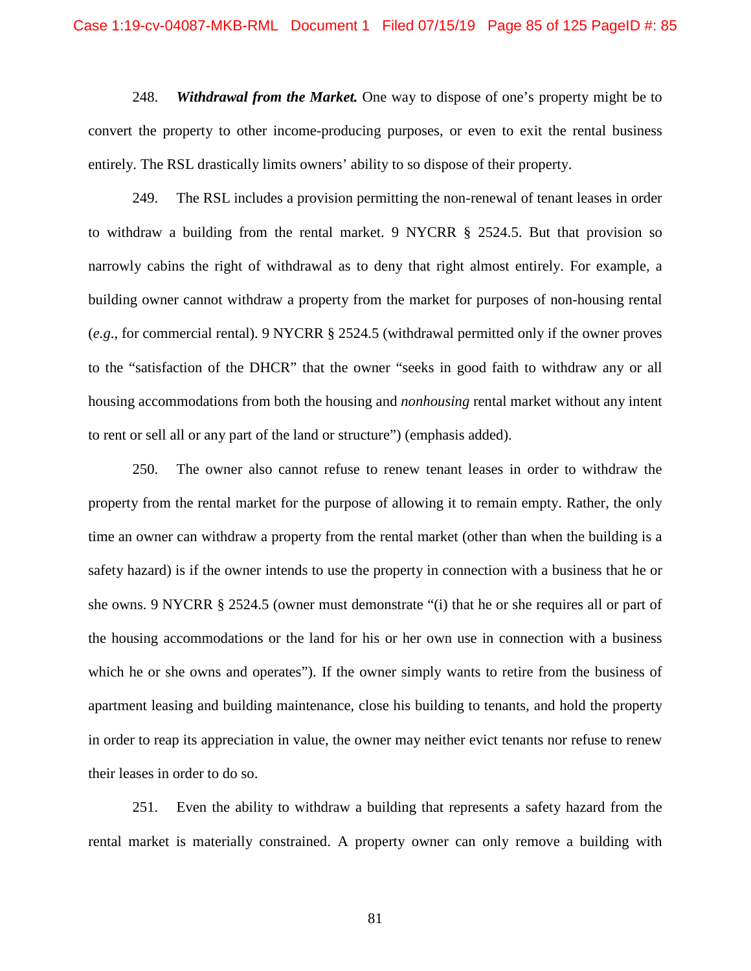248. *Withdrawal from the Market.* One way to dispose of one's property might be to convert the property to other income-producing purposes, or even to exit the rental business entirely. The RSL drastically limits owners' ability to so dispose of their property.

249. The RSL includes a provision permitting the non-renewal of tenant leases in order to withdraw a building from the rental market. 9 NYCRR § 2524.5. But that provision so narrowly cabins the right of withdrawal as to deny that right almost entirely. For example, a building owner cannot withdraw a property from the market for purposes of non-housing rental (*e.g*., for commercial rental). 9 NYCRR § 2524.5 (withdrawal permitted only if the owner proves to the "satisfaction of the DHCR" that the owner "seeks in good faith to withdraw any or all housing accommodations from both the housing and *nonhousing* rental market without any intent to rent or sell all or any part of the land or structure") (emphasis added).

250. The owner also cannot refuse to renew tenant leases in order to withdraw the property from the rental market for the purpose of allowing it to remain empty. Rather, the only time an owner can withdraw a property from the rental market (other than when the building is a safety hazard) is if the owner intends to use the property in connection with a business that he or she owns. 9 NYCRR § 2524.5 (owner must demonstrate "(i) that he or she requires all or part of the housing accommodations or the land for his or her own use in connection with a business which he or she owns and operates"). If the owner simply wants to retire from the business of apartment leasing and building maintenance, close his building to tenants, and hold the property in order to reap its appreciation in value, the owner may neither evict tenants nor refuse to renew their leases in order to do so.

251. Even the ability to withdraw a building that represents a safety hazard from the rental market is materially constrained. A property owner can only remove a building with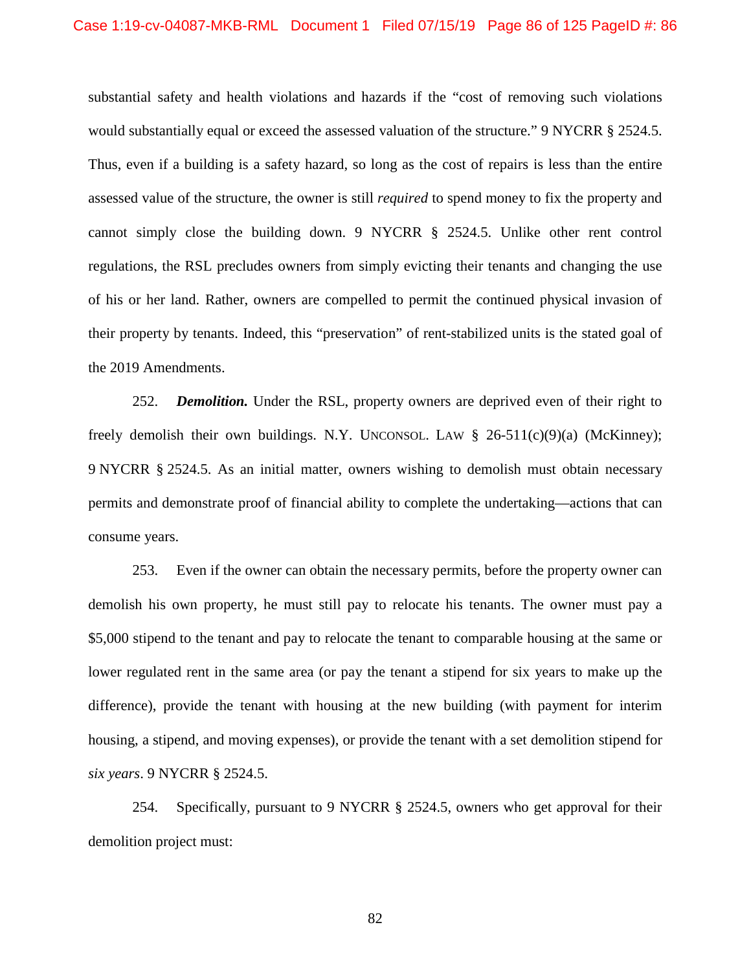substantial safety and health violations and hazards if the "cost of removing such violations would substantially equal or exceed the assessed valuation of the structure." 9 NYCRR § 2524.5. Thus, even if a building is a safety hazard, so long as the cost of repairs is less than the entire assessed value of the structure, the owner is still *required* to spend money to fix the property and cannot simply close the building down. 9 NYCRR § 2524.5. Unlike other rent control regulations, the RSL precludes owners from simply evicting their tenants and changing the use of his or her land. Rather, owners are compelled to permit the continued physical invasion of their property by tenants. Indeed, this "preservation" of rent-stabilized units is the stated goal of the 2019 Amendments.

252. *Demolition.* Under the RSL, property owners are deprived even of their right to freely demolish their own buildings. N.Y. UNCONSOL. LAW  $\S$  26-511(c)(9)(a) (McKinney); 9 NYCRR § 2524.5. As an initial matter, owners wishing to demolish must obtain necessary permits and demonstrate proof of financial ability to complete the undertaking—actions that can consume years.

253. Even if the owner can obtain the necessary permits, before the property owner can demolish his own property, he must still pay to relocate his tenants. The owner must pay a \$5,000 stipend to the tenant and pay to relocate the tenant to comparable housing at the same or lower regulated rent in the same area (or pay the tenant a stipend for six years to make up the difference), provide the tenant with housing at the new building (with payment for interim housing, a stipend, and moving expenses), or provide the tenant with a set demolition stipend for *six years*. 9 NYCRR § 2524.5.

254. Specifically, pursuant to 9 NYCRR § 2524.5, owners who get approval for their demolition project must: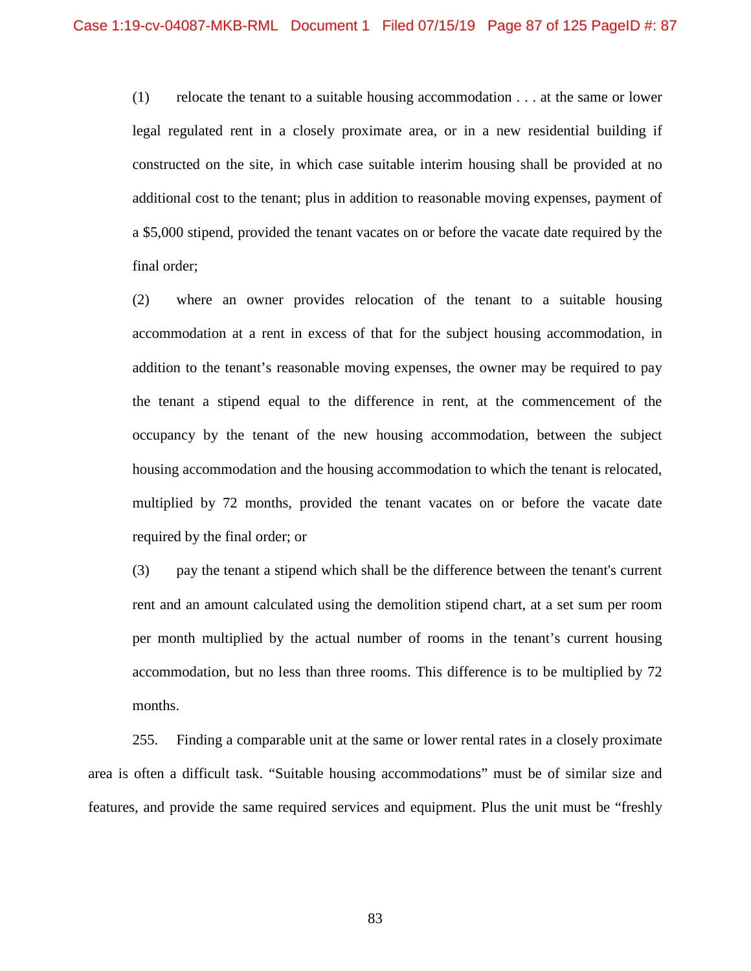(1) relocate the tenant to a suitable housing accommodation . . . at the same or lower legal regulated rent in a closely proximate area, or in a new residential building if constructed on the site, in which case suitable interim housing shall be provided at no additional cost to the tenant; plus in addition to reasonable moving expenses, payment of a \$5,000 stipend, provided the tenant vacates on or before the vacate date required by the final order;

(2) where an owner provides relocation of the tenant to a suitable housing accommodation at a rent in excess of that for the subject housing accommodation, in addition to the tenant's reasonable moving expenses, the owner may be required to pay the tenant a stipend equal to the difference in rent, at the commencement of the occupancy by the tenant of the new housing accommodation, between the subject housing accommodation and the housing accommodation to which the tenant is relocated, multiplied by 72 months, provided the tenant vacates on or before the vacate date required by the final order; or

(3) pay the tenant a stipend which shall be the difference between the tenant's current rent and an amount calculated using the demolition stipend chart, at a set sum per room per month multiplied by the actual number of rooms in the tenant's current housing accommodation, but no less than three rooms. This difference is to be multiplied by 72 months.

255. Finding a comparable unit at the same or lower rental rates in a closely proximate area is often a difficult task. "Suitable housing accommodations" must be of similar size and features, and provide the same required services and equipment. Plus the unit must be "freshly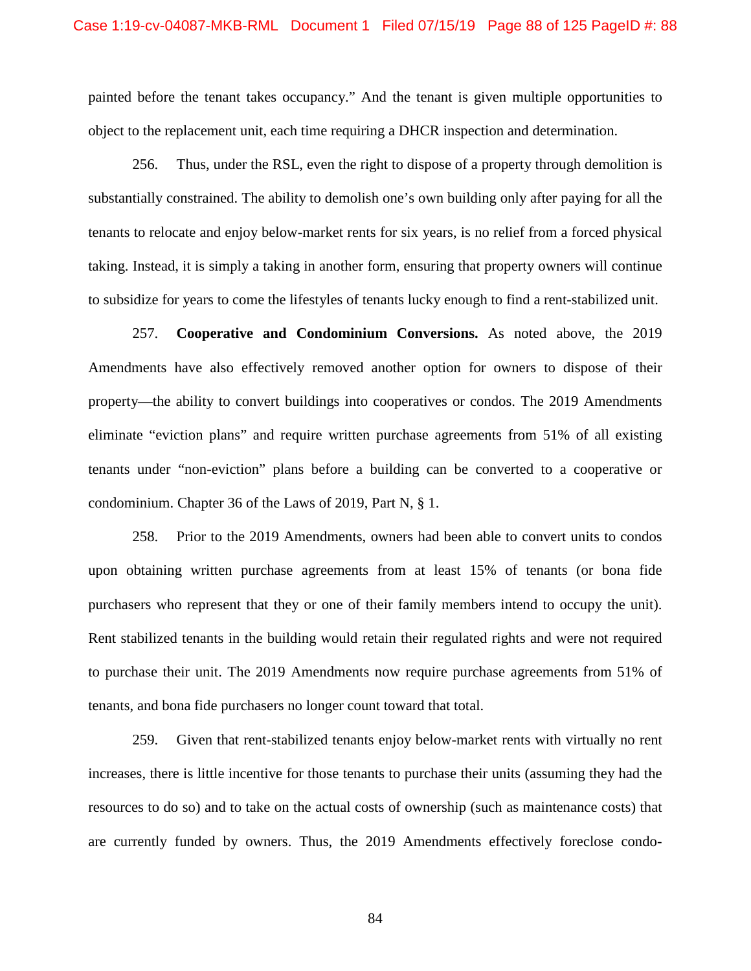painted before the tenant takes occupancy." And the tenant is given multiple opportunities to object to the replacement unit, each time requiring a DHCR inspection and determination.

256. Thus, under the RSL, even the right to dispose of a property through demolition is substantially constrained. The ability to demolish one's own building only after paying for all the tenants to relocate and enjoy below-market rents for six years, is no relief from a forced physical taking. Instead, it is simply a taking in another form, ensuring that property owners will continue to subsidize for years to come the lifestyles of tenants lucky enough to find a rent-stabilized unit.

257. **Cooperative and Condominium Conversions.** As noted above, the 2019 Amendments have also effectively removed another option for owners to dispose of their property—the ability to convert buildings into cooperatives or condos. The 2019 Amendments eliminate "eviction plans" and require written purchase agreements from 51% of all existing tenants under "non-eviction" plans before a building can be converted to a cooperative or condominium. Chapter 36 of the Laws of 2019, Part N, § 1.

258. Prior to the 2019 Amendments, owners had been able to convert units to condos upon obtaining written purchase agreements from at least 15% of tenants (or bona fide purchasers who represent that they or one of their family members intend to occupy the unit). Rent stabilized tenants in the building would retain their regulated rights and were not required to purchase their unit. The 2019 Amendments now require purchase agreements from 51% of tenants, and bona fide purchasers no longer count toward that total.

259. Given that rent-stabilized tenants enjoy below-market rents with virtually no rent increases, there is little incentive for those tenants to purchase their units (assuming they had the resources to do so) and to take on the actual costs of ownership (such as maintenance costs) that are currently funded by owners. Thus, the 2019 Amendments effectively foreclose condo-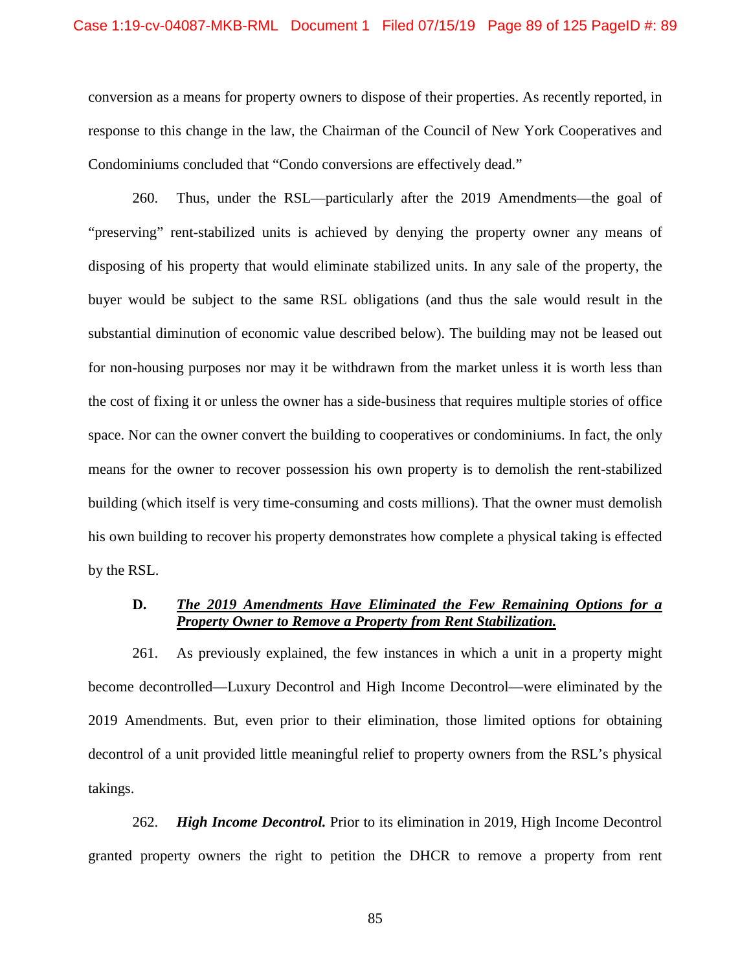conversion as a means for property owners to dispose of their properties. As recently reported, in response to this change in the law, the Chairman of the Council of New York Cooperatives and Condominiums concluded that "Condo conversions are effectively dead."

260. Thus, under the RSL—particularly after the 2019 Amendments—the goal of "preserving" rent-stabilized units is achieved by denying the property owner any means of disposing of his property that would eliminate stabilized units. In any sale of the property, the buyer would be subject to the same RSL obligations (and thus the sale would result in the substantial diminution of economic value described below). The building may not be leased out for non-housing purposes nor may it be withdrawn from the market unless it is worth less than the cost of fixing it or unless the owner has a side-business that requires multiple stories of office space. Nor can the owner convert the building to cooperatives or condominiums. In fact, the only means for the owner to recover possession his own property is to demolish the rent-stabilized building (which itself is very time-consuming and costs millions). That the owner must demolish his own building to recover his property demonstrates how complete a physical taking is effected by the RSL.

### **D.** *The 2019 Amendments Have Eliminated the Few Remaining Options for a Property Owner to Remove a Property from Rent Stabilization.*

261. As previously explained, the few instances in which a unit in a property might become decontrolled—Luxury Decontrol and High Income Decontrol—were eliminated by the 2019 Amendments. But, even prior to their elimination, those limited options for obtaining decontrol of a unit provided little meaningful relief to property owners from the RSL's physical takings.

262. *High Income Decontrol.* Prior to its elimination in 2019, High Income Decontrol granted property owners the right to petition the DHCR to remove a property from rent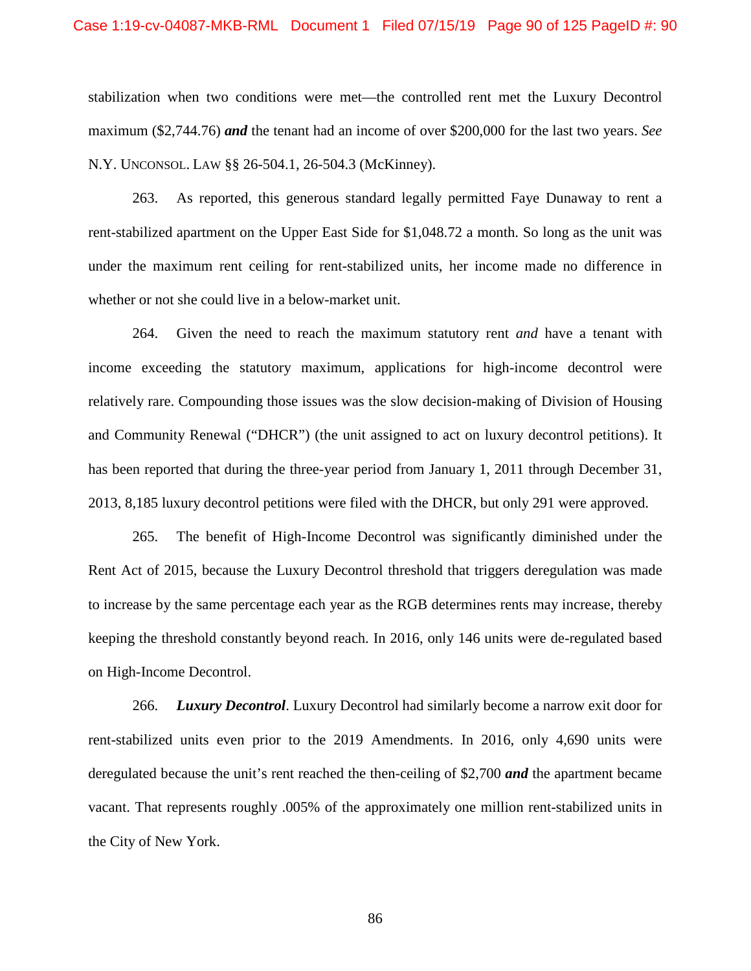#### Case 1:19-cv-04087-MKB-RML Document 1 Filed 07/15/19 Page 90 of 125 PageID #: 90

stabilization when two conditions were met—the controlled rent met the Luxury Decontrol maximum (\$2,744.76) *and* the tenant had an income of over \$200,000 for the last two years. *See* N.Y. UNCONSOL. LAW §§ 26-504.1, 26-504.3 (McKinney).

263. As reported, this generous standard legally permitted Faye Dunaway to rent a rent-stabilized apartment on the Upper East Side for \$1,048.72 a month. So long as the unit was under the maximum rent ceiling for rent-stabilized units, her income made no difference in whether or not she could live in a below-market unit.

264. Given the need to reach the maximum statutory rent *and* have a tenant with income exceeding the statutory maximum, applications for high-income decontrol were relatively rare. Compounding those issues was the slow decision-making of Division of Housing and Community Renewal ("DHCR") (the unit assigned to act on luxury decontrol petitions). It has been reported that during the three-year period from January 1, 2011 through December 31, 2013, 8,185 luxury decontrol petitions were filed with the DHCR, but only 291 were approved.

265. The benefit of High-Income Decontrol was significantly diminished under the Rent Act of 2015, because the Luxury Decontrol threshold that triggers deregulation was made to increase by the same percentage each year as the RGB determines rents may increase, thereby keeping the threshold constantly beyond reach. In 2016, only 146 units were de-regulated based on High-Income Decontrol.

266. *Luxury Decontrol*. Luxury Decontrol had similarly become a narrow exit door for rent-stabilized units even prior to the 2019 Amendments. In 2016, only 4,690 units were deregulated because the unit's rent reached the then-ceiling of \$2,700 *and* the apartment became vacant. That represents roughly .005% of the approximately one million rent-stabilized units in the City of New York.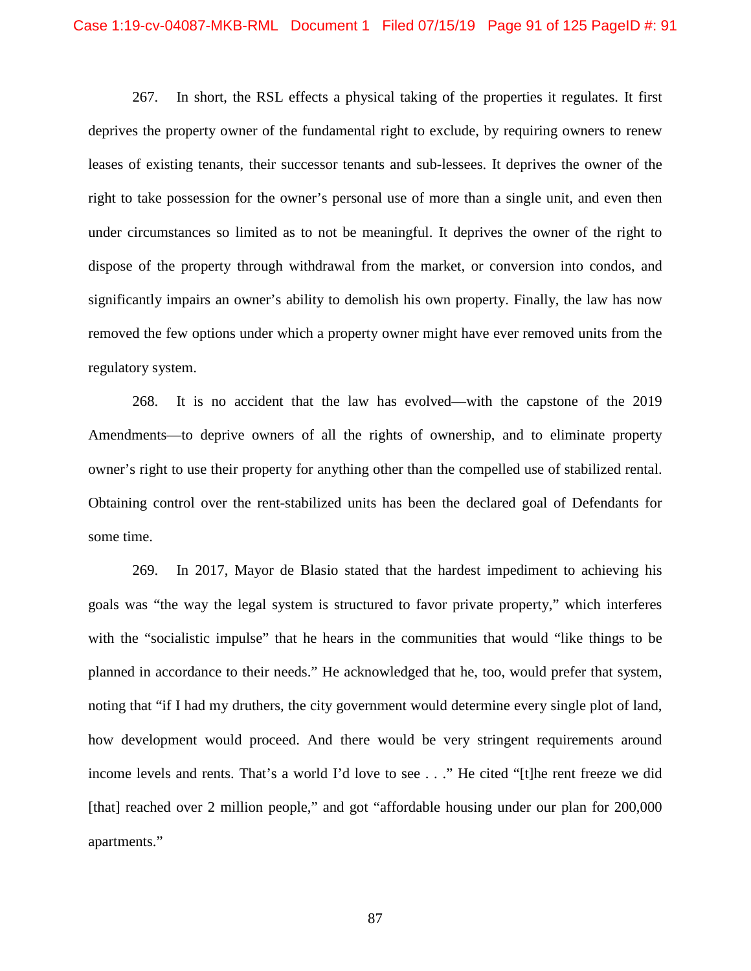267. In short, the RSL effects a physical taking of the properties it regulates. It first deprives the property owner of the fundamental right to exclude, by requiring owners to renew leases of existing tenants, their successor tenants and sub-lessees. It deprives the owner of the right to take possession for the owner's personal use of more than a single unit, and even then under circumstances so limited as to not be meaningful. It deprives the owner of the right to dispose of the property through withdrawal from the market, or conversion into condos, and significantly impairs an owner's ability to demolish his own property. Finally, the law has now removed the few options under which a property owner might have ever removed units from the regulatory system.

268. It is no accident that the law has evolved—with the capstone of the 2019 Amendments—to deprive owners of all the rights of ownership, and to eliminate property owner's right to use their property for anything other than the compelled use of stabilized rental. Obtaining control over the rent-stabilized units has been the declared goal of Defendants for some time.

269. In 2017, Mayor de Blasio stated that the hardest impediment to achieving his goals was "the way the legal system is structured to favor private property," which interferes with the "socialistic impulse" that he hears in the communities that would "like things to be planned in accordance to their needs." He acknowledged that he, too, would prefer that system, noting that "if I had my druthers, the city government would determine every single plot of land, how development would proceed. And there would be very stringent requirements around income levels and rents. That's a world I'd love to see . . ." He cited "[t]he rent freeze we did [that] reached over 2 million people," and got "affordable housing under our plan for 200,000 apartments."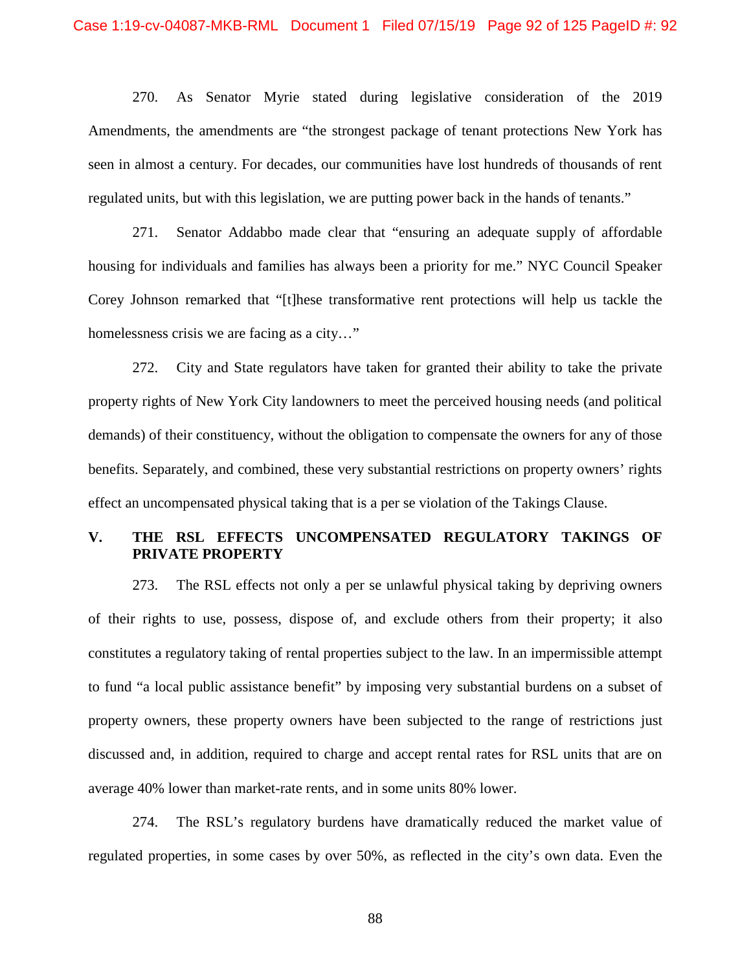270. As Senator Myrie stated during legislative consideration of the 2019 Amendments, the amendments are "the strongest package of tenant protections New York has seen in almost a century. For decades, our communities have lost hundreds of thousands of rent regulated units, but with this legislation, we are putting power back in the hands of tenants."

271. Senator Addabbo made clear that "ensuring an adequate supply of affordable housing for individuals and families has always been a priority for me." NYC Council Speaker Corey Johnson remarked that "[t]hese transformative rent protections will help us tackle the homelessness crisis we are facing as a city…"

272. City and State regulators have taken for granted their ability to take the private property rights of New York City landowners to meet the perceived housing needs (and political demands) of their constituency, without the obligation to compensate the owners for any of those benefits. Separately, and combined, these very substantial restrictions on property owners' rights effect an uncompensated physical taking that is a per se violation of the Takings Clause.

## **V. THE RSL EFFECTS UNCOMPENSATED REGULATORY TAKINGS OF PRIVATE PROPERTY**

273. The RSL effects not only a per se unlawful physical taking by depriving owners of their rights to use, possess, dispose of, and exclude others from their property; it also constitutes a regulatory taking of rental properties subject to the law. In an impermissible attempt to fund "a local public assistance benefit" by imposing very substantial burdens on a subset of property owners, these property owners have been subjected to the range of restrictions just discussed and, in addition, required to charge and accept rental rates for RSL units that are on average 40% lower than market-rate rents, and in some units 80% lower.

274. The RSL's regulatory burdens have dramatically reduced the market value of regulated properties, in some cases by over 50%, as reflected in the city's own data. Even the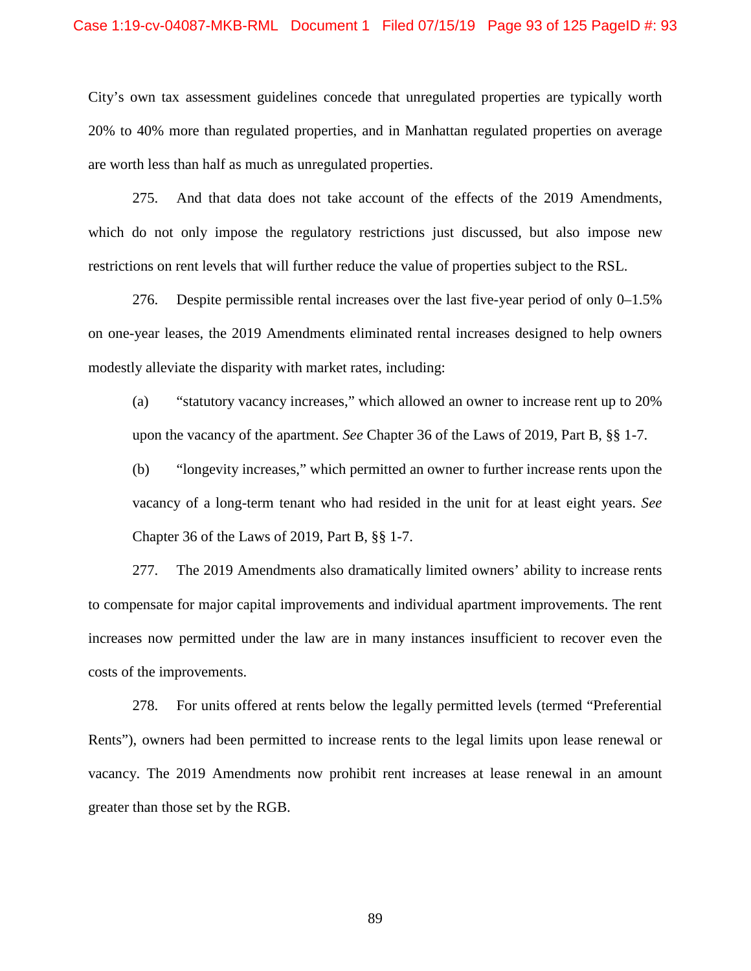City's own tax assessment guidelines concede that unregulated properties are typically worth 20% to 40% more than regulated properties, and in Manhattan regulated properties on average are worth less than half as much as unregulated properties.

275. And that data does not take account of the effects of the 2019 Amendments, which do not only impose the regulatory restrictions just discussed, but also impose new restrictions on rent levels that will further reduce the value of properties subject to the RSL.

276. Despite permissible rental increases over the last five-year period of only 0–1.5% on one-year leases, the 2019 Amendments eliminated rental increases designed to help owners modestly alleviate the disparity with market rates, including:

(a) "statutory vacancy increases," which allowed an owner to increase rent up to 20% upon the vacancy of the apartment. *See* Chapter 36 of the Laws of 2019, Part B, §§ 1-7.

(b) "longevity increases," which permitted an owner to further increase rents upon the vacancy of a long-term tenant who had resided in the unit for at least eight years. *See*  Chapter 36 of the Laws of 2019, Part B, §§ 1-7.

277. The 2019 Amendments also dramatically limited owners' ability to increase rents to compensate for major capital improvements and individual apartment improvements. The rent increases now permitted under the law are in many instances insufficient to recover even the costs of the improvements.

278. For units offered at rents below the legally permitted levels (termed "Preferential Rents"), owners had been permitted to increase rents to the legal limits upon lease renewal or vacancy. The 2019 Amendments now prohibit rent increases at lease renewal in an amount greater than those set by the RGB.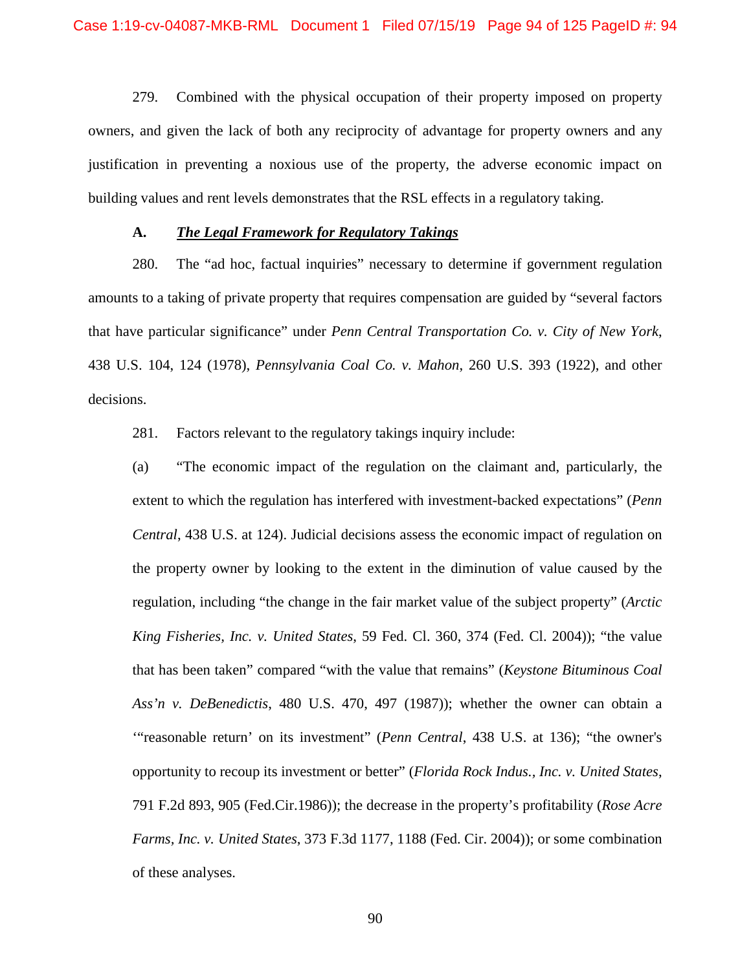279. Combined with the physical occupation of their property imposed on property owners, and given the lack of both any reciprocity of advantage for property owners and any justification in preventing a noxious use of the property, the adverse economic impact on building values and rent levels demonstrates that the RSL effects in a regulatory taking.

### **A.** *The Legal Framework for Regulatory Takings*

280. The "ad hoc, factual inquiries" necessary to determine if government regulation amounts to a taking of private property that requires compensation are guided by "several factors that have particular significance" under *Penn Central Transportation Co. v. City of New York*, 438 U.S. 104, 124 (1978), *Pennsylvania Coal Co. v. Mahon*, 260 U.S. 393 (1922), and other decisions.

281. Factors relevant to the regulatory takings inquiry include:

(a) "The economic impact of the regulation on the claimant and, particularly, the extent to which the regulation has interfered with investment-backed expectations" (*Penn Central*, 438 U.S. at 124). Judicial decisions assess the economic impact of regulation on the property owner by looking to the extent in the diminution of value caused by the regulation, including "the change in the fair market value of the subject property" (*Arctic King Fisheries, Inc. v. United States*, 59 Fed. Cl. 360, 374 (Fed. Cl. 2004)); "the value that has been taken" compared "with the value that remains" (*Keystone Bituminous Coal Ass'n v. DeBenedictis*, 480 U.S. 470, 497 (1987)); whether the owner can obtain a '"reasonable return' on its investment" (*Penn Central*, 438 U.S. at 136); "the owner's opportunity to recoup its investment or better" (*Florida Rock Indus., Inc. v. United States*, 791 F.2d 893, 905 (Fed.Cir.1986)); the decrease in the property's profitability (*Rose Acre Farms, Inc. v. United States*, 373 F.3d 1177, 1188 (Fed. Cir. 2004)); or some combination of these analyses.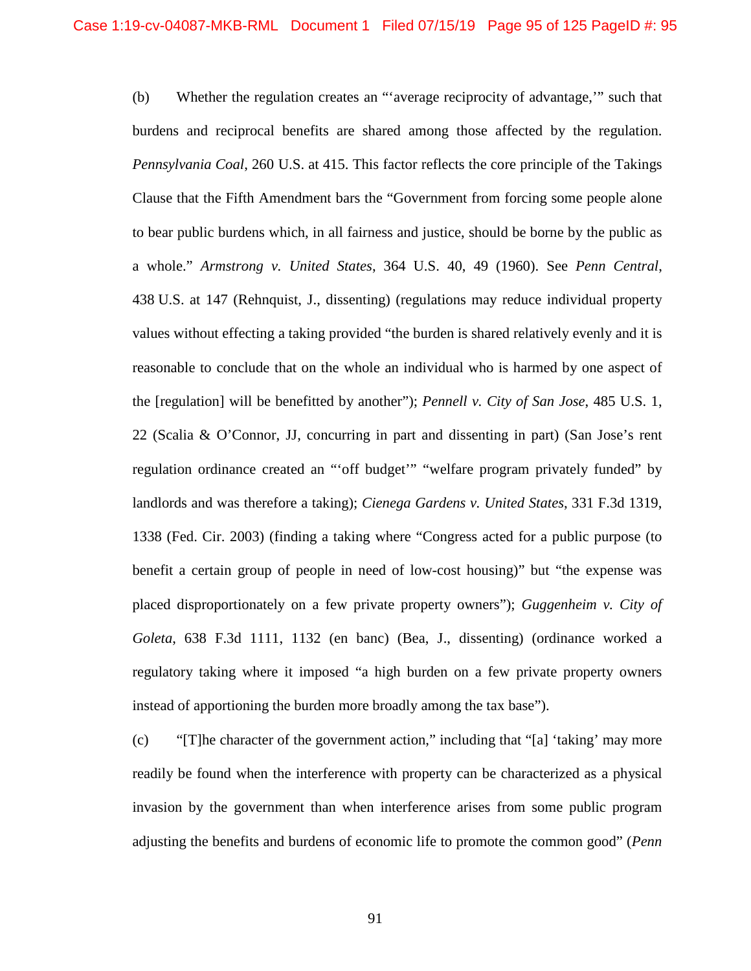(b) Whether the regulation creates an "'average reciprocity of advantage,'" such that burdens and reciprocal benefits are shared among those affected by the regulation. *Pennsylvania Coal*, 260 U.S. at 415. This factor reflects the core principle of the Takings Clause that the Fifth Amendment bars the "Government from forcing some people alone to bear public burdens which, in all fairness and justice, should be borne by the public as a whole." *Armstrong v. United States*, 364 U.S. 40, 49 (1960). See *Penn Central*, 438 U.S. at 147 (Rehnquist, J., dissenting) (regulations may reduce individual property values without effecting a taking provided "the burden is shared relatively evenly and it is reasonable to conclude that on the whole an individual who is harmed by one aspect of the [regulation] will be benefitted by another"); *Pennell v. City of San Jose*, 485 U.S. 1, 22 (Scalia & O'Connor, JJ, concurring in part and dissenting in part) (San Jose's rent regulation ordinance created an "'off budget'" "welfare program privately funded" by landlords and was therefore a taking); *Cienega Gardens v. United States*, 331 F.3d 1319, 1338 (Fed. Cir. 2003) (finding a taking where "Congress acted for a public purpose (to benefit a certain group of people in need of low-cost housing)" but "the expense was placed disproportionately on a few private property owners"); *Guggenheim v. City of Goleta*, 638 F.3d 1111, 1132 (en banc) (Bea, J., dissenting) (ordinance worked a regulatory taking where it imposed "a high burden on a few private property owners instead of apportioning the burden more broadly among the tax base").

(c) "[T]he character of the government action," including that "[a] 'taking' may more readily be found when the interference with property can be characterized as a physical invasion by the government than when interference arises from some public program adjusting the benefits and burdens of economic life to promote the common good" (*Penn*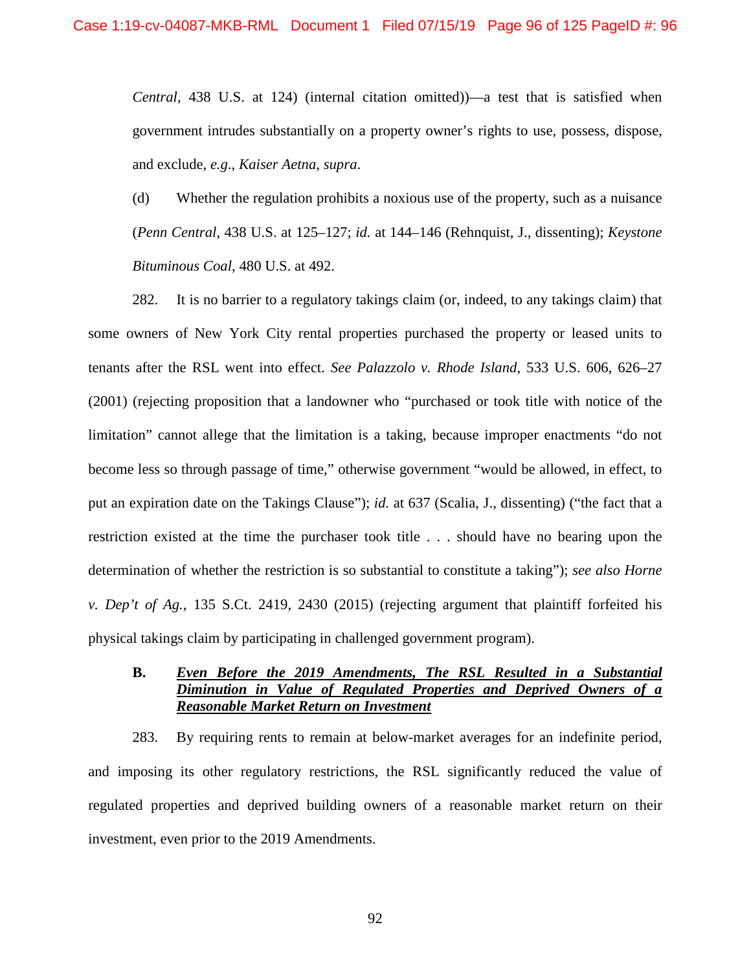*Central*, 438 U.S. at 124) (internal citation omitted))—a test that is satisfied when government intrudes substantially on a property owner's rights to use, possess, dispose, and exclude, *e.g*., *Kaiser Aetna*, *supra*.

(d) Whether the regulation prohibits a noxious use of the property, such as a nuisance (*Penn Central*, 438 U.S. at 125–127; *id.* at 144–146 (Rehnquist, J., dissenting); *Keystone Bituminous Coal*, 480 U.S. at 492.

282. It is no barrier to a regulatory takings claim (or, indeed, to any takings claim) that some owners of New York City rental properties purchased the property or leased units to tenants after the RSL went into effect. *See Palazzolo v. Rhode Island*, 533 U.S. 606, 626–27 (2001) (rejecting proposition that a landowner who "purchased or took title with notice of the limitation" cannot allege that the limitation is a taking, because improper enactments "do not become less so through passage of time," otherwise government "would be allowed, in effect, to put an expiration date on the Takings Clause"); *id.* at 637 (Scalia, J., dissenting) ("the fact that a restriction existed at the time the purchaser took title . . . should have no bearing upon the determination of whether the restriction is so substantial to constitute a taking"); *see also Horne v. Dep't of Ag.*, 135 S.Ct. 2419, 2430 (2015) (rejecting argument that plaintiff forfeited his physical takings claim by participating in challenged government program).

## **B.** *Even Before the 2019 Amendments, The RSL Resulted in a Substantial Diminution in Value of Regulated Properties and Deprived Owners of a Reasonable Market Return on Investment*

283. By requiring rents to remain at below-market averages for an indefinite period, and imposing its other regulatory restrictions, the RSL significantly reduced the value of regulated properties and deprived building owners of a reasonable market return on their investment, even prior to the 2019 Amendments.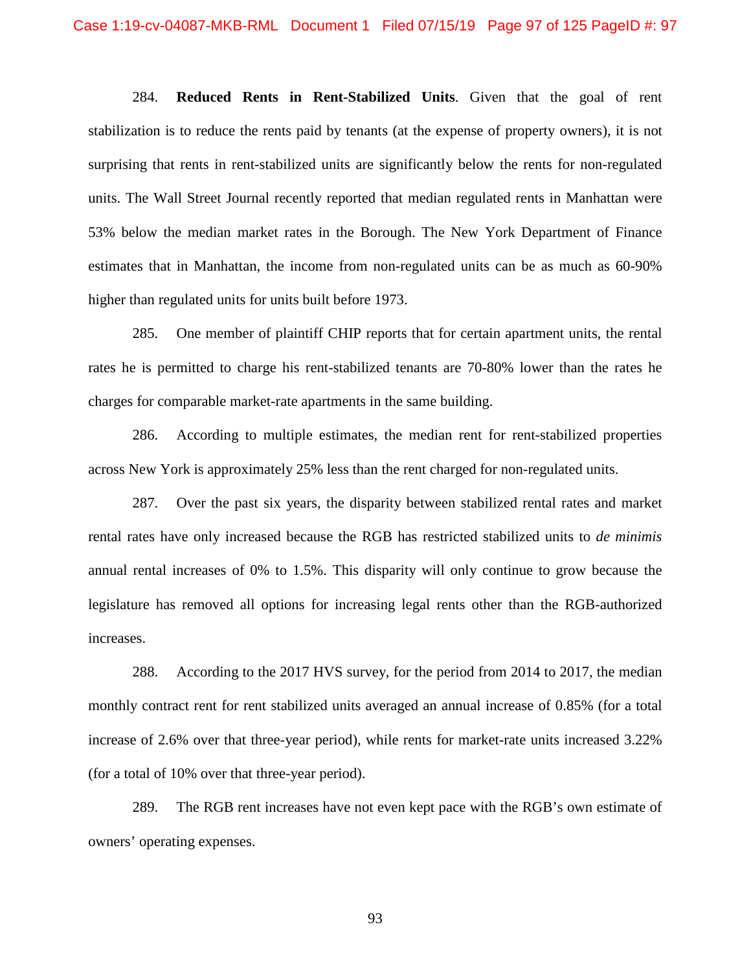284. **Reduced Rents in Rent-Stabilized Units**. Given that the goal of rent stabilization is to reduce the rents paid by tenants (at the expense of property owners), it is not surprising that rents in rent-stabilized units are significantly below the rents for non-regulated units. The Wall Street Journal recently reported that median regulated rents in Manhattan were 53% below the median market rates in the Borough. The New York Department of Finance estimates that in Manhattan, the income from non-regulated units can be as much as 60-90% higher than regulated units for units built before 1973.

285. One member of plaintiff CHIP reports that for certain apartment units, the rental rates he is permitted to charge his rent-stabilized tenants are 70-80% lower than the rates he charges for comparable market-rate apartments in the same building.

286. According to multiple estimates, the median rent for rent-stabilized properties across New York is approximately 25% less than the rent charged for non-regulated units.

287. Over the past six years, the disparity between stabilized rental rates and market rental rates have only increased because the RGB has restricted stabilized units to *de minimis* annual rental increases of 0% to 1.5%. This disparity will only continue to grow because the legislature has removed all options for increasing legal rents other than the RGB-authorized increases.

288. According to the 2017 HVS survey, for the period from 2014 to 2017, the median monthly contract rent for rent stabilized units averaged an annual increase of 0.85% (for a total increase of 2.6% over that three-year period), while rents for market-rate units increased 3.22% (for a total of 10% over that three-year period).

289. The RGB rent increases have not even kept pace with the RGB's own estimate of owners' operating expenses.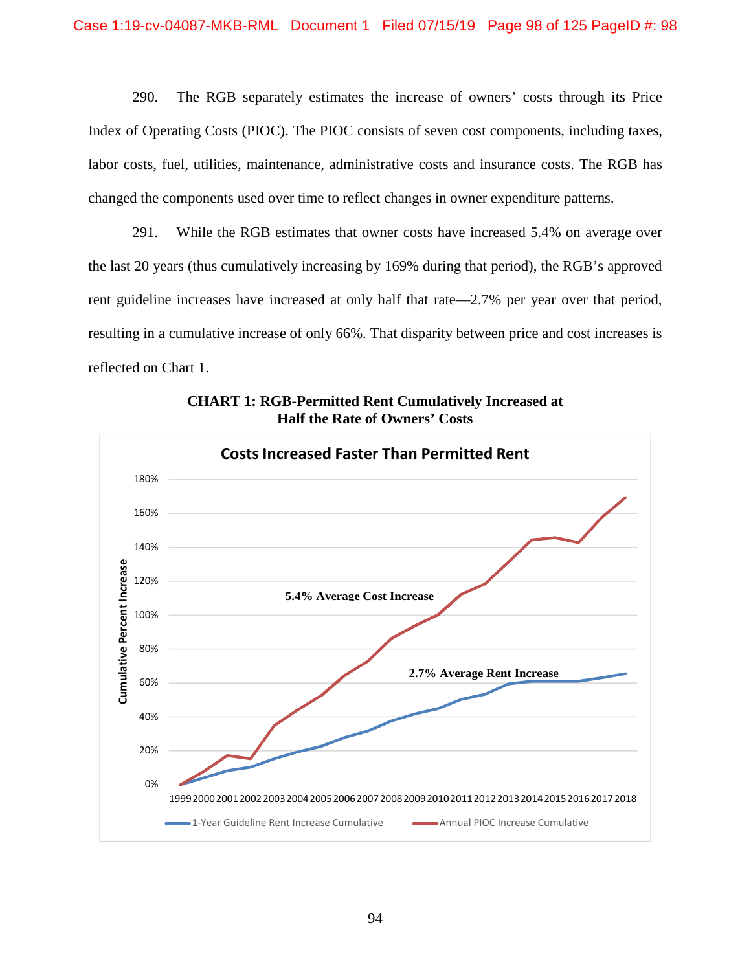290. The RGB separately estimates the increase of owners' costs through its Price Index of Operating Costs (PIOC). The PIOC consists of seven cost components, including taxes, labor costs, fuel, utilities, maintenance, administrative costs and insurance costs. The RGB has changed the components used over time to reflect changes in owner expenditure patterns.

291. While the RGB estimates that owner costs have increased 5.4% on average over the last 20 years (thus cumulatively increasing by 169% during that period), the RGB's approved rent guideline increases have increased at only half that rate—2.7% per year over that period, resulting in a cumulative increase of only 66%. That disparity between price and cost increases is reflected on Chart 1.



**CHART 1: RGB-Permitted Rent Cumulatively Increased at Half the Rate of Owners' Costs**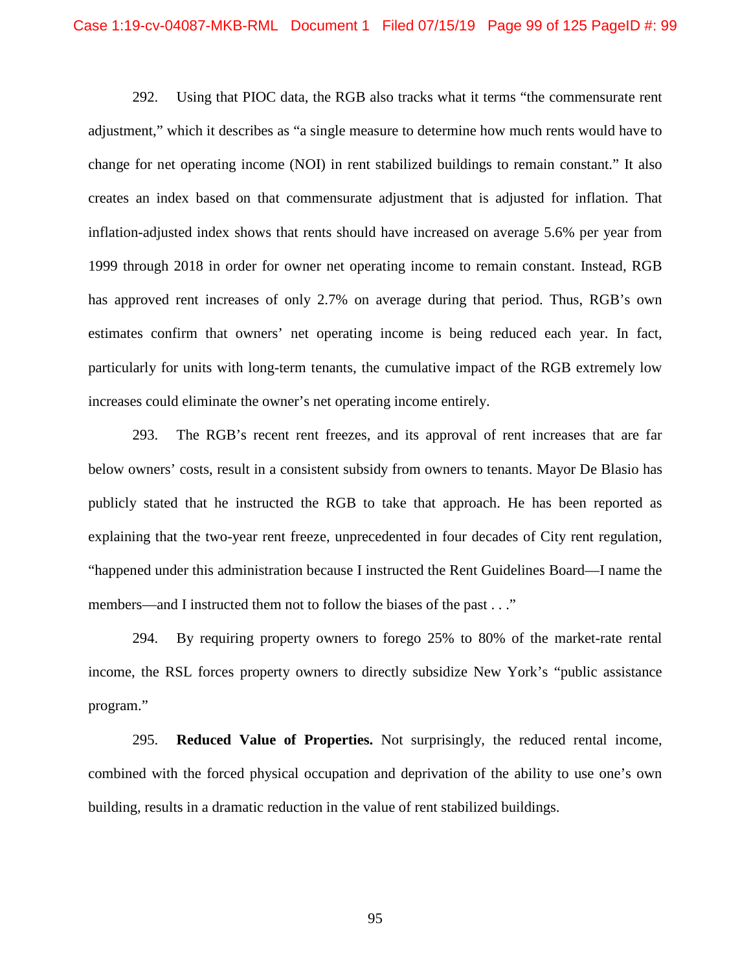292. Using that PIOC data, the RGB also tracks what it terms "the commensurate rent adjustment," which it describes as "a single measure to determine how much rents would have to change for net operating income (NOI) in rent stabilized buildings to remain constant." It also creates an index based on that commensurate adjustment that is adjusted for inflation. That inflation-adjusted index shows that rents should have increased on average 5.6% per year from 1999 through 2018 in order for owner net operating income to remain constant. Instead, RGB has approved rent increases of only 2.7% on average during that period. Thus, RGB's own estimates confirm that owners' net operating income is being reduced each year. In fact, particularly for units with long-term tenants, the cumulative impact of the RGB extremely low increases could eliminate the owner's net operating income entirely.

293. The RGB's recent rent freezes, and its approval of rent increases that are far below owners' costs, result in a consistent subsidy from owners to tenants. Mayor De Blasio has publicly stated that he instructed the RGB to take that approach. He has been reported as explaining that the two-year rent freeze, unprecedented in four decades of City rent regulation, "happened under this administration because I instructed the Rent Guidelines Board—I name the members—and I instructed them not to follow the biases of the past . . ."

294. By requiring property owners to forego 25% to 80% of the market-rate rental income, the RSL forces property owners to directly subsidize New York's "public assistance program."

295. **Reduced Value of Properties.** Not surprisingly, the reduced rental income, combined with the forced physical occupation and deprivation of the ability to use one's own building, results in a dramatic reduction in the value of rent stabilized buildings.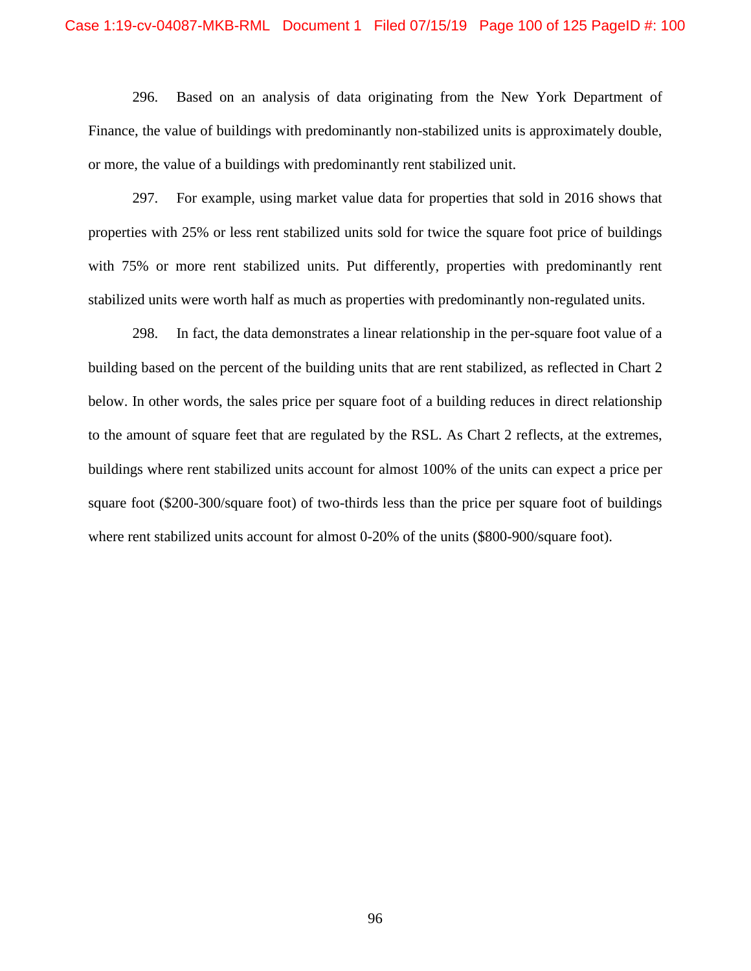#### Case 1:19-cv-04087-MKB-RML Document 1 Filed 07/15/19 Page 100 of 125 PageID #: 100

296. Based on an analysis of data originating from the New York Department of Finance, the value of buildings with predominantly non-stabilized units is approximately double, or more, the value of a buildings with predominantly rent stabilized unit.

297. For example, using market value data for properties that sold in 2016 shows that properties with 25% or less rent stabilized units sold for twice the square foot price of buildings with 75% or more rent stabilized units. Put differently, properties with predominantly rent stabilized units were worth half as much as properties with predominantly non-regulated units.

298. In fact, the data demonstrates a linear relationship in the per-square foot value of a building based on the percent of the building units that are rent stabilized, as reflected in Chart 2 below. In other words, the sales price per square foot of a building reduces in direct relationship to the amount of square feet that are regulated by the RSL. As Chart 2 reflects, at the extremes, buildings where rent stabilized units account for almost 100% of the units can expect a price per square foot (\$200-300/square foot) of two-thirds less than the price per square foot of buildings where rent stabilized units account for almost 0-20% of the units (\$800-900/square foot).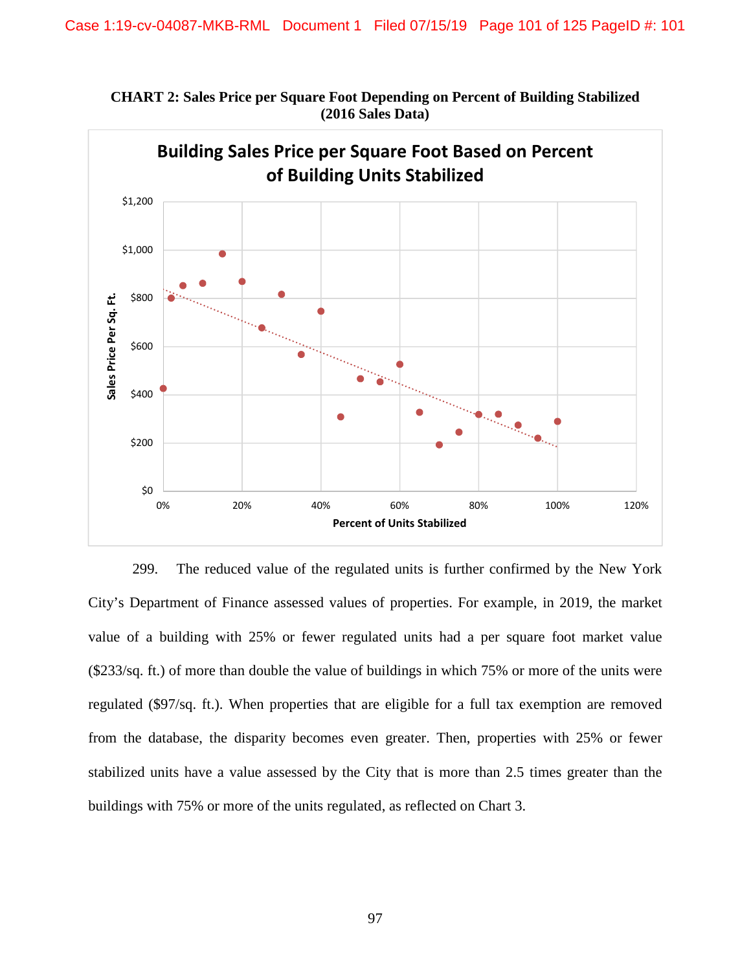

**CHART 2: Sales Price per Square Foot Depending on Percent of Building Stabilized (2016 Sales Data)** 

299. The reduced value of the regulated units is further confirmed by the New York City's Department of Finance assessed values of properties. For example, in 2019, the market value of a building with 25% or fewer regulated units had a per square foot market value (\$233/sq. ft.) of more than double the value of buildings in which 75% or more of the units were regulated (\$97/sq. ft.). When properties that are eligible for a full tax exemption are removed from the database, the disparity becomes even greater. Then, properties with 25% or fewer stabilized units have a value assessed by the City that is more than 2.5 times greater than the buildings with 75% or more of the units regulated, as reflected on Chart 3.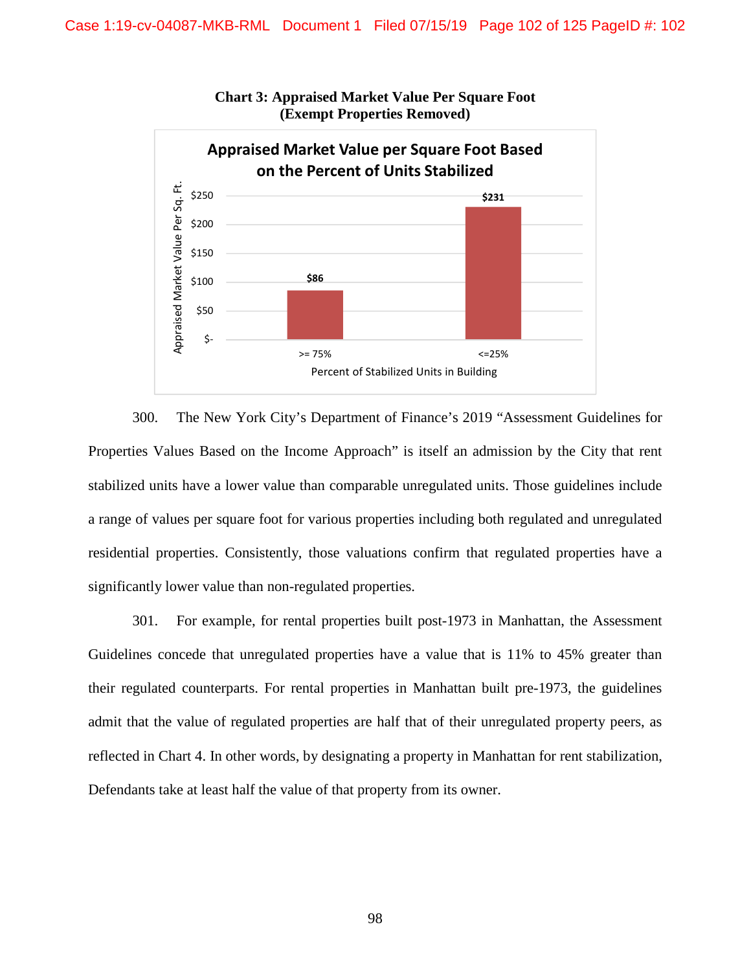

**Chart 3: Appraised Market Value Per Square Foot (Exempt Properties Removed)** 

300. The New York City's Department of Finance's 2019 "Assessment Guidelines for Properties Values Based on the Income Approach" is itself an admission by the City that rent stabilized units have a lower value than comparable unregulated units. Those guidelines include a range of values per square foot for various properties including both regulated and unregulated residential properties. Consistently, those valuations confirm that regulated properties have a significantly lower value than non-regulated properties.

301. For example, for rental properties built post-1973 in Manhattan, the Assessment Guidelines concede that unregulated properties have a value that is 11% to 45% greater than their regulated counterparts. For rental properties in Manhattan built pre-1973, the guidelines admit that the value of regulated properties are half that of their unregulated property peers, as reflected in Chart 4. In other words, by designating a property in Manhattan for rent stabilization, Defendants take at least half the value of that property from its owner.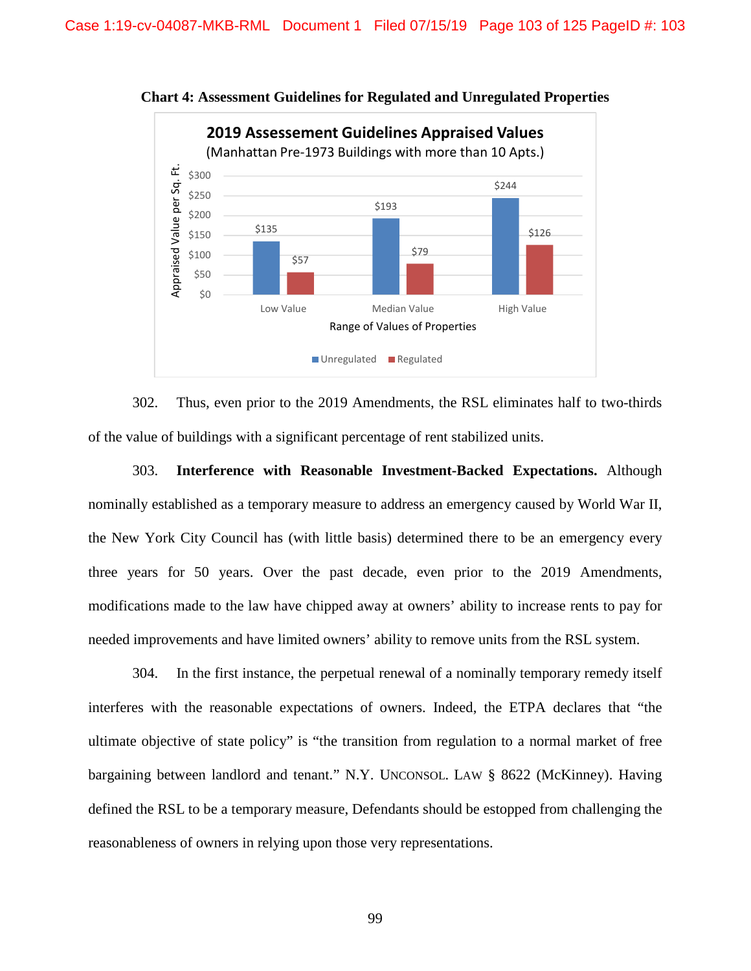

**Chart 4: Assessment Guidelines for Regulated and Unregulated Properties** 

302. Thus, even prior to the 2019 Amendments, the RSL eliminates half to two-thirds of the value of buildings with a significant percentage of rent stabilized units.

303. **Interference with Reasonable Investment-Backed Expectations.** Although nominally established as a temporary measure to address an emergency caused by World War II, the New York City Council has (with little basis) determined there to be an emergency every three years for 50 years. Over the past decade, even prior to the 2019 Amendments, modifications made to the law have chipped away at owners' ability to increase rents to pay for needed improvements and have limited owners' ability to remove units from the RSL system.

304. In the first instance, the perpetual renewal of a nominally temporary remedy itself interferes with the reasonable expectations of owners. Indeed, the ETPA declares that "the ultimate objective of state policy" is "the transition from regulation to a normal market of free bargaining between landlord and tenant." N.Y. UNCONSOL. LAW § 8622 (McKinney). Having defined the RSL to be a temporary measure, Defendants should be estopped from challenging the reasonableness of owners in relying upon those very representations.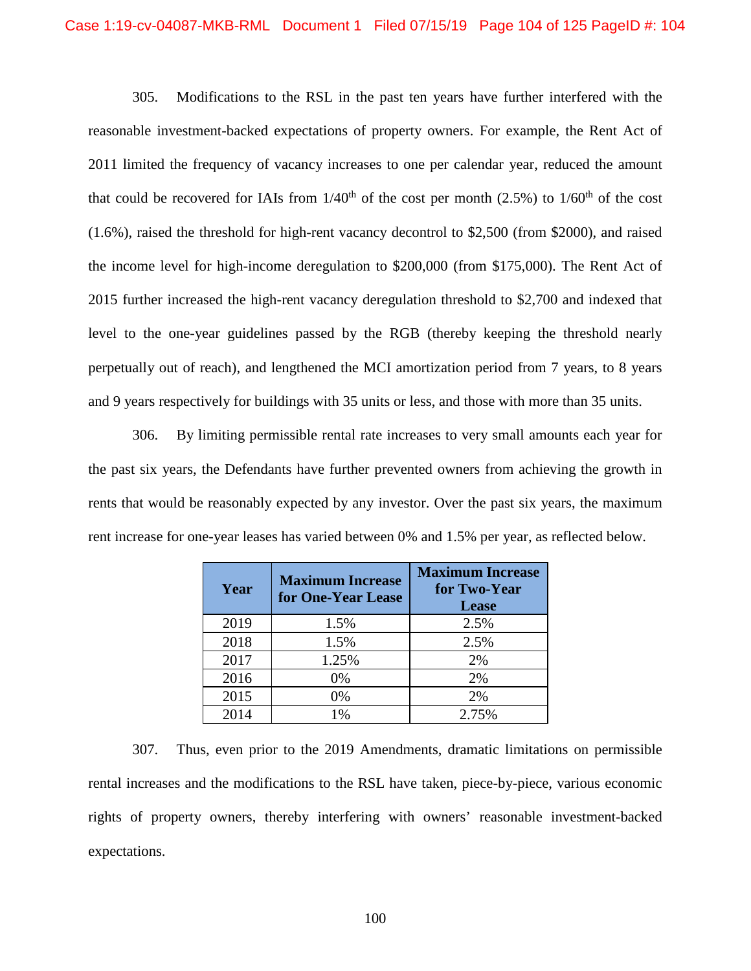305. Modifications to the RSL in the past ten years have further interfered with the reasonable investment-backed expectations of property owners. For example, the Rent Act of 2011 limited the frequency of vacancy increases to one per calendar year, reduced the amount that could be recovered for IAIs from  $1/40^{th}$  of the cost per month (2.5%) to  $1/60^{th}$  of the cost (1.6%), raised the threshold for high-rent vacancy decontrol to \$2,500 (from \$2000), and raised the income level for high-income deregulation to \$200,000 (from \$175,000). The Rent Act of 2015 further increased the high-rent vacancy deregulation threshold to \$2,700 and indexed that level to the one-year guidelines passed by the RGB (thereby keeping the threshold nearly perpetually out of reach), and lengthened the MCI amortization period from 7 years, to 8 years and 9 years respectively for buildings with 35 units or less, and those with more than 35 units.

306. By limiting permissible rental rate increases to very small amounts each year for the past six years, the Defendants have further prevented owners from achieving the growth in rents that would be reasonably expected by any investor. Over the past six years, the maximum rent increase for one-year leases has varied between 0% and 1.5% per year, as reflected below.

| Year | <b>Maximum Increase</b><br>for One-Year Lease | <b>Maximum Increase</b><br>for Two-Year<br><b>Lease</b> |
|------|-----------------------------------------------|---------------------------------------------------------|
| 2019 | 1.5%                                          | 2.5%                                                    |
| 2018 | 1.5%                                          | 2.5%                                                    |
| 2017 | 1.25%                                         | 2%                                                      |
| 2016 | 0%                                            | 2%                                                      |
| 2015 | 0%                                            | 2%                                                      |
| 2014 | 1%                                            | 2.75%                                                   |

307. Thus, even prior to the 2019 Amendments, dramatic limitations on permissible rental increases and the modifications to the RSL have taken, piece-by-piece, various economic rights of property owners, thereby interfering with owners' reasonable investment-backed expectations.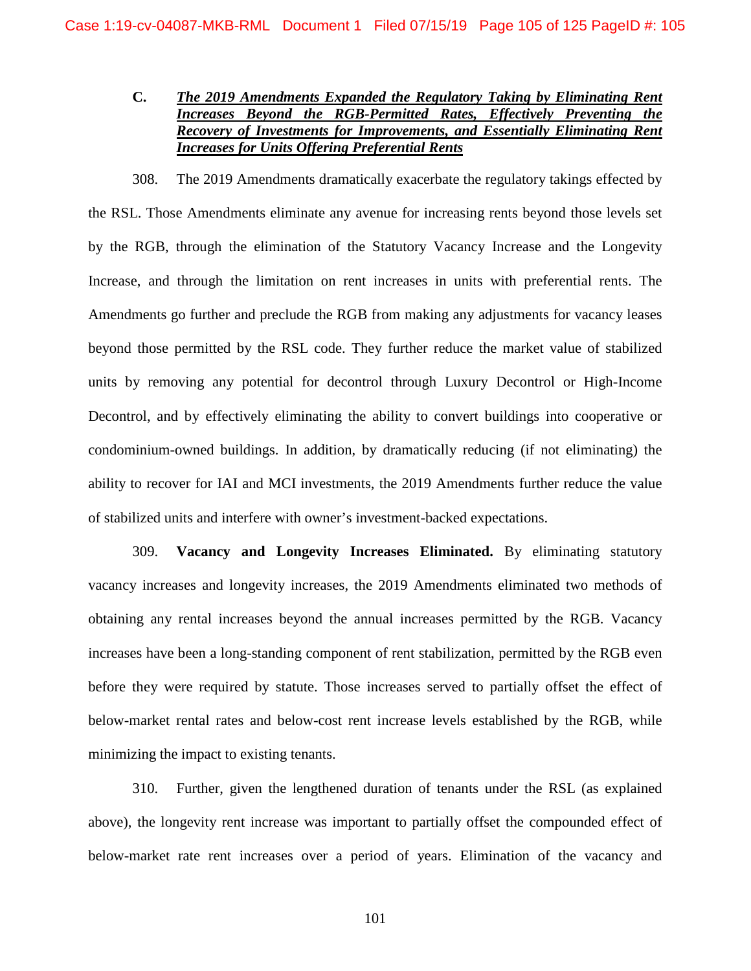# **C.** *The 2019 Amendments Expanded the Regulatory Taking by Eliminating Rent Increases Beyond the RGB-Permitted Rates, Effectively Preventing the Recovery of Investments for Improvements, and Essentially Eliminating Rent Increases for Units Offering Preferential Rents*

308. The 2019 Amendments dramatically exacerbate the regulatory takings effected by the RSL. Those Amendments eliminate any avenue for increasing rents beyond those levels set by the RGB, through the elimination of the Statutory Vacancy Increase and the Longevity Increase, and through the limitation on rent increases in units with preferential rents. The Amendments go further and preclude the RGB from making any adjustments for vacancy leases beyond those permitted by the RSL code. They further reduce the market value of stabilized units by removing any potential for decontrol through Luxury Decontrol or High-Income Decontrol, and by effectively eliminating the ability to convert buildings into cooperative or condominium-owned buildings. In addition, by dramatically reducing (if not eliminating) the ability to recover for IAI and MCI investments, the 2019 Amendments further reduce the value of stabilized units and interfere with owner's investment-backed expectations.

309. **Vacancy and Longevity Increases Eliminated.** By eliminating statutory vacancy increases and longevity increases, the 2019 Amendments eliminated two methods of obtaining any rental increases beyond the annual increases permitted by the RGB. Vacancy increases have been a long-standing component of rent stabilization, permitted by the RGB even before they were required by statute. Those increases served to partially offset the effect of below-market rental rates and below-cost rent increase levels established by the RGB, while minimizing the impact to existing tenants.

310. Further, given the lengthened duration of tenants under the RSL (as explained above), the longevity rent increase was important to partially offset the compounded effect of below-market rate rent increases over a period of years. Elimination of the vacancy and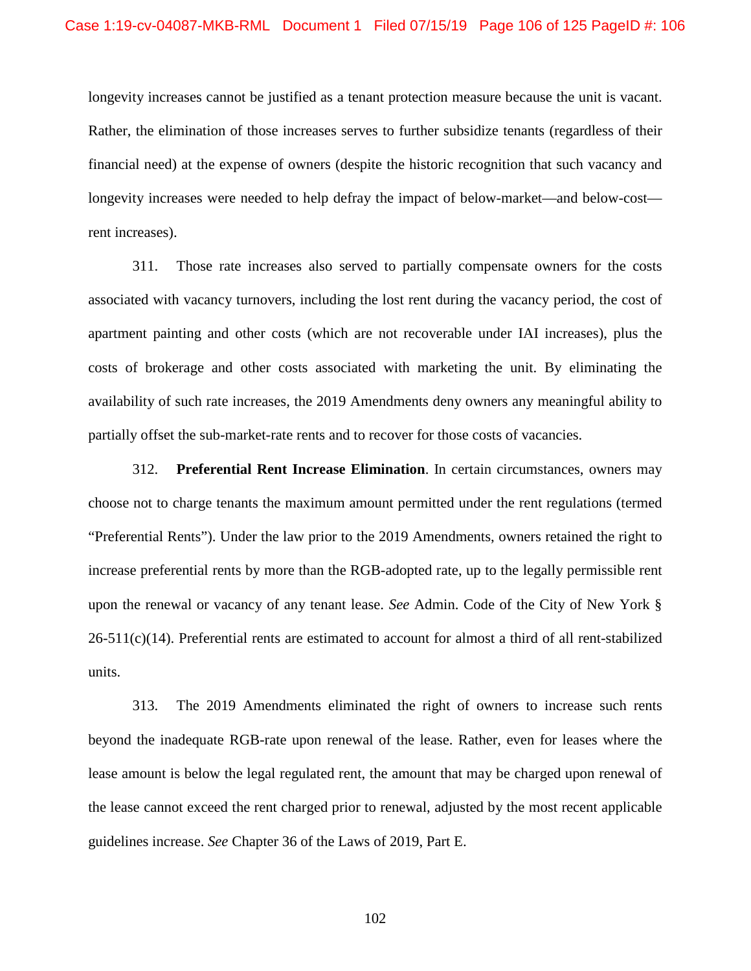longevity increases cannot be justified as a tenant protection measure because the unit is vacant. Rather, the elimination of those increases serves to further subsidize tenants (regardless of their financial need) at the expense of owners (despite the historic recognition that such vacancy and longevity increases were needed to help defray the impact of below-market—and below-cost rent increases).

311. Those rate increases also served to partially compensate owners for the costs associated with vacancy turnovers, including the lost rent during the vacancy period, the cost of apartment painting and other costs (which are not recoverable under IAI increases), plus the costs of brokerage and other costs associated with marketing the unit. By eliminating the availability of such rate increases, the 2019 Amendments deny owners any meaningful ability to partially offset the sub-market-rate rents and to recover for those costs of vacancies.

312. **Preferential Rent Increase Elimination**. In certain circumstances, owners may choose not to charge tenants the maximum amount permitted under the rent regulations (termed "Preferential Rents"). Under the law prior to the 2019 Amendments, owners retained the right to increase preferential rents by more than the RGB-adopted rate, up to the legally permissible rent upon the renewal or vacancy of any tenant lease. *See* Admin. Code of the City of New York §  $26-511(c)(14)$ . Preferential rents are estimated to account for almost a third of all rent-stabilized units.

313. The 2019 Amendments eliminated the right of owners to increase such rents beyond the inadequate RGB-rate upon renewal of the lease. Rather, even for leases where the lease amount is below the legal regulated rent, the amount that may be charged upon renewal of the lease cannot exceed the rent charged prior to renewal, adjusted by the most recent applicable guidelines increase. *See* Chapter 36 of the Laws of 2019, Part E.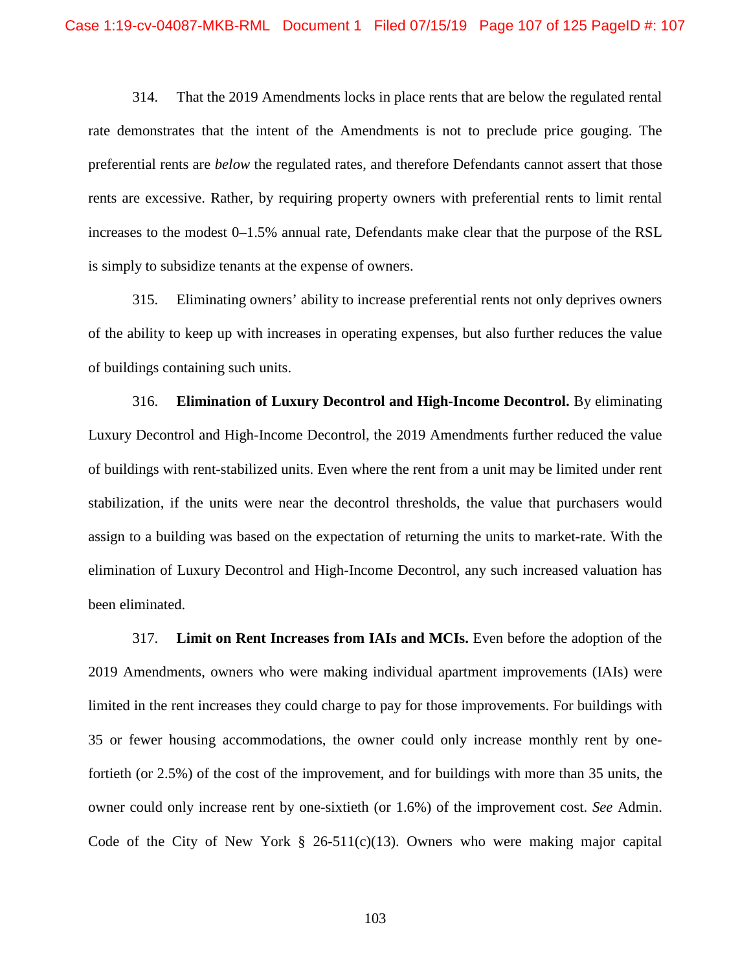314. That the 2019 Amendments locks in place rents that are below the regulated rental rate demonstrates that the intent of the Amendments is not to preclude price gouging. The preferential rents are *below* the regulated rates, and therefore Defendants cannot assert that those rents are excessive. Rather, by requiring property owners with preferential rents to limit rental increases to the modest 0–1.5% annual rate, Defendants make clear that the purpose of the RSL is simply to subsidize tenants at the expense of owners.

315. Eliminating owners' ability to increase preferential rents not only deprives owners of the ability to keep up with increases in operating expenses, but also further reduces the value of buildings containing such units.

316. **Elimination of Luxury Decontrol and High-Income Decontrol.** By eliminating Luxury Decontrol and High-Income Decontrol, the 2019 Amendments further reduced the value of buildings with rent-stabilized units. Even where the rent from a unit may be limited under rent stabilization, if the units were near the decontrol thresholds, the value that purchasers would assign to a building was based on the expectation of returning the units to market-rate. With the elimination of Luxury Decontrol and High-Income Decontrol, any such increased valuation has been eliminated.

317. **Limit on Rent Increases from IAIs and MCIs.** Even before the adoption of the 2019 Amendments, owners who were making individual apartment improvements (IAIs) were limited in the rent increases they could charge to pay for those improvements. For buildings with 35 or fewer housing accommodations, the owner could only increase monthly rent by onefortieth (or 2.5%) of the cost of the improvement, and for buildings with more than 35 units, the owner could only increase rent by one-sixtieth (or 1.6%) of the improvement cost. *See* Admin. Code of the City of New York  $\S$  26-511(c)(13). Owners who were making major capital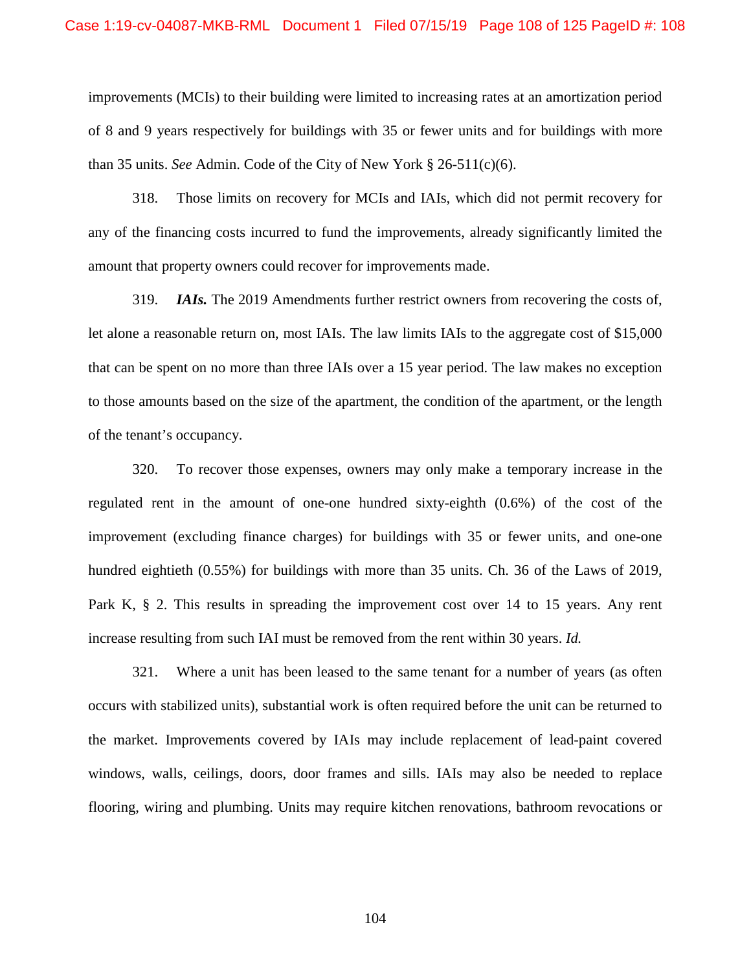improvements (MCIs) to their building were limited to increasing rates at an amortization period of 8 and 9 years respectively for buildings with 35 or fewer units and for buildings with more than 35 units. *See* Admin. Code of the City of New York § 26-511(c)(6).

318. Those limits on recovery for MCIs and IAIs, which did not permit recovery for any of the financing costs incurred to fund the improvements, already significantly limited the amount that property owners could recover for improvements made.

319. *IAIs.* The 2019 Amendments further restrict owners from recovering the costs of, let alone a reasonable return on, most IAIs. The law limits IAIs to the aggregate cost of \$15,000 that can be spent on no more than three IAIs over a 15 year period. The law makes no exception to those amounts based on the size of the apartment, the condition of the apartment, or the length of the tenant's occupancy.

320. To recover those expenses, owners may only make a temporary increase in the regulated rent in the amount of one-one hundred sixty-eighth (0.6%) of the cost of the improvement (excluding finance charges) for buildings with 35 or fewer units, and one-one hundred eightieth (0.55%) for buildings with more than 35 units. Ch. 36 of the Laws of 2019, Park K, § 2. This results in spreading the improvement cost over 14 to 15 years. Any rent increase resulting from such IAI must be removed from the rent within 30 years. *Id.* 

321. Where a unit has been leased to the same tenant for a number of years (as often occurs with stabilized units), substantial work is often required before the unit can be returned to the market. Improvements covered by IAIs may include replacement of lead-paint covered windows, walls, ceilings, doors, door frames and sills. IAIs may also be needed to replace flooring, wiring and plumbing. Units may require kitchen renovations, bathroom revocations or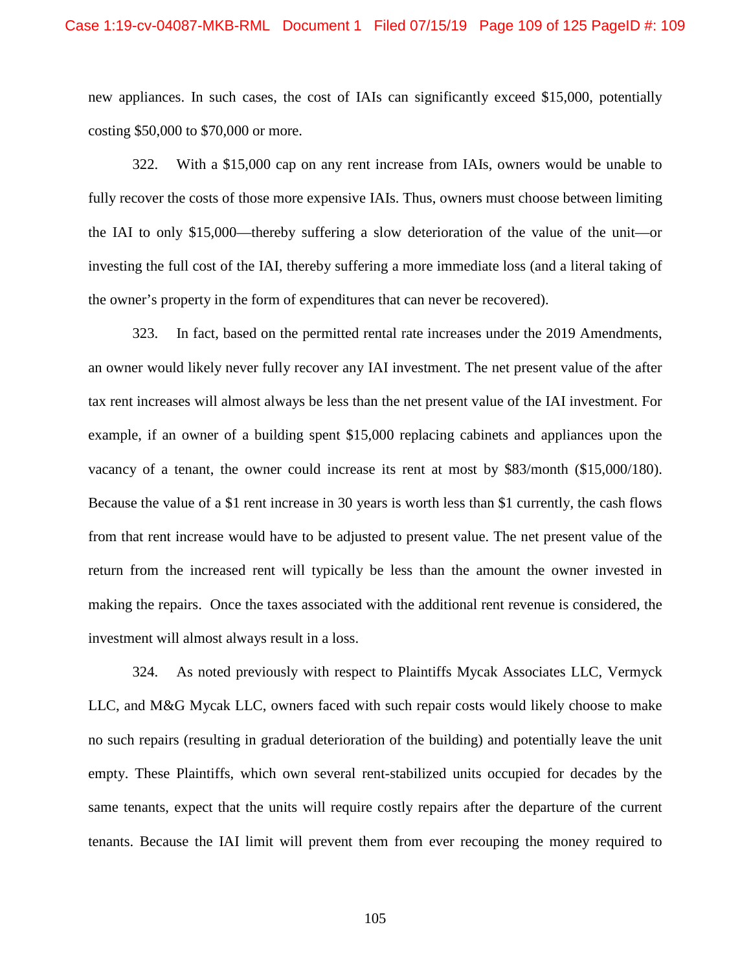#### Case 1:19-cv-04087-MKB-RML Document 1 Filed 07/15/19 Page 109 of 125 PageID #: 109

new appliances. In such cases, the cost of IAIs can significantly exceed \$15,000, potentially costing \$50,000 to \$70,000 or more.

322. With a \$15,000 cap on any rent increase from IAIs, owners would be unable to fully recover the costs of those more expensive IAIs. Thus, owners must choose between limiting the IAI to only \$15,000—thereby suffering a slow deterioration of the value of the unit—or investing the full cost of the IAI, thereby suffering a more immediate loss (and a literal taking of the owner's property in the form of expenditures that can never be recovered).

323. In fact, based on the permitted rental rate increases under the 2019 Amendments, an owner would likely never fully recover any IAI investment. The net present value of the after tax rent increases will almost always be less than the net present value of the IAI investment. For example, if an owner of a building spent \$15,000 replacing cabinets and appliances upon the vacancy of a tenant, the owner could increase its rent at most by \$83/month (\$15,000/180). Because the value of a \$1 rent increase in 30 years is worth less than \$1 currently, the cash flows from that rent increase would have to be adjusted to present value. The net present value of the return from the increased rent will typically be less than the amount the owner invested in making the repairs. Once the taxes associated with the additional rent revenue is considered, the investment will almost always result in a loss.

324. As noted previously with respect to Plaintiffs Mycak Associates LLC, Vermyck LLC, and M&G Mycak LLC, owners faced with such repair costs would likely choose to make no such repairs (resulting in gradual deterioration of the building) and potentially leave the unit empty. These Plaintiffs, which own several rent-stabilized units occupied for decades by the same tenants, expect that the units will require costly repairs after the departure of the current tenants. Because the IAI limit will prevent them from ever recouping the money required to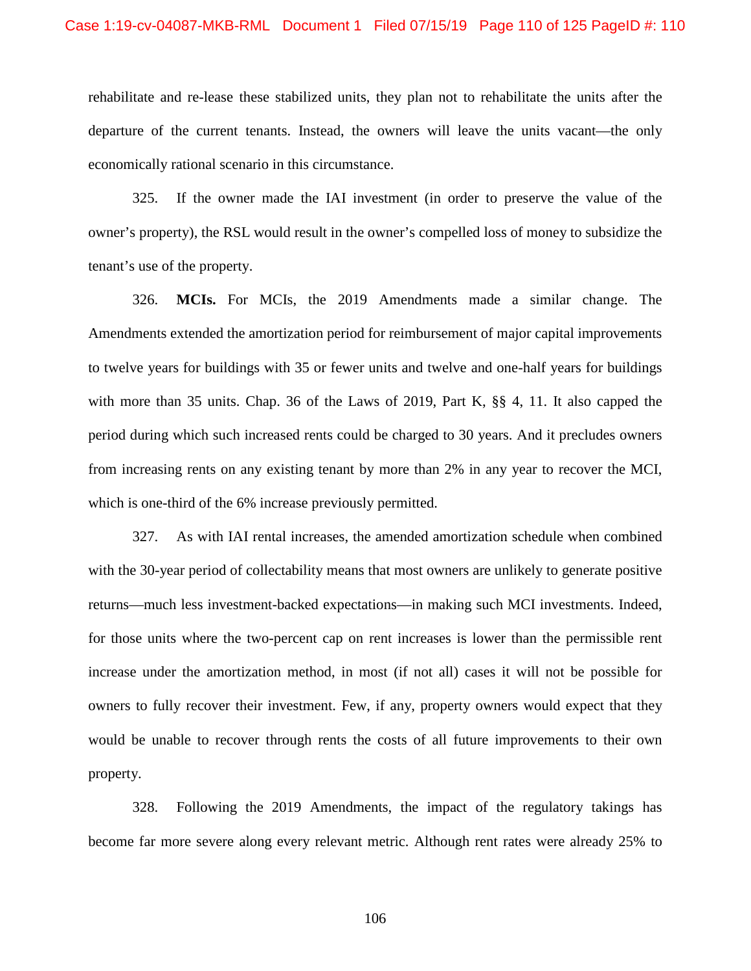rehabilitate and re-lease these stabilized units, they plan not to rehabilitate the units after the departure of the current tenants. Instead, the owners will leave the units vacant—the only economically rational scenario in this circumstance.

325. If the owner made the IAI investment (in order to preserve the value of the owner's property), the RSL would result in the owner's compelled loss of money to subsidize the tenant's use of the property.

326. **MCIs.** For MCIs, the 2019 Amendments made a similar change. The Amendments extended the amortization period for reimbursement of major capital improvements to twelve years for buildings with 35 or fewer units and twelve and one-half years for buildings with more than 35 units. Chap. 36 of the Laws of 2019, Part K, §§ 4, 11. It also capped the period during which such increased rents could be charged to 30 years. And it precludes owners from increasing rents on any existing tenant by more than 2% in any year to recover the MCI, which is one-third of the 6% increase previously permitted.

327. As with IAI rental increases, the amended amortization schedule when combined with the 30-year period of collectability means that most owners are unlikely to generate positive returns—much less investment-backed expectations—in making such MCI investments. Indeed, for those units where the two-percent cap on rent increases is lower than the permissible rent increase under the amortization method, in most (if not all) cases it will not be possible for owners to fully recover their investment. Few, if any, property owners would expect that they would be unable to recover through rents the costs of all future improvements to their own property.

328. Following the 2019 Amendments, the impact of the regulatory takings has become far more severe along every relevant metric. Although rent rates were already 25% to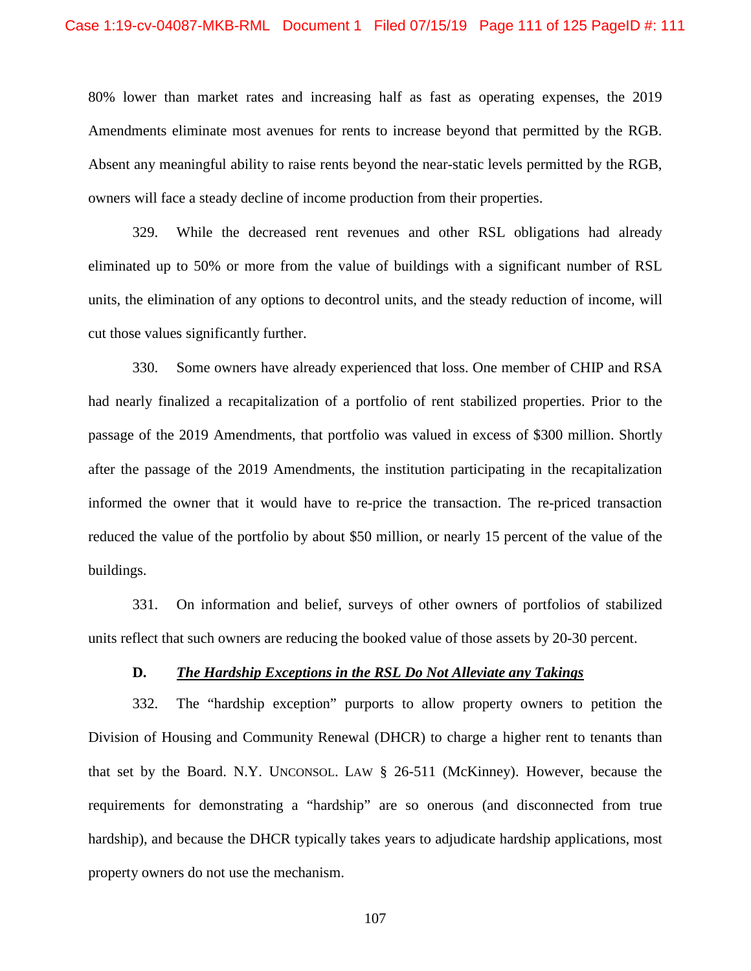80% lower than market rates and increasing half as fast as operating expenses, the 2019 Amendments eliminate most avenues for rents to increase beyond that permitted by the RGB. Absent any meaningful ability to raise rents beyond the near-static levels permitted by the RGB, owners will face a steady decline of income production from their properties.

329. While the decreased rent revenues and other RSL obligations had already eliminated up to 50% or more from the value of buildings with a significant number of RSL units, the elimination of any options to decontrol units, and the steady reduction of income, will cut those values significantly further.

330. Some owners have already experienced that loss. One member of CHIP and RSA had nearly finalized a recapitalization of a portfolio of rent stabilized properties. Prior to the passage of the 2019 Amendments, that portfolio was valued in excess of \$300 million. Shortly after the passage of the 2019 Amendments, the institution participating in the recapitalization informed the owner that it would have to re-price the transaction. The re-priced transaction reduced the value of the portfolio by about \$50 million, or nearly 15 percent of the value of the buildings.

331. On information and belief, surveys of other owners of portfolios of stabilized units reflect that such owners are reducing the booked value of those assets by 20-30 percent.

#### **D.** *The Hardship Exceptions in the RSL Do Not Alleviate any Takings*

332. The "hardship exception" purports to allow property owners to petition the Division of Housing and Community Renewal (DHCR) to charge a higher rent to tenants than that set by the Board. N.Y. UNCONSOL. LAW § 26-511 (McKinney). However, because the requirements for demonstrating a "hardship" are so onerous (and disconnected from true hardship), and because the DHCR typically takes years to adjudicate hardship applications, most property owners do not use the mechanism.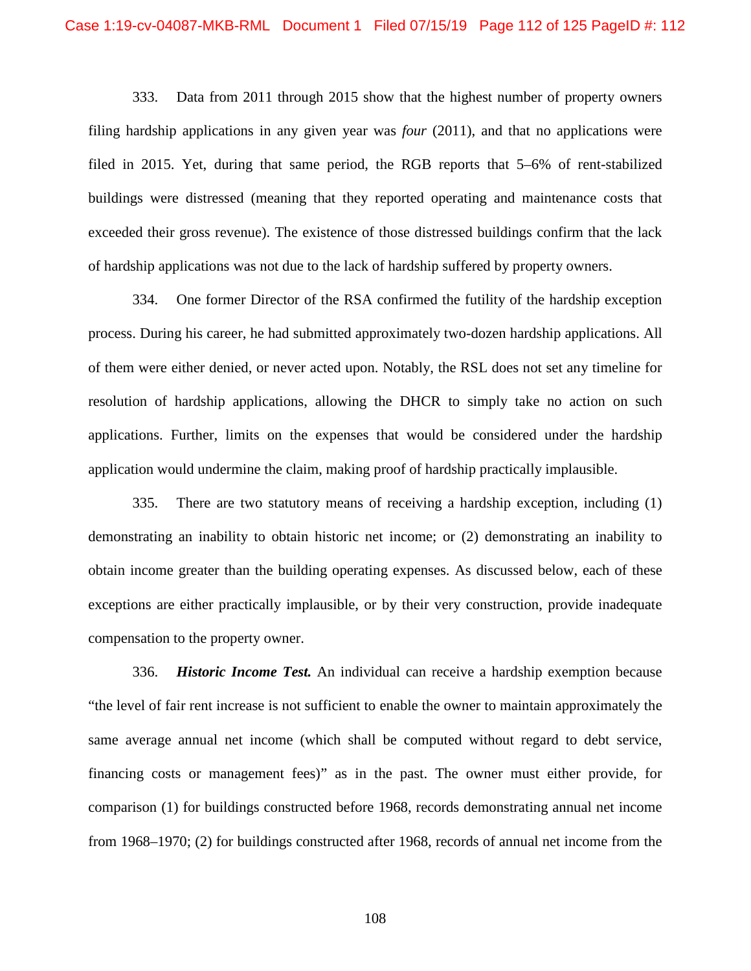333. Data from 2011 through 2015 show that the highest number of property owners filing hardship applications in any given year was *four* (2011), and that no applications were filed in 2015. Yet, during that same period, the RGB reports that 5–6% of rent-stabilized buildings were distressed (meaning that they reported operating and maintenance costs that exceeded their gross revenue). The existence of those distressed buildings confirm that the lack of hardship applications was not due to the lack of hardship suffered by property owners.

334. One former Director of the RSA confirmed the futility of the hardship exception process. During his career, he had submitted approximately two-dozen hardship applications. All of them were either denied, or never acted upon. Notably, the RSL does not set any timeline for resolution of hardship applications, allowing the DHCR to simply take no action on such applications. Further, limits on the expenses that would be considered under the hardship application would undermine the claim, making proof of hardship practically implausible.

335. There are two statutory means of receiving a hardship exception, including (1) demonstrating an inability to obtain historic net income; or (2) demonstrating an inability to obtain income greater than the building operating expenses. As discussed below, each of these exceptions are either practically implausible, or by their very construction, provide inadequate compensation to the property owner.

336. *Historic Income Test.* An individual can receive a hardship exemption because "the level of fair rent increase is not sufficient to enable the owner to maintain approximately the same average annual net income (which shall be computed without regard to debt service, financing costs or management fees)" as in the past. The owner must either provide, for comparison (1) for buildings constructed before 1968, records demonstrating annual net income from 1968–1970; (2) for buildings constructed after 1968, records of annual net income from the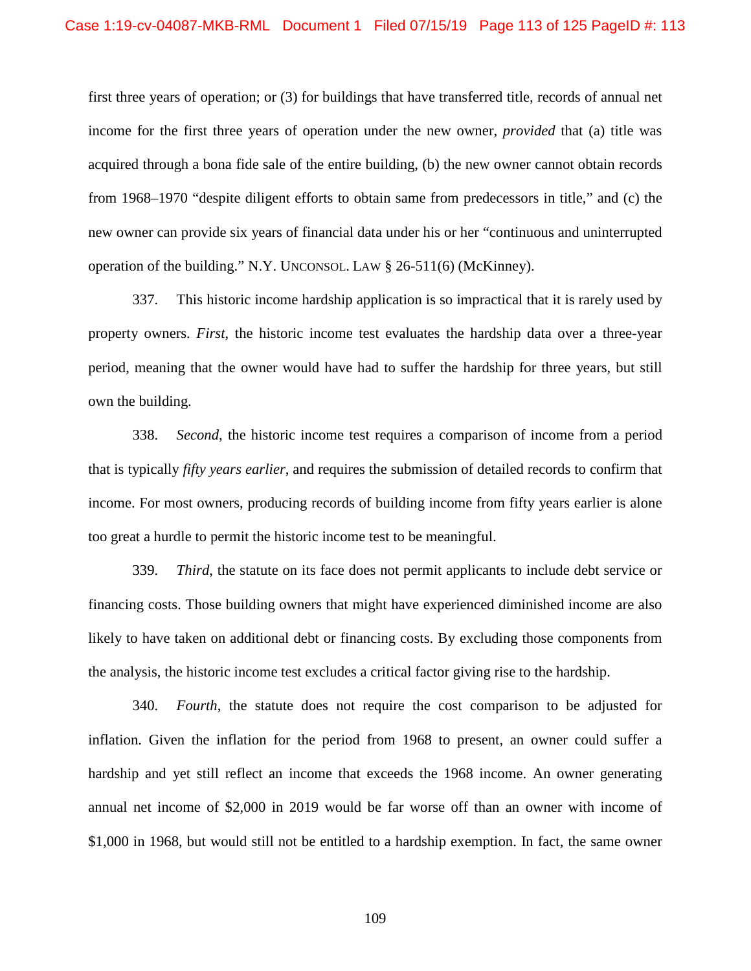first three years of operation; or (3) for buildings that have transferred title, records of annual net income for the first three years of operation under the new owner, *provided* that (a) title was acquired through a bona fide sale of the entire building, (b) the new owner cannot obtain records from 1968–1970 "despite diligent efforts to obtain same from predecessors in title," and (c) the new owner can provide six years of financial data under his or her "continuous and uninterrupted operation of the building." N.Y. UNCONSOL. LAW § 26-511(6) (McKinney).

337. This historic income hardship application is so impractical that it is rarely used by property owners. *First*, the historic income test evaluates the hardship data over a three-year period, meaning that the owner would have had to suffer the hardship for three years, but still own the building.

338. *Second*, the historic income test requires a comparison of income from a period that is typically *fifty years earlier*, and requires the submission of detailed records to confirm that income. For most owners, producing records of building income from fifty years earlier is alone too great a hurdle to permit the historic income test to be meaningful.

339. *Third*, the statute on its face does not permit applicants to include debt service or financing costs. Those building owners that might have experienced diminished income are also likely to have taken on additional debt or financing costs. By excluding those components from the analysis, the historic income test excludes a critical factor giving rise to the hardship.

340. *Fourth*, the statute does not require the cost comparison to be adjusted for inflation. Given the inflation for the period from 1968 to present, an owner could suffer a hardship and yet still reflect an income that exceeds the 1968 income. An owner generating annual net income of \$2,000 in 2019 would be far worse off than an owner with income of \$1,000 in 1968, but would still not be entitled to a hardship exemption. In fact, the same owner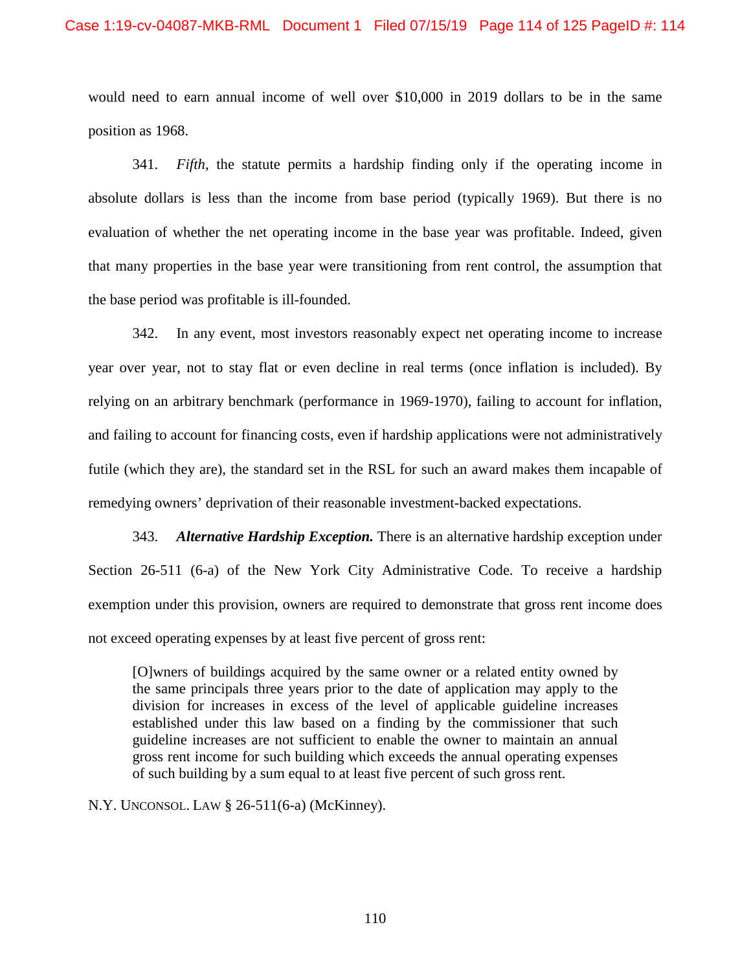would need to earn annual income of well over \$10,000 in 2019 dollars to be in the same position as 1968.

341. *Fifth*, the statute permits a hardship finding only if the operating income in absolute dollars is less than the income from base period (typically 1969). But there is no evaluation of whether the net operating income in the base year was profitable. Indeed, given that many properties in the base year were transitioning from rent control, the assumption that the base period was profitable is ill-founded.

342. In any event, most investors reasonably expect net operating income to increase year over year, not to stay flat or even decline in real terms (once inflation is included). By relying on an arbitrary benchmark (performance in 1969-1970), failing to account for inflation, and failing to account for financing costs, even if hardship applications were not administratively futile (which they are), the standard set in the RSL for such an award makes them incapable of remedying owners' deprivation of their reasonable investment-backed expectations.

343. *Alternative Hardship Exception.* There is an alternative hardship exception under Section 26-511 (6-a) of the New York City Administrative Code. To receive a hardship exemption under this provision, owners are required to demonstrate that gross rent income does not exceed operating expenses by at least five percent of gross rent:

[O]wners of buildings acquired by the same owner or a related entity owned by the same principals three years prior to the date of application may apply to the division for increases in excess of the level of applicable guideline increases established under this law based on a finding by the commissioner that such guideline increases are not sufficient to enable the owner to maintain an annual gross rent income for such building which exceeds the annual operating expenses of such building by a sum equal to at least five percent of such gross rent.

N.Y. UNCONSOL. LAW § 26-511(6-a) (McKinney).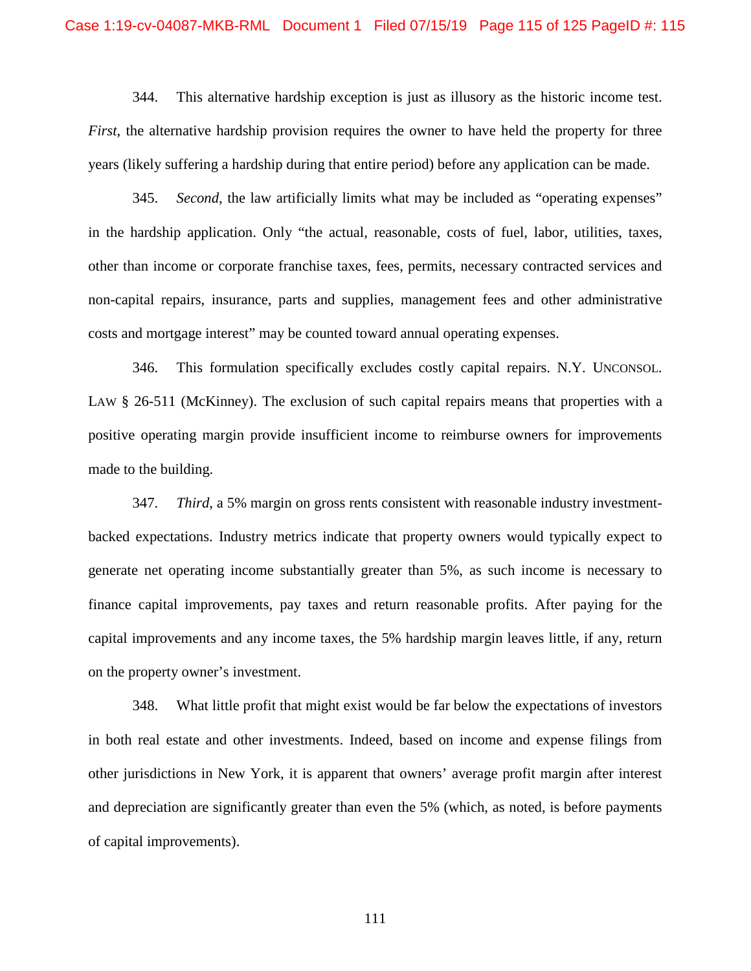#### Case 1:19-cv-04087-MKB-RML Document 1 Filed 07/15/19 Page 115 of 125 PageID #: 115

344. This alternative hardship exception is just as illusory as the historic income test. *First*, the alternative hardship provision requires the owner to have held the property for three years (likely suffering a hardship during that entire period) before any application can be made.

345. *Second*, the law artificially limits what may be included as "operating expenses" in the hardship application. Only "the actual, reasonable, costs of fuel, labor, utilities, taxes, other than income or corporate franchise taxes, fees, permits, necessary contracted services and non-capital repairs, insurance, parts and supplies, management fees and other administrative costs and mortgage interest" may be counted toward annual operating expenses.

346. This formulation specifically excludes costly capital repairs. N.Y. UNCONSOL. LAW § 26-511 (McKinney). The exclusion of such capital repairs means that properties with a positive operating margin provide insufficient income to reimburse owners for improvements made to the building.

347. *Third*, a 5% margin on gross rents consistent with reasonable industry investmentbacked expectations. Industry metrics indicate that property owners would typically expect to generate net operating income substantially greater than 5%, as such income is necessary to finance capital improvements, pay taxes and return reasonable profits. After paying for the capital improvements and any income taxes, the 5% hardship margin leaves little, if any, return on the property owner's investment.

348. What little profit that might exist would be far below the expectations of investors in both real estate and other investments. Indeed, based on income and expense filings from other jurisdictions in New York, it is apparent that owners' average profit margin after interest and depreciation are significantly greater than even the 5% (which, as noted, is before payments of capital improvements).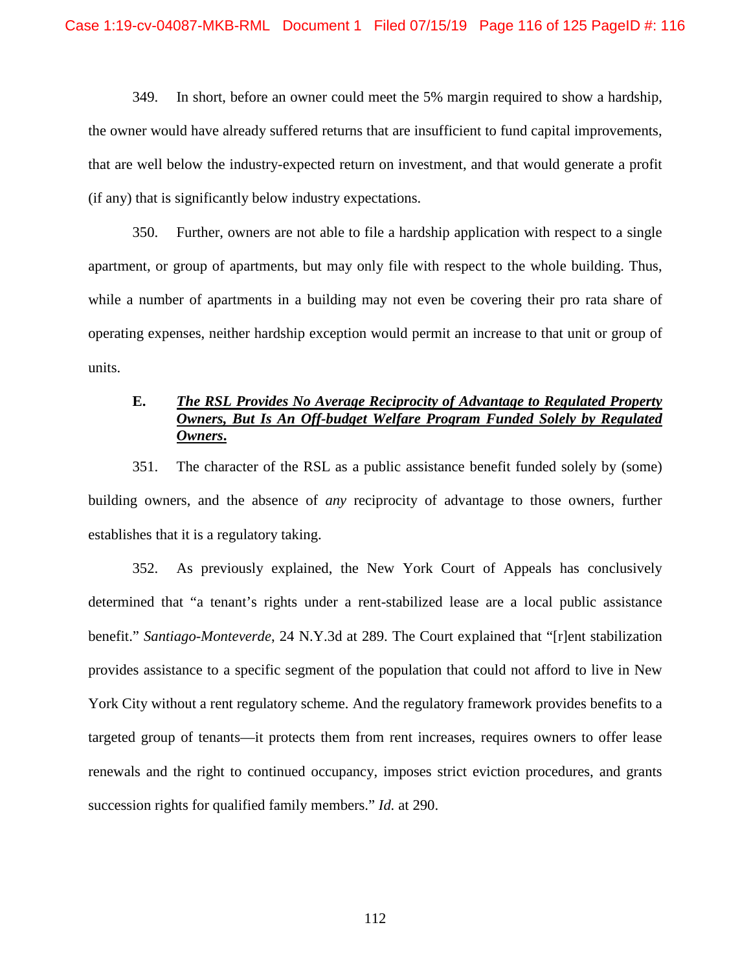349. In short, before an owner could meet the 5% margin required to show a hardship, the owner would have already suffered returns that are insufficient to fund capital improvements, that are well below the industry-expected return on investment, and that would generate a profit (if any) that is significantly below industry expectations.

350. Further, owners are not able to file a hardship application with respect to a single apartment, or group of apartments, but may only file with respect to the whole building. Thus, while a number of apartments in a building may not even be covering their pro rata share of operating expenses, neither hardship exception would permit an increase to that unit or group of units.

# **E.** *The RSL Provides No Average Reciprocity of Advantage to Regulated Property Owners, But Is An Off-budget Welfare Program Funded Solely by Regulated Owners***.**

351. The character of the RSL as a public assistance benefit funded solely by (some) building owners, and the absence of *any* reciprocity of advantage to those owners, further establishes that it is a regulatory taking.

352. As previously explained, the New York Court of Appeals has conclusively determined that "a tenant's rights under a rent-stabilized lease are a local public assistance benefit." *Santiago-Monteverde*, 24 N.Y.3d at 289. The Court explained that "[r]ent stabilization provides assistance to a specific segment of the population that could not afford to live in New York City without a rent regulatory scheme. And the regulatory framework provides benefits to a targeted group of tenants—it protects them from rent increases, requires owners to offer lease renewals and the right to continued occupancy, imposes strict eviction procedures, and grants succession rights for qualified family members." *Id.* at 290.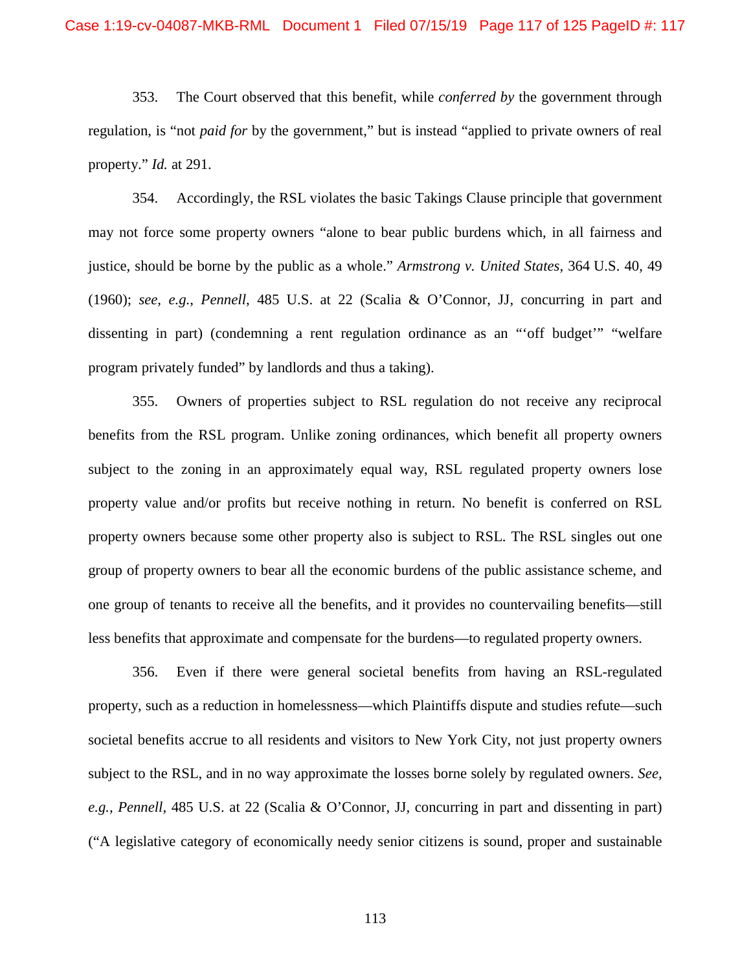353. The Court observed that this benefit, while *conferred by* the government through regulation, is "not *paid for* by the government," but is instead "applied to private owners of real property." *Id.* at 291.

354. Accordingly, the RSL violates the basic Takings Clause principle that government may not force some property owners "alone to bear public burdens which, in all fairness and justice, should be borne by the public as a whole." *Armstrong v. United States*, 364 U.S. 40, 49 (1960); *see, e.g.*, *Pennell*, 485 U.S. at 22 (Scalia & O'Connor, JJ, concurring in part and dissenting in part) (condemning a rent regulation ordinance as an "'off budget'" "welfare program privately funded" by landlords and thus a taking).

355. Owners of properties subject to RSL regulation do not receive any reciprocal benefits from the RSL program. Unlike zoning ordinances, which benefit all property owners subject to the zoning in an approximately equal way, RSL regulated property owners lose property value and/or profits but receive nothing in return. No benefit is conferred on RSL property owners because some other property also is subject to RSL. The RSL singles out one group of property owners to bear all the economic burdens of the public assistance scheme, and one group of tenants to receive all the benefits, and it provides no countervailing benefits—still less benefits that approximate and compensate for the burdens—to regulated property owners.

356. Even if there were general societal benefits from having an RSL-regulated property, such as a reduction in homelessness—which Plaintiffs dispute and studies refute—such societal benefits accrue to all residents and visitors to New York City, not just property owners subject to the RSL, and in no way approximate the losses borne solely by regulated owners. *See, e.g., Pennell*, 485 U.S. at 22 (Scalia & O'Connor, JJ, concurring in part and dissenting in part) ("A legislative category of economically needy senior citizens is sound, proper and sustainable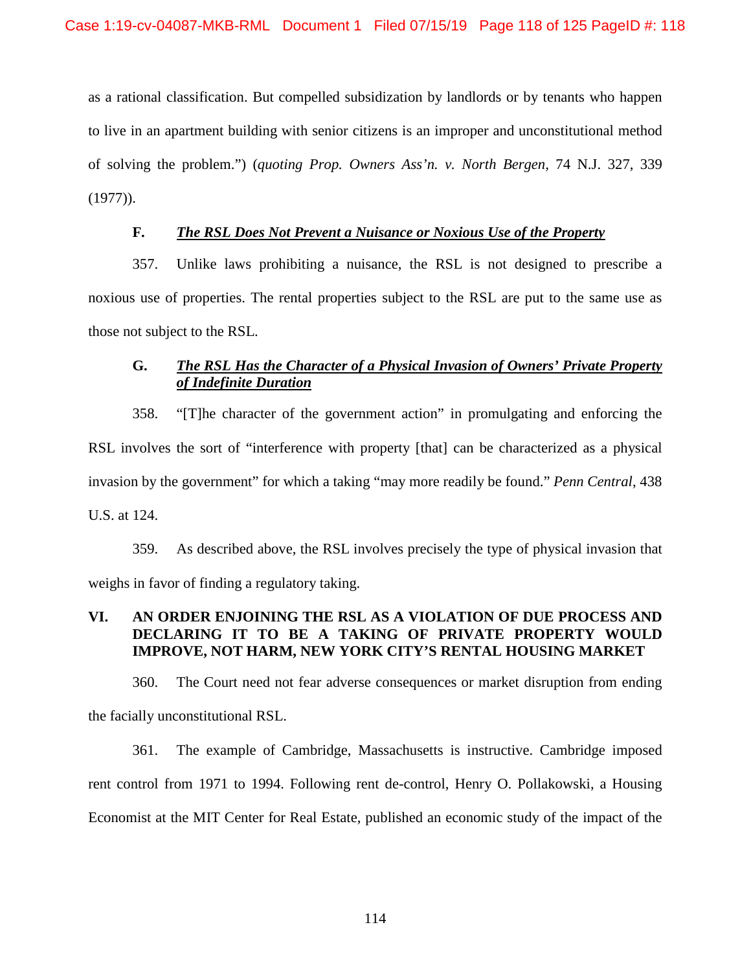as a rational classification. But compelled subsidization by landlords or by tenants who happen to live in an apartment building with senior citizens is an improper and unconstitutional method of solving the problem.") (*quoting Prop. Owners Ass'n. v. North Bergen,* 74 N.J. 327, 339 (1977)).

## **F.** *The RSL Does Not Prevent a Nuisance or Noxious Use of the Property*

357. Unlike laws prohibiting a nuisance, the RSL is not designed to prescribe a noxious use of properties. The rental properties subject to the RSL are put to the same use as those not subject to the RSL.

# **G.** *The RSL Has the Character of a Physical Invasion of Owners' Private Property of Indefinite Duration*

358. "[T]he character of the government action" in promulgating and enforcing the RSL involves the sort of "interference with property [that] can be characterized as a physical invasion by the government" for which a taking "may more readily be found." *Penn Central*, 438 U.S. at 124.

359. As described above, the RSL involves precisely the type of physical invasion that weighs in favor of finding a regulatory taking.

# **VI. AN ORDER ENJOINING THE RSL AS A VIOLATION OF DUE PROCESS AND DECLARING IT TO BE A TAKING OF PRIVATE PROPERTY WOULD IMPROVE, NOT HARM, NEW YORK CITY'S RENTAL HOUSING MARKET**

360. The Court need not fear adverse consequences or market disruption from ending the facially unconstitutional RSL.

361. The example of Cambridge, Massachusetts is instructive. Cambridge imposed rent control from 1971 to 1994. Following rent de-control, Henry O. Pollakowski, a Housing Economist at the MIT Center for Real Estate, published an economic study of the impact of the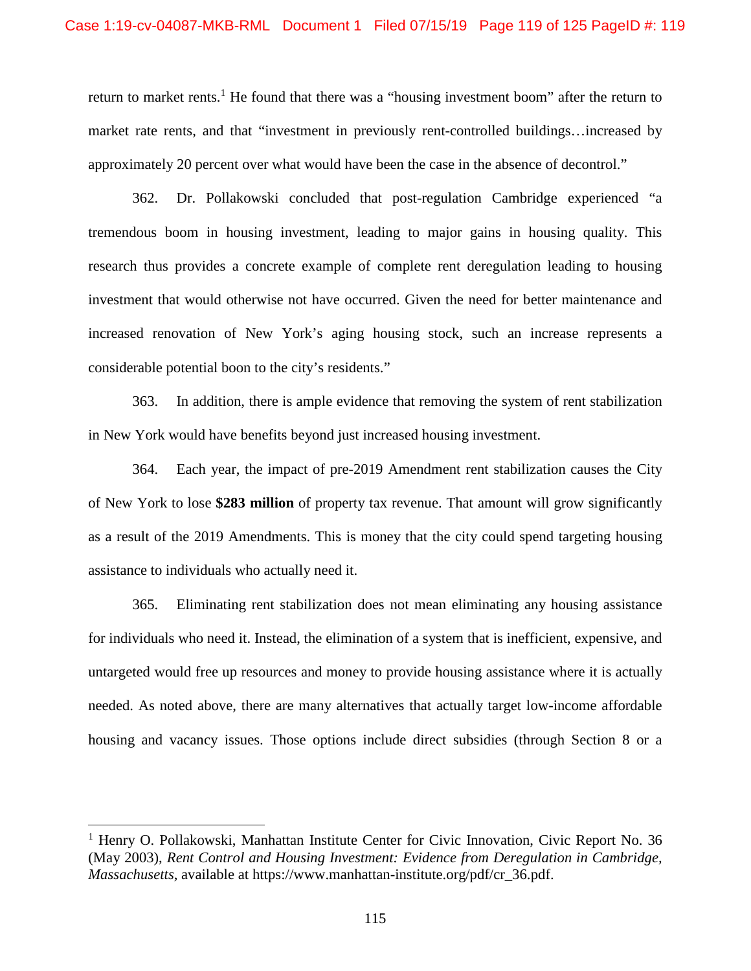return to market rents.<sup>1</sup> He found that there was a "housing investment boom" after the return to market rate rents, and that "investment in previously rent-controlled buildings…increased by approximately 20 percent over what would have been the case in the absence of decontrol."

362. Dr. Pollakowski concluded that post-regulation Cambridge experienced "a tremendous boom in housing investment, leading to major gains in housing quality. This research thus provides a concrete example of complete rent deregulation leading to housing investment that would otherwise not have occurred. Given the need for better maintenance and increased renovation of New York's aging housing stock, such an increase represents a considerable potential boon to the city's residents."

363. In addition, there is ample evidence that removing the system of rent stabilization in New York would have benefits beyond just increased housing investment.

364. Each year, the impact of pre-2019 Amendment rent stabilization causes the City of New York to lose **\$283 million** of property tax revenue. That amount will grow significantly as a result of the 2019 Amendments. This is money that the city could spend targeting housing assistance to individuals who actually need it.

365. Eliminating rent stabilization does not mean eliminating any housing assistance for individuals who need it. Instead, the elimination of a system that is inefficient, expensive, and untargeted would free up resources and money to provide housing assistance where it is actually needed. As noted above, there are many alternatives that actually target low-income affordable housing and vacancy issues. Those options include direct subsidies (through Section 8 or a

<sup>&</sup>lt;sup>1</sup> Henry O. Pollakowski, Manhattan Institute Center for Civic Innovation, Civic Report No. 36 (May 2003), *Rent Control and Housing Investment: Evidence from Deregulation in Cambridge, Massachusetts*, available at https://www.manhattan-institute.org/pdf/cr\_36.pdf.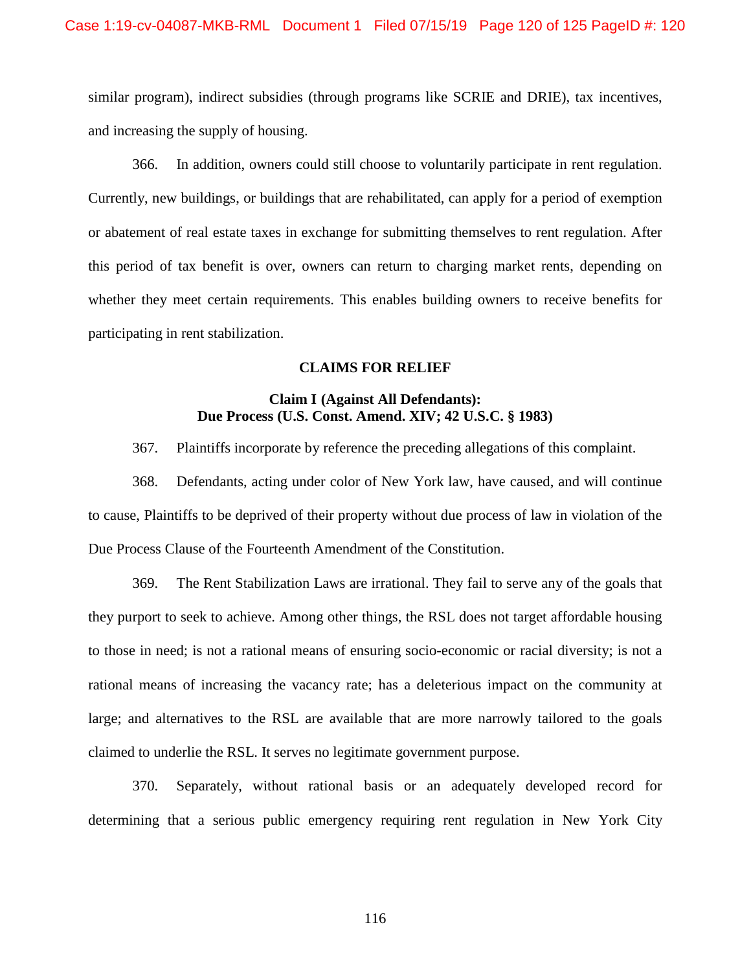similar program), indirect subsidies (through programs like SCRIE and DRIE), tax incentives, and increasing the supply of housing.

366. In addition, owners could still choose to voluntarily participate in rent regulation. Currently, new buildings, or buildings that are rehabilitated, can apply for a period of exemption or abatement of real estate taxes in exchange for submitting themselves to rent regulation. After this period of tax benefit is over, owners can return to charging market rents, depending on whether they meet certain requirements. This enables building owners to receive benefits for participating in rent stabilization.

### **CLAIMS FOR RELIEF**

## **Claim I (Against All Defendants): Due Process (U.S. Const. Amend. XIV; 42 U.S.C. § 1983)**

367. Plaintiffs incorporate by reference the preceding allegations of this complaint.

368. Defendants, acting under color of New York law, have caused, and will continue to cause, Plaintiffs to be deprived of their property without due process of law in violation of the Due Process Clause of the Fourteenth Amendment of the Constitution.

369. The Rent Stabilization Laws are irrational. They fail to serve any of the goals that they purport to seek to achieve. Among other things, the RSL does not target affordable housing to those in need; is not a rational means of ensuring socio-economic or racial diversity; is not a rational means of increasing the vacancy rate; has a deleterious impact on the community at large; and alternatives to the RSL are available that are more narrowly tailored to the goals claimed to underlie the RSL. It serves no legitimate government purpose.

370. Separately, without rational basis or an adequately developed record for determining that a serious public emergency requiring rent regulation in New York City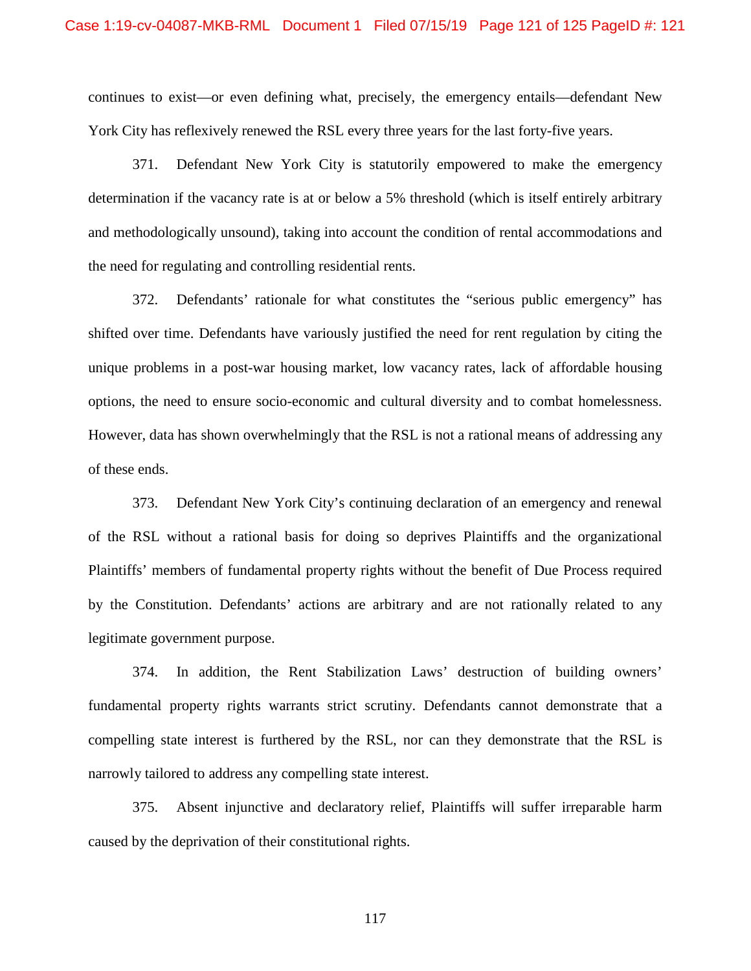continues to exist—or even defining what, precisely, the emergency entails—defendant New York City has reflexively renewed the RSL every three years for the last forty-five years.

371. Defendant New York City is statutorily empowered to make the emergency determination if the vacancy rate is at or below a 5% threshold (which is itself entirely arbitrary and methodologically unsound), taking into account the condition of rental accommodations and the need for regulating and controlling residential rents.

372. Defendants' rationale for what constitutes the "serious public emergency" has shifted over time. Defendants have variously justified the need for rent regulation by citing the unique problems in a post-war housing market, low vacancy rates, lack of affordable housing options, the need to ensure socio-economic and cultural diversity and to combat homelessness. However, data has shown overwhelmingly that the RSL is not a rational means of addressing any of these ends.

373. Defendant New York City's continuing declaration of an emergency and renewal of the RSL without a rational basis for doing so deprives Plaintiffs and the organizational Plaintiffs' members of fundamental property rights without the benefit of Due Process required by the Constitution. Defendants' actions are arbitrary and are not rationally related to any legitimate government purpose.

374. In addition, the Rent Stabilization Laws' destruction of building owners' fundamental property rights warrants strict scrutiny. Defendants cannot demonstrate that a compelling state interest is furthered by the RSL, nor can they demonstrate that the RSL is narrowly tailored to address any compelling state interest.

375. Absent injunctive and declaratory relief, Plaintiffs will suffer irreparable harm caused by the deprivation of their constitutional rights.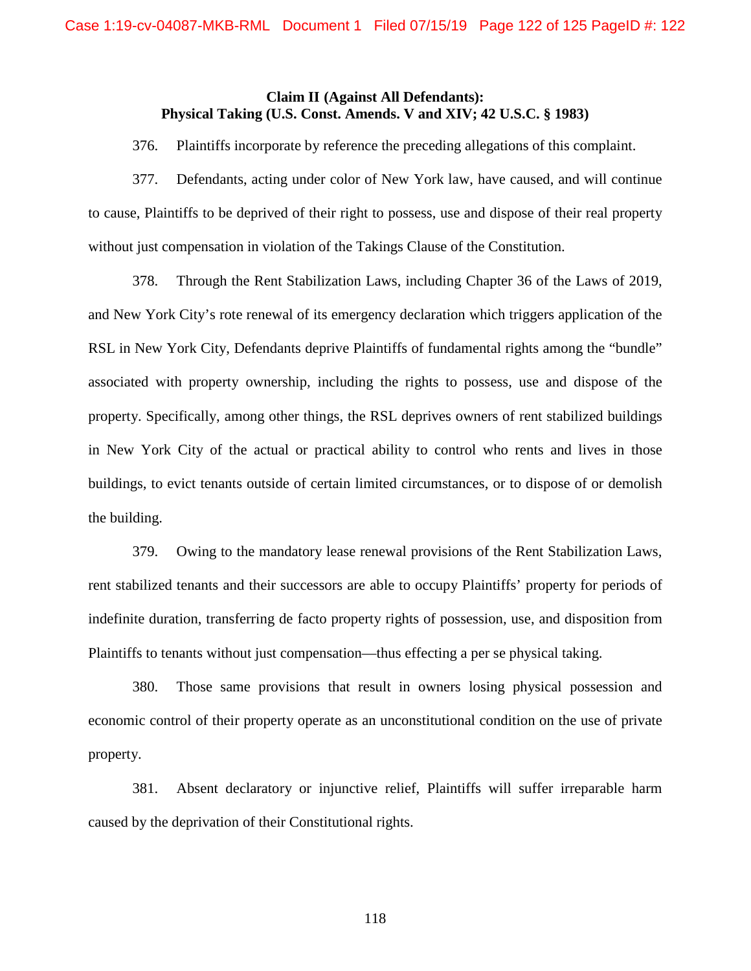## **Claim II (Against All Defendants): Physical Taking (U.S. Const. Amends. V and XIV; 42 U.S.C. § 1983)**

376. Plaintiffs incorporate by reference the preceding allegations of this complaint.

377. Defendants, acting under color of New York law, have caused, and will continue to cause, Plaintiffs to be deprived of their right to possess, use and dispose of their real property without just compensation in violation of the Takings Clause of the Constitution.

378. Through the Rent Stabilization Laws, including Chapter 36 of the Laws of 2019, and New York City's rote renewal of its emergency declaration which triggers application of the RSL in New York City, Defendants deprive Plaintiffs of fundamental rights among the "bundle" associated with property ownership, including the rights to possess, use and dispose of the property. Specifically, among other things, the RSL deprives owners of rent stabilized buildings in New York City of the actual or practical ability to control who rents and lives in those buildings, to evict tenants outside of certain limited circumstances, or to dispose of or demolish the building.

379. Owing to the mandatory lease renewal provisions of the Rent Stabilization Laws, rent stabilized tenants and their successors are able to occupy Plaintiffs' property for periods of indefinite duration, transferring de facto property rights of possession, use, and disposition from Plaintiffs to tenants without just compensation—thus effecting a per se physical taking.

380. Those same provisions that result in owners losing physical possession and economic control of their property operate as an unconstitutional condition on the use of private property.

381. Absent declaratory or injunctive relief, Plaintiffs will suffer irreparable harm caused by the deprivation of their Constitutional rights.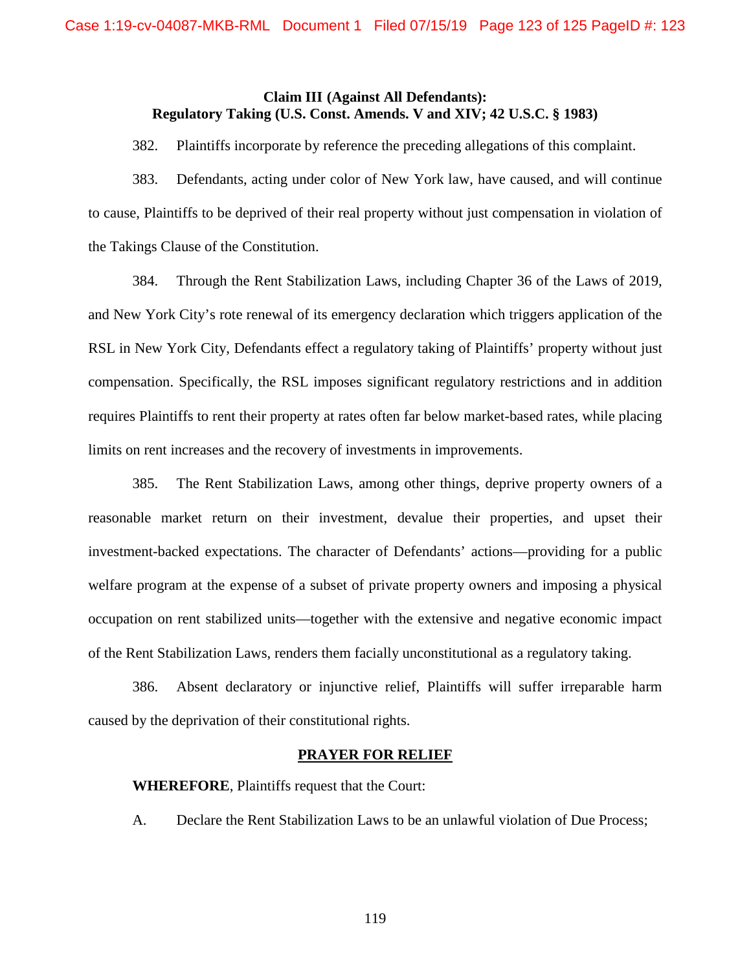## **Claim III (Against All Defendants): Regulatory Taking (U.S. Const. Amends. V and XIV; 42 U.S.C. § 1983)**

382. Plaintiffs incorporate by reference the preceding allegations of this complaint.

383. Defendants, acting under color of New York law, have caused, and will continue to cause, Plaintiffs to be deprived of their real property without just compensation in violation of the Takings Clause of the Constitution.

384. Through the Rent Stabilization Laws, including Chapter 36 of the Laws of 2019, and New York City's rote renewal of its emergency declaration which triggers application of the RSL in New York City, Defendants effect a regulatory taking of Plaintiffs' property without just compensation. Specifically, the RSL imposes significant regulatory restrictions and in addition requires Plaintiffs to rent their property at rates often far below market-based rates, while placing limits on rent increases and the recovery of investments in improvements.

385. The Rent Stabilization Laws, among other things, deprive property owners of a reasonable market return on their investment, devalue their properties, and upset their investment-backed expectations. The character of Defendants' actions—providing for a public welfare program at the expense of a subset of private property owners and imposing a physical occupation on rent stabilized units—together with the extensive and negative economic impact of the Rent Stabilization Laws, renders them facially unconstitutional as a regulatory taking.

386. Absent declaratory or injunctive relief, Plaintiffs will suffer irreparable harm caused by the deprivation of their constitutional rights.

### **PRAYER FOR RELIEF**

**WHEREFORE**, Plaintiffs request that the Court:

A. Declare the Rent Stabilization Laws to be an unlawful violation of Due Process;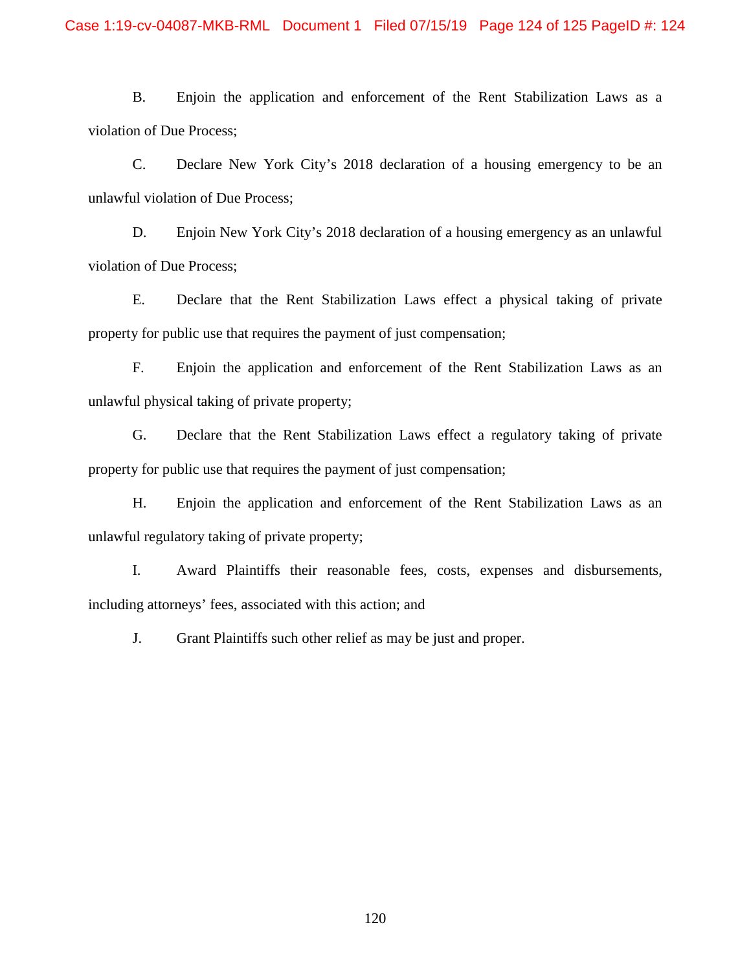B. Enjoin the application and enforcement of the Rent Stabilization Laws as a violation of Due Process;

C. Declare New York City's 2018 declaration of a housing emergency to be an unlawful violation of Due Process;

D. Enjoin New York City's 2018 declaration of a housing emergency as an unlawful violation of Due Process;

E. Declare that the Rent Stabilization Laws effect a physical taking of private property for public use that requires the payment of just compensation;

F. Enjoin the application and enforcement of the Rent Stabilization Laws as an unlawful physical taking of private property;

G. Declare that the Rent Stabilization Laws effect a regulatory taking of private property for public use that requires the payment of just compensation;

H. Enjoin the application and enforcement of the Rent Stabilization Laws as an unlawful regulatory taking of private property;

I. Award Plaintiffs their reasonable fees, costs, expenses and disbursements, including attorneys' fees, associated with this action; and

J. Grant Plaintiffs such other relief as may be just and proper.